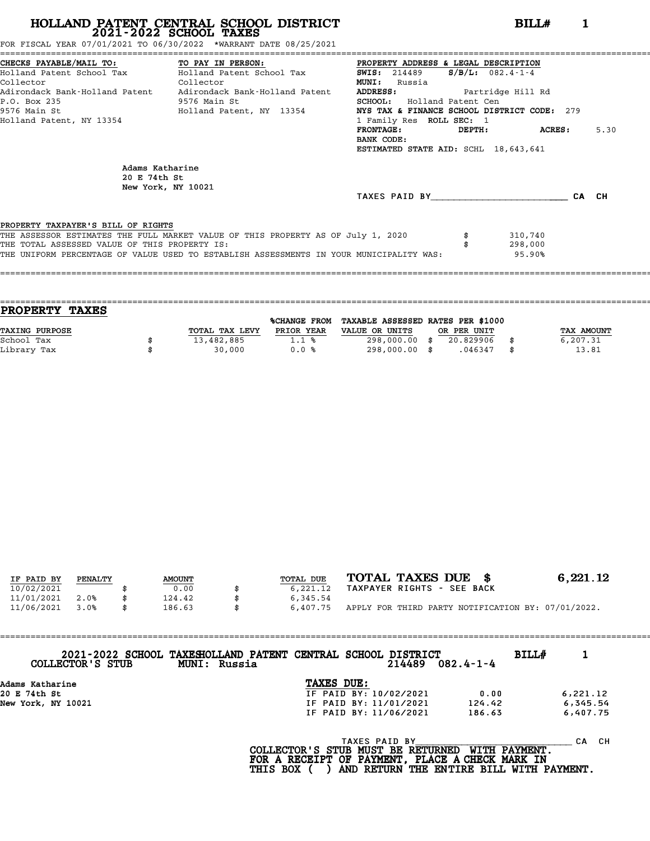FOR FISCAL YEAR 07/01/2021 TO 06/30/2022 \*WARRANT DATE 08/25/2021

|                                               | CHECKS PAYABLE/MAIL TO: TO PAY IN PERSON: PROPERTY ADDRESS & LEGAL DESCRIPTION          |                                             |               |      |
|-----------------------------------------------|-----------------------------------------------------------------------------------------|---------------------------------------------|---------------|------|
|                                               | Holland Patent School Tax Molland Patent School Tax                                     | <b>SWIS:</b> 214489 <b>S/B/L:</b> 082.4-1-4 |               |      |
| Collector<br><b>Collector</b>                 |                                                                                         | <b>MUNI:</b><br>Russia                      |               |      |
|                                               | Adirondack Bank-Holland Patent Adirondack Bank-Holland Patent                           | ADDRESS: Partridge Hill Rd                  |               |      |
| P.O. Box 235                                  | 9576 Main St                                                                            | <b>SCHOOL:</b> Holland Patent Cen           |               |      |
|                                               | 9576 Main St                                   Holland Patent, NY 13354                 | NYS TAX & FINANCE SCHOOL DISTRICT CODE: 279 |               |      |
| Holland Patent, NY 13354                      |                                                                                         | 1 Family Res ROLL SEC: 1                    |               |      |
|                                               |                                                                                         | FRONTAGE:                                   | DEPTH: ACRES: | 5.30 |
|                                               |                                                                                         | BANK CODE:                                  |               |      |
|                                               |                                                                                         | ESTIMATED STATE AID: SCHL 18,643,641        |               |      |
| Adams Katharine<br>20 E 74th St               | New York, NY 10021                                                                      |                                             |               |      |
|                                               |                                                                                         | TAXES PAID BY CA CH                         |               |      |
|                                               |                                                                                         |                                             |               |      |
| PROPERTY TAXPAYER'S BILL OF RIGHTS            |                                                                                         |                                             |               |      |
|                                               | THE ASSESSOR ESTIMATES THE FULL MARKET VALUE OF THIS PROPERTY AS OF July 1, 2020        |                                             | 310,740       |      |
| THE TOTAL ASSESSED VALUE OF THIS PROPERTY IS: |                                                                                         |                                             | 298,000       |      |
|                                               | THE UNIFORM PERCENTAGE OF VALUE USED TO ESTABLISH ASSESSMENTS IN YOUR MUNICIPALITY WAS: |                                             | 95.90%        |      |
|                                               |                                                                                         |                                             |               |      |

| <b>PROPERTY</b><br><b>TAXES</b> |                |                     |                                   |             |             |
|---------------------------------|----------------|---------------------|-----------------------------------|-------------|-------------|
|                                 |                | <b>%CHANGE FROM</b> | TAXABLE ASSESSED RATES PER \$1000 |             |             |
| TAXING PURPOSE                  | TOTAL TAX LEVY | PRIOR YEAR          | VALUE OR UNITS                    | OR PER UNIT | TAX AMOUNT  |
| School Tax                      | 13,482,885     | 1.1%                | 298,000.00 \$                     | 20.829906   | 6,207.31    |
| Library Tax                     | 30,000         | 0.0%                | 298,000.00 \$                     | .046347     | \$<br>13.81 |
|                                 |                |                     |                                   |             |             |

====================================================================================================================================

| IF PAID BY | PENALTY | <b>AMOUNT</b> | TOTAL DUE | TOTAL TAXES DUE \$                                 | 6,221.12 |
|------------|---------|---------------|-----------|----------------------------------------------------|----------|
|            |         |               |           |                                                    |          |
| 10/02/2021 |         | 0.00          | 6,221.12  | TAXPAYER RIGHTS - SEE BACK                         |          |
| 11/01/2021 | 2.0%    | 124.42        | 6,345.54  |                                                    |          |
| 11/06/2021 | 3.0%    | 186.63        | 6,407.75  | APPLY FOR THIRD PARTY NOTIFICATION BY: 07/01/2022. |          |

| COLLECTOR'S STUB   | 2021-2022 SCHOOL TAXESHOLLAND PATENT CENTRAL SCHOOL DISTRICT<br>MUNI: Russia |            | 214489                 | $082.4 - 1 - 4$ | <b>BILL#</b> |          |  |
|--------------------|------------------------------------------------------------------------------|------------|------------------------|-----------------|--------------|----------|--|
| Adams Katharine    |                                                                              | TAXES DUE: |                        |                 |              |          |  |
| 20 E 74th St       |                                                                              |            | IF PAID BY: 10/02/2021 | 0.00            |              | 6,221.12 |  |
| New York, NY 10021 |                                                                              |            | IF PAID BY: 11/01/2021 | 124.42          |              | 6,345.54 |  |
|                    |                                                                              |            | IF PAID BY: 11/06/2021 | 186.63          |              | 6,407.75 |  |
|                    |                                                                              |            |                        |                 |              |          |  |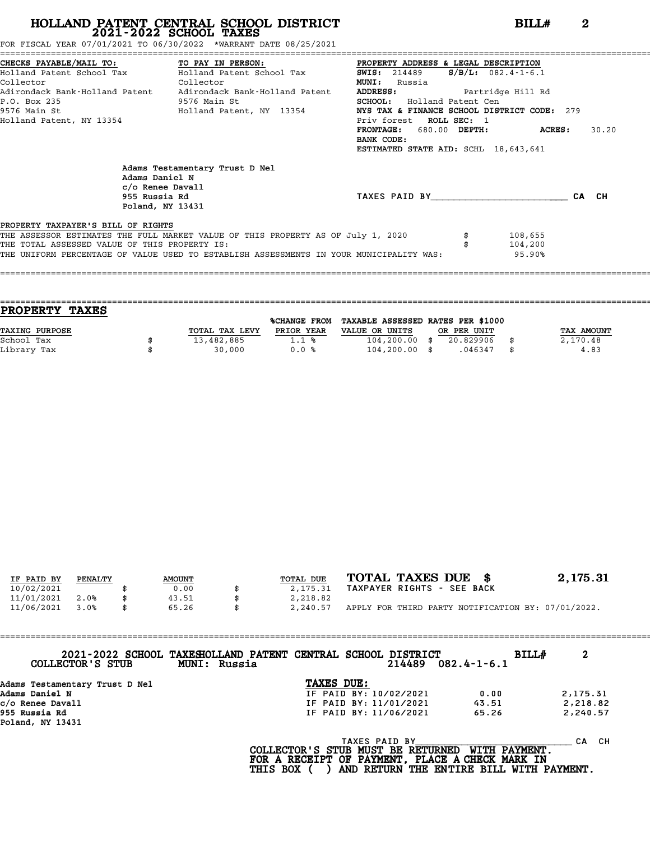FOR FISCAL YEAR 07/01/2021 TO 06/30/2022 \*WARRANT DATE 08/25/2021

|                                                                            |                                                                                         | CHECKS PAYABLE/MAIL TO: TO PAY IN PERSON: PROPERTY ADDRESS & LEGAL DESCRIPTION<br>Holland Patent School Tax Molland Patent School Tax 5WIS: 214489 5/B/L: 082.4-1-6.1 |                    |       |  |  |  |
|----------------------------------------------------------------------------|-----------------------------------------------------------------------------------------|-----------------------------------------------------------------------------------------------------------------------------------------------------------------------|--------------------|-------|--|--|--|
|                                                                            |                                                                                         |                                                                                                                                                                       |                    |       |  |  |  |
| Collector<br><b>Collector</b>                                              |                                                                                         | <b>MUNI:</b><br>Russia                                                                                                                                                |                    |       |  |  |  |
| Adirondack Bank-Holland Patent Adirondack Bank-Holland Patent              |                                                                                         | ADDRESS: Partridge Hill Rd                                                                                                                                            |                    |       |  |  |  |
| P.O. Box 235<br>9576 Main St                                               |                                                                                         | SCHOOL: Holland Patent Cen                                                                                                                                            |                    |       |  |  |  |
| 9576 Main St                             Holland Patent, NY 13354          |                                                                                         | NYS TAX & FINANCE SCHOOL DISTRICT CODE: 279                                                                                                                           |                    |       |  |  |  |
| Holland Patent, NY 13354                                                   |                                                                                         | Priv forest ROLL SEC: 1                                                                                                                                               |                    |       |  |  |  |
|                                                                            |                                                                                         | FRONTAGE: 680.00 DEPTH: ACRES:                                                                                                                                        |                    | 30.20 |  |  |  |
|                                                                            |                                                                                         | BANK CODE:                                                                                                                                                            |                    |       |  |  |  |
|                                                                            |                                                                                         | ESTIMATED STATE AID: SCHL 18,643,641                                                                                                                                  |                    |       |  |  |  |
| Adams Daniel N<br>$c$ /o Renee Davall<br>955 Russia Rd<br>Poland, NY 13431 | Adams Testamentary Trust D Nel                                                          | TAXES PAID BY TAXES                                                                                                                                                   |                    | CA CH |  |  |  |
| PROPERTY TAXPAYER'S BILL OF RIGHTS                                         |                                                                                         |                                                                                                                                                                       |                    |       |  |  |  |
| THE TOTAL ASSESSED VALUE OF THIS PROPERTY IS:                              | THE ASSESSOR ESTIMATES THE FULL MARKET VALUE OF THIS PROPERTY AS OF July 1, 2020 \$     |                                                                                                                                                                       | 108,655<br>104,200 |       |  |  |  |
|                                                                            | THE UNIFORM PERCENTAGE OF VALUE USED TO ESTABLISH ASSESSMENTS IN YOUR MUNICIPALITY WAS: |                                                                                                                                                                       | 95.90%             |       |  |  |  |
|                                                                            |                                                                                         |                                                                                                                                                                       |                    |       |  |  |  |

==================================================================================================================================== **PROPERTY TAXES** %CHANGE FROM TAXABLE ASSESSED RATES PER \$1000 **PROPERTY TAXES**<br>
TAXING PURPOSE TOTAL TAX LEVY PRIOR YEAR VALUE OR UNITS OR PER UNIT TAX AMOUNT<br>
School Tax = 104 200000 10 104 200000 10 104 20000 10 104 20000 10 20000 10 20000 10 20000 10 20000 10 2000 1 School Tax \$ 13,482,885 1.1 % 104,200.00 \$ 20.829906 \$ 2,170.48 Library Tax \$ 30,000 0.0 % 104,200.00 \$ .046347 \$ 4.83

====================================================================================================================================

| IF PAID BY | PENALTY | <b>AMOUNT</b> | TOTAL DUE      | TOTAL TAXES DUE \$                                 | 2,175.31 |
|------------|---------|---------------|----------------|----------------------------------------------------|----------|
| 10/02/2021 |         | 0.00          | 2,175.31       | TAXPAYER RIGHTS - SEE BACK                         |          |
| 11/01/2021 | 2.0%    | 43.51         | 2,218.82       |                                                    |          |
| 11/06/2021 | 3.0%    | \$<br>65.26   | \$<br>2,240.57 | APPLY FOR THIRD PARTY NOTIFICATION BY: 07/01/2022. |          |

| 2021-2022 SCHOOL TAXESHOLLAND PATENT CENTRAL SCHOOL DISTRICT<br>COLLECTOR'S STUB | BILL#<br>$082.4 - 1 - 6.1$                                              | 2        |
|----------------------------------------------------------------------------------|-------------------------------------------------------------------------|----------|
| Adams Testamentary Trust D Nel                                                   |                                                                         |          |
| Adams Daniel N                                                                   | 0.00                                                                    | 2,175.31 |
| c/o Renee Davall                                                                 | 43.51                                                                   | 2,218.82 |
| 955 Russia Rd<br>Poland, NY 13431                                                | 65.26                                                                   | 2,240.57 |
|                                                                                  | <b>WITH PAYMENT.</b><br>FOR A RECEIPT OF PAYMENT, PLACE A CHECK MARK IN | CA CH    |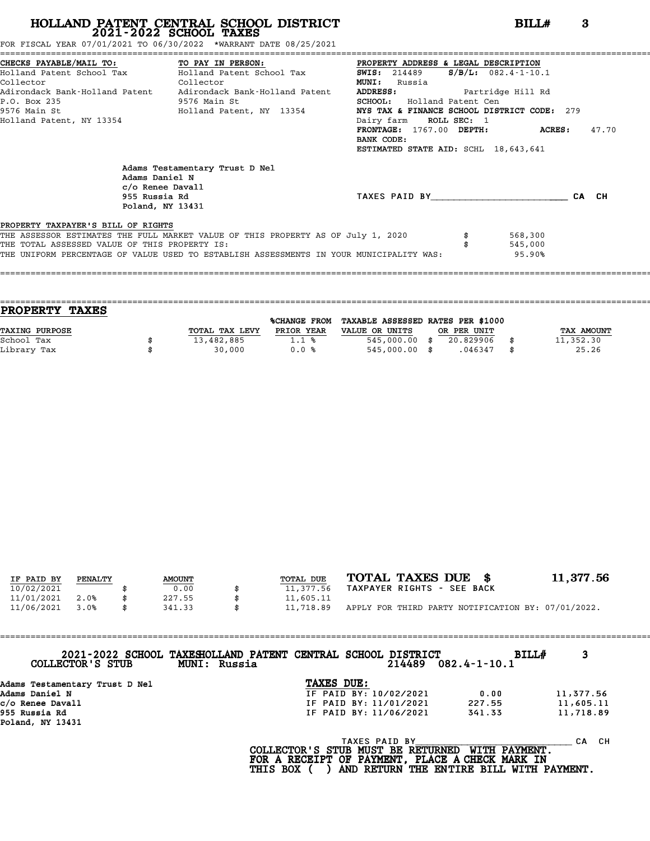FOR FISCAL YEAR 07/01/2021 TO 06/30/2022 \*WARRANT DATE 08/25/2021

|                                                                                         |                                                                                         | CHECKS PAYABLE/MAIL TO: TO PAY IN PERSON: PROPERTY ADDRESS & LEGAL DESCRIPTION<br>Holland Patent School Tax Bolland Patent School Tax 5WIS: 214489 S/B/L: 082.4-1-10.1 |         |       |  |  |  |
|-----------------------------------------------------------------------------------------|-----------------------------------------------------------------------------------------|------------------------------------------------------------------------------------------------------------------------------------------------------------------------|---------|-------|--|--|--|
|                                                                                         |                                                                                         |                                                                                                                                                                        |         |       |  |  |  |
| Collector<br>Collector<br>Adirondack Bank-Holland Patent Adirondack Bank-Holland Patent |                                                                                         | <b>MUNI:</b><br>Russia                                                                                                                                                 |         |       |  |  |  |
|                                                                                         |                                                                                         | ADDRESS: Partridge Hill Rd                                                                                                                                             |         |       |  |  |  |
| P.O. Box 235<br>9576 Main St                                                            |                                                                                         | <b>SCHOOL:</b> Holland Patent Cen                                                                                                                                      |         |       |  |  |  |
| 9576 Main St                                 Holland Patent, NY 13354                   |                                                                                         | NYS TAX & FINANCE SCHOOL DISTRICT CODE: 279                                                                                                                            |         |       |  |  |  |
| Holland Patent, NY 13354                                                                |                                                                                         | Dairy farm ROLL SEC: 1                                                                                                                                                 |         |       |  |  |  |
|                                                                                         |                                                                                         | $\texttt{FRONTAGE}:$ 1767.00 DEPTH: ACRES:                                                                                                                             |         | 47.70 |  |  |  |
|                                                                                         |                                                                                         | BANK CODE:                                                                                                                                                             |         |       |  |  |  |
|                                                                                         |                                                                                         | ESTIMATED STATE AID: SCHL 18,643,641                                                                                                                                   |         |       |  |  |  |
| Adams Daniel N<br>c/o Renee Davall<br>955 Russia Rd<br>Poland, NY 13431                 | Adams Testamentary Trust D Nel                                                          | TAXES PAID BY TAXES PAID BY                                                                                                                                            |         | CA CH |  |  |  |
|                                                                                         |                                                                                         |                                                                                                                                                                        |         |       |  |  |  |
| PROPERTY TAXPAYER'S BILL OF RIGHTS                                                      |                                                                                         |                                                                                                                                                                        |         |       |  |  |  |
|                                                                                         | THE ASSESSOR ESTIMATES THE FULL MARKET VALUE OF THIS PROPERTY AS OF July 1, 2020        |                                                                                                                                                                        | 568,300 |       |  |  |  |
| THE TOTAL ASSESSED VALUE OF THIS PROPERTY IS:                                           |                                                                                         |                                                                                                                                                                        | 545,000 |       |  |  |  |
|                                                                                         | THE UNIFORM PERCENTAGE OF VALUE USED TO ESTABLISH ASSESSMENTS IN YOUR MUNICIPALITY WAS: |                                                                                                                                                                        | 95.90%  |       |  |  |  |
|                                                                                         |                                                                                         |                                                                                                                                                                        |         |       |  |  |  |

| <b>PROPERTY TAXES</b> |                |              |                                   |             |                   |
|-----------------------|----------------|--------------|-----------------------------------|-------------|-------------------|
|                       |                | %CHANGE FROM | TAXABLE ASSESSED RATES PER \$1000 |             |                   |
| <b>TAXING PURPOSE</b> | TOTAL TAX LEVY | PRIOR YEAR   | VALUE OR UNITS                    | OR PER UNIT | <b>TAX AMOUNT</b> |
| School Tax            | 13,482,885     | 1.1%         | 545,000.00 \$                     | 20.829906   | 11,352.30         |
| Library Tax           | 30,000         | 0.0%         | 545,000.00 \$                     | .046347     | 25.26             |
|                       |                |              |                                   |             |                   |

====================================================================================================================================

| IF PAID BY<br>10/02/2021 | PENALTY | <b>AMOUNT</b><br>0.00 | TOTAL DUE<br>11,377.56 | TOTAL TAXES DUE \$<br>TAXPAYER RIGHTS - SEE BACK   | 11,377.56 |
|--------------------------|---------|-----------------------|------------------------|----------------------------------------------------|-----------|
| 11/01/2021               | 2.0%    | 227.55                | 11,605.11              |                                                    |           |
| 11/06/2021               | 3.0%    | \$<br>341.33          | \$<br>11,718.89        | APPLY FOR THIRD PARTY NOTIFICATION BY: 07/01/2022. |           |

| COLLECTOR'S STUB                  | 2021-2022 SCHOOL TAXESHOLLAND PATENT CENTRAL SCHOOL DISTRICT<br>MUNI: Russia |                                                           | 214489 | BILLH<br>$082.4 - 1 - 10.1$ | 3          |
|-----------------------------------|------------------------------------------------------------------------------|-----------------------------------------------------------|--------|-----------------------------|------------|
| Adams Testamentary Trust D Nel    |                                                                              | TAXES DUE:                                                |        |                             |            |
| Adams Daniel N                    |                                                                              | IF PAID BY: 10/02/2021                                    |        | 0.00                        | 11,377.56  |
| c/o Renee Davall                  |                                                                              | IF PAID BY: 11/01/2021                                    |        | 227.55                      | 11,605.11  |
| 955 Russia Rd<br>Poland, NY 13431 |                                                                              | IF PAID BY: 11/06/2021                                    |        | 341.33                      | 11,718.89  |
|                                   |                                                                              | <b>TAXES PAID BY</b><br>COLLECTOR'S STUB MUST BE RETURNED |        | WITH PAYMENT.               | CH.<br>CA. |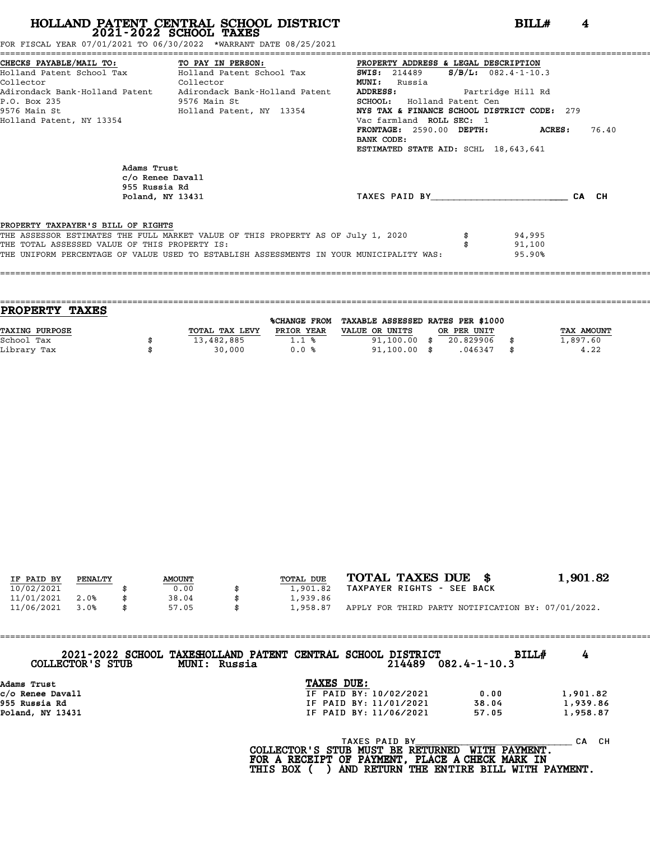FOR FISCAL YEAR 07/01/2021 TO 06/30/2022 \*WARRANT DATE 08/25/2021

|                                                                   | CHECKS PAYABLE/MAIL TO:               TO PAY IN PERSON:               PROPERTY ADDRESS & LEGAL DESCRIPTION               |                                                  |        |       |  |  |
|-------------------------------------------------------------------|--------------------------------------------------------------------------------------------------------------------------|--------------------------------------------------|--------|-------|--|--|
|                                                                   | Holland Patent School Tax Molland Patent School Tax                                                                      | $S/B/L: 082.4 - 1 - 10.3$<br><b>SWIS:</b> 214489 |        |       |  |  |
| Collector<br><b>Collector</b>                                     |                                                                                                                          | <b>MUNI:</b> Russia                              |        |       |  |  |
| Adirondack Bank-Holland Patent     Adirondack Bank-Holland Patent |                                                                                                                          | ADDRESS: Partridge Hill Rd                       |        |       |  |  |
| P.O. Box 235<br>9576 Main St                                      |                                                                                                                          | <b>SCHOOL:</b> Holland Patent Cen                |        |       |  |  |
|                                                                   | 9576 Main St                             Holland Patent, NY 13354 <b>NYS TAX &amp; FINANCE SCHOOL DISTRICT CODE:</b> 279 |                                                  |        |       |  |  |
| Holland Patent, NY 13354                                          |                                                                                                                          | Vac farmland ROLL SEC: 1                         |        |       |  |  |
|                                                                   |                                                                                                                          | FRONTAGE: 2590.00 DEPTH: ACRES:                  |        | 76.40 |  |  |
|                                                                   |                                                                                                                          | BANK CODE:                                       |        |       |  |  |
|                                                                   |                                                                                                                          | ESTIMATED STATE AID: SCHL 18,643,641             |        |       |  |  |
| Adams Trust<br>955 Russia Rd                                      | c/o Renee Davall<br>Poland, NY 13431                                                                                     | TAXES PAID BY TAXES                              |        | CA CH |  |  |
| PROPERTY TAXPAYER'S BILL OF RIGHTS                                | THE ASSESSOR ESTIMATES THE FULL MARKET VALUE OF THIS PROPERTY AS OF July 1, 2020                                         |                                                  | 94,995 |       |  |  |
| THE TOTAL ASSESSED VALUE OF THIS PROPERTY IS:                     |                                                                                                                          |                                                  | 91,100 |       |  |  |
|                                                                   | THE UNIFORM PERCENTAGE OF VALUE USED TO ESTABLISH ASSESSMENTS IN YOUR MUNICIPALITY WAS:                                  |                                                  | 95.90% |       |  |  |
|                                                                   |                                                                                                                          |                                                  |        |       |  |  |
|                                                                   |                                                                                                                          |                                                  |        |       |  |  |

| PROPERTY TAXES        |                |              |                                   |             |            |
|-----------------------|----------------|--------------|-----------------------------------|-------------|------------|
|                       |                | %CHANGE FROM | TAXABLE ASSESSED RATES PER \$1000 |             |            |
| <b>TAXING PURPOSE</b> | TOTAL TAX LEVY | PRIOR YEAR   | VALUE OR UNITS                    | OR PER UNIT | TAX AMOUNT |
| School Tax            | 13,482,885     | 1.1%         | $91,100.00$ \$                    | 20.829906   | 1,897.60   |
| Library Tax           | 30,000         | 0.0%         | $91,100.00$ \$                    | .046347     | \$<br>4.22 |

| IF PAID BY | PENALTY | <b>AMOUNT</b> | TOTAL DUE | TOTAL TAXES DUE \$                                 | 1,901.82 |
|------------|---------|---------------|-----------|----------------------------------------------------|----------|
| 10/02/2021 |         | 0.00          | 1,901.82  | TAXPAYER RIGHTS - SEE BACK                         |          |
| 11/01/2021 | 2.0%    | 38.04         | 1,939.86  |                                                    |          |
| 11/06/2021 | 3.0%    | \$<br>57.05   | 1,958.87  | APPLY FOR THIRD PARTY NOTIFICATION BY: 07/01/2022. |          |

==================================================================================================================================== **2021-2022 SCHOOL TAXESHOLLAND PATENT CENTRAL SCHOOL DISTRICT BILL# <sup>4</sup> COLLECTOR'S STUB MUNI: Russia <sup>214489</sup> 082.4-1-10.3** 2021-2022 SCHOOL TAXESHOLLAND PATENT CENTRAL SCHOOL DISTRICT<br>
cOLLECTOR'S STUB MUNI: Russia<br>
c/o Renee Davall<br>
214489 082.4-1-10.3<br>
COLLECTOR'S STUB MUNI: Russia<br>
TE PAID BY: 10/02/2021<br>
IF PAID BY: 11/01/2021<br>
1,901.82<br>
T Adams Trust<br>
c/o Renee Davall<br>
955 Russia Rd<br>
Poland NY 13431<br>
Poland NY 13431 Poland, NY 13431 IF PAID BY: 11/06/2021 57.05 1,958.87

|                                                                                                                                                             | IF PAID BY: 11/06/2021 | 57.05 | 1,958.87     |
|-------------------------------------------------------------------------------------------------------------------------------------------------------------|------------------------|-------|--------------|
| COLLECTOR'S STUB MUST BE RETURNED WITH PAYMENT.<br>FOR A RECEIPT OF PAYMENT, PLACE A CHECK MARK IN<br>THIS BOX ( ) AND RETURN THE ENTIRE BILL WITH PAYMENT. | TAXES PAID BY          |       | CA.<br>- C.H |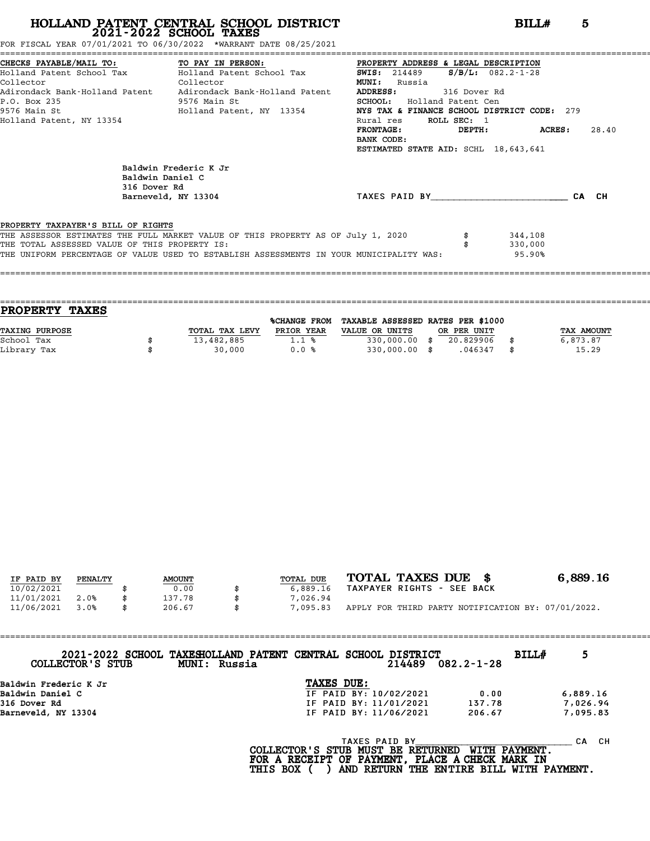FOR FISCAL YEAR 07/01/2021 TO 06/30/2022 \*WARRANT DATE 08/25/2021

|                                               | CHECKS PAYABLE/MAIL TO:             TO PAY IN PERSON:             PROPERTY ADDRESS & LEGAL DESCRIPTION |                                             |                      |       |
|-----------------------------------------------|--------------------------------------------------------------------------------------------------------|---------------------------------------------|----------------------|-------|
|                                               | Holland Patent School Tax Bolland Patent School Tax                                                    | <b>SWIS:</b> 214489                         | $S/B/L$ : 082.2-1-28 |       |
| Collector<br><b>Collector</b>                 |                                                                                                        | <b>MUNI:</b><br>Russia                      |                      |       |
|                                               | Adirondack Bank-Holland Patent     Adirondack Bank-Holland Patent                                      | <b>ADDRESS:</b><br>316 Dover Rd             |                      |       |
| P.O. Box 235                                  | 9576 Main St                                                                                           | <b>SCHOOL:</b> Holland Patent Cen           |                      |       |
|                                               | 9576 Main St                               Holland Patent, NY 13354                                    | NYS TAX & FINANCE SCHOOL DISTRICT CODE: 279 |                      |       |
| Holland Patent, NY 13354                      |                                                                                                        | ROLL SEC: 1<br>Rural res                    |                      |       |
|                                               |                                                                                                        | FRONTAGE:                                   | DEPTH: ACRES:        | 28.40 |
|                                               |                                                                                                        | BANK CODE:                                  |                      |       |
|                                               |                                                                                                        | ESTIMATED STATE AID: SCHL 18,643,641        |                      |       |
| 316 Dover Rd                                  | Baldwin Frederic K Jr<br>Baldwin Daniel C<br>Barneveld, NY 13304                                       | TAXES PAID BY                               |                      | CA CH |
|                                               |                                                                                                        |                                             |                      |       |
| PROPERTY TAXPAYER'S BILL OF RIGHTS            |                                                                                                        |                                             |                      |       |
|                                               | THE ASSESSOR ESTIMATES THE FULL MARKET VALUE OF THIS PROPERTY AS OF July 1, 2020                       |                                             | 344,108              |       |
| THE TOTAL ASSESSED VALUE OF THIS PROPERTY IS: |                                                                                                        |                                             | 330,000              |       |
|                                               | THE UNIFORM PERCENTAGE OF VALUE USED TO ESTABLISH ASSESSMENTS IN YOUR MUNICIPALITY WAS:                |                                             | 95.90%               |       |
|                                               |                                                                                                        |                                             |                      |       |
|                                               |                                                                                                        |                                             |                      |       |

| <b>PROPERTY TAXES</b> |                |              |                                   |             |            |
|-----------------------|----------------|--------------|-----------------------------------|-------------|------------|
|                       |                | %CHANGE FROM | TAXABLE ASSESSED RATES PER \$1000 |             |            |
| TAXING PURPOSE        | TOTAL TAX LEVY | PRIOR YEAR   | VALUE OR UNITS                    | OR PER UNIT | TAX AMOUNT |
| School Tax            | 13,482,885     | $1.1*$       | $330,000.00$ \$                   | 20.829906   | 6,873.87   |
| Library Tax           | 30,000         | 0.0%         | $330,000.00$ \$                   | .046347     | 15.29      |
|                       |                |              |                                   |             |            |

| IF PAID BY | PENALTY | <b>AMOUNT</b> | TOTAL DUE | TOTAL TAXES DUE \$                                 | 6,889.16 |
|------------|---------|---------------|-----------|----------------------------------------------------|----------|
| 10/02/2021 |         | 0.00          | 6,889.16  | TAXPAYER RIGHTS - SEE BACK                         |          |
| 11/01/2021 | 2.0%    | 137.78        | 7,026.94  |                                                    |          |
| 11/06/2021 | 3.0%    | \$<br>206.67  | 7,095.83  | APPLY FOR THIRD PARTY NOTIFICATION BY: 07/01/2022. |          |

| COLLECTOR'S STUB      | 2021-2022 SCHOOL TAXESHOLLAND PATENT CENTRAL SCHOOL DISTRICT<br>MUNI: Russia |            |               | 214489                 | $082.2 - 1 - 28$ | BILLH |           |
|-----------------------|------------------------------------------------------------------------------|------------|---------------|------------------------|------------------|-------|-----------|
| Baldwin Frederic K Jr |                                                                              | TAXES DUE: |               |                        |                  |       |           |
| Baldwin Daniel C      |                                                                              |            |               | IF PAID BY: 10/02/2021 | 0.00             |       | 6,889.16  |
| 316 Dover Rd          |                                                                              |            |               | IF PAID BY: 11/01/2021 | 137.78           |       | 7,026.94  |
| Barneveld, NY 13304   |                                                                              |            |               | IF PAID BY: 11/06/2021 | 206.67           |       | 7,095.83  |
|                       |                                                                              |            | TAXES PAID BY |                        |                  |       | CH.<br>CА |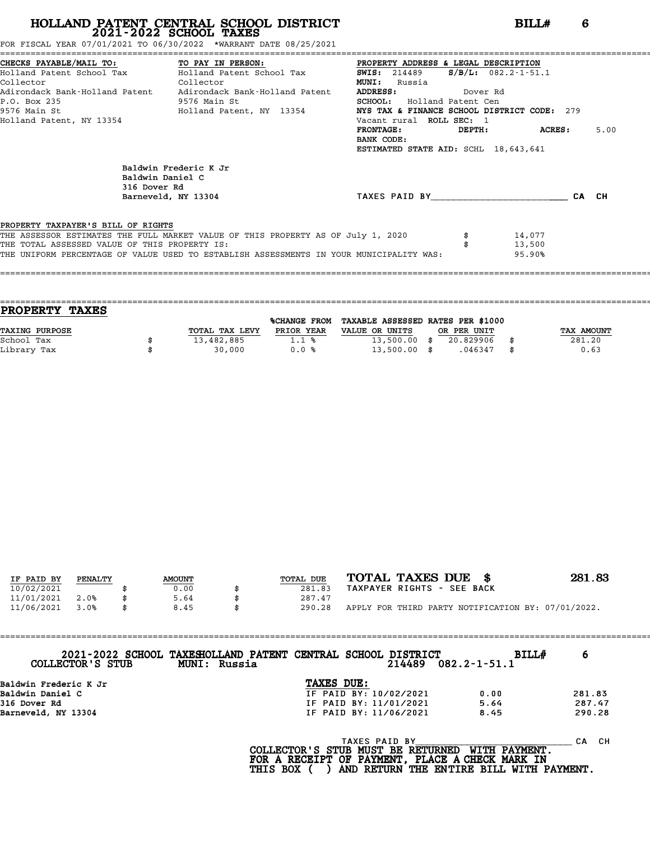FOR FISCAL YEAR 07/01/2021 TO 06/30/2022 \*WARRANT DATE 08/25/2021

|                                               | CHECKS PAYABLE/MAIL TO: TO PAY IN PERSON: PROPERTY ADDRESS & LEGAL DESCRIPTION          |                                             |                           |       |
|-----------------------------------------------|-----------------------------------------------------------------------------------------|---------------------------------------------|---------------------------|-------|
|                                               | Holland Patent School Tax Molland Patent School Tax 5WIS: 214489                        |                                             | $S/B/L: 082.2 - 1 - 51.1$ |       |
| Collector<br><b>Collector</b>                 |                                                                                         | <b>MUNI:</b> Russia                         |                           |       |
|                                               | Adirondack Bank-Holland Patent     Adirondack Bank-Holland Patent                       | <b>ADDRESS:</b><br>Dover Rd                 |                           |       |
| P.O. Box 235                                  | 9576 Main St                                                                            | <b>SCHOOL:</b> Holland Patent Cen           |                           |       |
|                                               | 9576 Main St                               Holland Patent, NY 13354                     | NYS TAX & FINANCE SCHOOL DISTRICT CODE: 279 |                           |       |
| Holland Patent, NY 13354                      |                                                                                         | Vacant rural ROLL SEC: 1                    |                           |       |
|                                               |                                                                                         | FRONTAGE:                                   | DEPTH: ACRES:             | 5.00  |
|                                               |                                                                                         | BANK CODE:                                  |                           |       |
|                                               |                                                                                         | ESTIMATED STATE AID: SCHL 18,643,641        |                           |       |
| Baldwin Daniel C<br>316 Dover Rd              | Baldwin Frederic K Jr<br>Barneveld, NY 13304                                            | TAXES PAID BY                               |                           | CA CH |
| PROPERTY TAXPAYER'S BILL OF RIGHTS            |                                                                                         |                                             |                           |       |
|                                               | THE ASSESSOR ESTIMATES THE FULL MARKET VALUE OF THIS PROPERTY AS OF July 1, 2020        |                                             | 14,077<br>13,500          |       |
|                                               |                                                                                         |                                             |                           |       |
| THE TOTAL ASSESSED VALUE OF THIS PROPERTY IS: | THE UNIFORM PERCENTAGE OF VALUE USED TO ESTABLISH ASSESSMENTS IN YOUR MUNICIPALITY WAS: |                                             | 95.90%                    |       |

| <b>TAXES</b><br><b>PROPERTY</b> |                |                     |                                   |             |            |
|---------------------------------|----------------|---------------------|-----------------------------------|-------------|------------|
|                                 |                | <b>%CHANGE FROM</b> | TAXABLE ASSESSED RATES PER \$1000 |             |            |
| TAXING PURPOSE                  | TOTAL TAX LEVY | PRIOR YEAR          | VALUE OR UNITS                    | OR PER UNIT | TAX AMOUNT |
| School Tax                      | 13,482,885     | 1.1%                | $13,500.00$ \$                    | 20.829906   | 281.20     |
| Library Tax                     | 30,000         | 0.0%                | $13,500.00$ \$                    | .046347     | \$<br>0.63 |
|                                 |                |                     |                                   |             |            |

| IF PAID BY | PENALTY | <b>AMOUNT</b> | TOTAL DUE | TOTAL TAXES DUE \$                                 | 281.83 |
|------------|---------|---------------|-----------|----------------------------------------------------|--------|
| 10/02/2021 |         | 0.00          | 281.83    | TAXPAYER RIGHTS - SEE BACK                         |        |
| 11/01/2021 | 2.0%    | 5.64          | 287.47    |                                                    |        |
| 11/06/2021 | 3.0%    | \$<br>8.45    | 290.28    | APPLY FOR THIRD PARTY NOTIFICATION BY: 07/01/2022. |        |

==================================================================================================================================== **2021-2022 SCHOOL TAXESHOLLAND PATENT CENTRAL SCHOOL DISTRICT BILL# <sup>6</sup> COLLECTOR'S STUB MUNI: Russia <sup>214489</sup> 082.2-1-51.1** 2021-2022 SCHOOL TAXESHOLLAND PATENT CENTRAL SCHOOL<br>COLLECTOR'S STUB MUNI: Russia<br>Baldwin Frederic K Jr **TAXES DUE:**<br>Baldwin Daniel C **TE PAID BY:** 10/ Baldwin Daniel C IF PAID BY: 10/02/2021 0.00 281.83 316 Dover Rd IF PAID BY: 11/01/2021 5.64 287.47 Baldwin Frederic K Jr<br>Baldwin Daniel C<br>316 Dover Rd<br>Barneveld, NY 13304 1990.28 D BY: 11/06/2021 8.45 290.28<br>TAXES PAID BY<br>TR MICT BE DETIDNED LITTY DAVMENT CA CH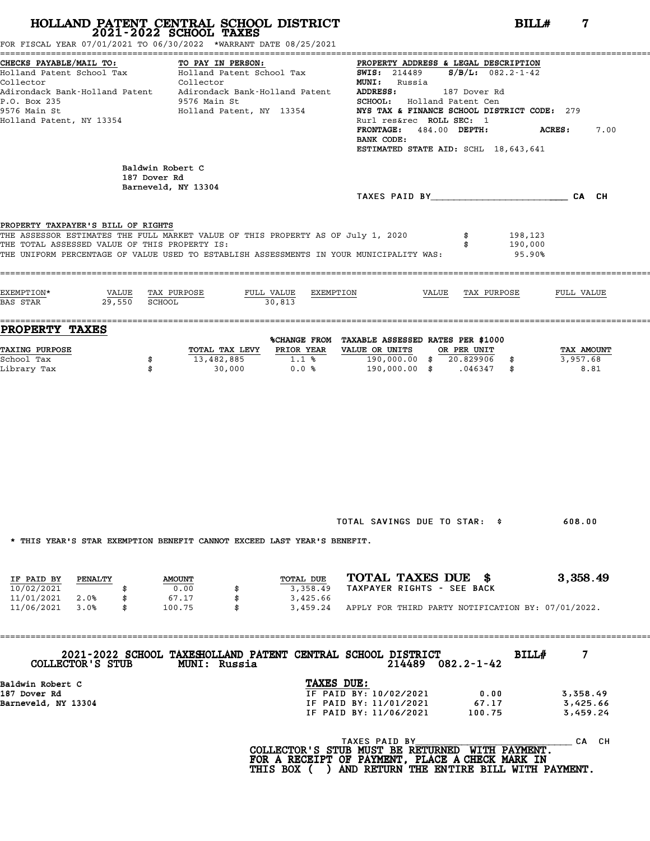FOR FISCAL YEAR 07/01/2021 TO 06/30/2022 \*WARRANT DATE 08/25/2021

| CHECKS PAYABLE/MAIL TO:                                                                               | TO PAY IN PERSON:         |                         | PROPERTY ADDRESS & LEGAL DESCRIPTION                      |              |         |            |      |
|-------------------------------------------------------------------------------------------------------|---------------------------|-------------------------|-----------------------------------------------------------|--------------|---------|------------|------|
| Holland Patent School Tax                                                                             | Holland Patent School Tax |                         | <b>SWIS:</b> 214489 <b>S/B/L:</b> 082.2-1-42              |              |         |            |      |
| Collector                                                                                             | Collector                 |                         | <b>MUNI:</b> Russia                                       |              |         |            |      |
| Adirondack Bank-Holland Patent     Adirondack Bank-Holland Patent                                     |                           |                         | ADDRESS:                                                  | 187 Dover Rd |         |            |      |
| P.O. Box 235                                                                                          | 9576 Main St              |                         | SCHOOL: Holland Patent Cen                                |              |         |            |      |
| 9576 Main St                                                                                          | Holland Patent, NY 13354  |                         | NYS TAX & FINANCE SCHOOL DISTRICT CODE: 279               |              |         |            |      |
| Holland Patent, NY 13354                                                                              |                           |                         | Rurl res&rec ROLL SEC: 1                                  |              |         |            |      |
|                                                                                                       |                           |                         | FRONTAGE: 484.00 DEPTH:                                   |              | ACRES : |            | 7.00 |
|                                                                                                       |                           |                         | BANK CODE:<br>ESTIMATED STATE AID: SCHL 18,643,641        |              |         |            |      |
|                                                                                                       |                           |                         |                                                           |              |         |            |      |
|                                                                                                       | Baldwin Robert C          |                         |                                                           |              |         |            |      |
|                                                                                                       | 187 Dover Rd              |                         |                                                           |              |         |            |      |
|                                                                                                       | Barneveld, NY 13304       |                         |                                                           |              |         |            |      |
|                                                                                                       |                           |                         | TAXES PAID BY CA CH                                       |              |         |            |      |
|                                                                                                       |                           |                         |                                                           |              |         |            |      |
| PROPERTY TAXPAYER'S BILL OF RIGHTS                                                                    |                           |                         |                                                           |              |         |            |      |
| THE ASSESSOR ESTIMATES THE FULL MARKET VALUE OF THIS PROPERTY AS OF July 1, 2020                      |                           |                         |                                                           |              | 198,123 |            |      |
| THE TOTAL ASSESSED VALUE OF THIS PROPERTY IS:                                                         |                           |                         |                                                           | \$           | 190,000 |            |      |
|                                                                                                       |                           |                         |                                                           |              | 95.90%  |            |      |
|                                                                                                       |                           |                         |                                                           |              |         |            |      |
| THE UNIFORM PERCENTAGE OF VALUE USED TO ESTABLISH ASSESSMENTS IN YOUR MUNICIPALITY WAS:               |                           |                         |                                                           |              |         |            |      |
|                                                                                                       |                           |                         |                                                           |              |         |            |      |
|                                                                                                       |                           |                         |                                                           |              |         |            |      |
|                                                                                                       | VALUE TAX PURPOSE         | FULL VALUE<br>EXEMPTION | VALUE                                                     | TAX PURPOSE  |         | FULL VALUE |      |
| 29,550 SCHOOL                                                                                         |                           | 30,813                  |                                                           |              |         |            |      |
|                                                                                                       |                           |                         |                                                           |              |         |            |      |
|                                                                                                       |                           |                         |                                                           |              |         |            |      |
|                                                                                                       |                           |                         | <b>&amp;CHANGE FROM TAXABLE ASSESSED RATES PER \$1000</b> |              |         |            |      |
|                                                                                                       |                           |                         | TOTAL TAX LEVY PRIOR YEAR VALUE OR UNITS                  | OR PER UNIT  |         | TAX AMOUNT |      |
|                                                                                                       | 13,482,885 1.1 %<br>\$    |                         | 190,000.00 \$ 20.829906 \$                                |              |         | 3,957.68   |      |
|                                                                                                       | 30,000<br>\$              |                         | $0.0%$ 190,000.00 \$ .046347 \$                           |              |         | 8.81       |      |
|                                                                                                       |                           |                         |                                                           |              |         |            |      |
|                                                                                                       |                           |                         |                                                           |              |         |            |      |
|                                                                                                       |                           |                         |                                                           |              |         |            |      |
|                                                                                                       |                           |                         |                                                           |              |         |            |      |
|                                                                                                       |                           |                         |                                                           |              |         |            |      |
|                                                                                                       |                           |                         |                                                           |              |         |            |      |
|                                                                                                       |                           |                         |                                                           |              |         |            |      |
|                                                                                                       |                           |                         |                                                           |              |         |            |      |
| EXEMPTION*<br>BAS STAR<br><b>PROPERTY TAXES</b><br><b>TAXING PURPOSE</b><br>School Tax<br>Library Tax |                           |                         |                                                           |              |         |            |      |
|                                                                                                       |                           |                         |                                                           |              |         |            |      |
|                                                                                                       |                           |                         |                                                           |              |         |            |      |
|                                                                                                       |                           |                         |                                                           |              |         |            |      |
|                                                                                                       |                           |                         |                                                           |              |         |            |      |

TOTAL SAVINGS DUE TO STAR: \$ 608.00

\* THIS YEAR'S STAR EXEMPTION BENEFIT CANNOT EXCEED LAST YEAR'S BENEFIT.

|            |         |               |  | INIO IBAN'O OIAN BABMFIIUN DBNBFII CANNUI BACBBD BAOI IBAN'O DBNBFII. |                            |  |  |                                                    |
|------------|---------|---------------|--|-----------------------------------------------------------------------|----------------------------|--|--|----------------------------------------------------|
|            |         |               |  |                                                                       | TOTAL TAXES DUE \$         |  |  | 3,358.49                                           |
| IF PAID BY | PENALTY | <b>AMOUNT</b> |  | TOTAL DUE                                                             |                            |  |  |                                                    |
| 10/02/2021 |         | 0.00          |  | 3,358.49                                                              | TAXPAYER RIGHTS - SEE BACK |  |  |                                                    |
| 11/01/2021 | 2.0%    | 67.17         |  | 3,425.66                                                              |                            |  |  |                                                    |
| 11/06/2021 | 3.0%    | 100.75        |  | 3,459.24                                                              |                            |  |  | APPLY FOR THIRD PARTY NOTIFICATION BY: 07/01/2022. |

| COLLECTOR'S STUB | 2021-2022 SCHOOL TAXESHOLLAND PATENT CENTRAL SCHOOL DISTRICT<br><b>MUNI: Russia</b> | 214489                 | $082.2 - 1 - 42$ | <b>BILL#</b> |          |
|------------------|-------------------------------------------------------------------------------------|------------------------|------------------|--------------|----------|
| Baldwin Robert C |                                                                                     | TAXES DUE:             |                  |              |          |
| 187 Dover Rd     |                                                                                     | IF PAID BY: 10/02/2021 | 0.00             |              | 3,358.49 |

| COTTECTOR 5 SIGR    | MUNI: KUSSIA | Z14489                 | U82.2-1-42 |          |
|---------------------|--------------|------------------------|------------|----------|
| Baldwin Robert C    |              | TAXES DUE:             |            |          |
| 187 Dover Rd        |              | IF PAID BY: 10/02/2021 | 0.00       | 3,358.49 |
| Barneveld, NY 13304 |              | IF PAID BY: 11/01/2021 | 67.17      | 3,425.66 |
|                     |              | IF PAID BY: 11/06/2021 | 100.75     | 3,459.24 |
|                     |              |                        |            |          |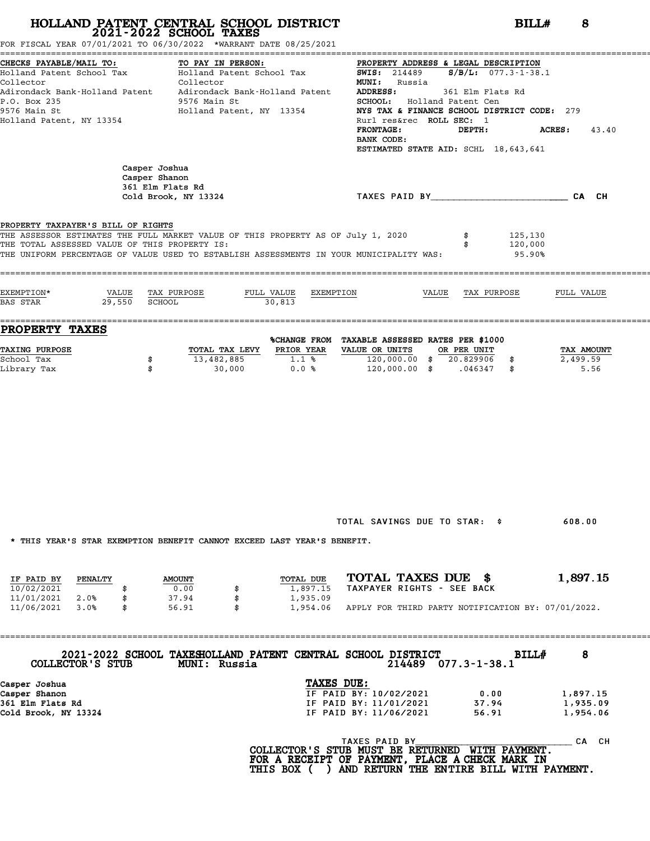| HOLLAND PATENT CENTRAL SCHOOL DISTRICT<br>2021-2022 SCHOOL TAXES<br>FOR FISCAL YEAR 07/01/2021 TO 06/30/2022 *WARRANT DATE 08/25/2021                                                                                                                                                                                                            | BILLH<br>8                                    |                                                                                                                                        |                                                                                                                                                                                                                                       |                                  |  |  |  |
|--------------------------------------------------------------------------------------------------------------------------------------------------------------------------------------------------------------------------------------------------------------------------------------------------------------------------------------------------|-----------------------------------------------|----------------------------------------------------------------------------------------------------------------------------------------|---------------------------------------------------------------------------------------------------------------------------------------------------------------------------------------------------------------------------------------|----------------------------------|--|--|--|
| CHECKS PAYABLE/MAIL TO:<br>TO PAY IN PERSON:<br>Holland Patent School Tax (Elland Patent School Tax 5WIS: 214489 5/B/L: 077.3-1-38.1<br>Collector<br>Collector<br>Adirondack Bank-Holland Patent Adirondack Bank-Holland Patent ADDRESS:<br>P.O. Box 235<br>9576 Main St<br>Holland Patent, NY 13354<br>9576 Main St<br>Holland Patent, NY 13354 |                                               | <b>MUNI:</b> Russia<br><b>FRONTAGE:</b><br>BANK CODE:                                                                                  | PROPERTY ADDRESS & LEGAL DESCRIPTION<br>361 Elm Flats Rd<br>SCHOOL: Holland Patent Cen<br>NYS TAX & FINANCE SCHOOL DISTRICT CODE: 279<br>Rurl res&rec ROLL SEC: 1<br>DEPTH:<br>$ACRES:$ 43.40<br>ESTIMATED STATE AID: SCHL 18,643,641 |                                  |  |  |  |
| Casper Joshua<br>Casper Shanon<br>361 Elm Flats Rd<br>Cold Brook, NY 13324                                                                                                                                                                                                                                                                       |                                               | TAXES PAID BY TAND AND TAXES PAID BY                                                                                                   |                                                                                                                                                                                                                                       |                                  |  |  |  |
| PROPERTY TAXPAYER'S BILL OF RIGHTS<br>THE ASSESSOR ESTIMATES THE FULL MARKET VALUE OF THIS PROPERTY AS OF July 1, 2020<br>THE TOTAL ASSESSED VALUE OF THIS PROPERTY IS:<br>THE UNIFORM PERCENTAGE OF VALUE USED TO ESTABLISH ASSESSMENTS IN YOUR MUNICIPALITY WAS:                                                                               |                                               |                                                                                                                                        | 125,130<br>120,000<br>95.90%                                                                                                                                                                                                          |                                  |  |  |  |
| EXEMPTION*<br>VALUE TAX PURPOSE<br>BAS STAR 29,550 SCHOOL<br>$-30,813$                                                                                                                                                                                                                                                                           | FULL VALUE EXEMPTION                          |                                                                                                                                        | VALUE TAX PURPOSE                                                                                                                                                                                                                     | FULL VALUE                       |  |  |  |
| PROPERTY TAXES                                                                                                                                                                                                                                                                                                                                   |                                               |                                                                                                                                        |                                                                                                                                                                                                                                       |                                  |  |  |  |
| <b>TAXING PURPOSE</b><br>TOTAL TAX LEVY PRIOR YEAR<br>13,482,885<br>School Tax<br>\$<br>Library Tax<br>\$<br>30,000                                                                                                                                                                                                                              | 1.1%<br>0.0%                                  | %CHANGE FROM TAXABLE ASSESSED RATES PER \$1000<br>VALUE OR UNITS OR PER UNIT<br>120,000.00 \$ 20.829906 \$<br>120,000.00 \$ .046347 \$ |                                                                                                                                                                                                                                       | TAX AMOUNT<br>2,499.59<br>5.56   |  |  |  |
| * THIS YEAR'S STAR EXEMPTION BENEFIT CANNOT EXCEED LAST YEAR'S BENEFIT.                                                                                                                                                                                                                                                                          |                                               | TOTAL SAVINGS DUE TO STAR: \$                                                                                                          |                                                                                                                                                                                                                                       | 608.00                           |  |  |  |
|                                                                                                                                                                                                                                                                                                                                                  |                                               |                                                                                                                                        |                                                                                                                                                                                                                                       |                                  |  |  |  |
| IF PAID BY<br>PENALTY<br><b>AMOUNT</b><br>10/02/2021<br>0.00<br>11/01/2021<br>2.0%<br>\$<br>37.94<br>\$<br>11/06/2021<br>3.0%<br>\$<br>56.91                                                                                                                                                                                                     | TOTAL DUE<br>1,897.15<br>1,935.09<br>1,954.06 | TOTAL TAXES DUE \$<br>TAXPAYER RIGHTS - SEE BACK<br>APPLY FOR THIRD PARTY NOTIFICATION BY: 07/01/2022.                                 |                                                                                                                                                                                                                                       | 1,897.15                         |  |  |  |
| 2021-2022 SCHOOL TAXESHOLLAND PATENT CENTRAL SCHOOL DISTRICT<br>COLLECTOR'S STUB<br>MUNI: Russia                                                                                                                                                                                                                                                 |                                               | 214489 077.3-1-38.1                                                                                                                    | BILL#                                                                                                                                                                                                                                 | 8                                |  |  |  |
| Casper Joshua<br>Casper Shanon<br>361 Elm Flats Rd<br>Cold Brook, NY 13324                                                                                                                                                                                                                                                                       | TAXES DUE:                                    | IF PAID BY: 10/02/2021<br>IF PAID BY: 11/01/2021<br>IF PAID BY: 11/06/2021                                                             | 0.00<br>37.94<br>56.91                                                                                                                                                                                                                | 1,897.15<br>1,935.09<br>1,954.06 |  |  |  |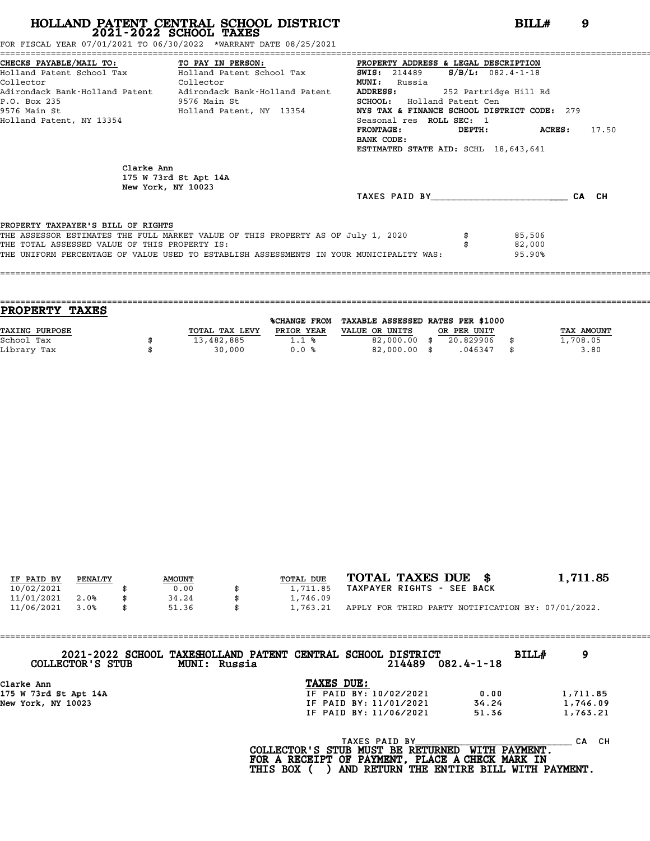FOR FISCAL YEAR 07/01/2021 TO 06/30/2022 \*WARRANT DATE 08/25/2021

|                                                                   | CHECKS PAYABLE/MAIL TO:             TO PAY IN PERSON:                 PROPERTY ADDRESS & LEGAL DESCRIPTION |                                             |                       |               |       |
|-------------------------------------------------------------------|------------------------------------------------------------------------------------------------------------|---------------------------------------------|-----------------------|---------------|-------|
|                                                                   | Holland Patent School Tax           Holland Patent School Tax                                              | <b>SWIS:</b> 214489                         | $S/B/L: 082.4-1-18$   |               |       |
| Collector<br><b>Collector</b>                                     |                                                                                                            | <b>MUNI:</b><br>Russia                      |                       |               |       |
| Adirondack Bank-Holland Patent     Adirondack Bank-Holland Patent | <b>ADDRESS:</b>                                                                                            |                                             | 252 Partridge Hill Rd |               |       |
| P.O. Box 235                                                      | 9576 Main St                                                                                               | <b>SCHOOL:</b> Holland Patent Cen           |                       |               |       |
| 9576 Main St                                                      | Holland Patent, NY 13354                                                                                   | NYS TAX & FINANCE SCHOOL DISTRICT CODE: 279 |                       |               |       |
| Holland Patent, NY 13354                                          |                                                                                                            | Seasonal res ROLL SEC: 1                    |                       |               |       |
|                                                                   |                                                                                                            | FRONTAGE:                                   |                       | DEPTH: ACRES: | 17.50 |
|                                                                   |                                                                                                            | BANK CODE:                                  |                       |               |       |
|                                                                   |                                                                                                            | ESTIMATED STATE AID: SCHL 18,643,641        |                       |               |       |
| Clarke Ann                                                        | 175 W 73rd St Apt 14A<br>New York, NY 10023                                                                |                                             |                       |               |       |
|                                                                   |                                                                                                            | TAXES PAID BY TAXES                         |                       |               | CA CH |
| PROPERTY TAXPAYER'S BILL OF RIGHTS                                |                                                                                                            |                                             |                       |               |       |
|                                                                   | THE ASSESSOR ESTIMATES THE FULL MARKET VALUE OF THIS PROPERTY AS OF July 1, 2020                           |                                             |                       | 85,506        |       |
| THE TOTAL ASSESSED VALUE OF THIS PROPERTY IS:                     |                                                                                                            |                                             |                       | 82,000        |       |
|                                                                   | THE UNIFORM PERCENTAGE OF VALUE USED TO ESTABLISH ASSESSMENTS IN YOUR MUNICIPALITY WAS:                    |                                             |                       | 95.90%        |       |
|                                                                   |                                                                                                            |                                             |                       |               |       |

|                | <b>%CHANGE FROM</b> |                |                                |             |                                   |
|----------------|---------------------|----------------|--------------------------------|-------------|-----------------------------------|
| TOTAL TAX LEVY | PRIOR YEAR          | VALUE OR UNITS |                                |             | TAX AMOUNT                        |
| 13,482,885     | 1.1%                |                | 20.829906                      |             | 1,708.05                          |
| 30,000         | 0.0%                |                | .046347                        | \$          | 3.80                              |
|                |                     |                | 82,000.00 \$<br>$82,000.00$ \$ | OR PER UNIT | TAXABLE ASSESSED RATES PER \$1000 |

| IF PAID BY | PENALTY | <b>AMOUNT</b> | TOTAL DUE | TOTAL TAXES DUE \$                                 | 1,711.85 |
|------------|---------|---------------|-----------|----------------------------------------------------|----------|
| 10/02/2021 |         | 0.00          | 1,711.85  | TAXPAYER RIGHTS - SEE BACK                         |          |
| 11/01/2021 | 2.0%    | 34.24         | 1,746.09  |                                                    |          |
| 11/06/2021 | 3.0%    | 51.36         | 1,763.21  | APPLY FOR THIRD PARTY NOTIFICATION BY: 07/01/2022. |          |

| 2021-2022 SCHOOL TAXESHOLLAND PATENT CENTRAL SCHOOL DISTRICT<br>BILLH<br>9<br>214489<br>$082.4 - 1 - 18$<br>COLLECTOR'S STUB<br>MUNI: Russia |  |
|----------------------------------------------------------------------------------------------------------------------------------------------|--|
| TAXES DUE:<br>Clarke Ann                                                                                                                     |  |
| 175 W 73rd St Apt 14A<br>IF PAID BY: 10/02/2021<br>1,711.85<br>0.00                                                                          |  |
| 1,746.09<br>New York, NY 10023<br>IF PAID BY: 11/01/2021<br>34.24                                                                            |  |
| 1,763.21<br>IF PAID BY: 11/06/2021<br>51.36                                                                                                  |  |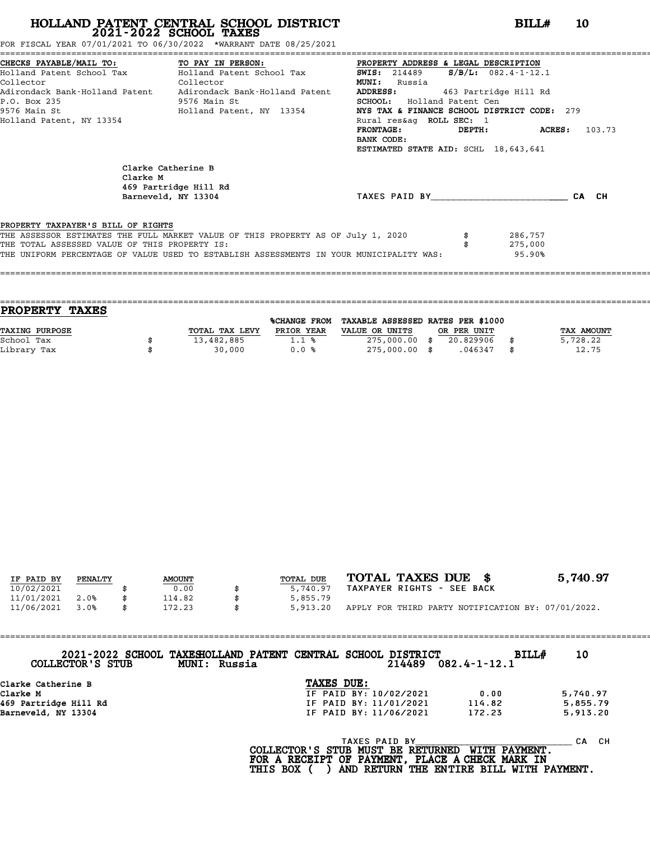FOR FISCAL YEAR 07/01/2021 TO 06/30/2022 \*WARRANT DATE 08/25/2021

|                                               | CHECKS PAYABLE/MAIL TO: TO PAY IN PERSON:                                               |                                             | PROPERTY ADDRESS & LEGAL DESCRIPTION           |  |  |  |  |  |
|-----------------------------------------------|-----------------------------------------------------------------------------------------|---------------------------------------------|------------------------------------------------|--|--|--|--|--|
|                                               | Holland Patent School Tax Molland Patent School Tax                                     |                                             | <b>SWIS:</b> 214489 <b>S/B/L:</b> 082.4-1-12.1 |  |  |  |  |  |
| Collector                                     | Collector                                                                               | <b>MUNI:</b><br>Russia                      |                                                |  |  |  |  |  |
|                                               | Adirondack Bank-Holland Patent Adirondack Bank-Holland Patent ADDRESS:                  |                                             | 463 Partridge Hill Rd                          |  |  |  |  |  |
| P.O. Box 235                                  | 9576 Main St                                                                            | <b>SCHOOL:</b> Holland Patent Cen           |                                                |  |  |  |  |  |
|                                               | 9576 Main St                           Holland Patent, NY 13354                         | NYS TAX & FINANCE SCHOOL DISTRICT CODE: 279 |                                                |  |  |  |  |  |
| Holland Patent, NY 13354                      |                                                                                         | Rural res&aq ROLL SEC: 1                    |                                                |  |  |  |  |  |
|                                               |                                                                                         | <b>FRONTAGE:</b>                            | DEPTH: ACRES:<br>103.73                        |  |  |  |  |  |
|                                               |                                                                                         | BANK CODE:                                  |                                                |  |  |  |  |  |
|                                               |                                                                                         | ESTIMATED STATE AID: SCHL 18,643,641        |                                                |  |  |  |  |  |
|                                               | Clarke Catherine B<br>Clarke M<br>469 Partridge Hill Rd<br>Barneveld, NY 13304          | TAXES PAID BY CA CH                         |                                                |  |  |  |  |  |
| PROPERTY TAXPAYER'S BILL OF RIGHTS            |                                                                                         |                                             |                                                |  |  |  |  |  |
|                                               | THE ASSESSOR ESTIMATES THE FULL MARKET VALUE OF THIS PROPERTY AS OF July 1, 2020        |                                             | 286,757                                        |  |  |  |  |  |
| THE TOTAL ASSESSED VALUE OF THIS PROPERTY IS: |                                                                                         |                                             | 275,000                                        |  |  |  |  |  |
|                                               | THE UNIFORM PERCENTAGE OF VALUE USED TO ESTABLISH ASSESSMENTS IN YOUR MUNICIPALITY WAS: |                                             | 95.90%                                         |  |  |  |  |  |
|                                               |                                                                                         |                                             |                                                |  |  |  |  |  |

| <b>PROPERTY</b><br><b>TAXES</b> |                |                     |                                   |             |             |
|---------------------------------|----------------|---------------------|-----------------------------------|-------------|-------------|
|                                 |                | <b>%CHANGE FROM</b> | TAXABLE ASSESSED RATES PER \$1000 |             |             |
| TAXING PURPOSE                  | TOTAL TAX LEVY | PRIOR YEAR          | VALUE OR UNITS                    | OR PER UNIT | TAX AMOUNT  |
| School Tax                      | 13,482,885     | 1.1%                | 275,000.00 \$                     | 20.829906   | 5,728.22    |
| Library Tax                     | 30,000         | 0.0%                | 275,000.00 \$                     | .046347     | \$<br>12.75 |
|                                 |                |                     |                                   |             |             |

====================================================================================================================================

| IF PAID BY | PENALTY | <b>AMOUNT</b> | TOTAL DUE | TOTAL TAXES DUE \$                                 | 5,740.97 |
|------------|---------|---------------|-----------|----------------------------------------------------|----------|
| 10/02/2021 |         | 0.00          | 5,740.97  | TAXPAYER RIGHTS - SEE BACK                         |          |
| 11/01/2021 | 2.0%    | 114.82        | 5,855.79  |                                                    |          |
| 11/06/2021 | 3.0%    | \$<br>172.23  | 5,913.20  | APPLY FOR THIRD PARTY NOTIFICATION BY: 07/01/2022. |          |

| COLLECTOR'S STUB<br>MUNI: Russia | 2021-2022 SCHOOL TAXESHOLLAND PATENT CENTRAL SCHOOL DISTRICT<br>214489 | BILLH<br>$082.4 - 1 - 12.1$ | 10              |
|----------------------------------|------------------------------------------------------------------------|-----------------------------|-----------------|
| Clarke Catherine B               | TAXES DUE:                                                             |                             |                 |
| Clarke M                         | IF PAID BY: 10/02/2021                                                 | 0.00                        | 5,740.97        |
| 469 Partridge Hill Rd            | IF PAID BY: 11/01/2021                                                 | 114.82                      | 5,855.79        |
| Parnavald NV 12204               | TE DATN RV, 11/06/2001                                                 | 172.23                      | <b>5 Q13 20</b> |

Barneveld, NY 13304 IF PAID BY: 11/06/2021 172.23 5,913.20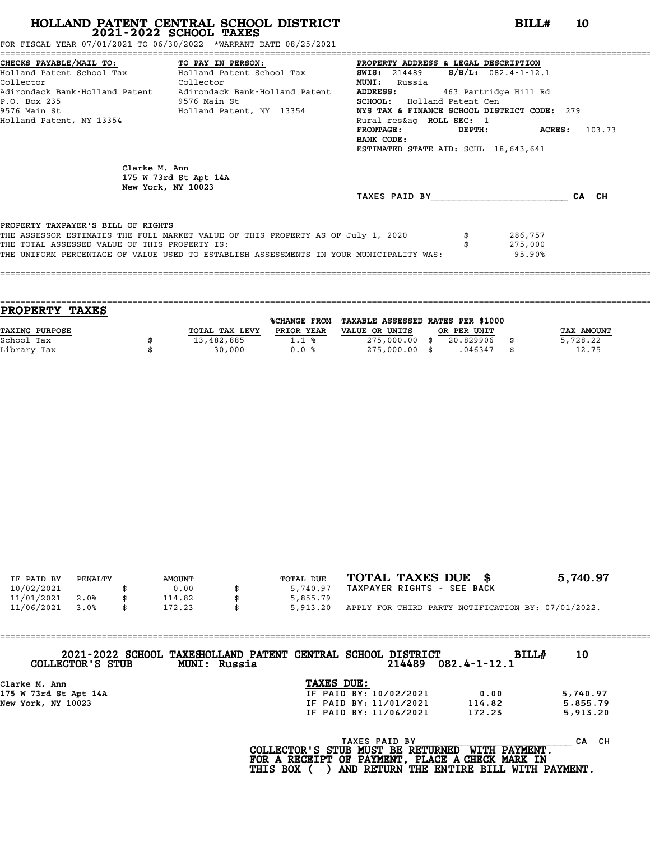FOR FISCAL YEAR 07/01/2021 TO 06/30/2022 \*WARRANT DATE 08/25/2021

|                                               | CHECKS PAYABLE/MAIL TO:             TO PAY IN PERSON:             PROPERTY ADDRESS & LEGAL DESCRIPTION |                                                      |                             |  |
|-----------------------------------------------|--------------------------------------------------------------------------------------------------------|------------------------------------------------------|-----------------------------|--|
|                                               |                                                                                                        | <b>SWIS:</b> 214489 <b>S/B/L:</b> $082.4 - 1 - 12.1$ |                             |  |
| Collector<br><b>Collector</b>                 |                                                                                                        | <b>MUNI:</b><br>Russia                               |                             |  |
|                                               | Adirondack Bank-Holland Patent Adirondack Bank-Holland Patent                                          | <b>ADDRESS:</b>                                      | 463 Partridge Hill Rd       |  |
| P.O. Box 235                                  | 9576 Main St                                                                                           | <b>SCHOOL:</b> Holland Patent Cen                    |                             |  |
|                                               | 9576 Main St                             Holland Patent, NY 13354                                      | NYS TAX & FINANCE SCHOOL DISTRICT CODE: 279          |                             |  |
| Holland Patent, NY 13354                      |                                                                                                        | Rural res&aq ROLL SEC: 1                             |                             |  |
|                                               |                                                                                                        | $\tt FRONTAGE:$                                      | <b>DEPTH:</b> ACRES: 103.73 |  |
|                                               |                                                                                                        | BANK CODE:                                           |                             |  |
|                                               |                                                                                                        | ESTIMATED STATE AID: SCHL 18,643,641                 |                             |  |
| Clarke M. Ann                                 | 175 W 73rd St Apt 14A<br>New York, NY 10023                                                            |                                                      |                             |  |
|                                               |                                                                                                        | TAXES PAID BY CA CH                                  |                             |  |
| PROPERTY TAXPAYER'S BILL OF RIGHTS            |                                                                                                        |                                                      |                             |  |
|                                               | THE ASSESSOR ESTIMATES THE FULL MARKET VALUE OF THIS PROPERTY AS OF July 1, 2020                       |                                                      | 286,757                     |  |
| THE TOTAL ASSESSED VALUE OF THIS PROPERTY IS: |                                                                                                        |                                                      | 275,000                     |  |
|                                               | THE UNIFORM PERCENTAGE OF VALUE USED TO ESTABLISH ASSESSMENTS IN YOUR MUNICIPALITY WAS:                |                                                      | 95.90%                      |  |
|                                               |                                                                                                        |                                                      |                             |  |
|                                               |                                                                                                        |                                                      |                             |  |

|                | <b>%CHANGE FROM</b> |                |                                  |             |                                   |
|----------------|---------------------|----------------|----------------------------------|-------------|-----------------------------------|
| TOTAL TAX LEVY | PRIOR YEAR          | VALUE OR UNITS |                                  |             | TAX AMOUNT                        |
| 13,482,885     | 1.1%                |                | 20.829906                        |             | 5,728.22                          |
| 30,000         | 0.0%                |                | .046347                          | \$          | 12.75                             |
|                |                     |                | 275,000.00 \$<br>$275,000.00$ \$ | OR PER UNIT | TAXABLE ASSESSED RATES PER \$1000 |

| IF PAID BY | PENALTY | <b>AMOUNT</b> | TOTAL DUE | TOTAL TAXES DUE \$                                 | 5,740.97 |
|------------|---------|---------------|-----------|----------------------------------------------------|----------|
| 10/02/2021 |         | 0.00          | 5,740.97  | TAXPAYER RIGHTS - SEE BACK                         |          |
| 11/01/2021 | 2.0%    | 114.82        | 5,855.79  |                                                    |          |
| 11/06/2021 | 3.0%    | \$<br>172.23  | 5,913.20  | APPLY FOR THIRD PARTY NOTIFICATION BY: 07/01/2022. |          |
|            |         |               |           |                                                    |          |

| COLLECTOR'S STUB      | 2021-2022 SCHOOL TAXESHOLLAND PATENT CENTRAL SCHOOL DISTRICT<br><b>MUNI :</b><br>Russia |                        | 214489 | $082.4 - 1 - 12.1$ | <b>BILL#</b> | 10       |
|-----------------------|-----------------------------------------------------------------------------------------|------------------------|--------|--------------------|--------------|----------|
| Clarke M. Ann         |                                                                                         | TAXES DUE:             |        |                    |              |          |
| 175 W 73rd St Apt 14A |                                                                                         | IF PAID BY: 10/02/2021 |        | 0.00               |              | 5,740.97 |

| COPPECION 5 SIGR      | MUNI: KUSSIA | Z14489                 | U82.4-1-12.1 |          |
|-----------------------|--------------|------------------------|--------------|----------|
| Clarke M. Ann         |              | TAXES DUE:             |              |          |
| 175 W 73rd St Apt 14A |              | IF PAID BY: 10/02/2021 | 0.00         | 5,740.97 |
| New York, NY 10023    |              | IF PAID BY: 11/01/2021 | 114.82       | 5,855.79 |
|                       |              | IF PAID BY: 11/06/2021 | 172.23       | 5,913.20 |
|                       |              |                        |              |          |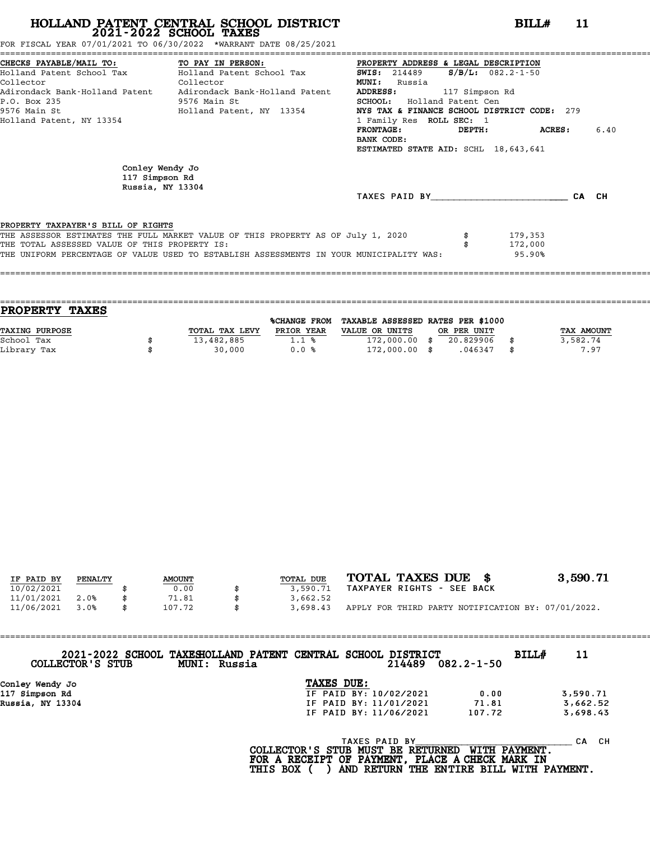FOR FISCAL YEAR 07/01/2021 TO 06/30/2022 \*WARRANT DATE 08/25/2021

|                                                       | CHECKS PAYABLE/MAIL TO: TO PAY IN PERSON:                                               | PROPERTY ADDRESS & LEGAL DESCRIPTION        |                         |       |      |
|-------------------------------------------------------|-----------------------------------------------------------------------------------------|---------------------------------------------|-------------------------|-------|------|
|                                                       | Holland Patent School Tax           Holland Patent School Tax                           | <b>SWIS:</b> 214489                         | $S/B/L: 082.2 - 1 - 50$ |       |      |
| Collector<br><b>Collector</b>                         |                                                                                         | <b>MUNI:</b><br>Russia                      |                         |       |      |
|                                                       | Adirondack Bank-Holland Patent     Adirondack Bank-Holland Patent                       | <b>ADDRESS:</b><br>117 Simpson Rd           |                         |       |      |
| P.O. Box 235                                          | 9576 Main St                                                                            | <b>SCHOOL:</b> Holland Patent Cen           |                         |       |      |
| 9576 Main St                                          | Holland Patent, NY 13354                                                                | NYS TAX & FINANCE SCHOOL DISTRICT CODE: 279 |                         |       |      |
| Holland Patent, NY 13354                              |                                                                                         | 1 Family Res ROLL SEC: 1                    |                         |       |      |
|                                                       |                                                                                         | FRONTAGE:                                   | DEPTH: ACRES:           |       | 6.40 |
|                                                       |                                                                                         | BANK CODE:                                  |                         |       |      |
|                                                       |                                                                                         | ESTIMATED STATE AID: SCHL 18,643,641        |                         |       |      |
| Conley Wendy Jo<br>117 Simpson Rd<br>Russia, NY 13304 |                                                                                         |                                             |                         |       |      |
|                                                       |                                                                                         | TAXES PAID BY TAXES                         |                         | CA CH |      |
| PROPERTY TAXPAYER'S BILL OF RIGHTS                    |                                                                                         |                                             |                         |       |      |
|                                                       | THE ASSESSOR ESTIMATES THE FULL MARKET VALUE OF THIS PROPERTY AS OF July 1, 2020        |                                             | 179,353                 |       |      |
| THE TOTAL ASSESSED VALUE OF THIS PROPERTY IS:         |                                                                                         |                                             | 172,000                 |       |      |
|                                                       | THE UNIFORM PERCENTAGE OF VALUE USED TO ESTABLISH ASSESSMENTS IN YOUR MUNICIPALITY WAS: |                                             | 95.90%                  |       |      |
|                                                       |                                                                                         |                                             |                         |       |      |
|                                                       |                                                                                         |                                             |                         |       |      |

| <b>TAXES</b><br><b>PROPERTY</b> |                |                     |                                   |             |            |
|---------------------------------|----------------|---------------------|-----------------------------------|-------------|------------|
|                                 |                | <b>%CHANGE FROM</b> | TAXABLE ASSESSED RATES PER \$1000 |             |            |
| <b>TAXING PURPOSE</b>           | TOTAL TAX LEVY | PRIOR YEAR          | VALUE OR UNITS                    | OR PER UNIT | TAX AMOUNT |
| School Tax                      | 13,482,885     | 1.1%                | $172,000.00$ \$                   | 20.829906   | 3,582.74   |
| Library Tax                     | 30,000         | 0.0%                | $172,000.00$ \$                   | .046347     | \$<br>7.97 |
|                                 |                |                     |                                   |             |            |

| IF PAID BY | PENALTY | <b>AMOUNT</b> | TOTAL DUE | TOTAL TAXES DUE \$                                 | 3,590.71 |
|------------|---------|---------------|-----------|----------------------------------------------------|----------|
| 10/02/2021 |         | 0.00          | 3,590.71  | TAXPAYER RIGHTS - SEE BACK                         |          |
| 11/01/2021 | 2.0%    | 71.81         | 3,662.52  |                                                    |          |
| 11/06/2021 | 3.0%    | \$<br>107.72  | 3,698.43  | APPLY FOR THIRD PARTY NOTIFICATION BY: 07/01/2022. |          |

| COLLECTOR'S STUB | 2021-2022 SCHOOL TAXESHOLLAND PATENT CENTRAL SCHOOL DISTRICT<br>MUNI: Russia |                                       |               | 214489                 | $082.2 - 1 - 50$    | BILL# | 11        |
|------------------|------------------------------------------------------------------------------|---------------------------------------|---------------|------------------------|---------------------|-------|-----------|
| Conley Wendy Jo  |                                                                              | TAXES DUE:                            |               |                        |                     |       |           |
| 117 Simpson Rd   |                                                                              |                                       |               | IF PAID BY: 10/02/2021 | 0.00                |       | 3,590.71  |
| Russia, NY 13304 |                                                                              |                                       |               | IF PAID BY: 11/01/2021 | 71.81               |       | 3,662.52  |
|                  |                                                                              |                                       |               | IF PAID BY: 11/06/2021 | 107.72              |       | 3,698.43  |
|                  |                                                                              | $COT$ הקווסזוייקס קס ישטווא מזויים וכ | TAXES PAID BY |                        | <b>MTTU DAVMPNT</b> |       | CH.<br>CА |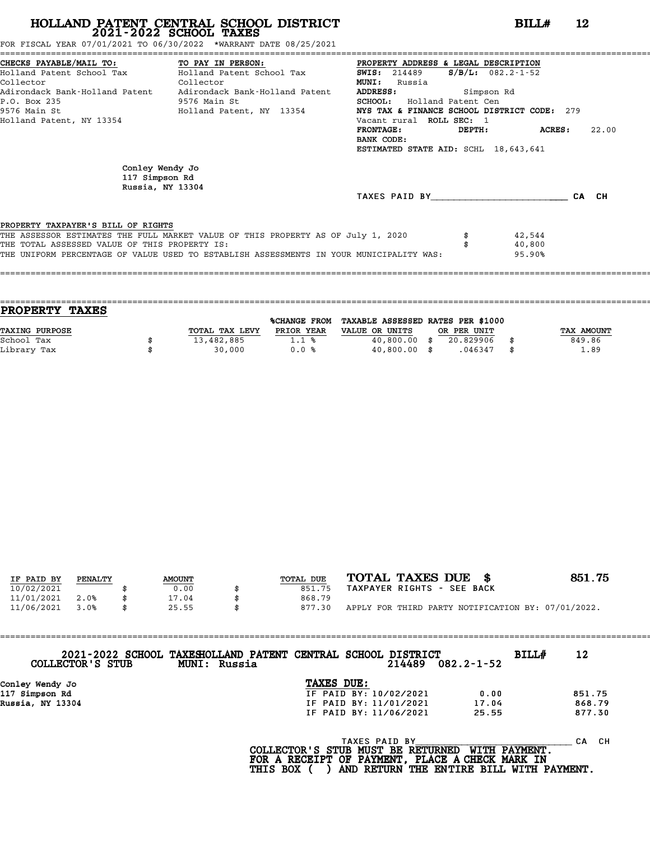FOR FISCAL YEAR 07/01/2021 TO 06/30/2022 \*WARRANT DATE 08/25/2021

|                                                       | CHECKS PAYABLE/MAIL TO: TO PAY IN PERSON:                                               | PROPERTY ADDRESS & LEGAL DESCRIPTION        |            |                         |       |       |
|-------------------------------------------------------|-----------------------------------------------------------------------------------------|---------------------------------------------|------------|-------------------------|-------|-------|
|                                                       | Holland Patent School Tax           Holland Patent School Tax                           | <b>SWIS:</b> 214489                         |            | $S/B/L: 082.2 - 1 - 52$ |       |       |
| Collector<br><b>Collector</b>                         |                                                                                         | <b>MUNI:</b><br>Russia                      |            |                         |       |       |
|                                                       | Adirondack Bank-Holland Patent     Adirondack Bank-Holland Patent                       | ADDRESS:                                    | Simpson Rd |                         |       |       |
| P.O. Box 235                                          | 9576 Main St                                                                            | <b>SCHOOL:</b> Holland Patent Cen           |            |                         |       |       |
| 9576 Main St                                          | Holland Patent, NY 13354                                                                | NYS TAX & FINANCE SCHOOL DISTRICT CODE: 279 |            |                         |       |       |
| Holland Patent, NY 13354                              |                                                                                         | Vacant rural ROLL SEC: 1                    |            |                         |       |       |
|                                                       |                                                                                         | <b>FRONTAGE:</b>                            |            | DEPTH: ACRES:           |       | 22.00 |
|                                                       |                                                                                         | BANK CODE:                                  |            |                         |       |       |
|                                                       |                                                                                         | ESTIMATED STATE AID: SCHL 18,643,641        |            |                         |       |       |
| Conley Wendy Jo<br>117 Simpson Rd<br>Russia, NY 13304 |                                                                                         |                                             |            |                         |       |       |
|                                                       |                                                                                         | TAXES PAID BY TAXES                         |            |                         | CA CH |       |
| PROPERTY TAXPAYER'S BILL OF RIGHTS                    |                                                                                         |                                             |            |                         |       |       |
|                                                       | THE ASSESSOR ESTIMATES THE FULL MARKET VALUE OF THIS PROPERTY AS OF July 1, 2020        |                                             |            | 42,544                  |       |       |
| THE TOTAL ASSESSED VALUE OF THIS PROPERTY IS:         |                                                                                         |                                             |            | 40,800                  |       |       |
|                                                       | THE UNIFORM PERCENTAGE OF VALUE USED TO ESTABLISH ASSESSMENTS IN YOUR MUNICIPALITY WAS: |                                             |            | 95.90%                  |       |       |
|                                                       |                                                                                         |                                             |            |                         |       |       |
|                                                       |                                                                                         |                                             |            |                         |       |       |

| <b>TAXES</b><br><b>PROPERTY</b> |                |                     |                                   |             |            |
|---------------------------------|----------------|---------------------|-----------------------------------|-------------|------------|
|                                 |                | <b>%CHANGE FROM</b> | TAXABLE ASSESSED RATES PER \$1000 |             |            |
| <b>TAXING PURPOSE</b>           | TOTAL TAX LEVY | PRIOR YEAR          | VALUE OR UNITS                    | OR PER UNIT | TAX AMOUNT |
| School Tax                      | 13,482,885     | 1.1%                | $40,800.00$ \$                    | 20.829906   | 849.86     |
| Library Tax                     | 30,000         | 0.0%                | $40,800.00$ \$                    | .046347     | \$<br>1.89 |
|                                 |                |                     |                                   |             |            |

| IF PAID BY | PENALTY | <b>AMOUNT</b> | TOTAL DUE | TOTAL TAXES DUE \$                                 | 851.75 |
|------------|---------|---------------|-----------|----------------------------------------------------|--------|
|            |         |               |           | TAXPAYER RIGHTS - SEE BACK                         |        |
| 10/02/2021 |         | 0.00          | 851.75    |                                                    |        |
| 11/01/2021 | 2.0%    | 17.04         | 868.79    |                                                    |        |
| 11/06/2021 | 3.0%    | \$<br>25.55   | 877.30    | APPLY FOR THIRD PARTY NOTIFICATION BY: 07/01/2022. |        |

| COLLECTOR'S STUB | 2021-2022 SCHOOL TAXESHOLLAND PATENT CENTRAL SCHOOL DISTRICT<br>MUNI: Russia |                        | 214489        | $082.2 - 1 - 52$ | BILL# | 12        |
|------------------|------------------------------------------------------------------------------|------------------------|---------------|------------------|-------|-----------|
|                  |                                                                              |                        |               |                  |       |           |
| Conley Wendy Jo  |                                                                              | TAXES DUE:             |               |                  |       |           |
| 117 Simpson Rd   |                                                                              | IF PAID BY: 10/02/2021 |               | 0.00             |       | 851.75    |
| Russia, NY 13304 |                                                                              | IF PAID BY: 11/01/2021 |               | 17.04            |       | 868.79    |
|                  |                                                                              | IF PAID BY: 11/06/2021 |               | 25.55            |       | 877.30    |
|                  |                                                                              |                        | TAXES PAID BY |                  |       | CH.<br>CА |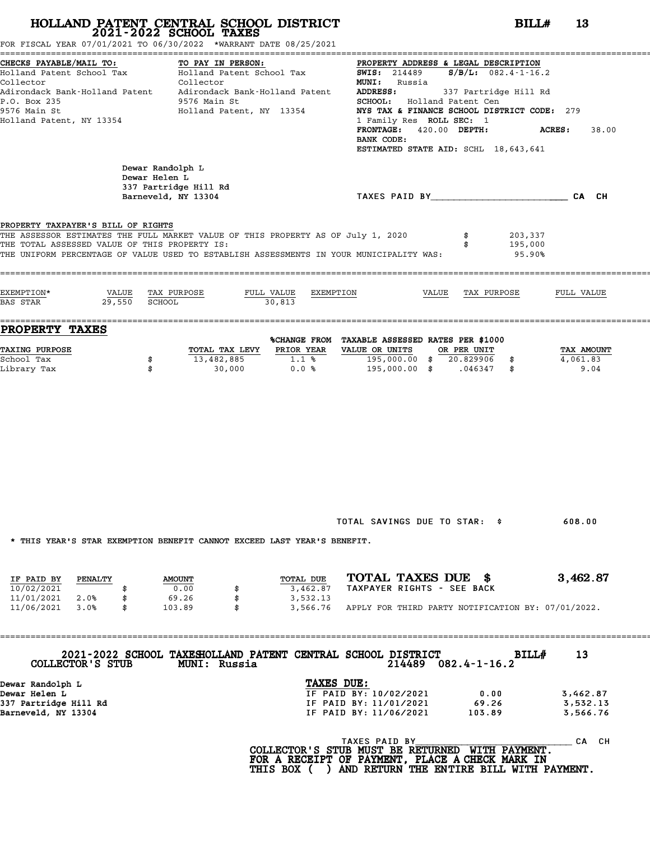FOR FISCAL YEAR 07/01/2021 TO 06/30/2022 \*WARRANT DATE 08/25/2021

| CHECKS PAYABLE/MAIL TO:                                                                                                                  | TO PAY IN PERSON:                                                            |                                          | PROPERTY ADDRESS & LEGAL DESCRIPTION                                                 |                           |
|------------------------------------------------------------------------------------------------------------------------------------------|------------------------------------------------------------------------------|------------------------------------------|--------------------------------------------------------------------------------------|---------------------------|
|                                                                                                                                          |                                                                              |                                          | Holland Patent School Tax Bolland Patent School Tax 5WIS: 214489 S/B/L: 082.4-1-16.2 |                           |
| Collector                                                                                                                                | Collector                                                                    |                                          | <b>MUNI:</b> Russia                                                                  |                           |
| Adirondack Bank-Holland Patent     Adirondack Bank-Holland Patent<br>P.O. Box 235                                                        | 9576 Main St                                                                 |                                          | <b>ADDRESS:</b><br>337 Partridge Hill Rd<br>SCHOOL: Holland Patent Cen               |                           |
| 9576 Main St                                                                                                                             | Holland Patent, NY 13354                                                     |                                          | NYS TAX & FINANCE SCHOOL DISTRICT CODE: 279                                          |                           |
| Holland Patent, NY 13354                                                                                                                 |                                                                              |                                          | 1 Family Res ROLL SEC: 1                                                             |                           |
|                                                                                                                                          |                                                                              |                                          | FRONTAGE: 420.00 DEPTH:                                                              | <b>ACRES :</b><br>38.00   |
|                                                                                                                                          |                                                                              |                                          | BANK CODE:                                                                           |                           |
|                                                                                                                                          |                                                                              |                                          | ESTIMATED STATE AID: SCHL 18,643,641                                                 |                           |
|                                                                                                                                          | Dewar Randolph L                                                             |                                          |                                                                                      |                           |
|                                                                                                                                          | Dewar Helen L<br>337 Partridge Hill Rd                                       |                                          |                                                                                      |                           |
|                                                                                                                                          | Barneveld, NY 13304                                                          |                                          | TAXES PAID BY CA CH                                                                  |                           |
|                                                                                                                                          |                                                                              |                                          |                                                                                      |                           |
| PROPERTY TAXPAYER'S BILL OF RIGHTS                                                                                                       |                                                                              |                                          |                                                                                      |                           |
| THE ASSESSOR ESTIMATES THE FULL MARKET VALUE OF THIS PROPERTY AS OF July 1, 2020                                                         |                                                                              |                                          | \$                                                                                   | 203,337                   |
| THE TOTAL ASSESSED VALUE OF THIS PROPERTY IS:<br>THE UNIFORM PERCENTAGE OF VALUE USED TO ESTABLISH ASSESSMENTS IN YOUR MUNICIPALITY WAS: |                                                                              |                                          |                                                                                      | 195,000<br>95.90%         |
|                                                                                                                                          |                                                                              |                                          |                                                                                      |                           |
|                                                                                                                                          |                                                                              |                                          |                                                                                      |                           |
| EXEMPTION*                                                                                                                               | VALUE TAX PURPOSE                                                            | FULL VALUE<br>EXEMPTION                  | VALUE                                                                                | TAX PURPOSE<br>FULL VALUE |
| BAS STAR                                                                                                                                 | 29,550 SCHOOL                                                                | 30,813                                   |                                                                                      |                           |
| PROPERTY TAXES                                                                                                                           |                                                                              |                                          |                                                                                      |                           |
|                                                                                                                                          |                                                                              |                                          | %CHANGE FROM TAXABLE ASSESSED RATES PER \$1000                                       |                           |
| <b>TAXING PURPOSE</b>                                                                                                                    |                                                                              | TOTAL TAX LEVY PRIOR YEAR VALUE OR UNITS | OR PER UNIT                                                                          | TAX AMOUNT                |
| School Tax                                                                                                                               | \$                                                                           | 13,482,885 1.1 %                         | $\overline{195,000.00}$ \$ 20.829906 \$                                              | 4,061.83                  |
| Library Tax                                                                                                                              | \$                                                                           | 30,000 0.0 %                             | 195,000.00 \$ .046347 \$                                                             | 9.04                      |
|                                                                                                                                          |                                                                              |                                          |                                                                                      |                           |
|                                                                                                                                          |                                                                              |                                          |                                                                                      |                           |
|                                                                                                                                          |                                                                              |                                          |                                                                                      |                           |
|                                                                                                                                          |                                                                              |                                          |                                                                                      |                           |
|                                                                                                                                          |                                                                              |                                          |                                                                                      |                           |
|                                                                                                                                          |                                                                              |                                          |                                                                                      |                           |
|                                                                                                                                          |                                                                              |                                          |                                                                                      |                           |
|                                                                                                                                          |                                                                              |                                          |                                                                                      |                           |
|                                                                                                                                          |                                                                              |                                          |                                                                                      |                           |
|                                                                                                                                          |                                                                              |                                          |                                                                                      |                           |
|                                                                                                                                          |                                                                              |                                          |                                                                                      |                           |
|                                                                                                                                          |                                                                              |                                          | TOTAL SAVINGS DUE TO STAR: \$                                                        | 608.00                    |
|                                                                                                                                          |                                                                              |                                          |                                                                                      |                           |
| * THIS YEAR'S STAR EXEMPTION BENEFIT CANNOT EXCEED LAST YEAR'S BENEFIT.                                                                  |                                                                              |                                          |                                                                                      |                           |
|                                                                                                                                          |                                                                              |                                          |                                                                                      |                           |
|                                                                                                                                          |                                                                              |                                          | TOTAL TAXES DUE \$                                                                   | 3,462.87                  |
| IF PAID BY<br>PENALTY<br>10/02/2021<br>\$                                                                                                | <b>AMOUNT</b><br>0.00                                                        | TOTAL DUE<br>3,462.87                    | TAXPAYER RIGHTS - SEE BACK                                                           |                           |
| 11/01/2021<br>2.0%<br>\$                                                                                                                 | 69.26<br>\$                                                                  | 3,532.13                                 |                                                                                      |                           |
| 11/06/2021<br>3.0%<br>\$                                                                                                                 | 103.89<br>\$                                                                 | 3,566.76                                 | APPLY FOR THIRD PARTY NOTIFICATION BY: 07/01/2022.                                   |                           |
|                                                                                                                                          |                                                                              |                                          |                                                                                      |                           |
|                                                                                                                                          |                                                                              |                                          |                                                                                      |                           |
|                                                                                                                                          |                                                                              |                                          |                                                                                      |                           |
| COLLECTOR'S STUB                                                                                                                         | 2021-2022 SCHOOL TAXESHOLLAND PATENT CENTRAL SCHOOL DISTRICT<br>MUNI: Russia |                                          | $214489$ $082.4 - 1 - 16.2$                                                          | 13<br>BILL#               |
|                                                                                                                                          |                                                                              |                                          |                                                                                      |                           |
| Dewar Randolph L<br>Dewar Helen L                                                                                                        |                                                                              | TAXES DUE:                               | IF PAID BY: 10/02/2021<br>0.00                                                       | 3,462.87                  |
| 337 Partridge Hill Rd                                                                                                                    |                                                                              |                                          | IF PAID BY: 11/01/2021<br>69.26                                                      | 3,532.13                  |
| Barneveld, NY 13304                                                                                                                      |                                                                              |                                          | IF PAID BY: 11/06/2021<br>103.89                                                     | 3,566.76                  |
|                                                                                                                                          |                                                                              |                                          |                                                                                      |                           |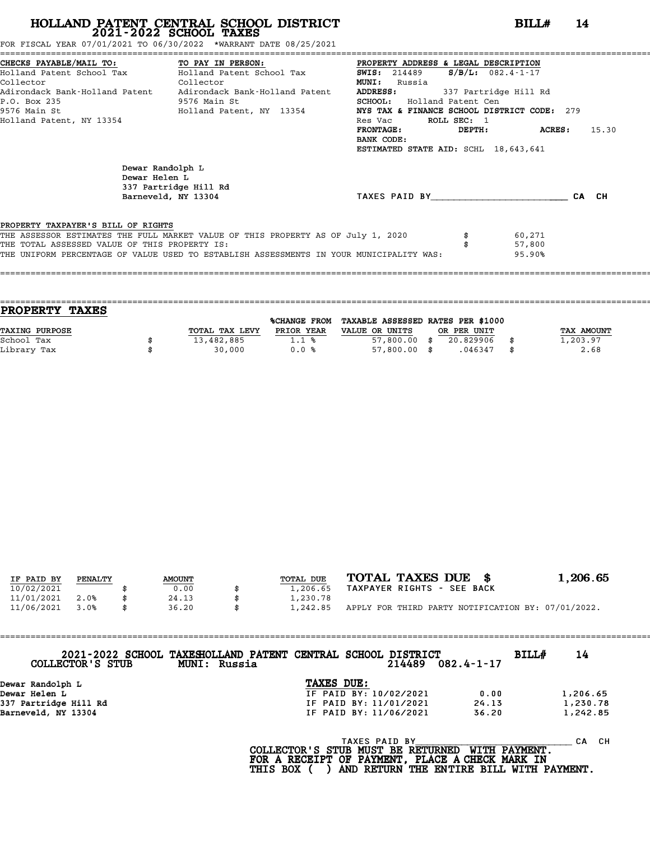FOR FISCAL YEAR 07/01/2021 TO 06/30/2022 \*WARRANT DATE 08/25/2021

|                                               | CHECKS PAYABLE/MAIL TO:               TO PAY IN PERSON:               PROPERTY ADDRESS & LEGAL DESCRIPTION |                                                |                        |  |
|-----------------------------------------------|------------------------------------------------------------------------------------------------------------|------------------------------------------------|------------------------|--|
|                                               | Holland Patent School Tax           Holland Patent School Tax                                              | $S/B/L: 082.4 - 1 - 17$<br><b>SWIS:</b> 214489 |                        |  |
| Collector<br><b>Collector</b>                 |                                                                                                            | <b>MUNI:</b><br>Russia                         |                        |  |
|                                               | Adirondack Bank-Holland Patent     Adirondack Bank-Holland Patent                                          | ADDRESS:<br>337 Partridge Hill Rd              |                        |  |
| P.O. Box 235                                  | 9576 Main St                                                                                               | <b>SCHOOL:</b> Holland Patent Cen              |                        |  |
| 9576 Main St                                  | Holland Patent, NY 13354                                                                                   | NYS TAX & FINANCE SCHOOL DISTRICT CODE: 279    |                        |  |
| Holland Patent, NY 13354                      |                                                                                                            | ROLL SEC: 1<br>Res Vac                         |                        |  |
|                                               |                                                                                                            | <b>FRONTAGE:</b>                               | 15.30<br>DEPTH: ACRES: |  |
|                                               |                                                                                                            | BANK CODE:                                     |                        |  |
|                                               |                                                                                                            | ESTIMATED STATE AID: SCHL 18,643,641           |                        |  |
| Dewar Helen L                                 | Dewar Randolph L<br>337 Partridge Hill Rd                                                                  |                                                |                        |  |
|                                               | Barneveld, NY 13304                                                                                        | TAXES PAID BY TAXES                            | CA CH                  |  |
|                                               |                                                                                                            |                                                |                        |  |
| PROPERTY TAXPAYER'S BILL OF RIGHTS            | THE ASSESSOR ESTIMATES THE FULL MARKET VALUE OF THIS PROPERTY AS OF July 1, 2020                           |                                                | 60,271                 |  |
| THE TOTAL ASSESSED VALUE OF THIS PROPERTY IS: |                                                                                                            |                                                | 57,800                 |  |
|                                               | THE UNIFORM PERCENTAGE OF VALUE USED TO ESTABLISH ASSESSMENTS IN YOUR MUNICIPALITY WAS:                    |                                                | 95.90%                 |  |
|                                               |                                                                                                            |                                                |                        |  |
|                                               |                                                                                                            |                                                |                        |  |

| <b>PROPERTY TAXES</b> |                |                |                                   |             |                   |
|-----------------------|----------------|----------------|-----------------------------------|-------------|-------------------|
|                       |                | %CHANGE FROM   | TAXABLE ASSESSED RATES PER \$1000 |             |                   |
| TAXING PURPOSE        | TOTAL TAX LEVY | PRIOR YEAR     | VALUE OR UNITS                    | OR PER UNIT | <b>TAX AMOUNT</b> |
| School Tax            | 13,482,885     | $1.1 \text{ }$ | $57,800.00$ \$                    | 20.829906   | 1,203.97          |
| Library Tax           | 30,000         | 0.0%           | $57,800.00$ \$                    | .046347     | 2.68              |
|                       |                |                |                                   |             |                   |

| IF PAID BY | PENALTY | <b>AMOUNT</b> | TOTAL DUE | TOTAL TAXES DUE \$                                 | 1,206.65 |
|------------|---------|---------------|-----------|----------------------------------------------------|----------|
| 10/02/2021 |         | 0.00          | 1,206.65  | TAXPAYER RIGHTS - SEE BACK                         |          |
| 11/01/2021 | 2.0%    | 24.13         | 1,230.78  |                                                    |          |
| 11/06/2021 | 3.0%    | 36.20         | 1,242.85  | APPLY FOR THIRD PARTY NOTIFICATION BY: 07/01/2022. |          |
|            |         |               |           |                                                    |          |

| COLLECTOR'S STUB      | 2021-2022 SCHOOL TAXESHOLLAND PATENT CENTRAL SCHOOL DISTRICT<br>MUNI: Russia |            |               | 214489                 | $082.4 - 1 - 17$ | BILLH | 14        |
|-----------------------|------------------------------------------------------------------------------|------------|---------------|------------------------|------------------|-------|-----------|
| Dewar Randolph L      |                                                                              | TAXES DUE: |               |                        |                  |       |           |
| Dewar Helen L         |                                                                              |            |               | IF PAID BY: 10/02/2021 | 0.00             |       | 1,206.65  |
| 337 Partridge Hill Rd |                                                                              |            |               | IF PAID BY: 11/01/2021 | 24.13            |       | 1,230.78  |
| Barneveld, NY 13304   |                                                                              |            |               | IF PAID BY: 11/06/2021 | 36.20            |       | 1,242.85  |
|                       |                                                                              |            | TAXES PAID BY |                        |                  |       | CH.<br>CА |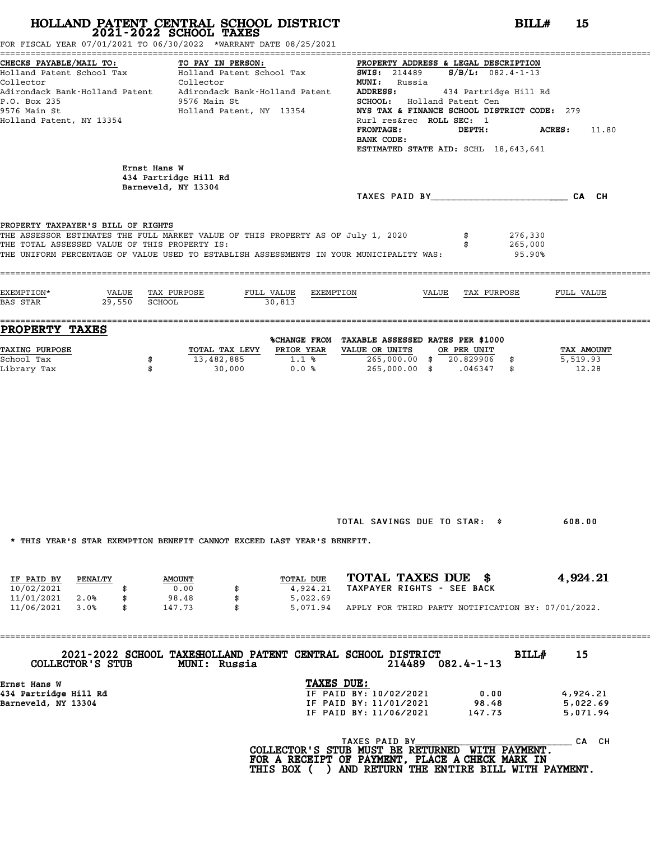FOR FISCAL YEAR 07/01/2021 TO 06/30/2022 \*WARRANT DATE 08/25/2021

| Holland Patent School Tax                                                                                     |                           | Holland Patent School Tax                                                                                                                                                   | <b>SWIS:</b> 214489<br>$S/B/L$ : 082.4-1-13                |                                 |
|---------------------------------------------------------------------------------------------------------------|---------------------------|-----------------------------------------------------------------------------------------------------------------------------------------------------------------------------|------------------------------------------------------------|---------------------------------|
| Collector                                                                                                     |                           | Collector                                                                                                                                                                   | MUNI: Russia                                               |                                 |
|                                                                                                               |                           | Adirondack Bank-Holland Patent     Adirondack Bank-Holland Patent                                                                                                           | <b>ADDRESS:</b><br>434 Partridge Hill Rd                   |                                 |
| P.O. Box 235                                                                                                  |                           | 9576 Main St                                                                                                                                                                | SCHOOL: Holland Patent Cen                                 |                                 |
| 9576 Main St                                                                                                  |                           | Holland Patent, NY 13354                                                                                                                                                    | NYS TAX & FINANCE SCHOOL DISTRICT CODE: 279                |                                 |
| Holland Patent, NY 13354                                                                                      |                           |                                                                                                                                                                             | Rurl res&rec ROLL SEC: 1                                   |                                 |
|                                                                                                               |                           |                                                                                                                                                                             | <b>FRONTAGE:</b><br>DEPTH:<br>BANK CODE:                   | ACRES:<br>11.80                 |
|                                                                                                               |                           |                                                                                                                                                                             | ESTIMATED STATE AID: SCHL 18,643,641                       |                                 |
|                                                                                                               | Ernst Hans W              | 434 Partridge Hill Rd                                                                                                                                                       |                                                            |                                 |
|                                                                                                               |                           |                                                                                                                                                                             |                                                            |                                 |
|                                                                                                               |                           | Barneveld, NY 13304                                                                                                                                                         |                                                            |                                 |
|                                                                                                               |                           | THE ASSESSOR ESTIMATES THE FULL MARKET VALUE OF THIS PROPERTY AS OF July 1, 2020<br>THE UNIFORM PERCENTAGE OF VALUE USED TO ESTABLISH ASSESSMENTS IN YOUR MUNICIPALITY WAS: | TAXES PAID BY CA CH<br>276,330<br>265,000<br>95.90%        |                                 |
| PROPERTY TAXPAYER'S BILL OF RIGHTS<br>THE TOTAL ASSESSED VALUE OF THIS PROPERTY IS:<br>EXEMPTION*<br>BAS STAR | VALUE<br>29,550<br>SCHOOL | TAX PURPOSE<br>FULL VALUE<br>EXEMPTION<br>30,813                                                                                                                            | VALUE<br>TAX PURPOSE                                       | FULL VALUE                      |
| <b>PROPERTY TAXES</b>                                                                                         |                           |                                                                                                                                                                             |                                                            |                                 |
|                                                                                                               |                           |                                                                                                                                                                             | %CHANGE FROM TAXABLE ASSESSED RATES PER \$1000             |                                 |
| TAXING PURPOSE                                                                                                |                           | PRIOR YEAR<br>TOTAL TAX LEVY                                                                                                                                                | VALUE OR UNITS<br>OR PER UNIT                              |                                 |
| School Tax<br>Library Tax                                                                                     | \$<br>\$                  | 13,482,885<br>1.1%<br>30,000<br>0.0%                                                                                                                                        | $265,000.00$ \$ $20.829906$ \$<br>265,000.00 \$ .046347 \$ | TAX AMOUNT<br>5,519.93<br>12.28 |

TOTAL SAVINGS DUE TO STAR: \$ 608.00

\* THIS YEAR'S STAR EXEMPTION BENEFIT CANNOT EXCEED LAST YEAR'S BENEFIT.

|            |         |               |  | INIO IBAN'O OIAN BABMFIIUN DBNBFII CANNUI BACBBD BAOI IBAN'O DBNBFII. |                            |  |  |                                                    |
|------------|---------|---------------|--|-----------------------------------------------------------------------|----------------------------|--|--|----------------------------------------------------|
|            |         |               |  |                                                                       | TOTAL TAXES DUE \$         |  |  | 4,924.21                                           |
| IF PAID BY | PENALTY | <b>AMOUNT</b> |  | TOTAL DUE                                                             |                            |  |  |                                                    |
| 10/02/2021 |         | 0.00          |  | 4,924.21                                                              | TAXPAYER RIGHTS - SEE BACK |  |  |                                                    |
| 11/01/2021 | 2.0%    | 98.48         |  | 5,022.69                                                              |                            |  |  |                                                    |
| 11/06/2021 | 3.0%    | 147.73        |  | 5,071.94                                                              |                            |  |  | APPLY FOR THIRD PARTY NOTIFICATION BY: 07/01/2022. |

==================================================================================================================================== **2021-2022 SCHOOL TAXESHOLLAND PATENT CENTRAL SCHOOL DISTRICT BILL# <sup>15</sup> COLLECTOR'S STUB MUNI: Russia <sup>214489</sup> 082.4-1-13** 134489 0.000 BILL BILL 15

| 214489<br>$082.4 - 1 - 13$<br>COLLECTOR'S STUB<br><b>MUNI: Russia</b> |          |  |
|-----------------------------------------------------------------------|----------|--|
| TAXES DUE:<br>Ernst Hans W                                            |          |  |
| 434 Partridge Hill Rd<br>IF PAID BY: 10/02/2021<br>0.00               | 4,924.21 |  |
| Barneveld, NY 13304<br>IF PAID BY: 11/01/2021<br>98.48                | 5,022.69 |  |
| IF PAID BY: 11/06/2021<br>147.73                                      | 5,071.94 |  |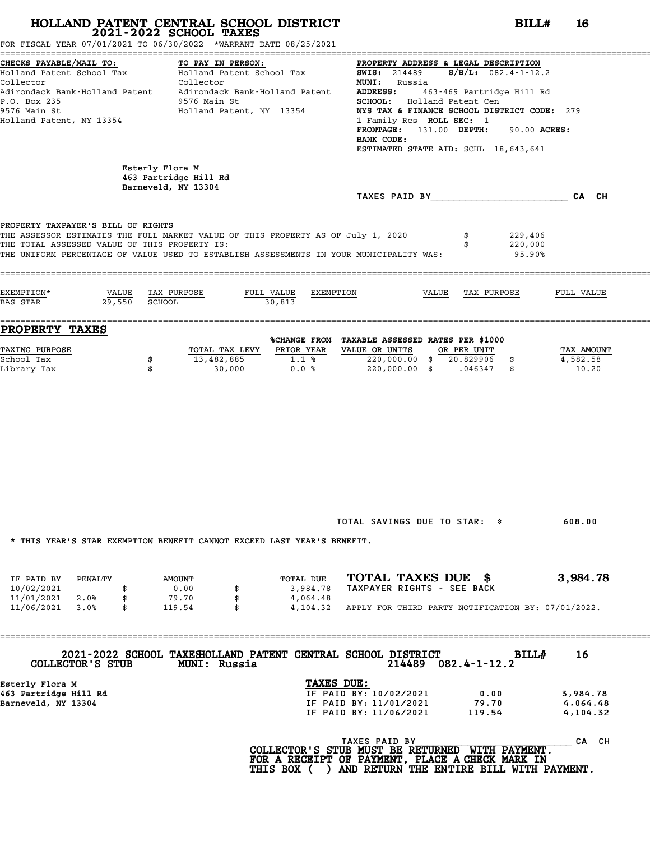### **HOLLAND PATENT CENTRAL SCHOOL DISTRICT**<br> **2021-2022 SCHOOL TAXES**<br>
FOR FISCAL YEAR 07/01/2021 TO 06/30/2022 \*WARRANT DATE 08/25/2021<br> **2021-2022 SCHOOL TAXES** ======================================================================================================================================== CHECKS PAYABLE/MAIL TO: TO PAY IN PERSON: PROPERTY ADDRESS & LEGAL DESCRIPTION

Holland Patent School Tax Holland Patent School Tax SWIS: <sup>214489</sup> S/B/L: 082.4-1-12.2 Collector Collector MUNI: Russia Adirondack Bank-Holland Patent Adirondack Bank-Holland Patent ADDRESS: 463-469 Partridge Hill Rd Collector Collector Collector MUNI: Russia<br>
Adirondack Bank-Holland Patent Adirondack Bank-Holland Patent ADDRESS: 463-469 Partridge<br>
P.O. Box 235 9576 Main St SCHOOL: Holland Patent Cen<br>
9576 Main Start NY 13354 NVS TAX & 9576 Main St Holland Patent, NY 13354 NYS TAX & FINANCE SCHOOL DISTRICT CODE: <sup>279</sup> Holland Patent, NY 13354 1 Family Res ROLL SEC: <sup>1</sup> FRONTAGE: 131.00 DEPTH: 90.00 ACRES: 1 Family Res<br>**FRONTAGE:** 1<br>BANK CODE:<br>FSTIMATED STA FRONTAGE: 131.00 DEPTH: 90.00 ACRE<br>BANK CODE:<br>ESTIMATED STATE AID: SCHL 18,643,641 Esterly Flora M Esterly Flora M<br>463 Partridge Hill Rd<br>Barneveld, NY 13304 Esterly Flora M<br>463 Partridge Hill Rd<br>Barneveld, NY 13304 TAXES PAID BY\_\_\_\_\_\_\_\_\_\_\_\_\_\_\_\_\_\_\_\_\_\_\_\_ CA CH PROPERTY TAXPAYER'S BILL OF RIGHTS **PROPERTY TAXPAYER'S BILL OF RIGHTS**<br>THE ASSESSOR ESTIMATES THE FULL MARKET VALUE OF THIS PROPERTY AS OF July 1, 2020 \$ 229,406<br>THE TOTAL ASSESSED VALUE OF THIS PROPERTY IS. **PROPERTY TAXPAYER'S BILL OF RIGHTS<br>THE ASSESSOR ESTIMATES THE FULL MARKET VALUE OF THIS PROPERTY AS OF July 1, 2020 \$ 229,406<br>THE TOTAL ASSESSED VALUE OF THIS PROPERTY IS: \$ 220,000<br>THE INIEOPM PERCENTAGE OF VALUE USED TO** THE ASSESSOR ESTIMATES THE FULL MARKET VALUE OF THIS PROPERTY AS OF July 1, 2020 \$ 229,406<br>THE TOTAL ASSESSED VALUE OF THIS PROPERTY IS:<br>195.90% THE UNIFORM PERCENTAGE OF VALUE USED TO ESTABLISH A ==================================================================================================================================== EXEMPTION\* VALUE TAX PURPOSE FULL VALUE EXEMPTION VALUE TAX PURPOSE FULL VALUE BAS STAR 29,550 SCHOOL 30,813

EXEMPTION\* VALUE TAX PURPOSE FULL VALUE EXEMPTION<br>
BAS STAR 29,550 SCHOOL 30,813<br> **ENOPERTY TAXES** \*CHANGE FROM TAXABLE ASSESSED RATES PER \$1000<br>
TAXING PURPOSE \*CORL TAX LEVY PRIOR YEAR VALUE OR UNITS OR PER UNIT TAX AMOU %CHANGE FROM TAXABLE ASSESSED RATES PER \$1000 **PROPERTY TAXES**<br>
TAXING PURPOSE TOTAL TAX LEVY PRIOR YEAR VALUE OR UNITS OR PER UNIT TAX AMOUNT<br>
School Tax = 13, 482, 885<br>
School Tax = 13, 482, 885 School Tax \$ 13,482,885 1.1 % 220,000.00 \$ 20.829906 \$ 4,582.58 Library Tax \$ 30,000 0.0 % 220,000.00 \$ .046347 \$ 10.20

TOTAL SAVINGS DUE TO STAR: \$ 608.00

\* THIS YEAR'S STAR EXEMPTION BENEFIT CANNOT EXCEED LAST YEAR'S BENEFIT.

|            |         |               |  | INIO IGAN O OIAN BABMEIIUN DBNBEII CANNUI BACBBU UAOI IBAN O DBNBEII. |                            |  |  |                                                    |
|------------|---------|---------------|--|-----------------------------------------------------------------------|----------------------------|--|--|----------------------------------------------------|
|            |         |               |  |                                                                       |                            |  |  |                                                    |
| IF PAID BY | PENALTY | <b>AMOUNT</b> |  | TOTAL DUE                                                             | TOTAL TAXES DUE \$         |  |  | 3,984.78                                           |
| 10/02/2021 |         | 0.00          |  | 3,984.78                                                              | TAXPAYER RIGHTS - SEE BACK |  |  |                                                    |
| 11/01/2021 | 2.0%    | 79.70         |  | 4,064.48                                                              |                            |  |  |                                                    |
| 11/06/2021 | 3.0%    | \$<br>119.54  |  | 4,104.32                                                              |                            |  |  | APPLY FOR THIRD PARTY NOTIFICATION BY: 07/01/2022. |

==================================================================================================================================== **2021-2022 SCHOOL TAXESHOLLAND PATENT CENTRAL SCHOOL DISTRICT BILL# <sup>16</sup>**

**COLLECTOR'S STUB MUNI: Russia <sup>214489</sup> 082.4-1-12.2**

| COLLECTOR'S STUB      | <b>MUNI: Russia</b> | 2021-2022 SCHOOL TAXESHOLLAND PATENT CENTRAL SCHOOL DISTRICT<br>214489 | <b>BILL#</b><br>$082.4 - 1 - 12.2$ | Τp       |  |
|-----------------------|---------------------|------------------------------------------------------------------------|------------------------------------|----------|--|
| Esterly Flora M       |                     | TAXES DUE:                                                             |                                    |          |  |
| 463 Partridge Hill Rd |                     | IF PAID BY: 10/02/2021                                                 | 0.00                               | 3,984.78 |  |
| Barneveld, NY 13304   |                     | IF PAID BY: 11/01/2021                                                 | 79.70                              | 4,064.48 |  |
|                       |                     | IF PAID BY: 11/06/2021                                                 | 119.54                             | 4,104.32 |  |
|                       |                     |                                                                        |                                    |          |  |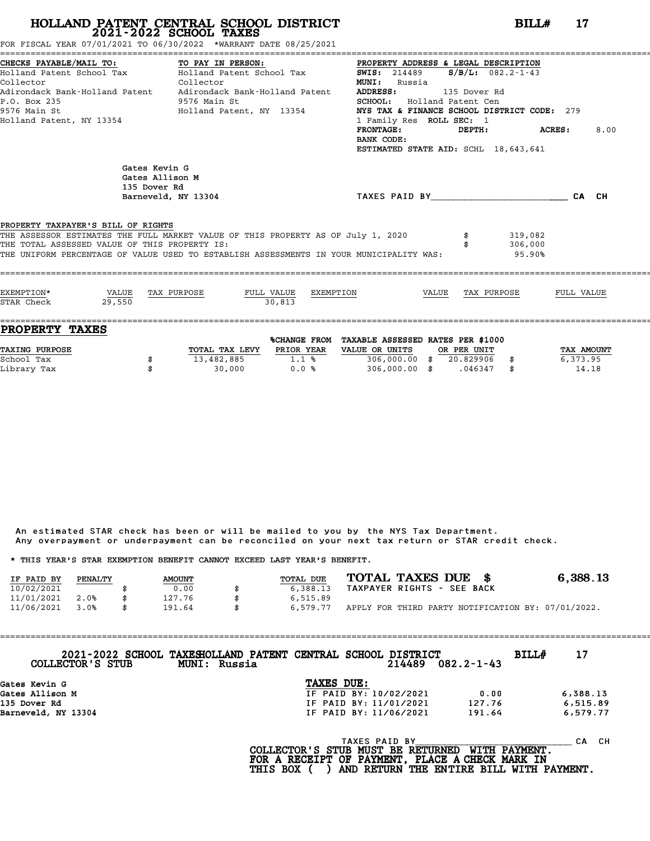FOR FISCAL YEAR 07/01/2021 TO 06/30/2022 \*WARRANT DATE 08/25/2021

| CHECKS PAYABLE/MAIL TO: TO PAY IN PERSON:<br>Collector<br>P.O. Box 235<br>9576 Main St<br>Holland Patent, NY 13354 | CHECKS PAYABLE/MAIL TO:                     TO PAY IN PERSON:                           PROPERTY ADDRESS & LEGAL DESCRIPTION<br>Holland Patent School Tax              Holland Patent School Tax               SWIS:  214489<br>Collector<br>9576 Main St<br>Holland Patent, NY 13354 | PROPERTY ADDRESS & LEGAL DESCRIPTION<br><b>MUNI:</b> Russia<br>135 Dover Rd<br>ADDRESS:<br>SCHOOL: Holland Patent Cen<br>NYS TAX & FINANCE SCHOOL DISTRICT CODE: 279<br>1 Family Res ROLL SEC: 1<br>FRONTAGE: DEPTH: ACRES:<br>BANK CODE:<br>ESTIMATED STATE AID: SCHL 18,643,641 |                              | 8.00 |
|--------------------------------------------------------------------------------------------------------------------|---------------------------------------------------------------------------------------------------------------------------------------------------------------------------------------------------------------------------------------------------------------------------------------|-----------------------------------------------------------------------------------------------------------------------------------------------------------------------------------------------------------------------------------------------------------------------------------|------------------------------|------|
| Gates Kevin G<br>Gates Allison M<br>135 Dover Rd                                                                   | Barneveld, NY 13304                                                                                                                                                                                                                                                                   | TAXES PAID BY CA CH                                                                                                                                                                                                                                                               |                              |      |
| PROPERTY TAXPAYER'S BILL OF RIGHTS<br>THE TOTAL ASSESSED VALUE OF THIS PROPERTY IS:                                | THE UNIFORM PERCENTAGE OF VALUE USED TO ESTABLISH ASSESSMENTS IN YOUR MUNICIPALITY WAS:                                                                                                                                                                                               |                                                                                                                                                                                                                                                                                   | 319,082<br>306,000<br>95.90% |      |
|                                                                                                                    |                                                                                                                                                                                                                                                                                       |                                                                                                                                                                                                                                                                                   |                              |      |

| TOTAL TAX LEVY | PRIOR YEAR | VALUE OR UNITS |              |           |             | TAX AMOUNT                        |
|----------------|------------|----------------|--------------|-----------|-------------|-----------------------------------|
| 13,482,885     | 1.1%       | 306,000,00     |              | 20.829906 |             | 6,373.95                          |
| 30,000         | 0.0%       | 306,000.00     |              | .046347   |             | 14.18                             |
|                |            |                | %CHANGE FROM |           | OR PER UNIT | TAXABLE ASSESSED RATES PER \$1000 |

An estimated STAR check has been or will be mailed to you by the NYS Tax Department. An estimated STAR check has been or will be mailed to you by the NYS Tax Department.<br>Any overpayment or underpayment can be reconciled on your next tax return or STAR credit check. Any overpayment or underpayment can be reconciled on your next ta<br>\* THIS YEAR'S STAR EXEMPTION BENEFIT CANNOT EXCEED LAST YEAR'S BENEFIT.

|                                                                         |         |     |               |    | ANY OVERPOVINCING OF MINGEROVINCING CONFUCTING THE VIOLET ON THE MOVING CONFUCTING OF STARF CHECKS. |                            |  |                                                    |
|-------------------------------------------------------------------------|---------|-----|---------------|----|-----------------------------------------------------------------------------------------------------|----------------------------|--|----------------------------------------------------|
| * THIS YEAR'S STAR EXEMPTION BENEFIT CANNOT EXCEED LAST YEAR'S BENEFIT. |         |     |               |    |                                                                                                     |                            |  |                                                    |
| IF PAID BY                                                              | PENALTY |     | <b>AMOUNT</b> |    | TOTAL DUE                                                                                           | TOTAL TAXES DUE \$         |  | 6,388.13                                           |
| 10/02/2021                                                              |         |     | 0.00          |    | 6,388.13                                                                                            | TAXPAYER RIGHTS - SEE BACK |  |                                                    |
| 11/01/2021                                                              | 2.0%    |     | 127.76        |    | 6,515.89                                                                                            |                            |  |                                                    |
| 11/06/2021                                                              | 3.0%    | \$. | 191.64        | \$ | 6.579.77                                                                                            |                            |  | APPLY FOR THIRD PARTY NOTIFICATION BY: 07/01/2022. |

==================================================================================================================================== **2021-2022 SCHOOL TAXESHOLLAND PATENT CENTRAL SCHOOL DISTRICT BILL# <sup>17</sup> COLLECTOR'S STUB MUNI: Russia <sup>214489</sup> 082.2-1-43** 2021-2022 SCHOOL TAXESHOLLAND PATENT CENTRAL SCHOOL DISTRICT<br>COLLECTOR'S STUB MUNI: Russia<br>Gates Kevin G TAXES DUE:<br>Gates Allison M GOLLEGTOR'S STOB MONI: RUSSIA 214489 082.2-1-43<br>Gates Kevin G<br>Gates Allison M IF PAID BY: 10/02/2021 0.00 6,388.13<br>135 Dover Pd Gates Kevin G<br>
Gates Allison M<br>
135 Dover Rd<br>
135 Dover Rd<br>
135 Dover Rd<br>
13304<br>
141 Av 13304<br>
141 Av 13304<br>
141 Av 13304<br>
141 Av 13304<br>
141 Av 13304 Gates Kevin G<br>Gates Allison M<br>135 Dover Rd<br>Barneveld, NY 13304 191.64 191.64 191.64 191.64 191.64 6,579.77 D BY: 11/06/2021 191.64 6,579.77<br>TAXES PAID BY<br>TR MICT BE DETIDNED LITTY DAVMENT CA CH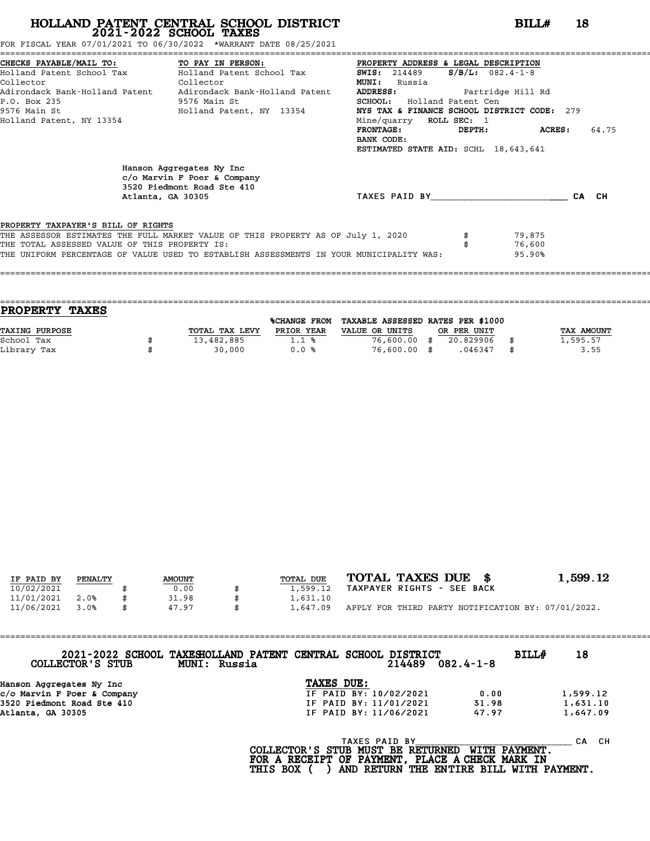FOR FISCAL YEAR 07/01/2021 TO 06/30/2022 \*WARRANT DATE 08/25/2021

|                                                                                     | CHECKS PAYABLE/MAIL TO: TO PAY IN PERSON:                                                                                                                                   | PROPERTY ADDRESS & LEGAL DESCRIPTION        |                            |       |  |  |  |  |
|-------------------------------------------------------------------------------------|-----------------------------------------------------------------------------------------------------------------------------------------------------------------------------|---------------------------------------------|----------------------------|-------|--|--|--|--|
|                                                                                     | Holland Patent School Tax Holland Patent School Tax                                                                                                                         | <b>SWIS:</b> 214489                         | $S/B/L: 082.4-1-8$         |       |  |  |  |  |
| Collector                                                                           | Collector                                                                                                                                                                   | <b>MUNI:</b><br>Russia                      |                            |       |  |  |  |  |
|                                                                                     | Adirondack Bank-Holland Patent Adirondack Bank-Holland Patent                                                                                                               | <b>ADDRESS:</b><br>Partridge Hill Rd        |                            |       |  |  |  |  |
| P.O. Box 235                                                                        | 9576 Main St                                                                                                                                                                | SCHOOL: Holland Patent Cen                  |                            |       |  |  |  |  |
|                                                                                     | 9576 Main St                                 Holland Patent, NY 13354                                                                                                       | NYS TAX & FINANCE SCHOOL DISTRICT CODE: 279 |                            |       |  |  |  |  |
| Holland Patent, NY 13354                                                            |                                                                                                                                                                             | Mine/quarry ROLL SEC: 1                     |                            |       |  |  |  |  |
|                                                                                     |                                                                                                                                                                             | FRONTAGE:<br>DEPTH:                         | <b>ACRES:</b>              | 64.75 |  |  |  |  |
|                                                                                     |                                                                                                                                                                             | BANK CODE:                                  |                            |       |  |  |  |  |
|                                                                                     |                                                                                                                                                                             | ESTIMATED STATE AID: SCHL 18,643,641        |                            |       |  |  |  |  |
|                                                                                     | Hanson Aggregates Ny Inc<br>c/o Marvin F Poer & Company<br>3520 Piedmont Road Ste 410<br>Atlanta, GA 30305                                                                  | TAXES PAID BY                               |                            | CA CH |  |  |  |  |
| PROPERTY TAXPAYER'S BILL OF RIGHTS<br>THE TOTAL ASSESSED VALUE OF THIS PROPERTY IS: | THE ASSESSOR ESTIMATES THE FULL MARKET VALUE OF THIS PROPERTY AS OF July 1, 2020<br>THE UNIFORM PERCENTAGE OF VALUE USED TO ESTABLISH ASSESSMENTS IN YOUR MUNICIPALITY WAS: |                                             | 79,875<br>76,600<br>95.90% |       |  |  |  |  |
|                                                                                     |                                                                                                                                                                             |                                             |                            |       |  |  |  |  |

| PROPERTY TAXES        |                |                     |                                   |             |    |                   |
|-----------------------|----------------|---------------------|-----------------------------------|-------------|----|-------------------|
|                       |                | <b>%CHANGE FROM</b> | TAXABLE ASSESSED RATES PER \$1000 |             |    |                   |
| <b>TAXING PURPOSE</b> | TOTAL TAX LEVY | PRIOR YEAR          | VALUE OR UNITS                    | OR PER UNIT |    | <b>TAX AMOUNT</b> |
| School Tax            | 13,482,885     | 1.1%                | $76,600.00$ \$                    | 20.829906   |    | 1,595.57          |
| Library Tax           | 30,000         | 0.0%                | 76,600.00 \$                      | .046347     | -8 | 3.55              |
|                       |                |                     |                                   |             |    |                   |

====================================================================================================================================

| IF PAID BY | PENALTY | <b>AMOUNT</b> | TOTAL DUE | TOTAL TAXES DUE \$                                 | 1,599.12 |
|------------|---------|---------------|-----------|----------------------------------------------------|----------|
| 10/02/2021 |         | 0.00          | 1,599.12  | TAXPAYER RIGHTS - SEE BACK                         |          |
| 11/01/2021 | 2.0%    | 31.98         | 1,631.10  |                                                    |          |
| 11/06/2021 | 3.0%    | 47.97         | 1,647.09  | APPLY FOR THIRD PARTY NOTIFICATION BY: 07/01/2022. |          |

| COLLECTOR'S STUB            | 2021-2022 SCHOOL TAXESHOLLAND PATENT CENTRAL SCHOOL DISTRICT<br>MUNI: Russia |                        | 214489        | $082.4 - 1 - 8$ | BILL# | 18        |
|-----------------------------|------------------------------------------------------------------------------|------------------------|---------------|-----------------|-------|-----------|
| Hanson Aggregates Ny Inc    |                                                                              | TAXES DUE:             |               |                 |       |           |
| c/o Marvin F Poer & Company |                                                                              | IF PAID BY: 10/02/2021 |               | 0.00            |       | 1,599.12  |
| 3520 Piedmont Road Ste 410  |                                                                              | IF PAID BY: 11/01/2021 |               | 31.98           |       | 1,631.10  |
| Atlanta, GA 30305           |                                                                              | IF PAID BY: 11/06/2021 |               | 47.97           |       | 1,647.09  |
|                             |                                                                              |                        | TAXES PAID BY |                 |       | CH.<br>CА |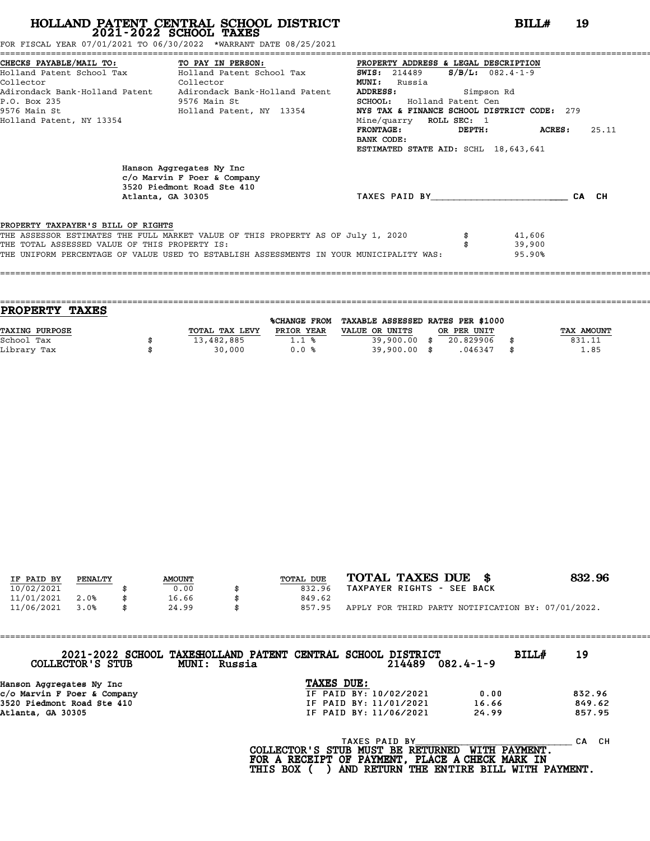FOR FISCAL YEAR 07/01/2021 TO 06/30/2022 \*WARRANT DATE 08/25/2021

|                                               | CHECKS PAYABLE/MAIL TO: TO PAY IN PERSON:                                                                     | PROPERTY ADDRESS & LEGAL DESCRIPTION        |                        |                  |
|-----------------------------------------------|---------------------------------------------------------------------------------------------------------------|---------------------------------------------|------------------------|------------------|
|                                               | Holland Patent School Tax Molland Patent School Tax 5WIS: 214489                                              |                                             | $S/B/L: 082.4 - 1 - 9$ |                  |
| Collector                                     | <b>Collector</b>                                                                                              | <b>MUNI:</b><br>Russia                      |                        |                  |
|                                               | Adirondack Bank-Holland Patent Adirondack Bank-Holland Patent                                                 | <b>ADDRESS:</b><br>Simpson Rd               |                        |                  |
| P.O. Box 235                                  | 9576 Main St                                                                                                  | SCHOOL: Holland Patent Cen                  |                        |                  |
|                                               | 9576 Main St                               Holland Patent, NY 13354                                           | NYS TAX & FINANCE SCHOOL DISTRICT CODE: 279 |                        |                  |
| Holland Patent, NY 13354                      |                                                                                                               | Mine/quarry ROLL SEC: 1                     |                        |                  |
|                                               |                                                                                                               | <b>FRONTAGE:</b>                            | DEPTH:                 | 25.11<br>ACRES : |
|                                               |                                                                                                               | BANK CODE:                                  |                        |                  |
|                                               |                                                                                                               | ESTIMATED STATE AID: SCHL 18,643,641        |                        |                  |
|                                               | Hanson Aggregates Ny Inc<br>$c$ /o Marvin F Poer & Company<br>3520 Piedmont Road Ste 410<br>Atlanta, GA 30305 | TAXES PAID BY TAXES                         |                        | CA CH            |
|                                               |                                                                                                               |                                             |                        |                  |
| PROPERTY TAXPAYER'S BILL OF RIGHTS            |                                                                                                               |                                             |                        |                  |
|                                               | THE ASSESSOR ESTIMATES THE FULL MARKET VALUE OF THIS PROPERTY AS OF July 1, 2020                              |                                             | 41,606                 |                  |
| THE TOTAL ASSESSED VALUE OF THIS PROPERTY IS: |                                                                                                               |                                             | 39,900                 |                  |
|                                               | THE UNIFORM PERCENTAGE OF VALUE USED TO ESTABLISH ASSESSMENTS IN YOUR MUNICIPALITY WAS:                       |                                             | 95.90%                 |                  |
|                                               |                                                                                                               |                                             |                        |                  |

| <b>PROPERTY</b><br><b>TAXES</b> |                |              |                                   |             |                   |
|---------------------------------|----------------|--------------|-----------------------------------|-------------|-------------------|
|                                 |                | %CHANGE FROM | TAXABLE ASSESSED RATES PER \$1000 |             |                   |
| <b>TAXING PURPOSE</b>           | TOTAL TAX LEVY | PRIOR YEAR   | VALUE OR UNITS                    | OR PER UNIT | <b>TAX AMOUNT</b> |
| School Tax                      | 13,482,885     | 1.1%         | $39,900.00$ \$                    | 20.829906   | 831.11            |
| Library Tax                     | 30,000         | 0.0%         | $39,900.00$ \$                    | .046347     | \$<br>1.85        |
|                                 |                |              |                                   |             |                   |

====================================================================================================================================

| IF PAID BY | PENALTY | <b>AMOUNT</b> | TOTAL DUE | TOTAL TAXES DUE \$                                 | 832.96 |
|------------|---------|---------------|-----------|----------------------------------------------------|--------|
|            |         |               |           |                                                    |        |
| 10/02/2021 |         | 0.00          | 832.96    | TAXPAYER RIGHTS - SEE BACK                         |        |
| 11/01/2021 | 2.0%    | 16.66         | 849.62    |                                                    |        |
| 11/06/2021 | 3.0%    | 24.99         | 857.95    | APPLY FOR THIRD PARTY NOTIFICATION BY: 07/01/2022. |        |

| COLLECTOR'S STUB            | 2021-2022 SCHOOL TAXESHOLLAND PATENT CENTRAL SCHOOL DISTRICT<br>MUNI: Russia |                                          | 214489        | $082.4 - 1 - 9$      | BILL# | 19        |
|-----------------------------|------------------------------------------------------------------------------|------------------------------------------|---------------|----------------------|-------|-----------|
| Hanson Aggregates Ny Inc    |                                                                              | TAXES DUE:                               |               |                      |       |           |
| c/o Marvin F Poer & Company |                                                                              | IF PAID BY: 10/02/2021                   |               | 0.00                 |       | 832.96    |
| 3520 Piedmont Road Ste 410  |                                                                              | IF PAID BY: 11/01/2021                   |               | 16.66                |       | 849.62    |
| Atlanta, GA 30305           |                                                                              | IF PAID BY: 11/06/2021                   |               | 24.99                |       | 857.95    |
|                             |                                                                              | הסופות הסיס הס היא הסומה של הספרה המים ה | TAXES PAID BY | <b>MTTHI DAVMENT</b> |       | CH.<br>CА |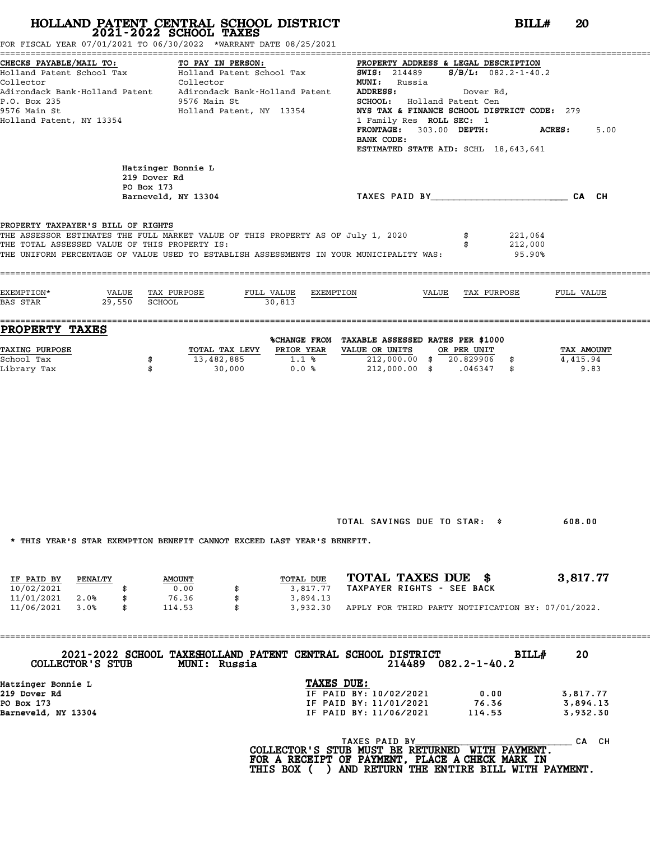FOR FISCAL YEAR 07/01/2021 TO 06/30/2022 \*WARRANT DATE 08/25/2021

| CHECKS PAYABLE/MAIL TO:<br>Holland Patent School Tax Holland Patent School Tax 5WIS: 214489 S/B/L: 082.2-1-40.2<br>Collector<br>Adirondack Bank-Holland Patent Adirondack Bank-Holland Patent ADDRESS:<br>P.O. Box 235<br>9576 Main St<br>Holland Patent, NY 13354 |                                                  | TO PAY IN PERSON:<br>Collector<br>9576 Main St<br>Holland Patent, NY 13354 |                                   | PROPERTY ADDRESS & LEGAL DESCRIPTION<br><b>MUNI:</b> Russia<br>SCHOOL: Holland Patent Cen<br>NYS TAX & FINANCE SCHOOL DISTRICT CODE: 279<br>1 Family Res ROLL SEC: 1<br>FRONTAGE: 303.00 DEPTH:<br>BANK CODE:<br>ESTIMATED STATE AID: SCHL 18,643,641 |                   | Dover Rd,   |                              | <b>ACRES:</b>                  | 5.00 |
|--------------------------------------------------------------------------------------------------------------------------------------------------------------------------------------------------------------------------------------------------------------------|--------------------------------------------------|----------------------------------------------------------------------------|-----------------------------------|-------------------------------------------------------------------------------------------------------------------------------------------------------------------------------------------------------------------------------------------------------|-------------------|-------------|------------------------------|--------------------------------|------|
|                                                                                                                                                                                                                                                                    | Hatzinger Bonnie L<br>219 Dover Rd<br>PO Box 173 | Barneveld, NY 13304                                                        |                                   |                                                                                                                                                                                                                                                       |                   |             |                              | CA CH                          |      |
| PROPERTY TAXPAYER'S BILL OF RIGHTS<br>THE ASSESSOR ESTIMATES THE FULL MARKET VALUE OF THIS PROPERTY AS OF July 1, 2020<br>THE TOTAL ASSESSED VALUE OF THIS PROPERTY IS:<br>THE UNIFORM PERCENTAGE OF VALUE USED TO ESTABLISH ASSESSMENTS IN YOUR MUNICIPALITY WAS: |                                                  |                                                                            |                                   |                                                                                                                                                                                                                                                       |                   | \$          | 221,064<br>212,000<br>95.90% |                                |      |
| EXEMPTION*<br>29,550<br>BAS STAR                                                                                                                                                                                                                                   | VALUE<br><b>SCHOOL</b>                           | TAX PURPOSE                                                                | FULL VALUE<br>EXEMPTION<br>30,813 |                                                                                                                                                                                                                                                       | VALUE TAX PURPOSE |             |                              | FULL VALUE                     |      |
| PROPERTY TAXES<br>TAXING PURPOSE<br>School Tax<br>Library Tax                                                                                                                                                                                                      | \$<br>\$                                         | TOTAL TAX LEVY PRIOR YEAR<br>13,482,885<br>30,000                          | 1.1%<br>0.0%                      | %CHANGE FROM TAXABLE ASSESSED RATES PER \$1000<br>VALUE OR UNITS<br>212,000.00 \$ 20.829906 \$<br>212,000.00 \$ .046347 \$                                                                                                                            |                   | OR PER UNIT |                              | TAX AMOUNT<br>4,415.94<br>9.83 |      |
|                                                                                                                                                                                                                                                                    |                                                  |                                                                            |                                   |                                                                                                                                                                                                                                                       |                   |             |                              |                                |      |
| * THIS YEAR'S STAR EXEMPTION BENEFIT CANNOT EXCEED LAST YEAR'S BENEFIT.                                                                                                                                                                                            |                                                  |                                                                            |                                   | TOTAL SAVINGS DUE TO STAR: \$                                                                                                                                                                                                                         |                   |             |                              | 608.00                         |      |
| PENALTY<br>IF PAID BY<br>10/02/2021                                                                                                                                                                                                                                |                                                  | <b>AMOUNT</b><br>0.00<br>\$                                                | TOTAL DUE<br>3,817.77             | TOTAL TAXES DUE \$<br>TAXPAYER RIGHTS - SEE BACK                                                                                                                                                                                                      |                   |             |                              | 3,817.77                       |      |

| IF PAID BY | PENALTY | <b>AMOUNT</b> | TOTAL DUE | TOTAL TAXES DUE                                    | 3,817.77 |
|------------|---------|---------------|-----------|----------------------------------------------------|----------|
| 10/02/2021 |         | 0.00          | 3.817.77  | TAXPAYER RIGHTS - SEE BACK                         |          |
| 11/01/2021 | 2.0%    | 76.36         | 3,894.13  |                                                    |          |
| 11/06/2021 | 3.0%    | 114.53        | 3,932.30  | APPLY FOR THIRD PARTY NOTIFICATION BY: 07/01/2022. |          |

==================================================================================================================================== **2021-2022 SCHOOL TAXESHOLLAND PATENT CENTRAL SCHOOL DISTRICT BILL# <sup>20</sup> COLLECTOR'S STUB MUNI: Russia <sup>214489</sup> 082.2-1-40.2**

| COLLECTOR'S STUB    | <b>MUNI: Russia</b> | 2021-2022 SCHOOL TAXESHOLLAND PATENT CENTRAL SCHOOL DISTRICT<br>214489 | <b>BILL#</b><br>$082.2 - 1 - 40.2$ | 20       |
|---------------------|---------------------|------------------------------------------------------------------------|------------------------------------|----------|
| Hatzinger Bonnie L  |                     | TAXES DUE:                                                             |                                    |          |
| 219 Dover Rd        |                     | IF PAID BY: 10/02/2021                                                 | 0.00                               | 3,817.77 |
| PO Box 173          |                     | IF PAID BY: 11/01/2021                                                 | 76.36                              | 3,894.13 |
| Barneveld, NY 13304 |                     | IF PAID BY: 11/06/2021                                                 | 114.53                             | 3,932.30 |
|                     |                     |                                                                        |                                    |          |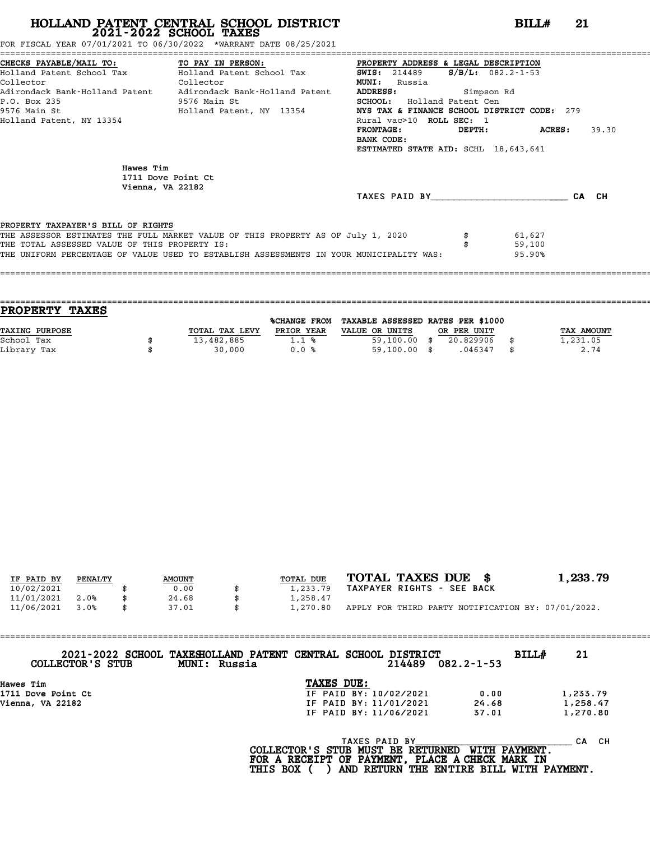FOR FISCAL YEAR 07/01/2021 TO 06/30/2022 \*WARRANT DATE 08/25/2021

|                                               | CHECKS PAYABLE/MAIL TO:             TO PAY IN PERSON:             PROPERTY ADDRESS & LEGAL DESCRIPTION |                                             |            |                         |       |
|-----------------------------------------------|--------------------------------------------------------------------------------------------------------|---------------------------------------------|------------|-------------------------|-------|
|                                               | Holland Patent School Tax Molland Patent School Tax                                                    | <b>SWIS:</b> 214489                         |            | $S/B/L: 082.2 - 1 - 53$ |       |
| Collector<br><b>Collector</b>                 |                                                                                                        | <b>MUNI:</b><br>Russia                      |            |                         |       |
|                                               | Adirondack Bank-Holland Patent Adirondack Bank-Holland Patent                                          | <b>ADDRESS:</b>                             | Simpson Rd |                         |       |
| P.O. Box 235                                  | 9576 Main St                                                                                           | <b>SCHOOL:</b> Holland Patent Cen           |            |                         |       |
|                                               | 9576 Main St                           Holland Patent, NY 13354                                        | NYS TAX & FINANCE SCHOOL DISTRICT CODE: 279 |            |                         |       |
| Holland Patent, NY 13354                      |                                                                                                        | Rural vac>10 ROLL SEC: 1                    |            |                         |       |
|                                               |                                                                                                        | $\tt FRONTAGE:$                             |            | DEPTH: ACRES:           | 39.30 |
|                                               |                                                                                                        | BANK CODE:                                  |            |                         |       |
|                                               |                                                                                                        | ESTIMATED STATE AID: SCHL 18,643,641        |            |                         |       |
| Hawes Tim<br>Vienna, VA 22182                 | 1711 Dove Point Ct                                                                                     |                                             |            |                         |       |
|                                               |                                                                                                        | TAXES PAID BY                               |            |                         | CA CH |
| PROPERTY TAXPAYER'S BILL OF RIGHTS            |                                                                                                        |                                             |            |                         |       |
|                                               | THE ASSESSOR ESTIMATES THE FULL MARKET VALUE OF THIS PROPERTY AS OF July 1, 2020                       |                                             |            | 61,627                  |       |
| THE TOTAL ASSESSED VALUE OF THIS PROPERTY IS: |                                                                                                        |                                             |            | 59,100                  |       |
|                                               |                                                                                                        |                                             |            |                         |       |

|                | <b>%CHANGE FROM</b> |                |                                  |             |                                   |
|----------------|---------------------|----------------|----------------------------------|-------------|-----------------------------------|
| TOTAL TAX LEVY | PRIOR YEAR          | VALUE OR UNITS |                                  |             | TAX AMOUNT                        |
| 13,482,885     | 1.1%                |                | 20.829906                        |             | 1,231.05                          |
| 30,000         | 0.0%                |                | .046347                          | \$          | 2.74                              |
|                |                     |                | $59,100.00$ \$<br>$59,100.00$ \$ | OR PER UNIT | TAXABLE ASSESSED RATES PER \$1000 |

|            |         |               |           | TOTAL TAXES DUE \$                                 | 1,233.79 |
|------------|---------|---------------|-----------|----------------------------------------------------|----------|
| IF PAID BY | PENALTY | <b>AMOUNT</b> | TOTAL DUE |                                                    |          |
| 10/02/2021 |         | 0.00          | 1,233.79  | TAXPAYER RIGHTS - SEE BACK                         |          |
| 11/01/2021 | 2.0%    | 24.68         | 1,258.47  |                                                    |          |
| 11/06/2021 | 3.0%    | 37.01         | 1,270.80  | APPLY FOR THIRD PARTY NOTIFICATION BY: 07/01/2022. |          |

| COLLECTOR'S STUB   | 2021-2022 SCHOOL TAXESHOLLAND PATENT CENTRAL SCHOOL DISTRICT<br>MUNI: Russia |            | 214489                 | $082.2 - 1 - 53$ | BILLH<br>21 |  |
|--------------------|------------------------------------------------------------------------------|------------|------------------------|------------------|-------------|--|
| Hawes Tim          |                                                                              | TAXES DUE: |                        |                  |             |  |
| 1711 Dove Point Ct |                                                                              |            | IF PAID BY: 10/02/2021 | 0.00             | 1,233.79    |  |
| Vienna, VA 22182   |                                                                              |            | IF PAID BY: 11/01/2021 | 24.68            | 1,258.47    |  |
|                    |                                                                              |            | IF PAID BY: 11/06/2021 | 37.01            | 1,270.80    |  |
|                    |                                                                              |            |                        |                  |             |  |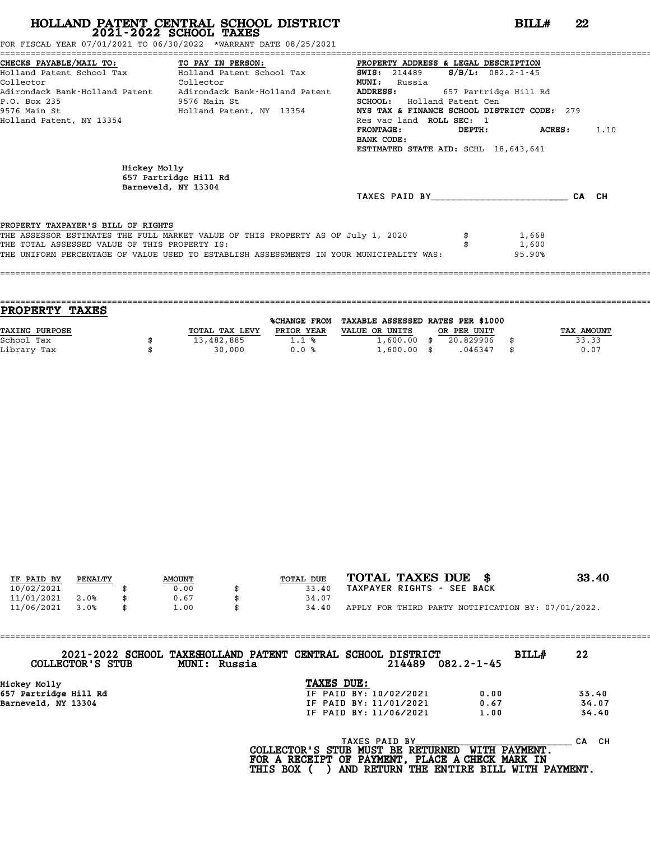# **HOLLAND PATENT CENTRAL SCHOOL DISTRICT**<br> **2021-2022 SCHOOL TAXES**<br>
FOR FISCAL YEAR 07/01/2021 TO 06/30/2022 \*WARRANT DATE 08/25/2021<br> **22** \*WARRANT DATE 08/25/2021<br> **22** \*WARRANT DATE 08/25/2021

FOR FISCAL YEAR 07/01/2021 TO 06/30/2022 \*WARRANT DATE 08/25/2021

|                                               | CHECKS PAYABLE/MAIL TO: TO PAY IN PERSON:                                               | PROPERTY ADDRESS & LEGAL DESCRIPTION        |        |                       |       |      |
|-----------------------------------------------|-----------------------------------------------------------------------------------------|---------------------------------------------|--------|-----------------------|-------|------|
|                                               | Holland Patent School Tax           Holland Patent School Tax                           | <b>SWIS:</b> 214489                         |        | $S/B/L$ : 082.2-1-45  |       |      |
| Collector                                     | Collector                                                                               | <b>MUNI:</b><br>Russia                      |        |                       |       |      |
|                                               | Adirondack Bank-Holland Patent     Adirondack Bank-Holland Patent                       | <b>ADDRESS:</b>                             |        | 657 Partridge Hill Rd |       |      |
| P.O. Box 235                                  | 9576 Main St                                                                            | <b>SCHOOL:</b> Holland Patent Cen           |        |                       |       |      |
| 9576 Main St                                  | Holland Patent, NY 13354                                                                | NYS TAX & FINANCE SCHOOL DISTRICT CODE: 279 |        |                       |       |      |
| Holland Patent, NY 13354                      |                                                                                         | Res vac land ROLL SEC: 1                    |        |                       |       |      |
|                                               |                                                                                         | <b>FRONTAGE:</b>                            | DEPTH: | ACRES:                |       | 1.10 |
|                                               |                                                                                         | BANK CODE:                                  |        |                       |       |      |
|                                               |                                                                                         | ESTIMATED STATE AID: SCHL 18,643,641        |        |                       |       |      |
| Hickey Molly                                  | 657 Partridge Hill Rd<br>Barneveld, NY 13304                                            |                                             |        |                       |       |      |
|                                               |                                                                                         | TAXES PAID BY                               |        |                       | CA CH |      |
|                                               |                                                                                         |                                             |        |                       |       |      |
| PROPERTY TAXPAYER'S BILL OF RIGHTS            | THE ASSESSOR ESTIMATES THE FULL MARKET VALUE OF THIS PROPERTY AS OF July 1, 2020        |                                             |        | 1,668                 |       |      |
| THE TOTAL ASSESSED VALUE OF THIS PROPERTY IS: |                                                                                         |                                             |        | 1,600                 |       |      |
|                                               | THE UNIFORM PERCENTAGE OF VALUE USED TO ESTABLISH ASSESSMENTS IN YOUR MUNICIPALITY WAS: |                                             |        | 95.90%                |       |      |
|                                               |                                                                                         |                                             |        |                       |       |      |
|                                               |                                                                                         |                                             |        |                       |       |      |

| <b>PROPERTY</b>       | <b>TAXES</b> |                |                     |                                   |             |            |
|-----------------------|--------------|----------------|---------------------|-----------------------------------|-------------|------------|
|                       |              |                | <b>%CHANGE FROM</b> | TAXABLE ASSESSED RATES PER \$1000 |             |            |
| <b>TAXING PURPOSE</b> |              | TOTAL TAX LEVY | PRIOR YEAR          | VALUE OR UNITS                    | OR PER UNIT | TAX AMOUNT |
| School Tax            |              | 13,482,885     | 1.1%                | $1,600.00$ \$                     | 20.829906   | 33.33      |
| Library Tax           |              | 30,000         | 0.0%                | $1,600.00$ \$                     | .046347     | \$<br>0.07 |
|                       |              |                |                     |                                   |             |            |

| IF PAID BY | PENALTY | <b>AMOUNT</b> | TOTAL DUE | TOTAL TAXES DUE \$                                 | 33.40 |
|------------|---------|---------------|-----------|----------------------------------------------------|-------|
| 10/02/2021 |         | 0.00          | 33.40     | TAXPAYER RIGHTS - SEE BACK                         |       |
| 11/01/2021 | 2.0%    | 0.67          | 34.07     |                                                    |       |
| 11/06/2021 | 3.0%    | \$<br>1.00    | 34.40     | APPLY FOR THIRD PARTY NOTIFICATION BY: 07/01/2022. |       |
|            |         |               |           |                                                    |       |

| COLLECTOR'S STUB      | 2021-2022 SCHOOL TAXESHOLLAND PATENT CENTRAL SCHOOL DISTRICT<br>MUNI: Russia |            |               | 214489                 | $082.2 - 1 - 45$ | BILL# | 22        |
|-----------------------|------------------------------------------------------------------------------|------------|---------------|------------------------|------------------|-------|-----------|
|                       |                                                                              |            |               |                        |                  |       |           |
| Hickey Molly          |                                                                              | TAXES DUE: |               |                        |                  |       |           |
| 657 Partridge Hill Rd |                                                                              |            |               | IF PAID BY: 10/02/2021 | 0.00             |       | 33.40     |
| Barneveld, NY 13304   |                                                                              |            |               | IF PAID BY: 11/01/2021 | 0.67             |       | 34.07     |
|                       |                                                                              |            |               | IF PAID BY: 11/06/2021 | 1.00             |       | 34.40     |
|                       |                                                                              |            | TAXES PAID BY |                        |                  |       | CH.<br>CА |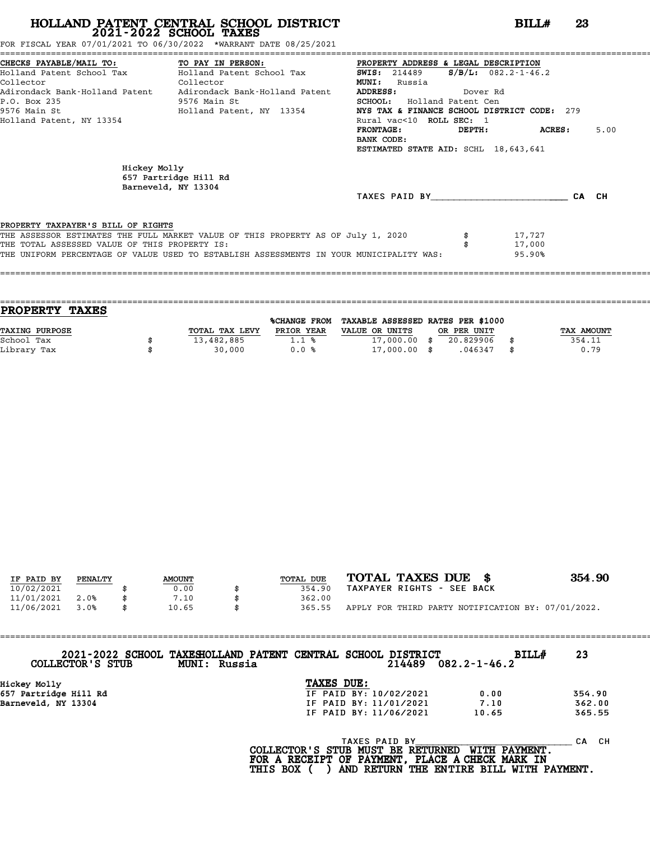FOR FISCAL YEAR 07/01/2021 TO 06/30/2022 \*WARRANT DATE 08/25/2021

|                                               | CHECKS PAYABLE/MAIL TO: TO PAY IN PERSON:                                               | PROPERTY ADDRESS & LEGAL DESCRIPTION        |          |                        |       |
|-----------------------------------------------|-----------------------------------------------------------------------------------------|---------------------------------------------|----------|------------------------|-------|
|                                               | Holland Patent School Tax           Holland Patent School Tax                           | <b>SWIS:</b> 214489                         |          | $S/B/L$ : 082.2-1-46.2 |       |
| Collector<br><b>Collector</b>                 |                                                                                         | <b>MUNI:</b><br>Russia                      |          |                        |       |
|                                               | Adirondack Bank-Holland Patent Adirondack Bank-Holland Patent                           | <b>ADDRESS:</b>                             | Dover Rd |                        |       |
| P.O. Box 235                                  | 9576 Main St                                                                            | SCHOOL: Holland Patent Cen                  |          |                        |       |
| 9576 Main St                                  | Holland Patent, NY 13354                                                                | NYS TAX & FINANCE SCHOOL DISTRICT CODE: 279 |          |                        |       |
| Holland Patent, NY 13354                      |                                                                                         | Rural vac<10 ROLL SEC: 1                    |          |                        |       |
|                                               |                                                                                         | <b>FRONTAGE:</b>                            |          | DEPTH: ACRES:          | 5.00  |
|                                               |                                                                                         | BANK CODE:                                  |          |                        |       |
|                                               |                                                                                         | ESTIMATED STATE AID: SCHL 18,643,641        |          |                        |       |
| Hickey Molly                                  | 657 Partridge Hill Rd<br>Barneveld, NY 13304                                            | TAXES PAID BY                               |          |                        | CA CH |
| PROPERTY TAXPAYER'S BILL OF RIGHTS            |                                                                                         |                                             |          |                        |       |
|                                               | THE ASSESSOR ESTIMATES THE FULL MARKET VALUE OF THIS PROPERTY AS OF July 1, 2020        |                                             |          | 17,727                 |       |
| THE TOTAL ASSESSED VALUE OF THIS PROPERTY IS: |                                                                                         |                                             |          | 17,000                 |       |
|                                               | THE UNIFORM PERCENTAGE OF VALUE USED TO ESTABLISH ASSESSMENTS IN YOUR MUNICIPALITY WAS: |                                             |          | 95.90%                 |       |
|                                               |                                                                                         |                                             |          |                        |       |
|                                               |                                                                                         |                                             |          |                        |       |

| <b>TAXES</b><br><b>PROPERTY</b> |                |                     |                                   |             |            |
|---------------------------------|----------------|---------------------|-----------------------------------|-------------|------------|
|                                 |                | <b>%CHANGE FROM</b> | TAXABLE ASSESSED RATES PER \$1000 |             |            |
| TAXING PURPOSE                  | TOTAL TAX LEVY | PRIOR YEAR          | VALUE OR UNITS                    | OR PER UNIT | TAX AMOUNT |
| School Tax                      | 13,482,885     | 1.1%                | $17,000.00$ \$                    | 20.829906   | 354.11     |
| Library Tax                     | 30,000         | 0.0%                | $17,000.00$ \$                    | .046347     | \$<br>0.79 |
|                                 |                |                     |                                   |             |            |

| IF PAID BY | PENALTY | <b>AMOUNT</b> | TOTAL DUE | TOTAL TAXES DUE \$                                 | 354.90 |
|------------|---------|---------------|-----------|----------------------------------------------------|--------|
| 10/02/2021 |         | 0.00          | 354.90    | TAXPAYER RIGHTS - SEE BACK                         |        |
| 11/01/2021 | 2.0%    | 7.10          | 362.00    |                                                    |        |
| 11/06/2021 | 3.0%    | \$<br>10.65   | 365.55    | APPLY FOR THIRD PARTY NOTIFICATION BY: 07/01/2022. |        |
|            |         |               |           |                                                    |        |

| COLLECTOR'S STUB      | 2021-2022 SCHOOL TAXESHOLLAND PATENT CENTRAL SCHOOL DISTRICT<br>MUNI: Russia |                        | $214489$ $082.2 - 1 - 46.2$ | <b>BILL#</b> | 23     |
|-----------------------|------------------------------------------------------------------------------|------------------------|-----------------------------|--------------|--------|
| Hickey Molly          |                                                                              | TAXES DUE:             |                             |              |        |
| 657 Partridge Hill Rd |                                                                              | IF PAID BY: 10/02/2021 | 0.00                        |              | 354.90 |
| Barneveld, NY 13304   |                                                                              | IF PAID BY: 11/01/2021 | 7.10                        |              | 362.00 |
|                       |                                                                              | IF PAID BY: 11/06/2021 | 10.65                       |              | 365.55 |
|                       |                                                                              |                        |                             |              |        |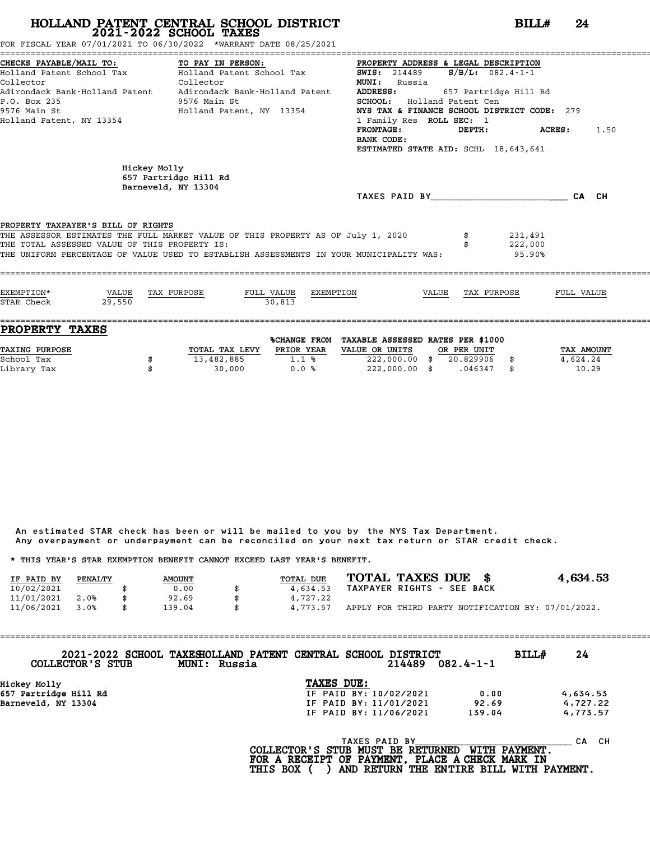FOR FISCAL YEAR 07/01/2021 TO 06/30/2022 \*WARRANT DATE 08/25/2021

| CHECKS PAYABLE/MAIL TO:<br>Collector<br>P.O. Box 235<br>9576 Main St<br>Holland Patent, NY 13354 | TO PAY IN PERSON:<br>Holland Patent School Tax           Holland Patent School Tax<br>Collector<br>Adirondack Bank-Holland Patent Adirondack Bank-Holland Patent<br>9576 Main St<br>Holland Patent, NY 13354 | PROPERTY ADDRESS & LEGAL DESCRIPTION<br><b>SWIS:</b> 214489<br><b>MUNI:</b><br>Russia<br>ADDRESS:<br>SCHOOL: Holland Patent Cen<br>NYS TAX & FINANCE SCHOOL DISTRICT CODE: 279<br>1 Family Res ROLL SEC: 1<br>FRONTAGE:<br>BANK CODE:<br>ESTIMATED STATE AID: SCHL 18,643,641 | $S/B/L$ : 082.4-1-1<br>657 Partridge Hill Rd | DEPTH: ACRES:                | 1.50       |
|--------------------------------------------------------------------------------------------------|--------------------------------------------------------------------------------------------------------------------------------------------------------------------------------------------------------------|-------------------------------------------------------------------------------------------------------------------------------------------------------------------------------------------------------------------------------------------------------------------------------|----------------------------------------------|------------------------------|------------|
| Hickey Molly                                                                                     | 657 Partridge Hill Rd<br>Barneveld, NY 13304                                                                                                                                                                 | TAXES PAID BY TAXES PAID BY                                                                                                                                                                                                                                                   |                                              |                              | CA CH      |
| PROPERTY TAXPAYER'S BILL OF RIGHTS<br>THE TOTAL ASSESSED VALUE OF THIS PROPERTY IS:              | THE ASSESSOR ESTIMATES THE FULL MARKET VALUE OF THIS PROPERTY AS OF July 1, 2020<br>THE UNIFORM PERCENTAGE OF VALUE USED TO ESTABLISH ASSESSMENTS IN YOUR MUNICIPALITY WAS:                                  |                                                                                                                                                                                                                                                                               |                                              | 231,491<br>222,000<br>95.90% |            |
|                                                                                                  | FULL VALUE EXEMPTION<br>VALUE TAX PURPOSE                                                                                                                                                                    | VALUE TAX PURPOSE                                                                                                                                                                                                                                                             |                                              |                              | FULL VALUE |

| <b>PROPERTY TAXES</b> |                |              |                                   |             |            |
|-----------------------|----------------|--------------|-----------------------------------|-------------|------------|
|                       |                | %CHANGE FROM | TAXABLE ASSESSED RATES PER \$1000 |             |            |
| TAXING PURPOSE        | TOTAL TAX LEVY | PRIOR YEAR   | VALUE OR UNITS                    | OR PER UNIT | TAX AMOUNT |
| School Tax            | 13,482,885     | 1.1%         | 222,000.00                        | 20.829906   | 4,624.24   |
| Library Tax           | 30,000         | 0.0%         | 222,000.00                        | .046347     | 10.29      |

An estimated STAR check has been or will be mailed to you by the NYS Tax Department. An estimated STAR check has been or will be mailed to you by the NYS Tax Department.<br>Any overpayment or underpayment can be reconciled on your next tax return or STAR credit check. Any overpayment or underpayment can be reconciled on your next tax return or STAR credit check.

|                                                                         |         |     |               |     |           |                            |  | ANY OVERPOVINCING OF MINGEROVINCING CONFUCTING THE VIOLET ON THE MOVING CONFUCTING OF STARF CHECKS. |                                                    |
|-------------------------------------------------------------------------|---------|-----|---------------|-----|-----------|----------------------------|--|-----------------------------------------------------------------------------------------------------|----------------------------------------------------|
| * THIS YEAR'S STAR EXEMPTION BENEFIT CANNOT EXCEED LAST YEAR'S BENEFIT. |         |     |               |     |           |                            |  |                                                                                                     |                                                    |
| IF PAID BY                                                              | PENALTY |     | <b>AMOUNT</b> |     | TOTAL DUE | TOTAL TAXES DUE \$         |  |                                                                                                     | 4.634.53                                           |
| 10/02/2021                                                              |         |     | 0.00          |     | 4,634.53  | TAXPAYER RIGHTS - SEE BACK |  |                                                                                                     |                                                    |
| 11/01/2021                                                              | 2.0%    |     | 92.69         | \$. | 4,727.22  |                            |  |                                                                                                     |                                                    |
| 11/06/2021                                                              | 3.0%    | \$. | 139.04        | \$  | 4.773.57  |                            |  |                                                                                                     | APPLY FOR THIRD PARTY NOTIFICATION BY: 07/01/2022. |

==================================================================================================================================== **2021-2022 SCHOOL TAXESHOLLAND PATENT CENTRAL SCHOOL DISTRICT BILL# <sup>24</sup> COLLECTOR'S STUB MUNI: Russia <sup>214489</sup> 082.4-1-1** 2021-2022 SCHOOL TAXESHOLLAND PATENT CENTRAL SCHOOL<br>COLLECTOR'S STUB MUNI: Russia<br>Hickey Molly **TAXES DUE:**<br>657 Partridge Hill Rd **IF PAID BY:** 10/ COLLECTOR'S STOB MONI: RUSSIA 214489 082.4-1-1<br>
Hickey Molly **IF PAID BY:** 10/02/2021 0.00 4,634.53<br>
Berneveld NY 13304 15 PAID BY: 10/02/2021 0.00 4,634.53<br>
IF PAID BY: 11/01/2021 92.69 4.727.22 Hickey Molly<br>
Barneveld, NY 13304<br>
Barneveld, NY 13304<br>
Barneveld, NY 13304<br>
IF PAID BY: 11/06/2021 139.04 4,773.57<br>
IF PAID BY: 11/06/2021 139.04 4,773.57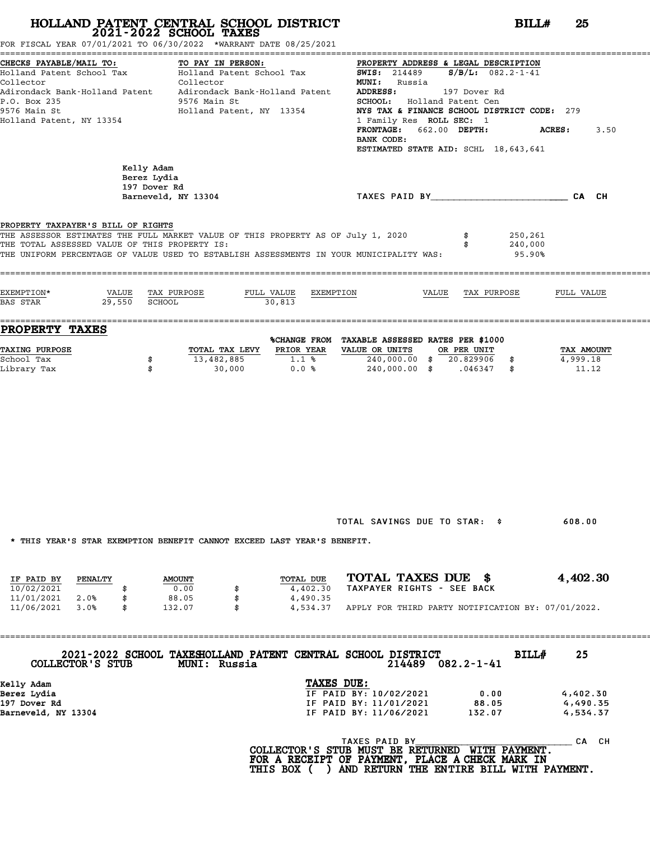FOR FISCAL YEAR 07/01/2021 TO 06/30/2022 \*WARRANT DATE 08/25/2021

| CHECKS PAYABLE/MAIL TO:<br>Holland Patent School Tax                                                    | TO PAY IN FERNALL.<br>Holland Patent School Tax                                                                                                                             | PROPERTY ADDRESS & LEGAL DESCRIPTION<br><b>SWIS:</b> 214489<br>$S/B/L$ : 082.2-1-41                                                                                                                                                              |                       |  |  |  |  |  |
|---------------------------------------------------------------------------------------------------------|-----------------------------------------------------------------------------------------------------------------------------------------------------------------------------|--------------------------------------------------------------------------------------------------------------------------------------------------------------------------------------------------------------------------------------------------|-----------------------|--|--|--|--|--|
| Collector<br>Adirondack Bank-Holland Patent<br>P.O. Box 235<br>9576 Main St<br>Holland Patent, NY 13354 | Collector<br>Adirondack Bank-Holland Patent<br>9576 Main St<br>Holland Patent, NY 13354                                                                                     | <b>MUNI:</b> Russia<br>ADDRESS:<br>197 Dover Rd<br>SCHOOL: Holland Patent Cen<br>NYS TAX & FINANCE SCHOOL DISTRICT CODE: 279<br>1 Family Res <b>ROLL SEC:</b> 1<br>FRONTAGE: 662.00 DEPTH:<br>BANK CODE:<br>ESTIMATED STATE AID: SCHL 18,643,641 | <b>ACRES:</b><br>3.50 |  |  |  |  |  |
|                                                                                                         | Kelly Adam<br>Berez Lydia<br>197 Dover Rd<br>Barneveld, NY 13304                                                                                                            | TAXES PAID BY TAND AND TAXES PAID BY                                                                                                                                                                                                             | CA CH                 |  |  |  |  |  |
| PROPERTY TAXPAYER'S BILL OF RIGHTS<br>THE TOTAL ASSESSED VALUE OF THIS PROPERTY IS:                     | THE ASSESSOR ESTIMATES THE FULL MARKET VALUE OF THIS PROPERTY AS OF July 1, 2020<br>THE UNIFORM PERCENTAGE OF VALUE USED TO ESTABLISH ASSESSMENTS IN YOUR MUNICIPALITY WAS: | 250,261<br>\$<br>240,000<br>\$<br>95.90%                                                                                                                                                                                                         |                       |  |  |  |  |  |
| EXEMPTION*<br>29,550 SCHOOL<br>BAS STAR                                                                 | VALUE TAX PURPOSE<br>FULL VALUE<br>EXEMPTION<br>30,813                                                                                                                      | VALUE<br>TAX PURPOSE                                                                                                                                                                                                                             | FULL VALUE            |  |  |  |  |  |
| <b>PROPERTY TAXES</b><br><b>TAXING PURPOSE</b>                                                          | PRIOR YEAR<br>TOTAL TAX LEVY                                                                                                                                                | %CHANGE FROM TAXABLE ASSESSED RATES PER \$1000<br>VALUE OR UNITS<br>OR PER UNIT                                                                                                                                                                  | TAX AMOUNT            |  |  |  |  |  |
| School Tax<br>Library Tax                                                                               | 13,482,885<br>1.1%<br>\$<br>\$<br>30,000                                                                                                                                    | 240,000.00 \$ 20.829906 \$<br>$0.0%$ 240,000.00 \$ .046347 \$                                                                                                                                                                                    | 4,999.18<br>11.12     |  |  |  |  |  |
|                                                                                                         |                                                                                                                                                                             |                                                                                                                                                                                                                                                  |                       |  |  |  |  |  |
|                                                                                                         |                                                                                                                                                                             |                                                                                                                                                                                                                                                  |                       |  |  |  |  |  |
|                                                                                                         |                                                                                                                                                                             |                                                                                                                                                                                                                                                  |                       |  |  |  |  |  |
|                                                                                                         |                                                                                                                                                                             |                                                                                                                                                                                                                                                  |                       |  |  |  |  |  |
|                                                                                                         |                                                                                                                                                                             | TOTAL SAVINGS DUE TO STAR: \$                                                                                                                                                                                                                    | 608.00                |  |  |  |  |  |

\* THIS YEAR'S STAR EXEMPTION BENEFIT CANNOT EXCEED LAST YEAR'S BENEFIT.

|            |         |               |  | INIO IBAN'O OIAN BABMFIIUN DBNBFII CANNUI BACBBD BAOI IBAN'O DBNBFII. |                                                    |  |
|------------|---------|---------------|--|-----------------------------------------------------------------------|----------------------------------------------------|--|
| IF PAID BY | PENALTY | <b>AMOUNT</b> |  | TOTAL DUE                                                             | TOTAL TAXES DUE \$<br>4,402.30                     |  |
| 10/02/2021 |         | 0.00          |  | 4,402.30                                                              | TAXPAYER RIGHTS - SEE BACK                         |  |
| 11/01/2021 | 2.0%    | 88.05         |  | 4,490.35                                                              |                                                    |  |
| 11/06/2021 | 3.0%    | 132.07        |  | 4,534.37                                                              | APPLY FOR THIRD PARTY NOTIFICATION BY: 07/01/2022. |  |

| 2021-2022 SCHOOL TAXESHOLLAND PATENT CENTRAL SCHOOL DISTRICT<br>COLLECTOR'S STUB<br>MUNI: Russia | 214489                 | 082.2-1-41 | <b>BILL#</b><br>25 |
|--------------------------------------------------------------------------------------------------|------------------------|------------|--------------------|
| Kelly Adam                                                                                       | TAXES DUE:             |            |                    |
| Berez Lydia                                                                                      | IF PAID BY: 10/02/2021 | 0.00       | 4,402.30           |
| 197 Dover Rd                                                                                     | IF PAID BY: 11/01/2021 | 88.05      | 4,490.35           |
| Barneveld, NY 13304                                                                              | IF PAID BY: 11/06/2021 | 132.07     | 4,534.37           |
|                                                                                                  |                        |            |                    |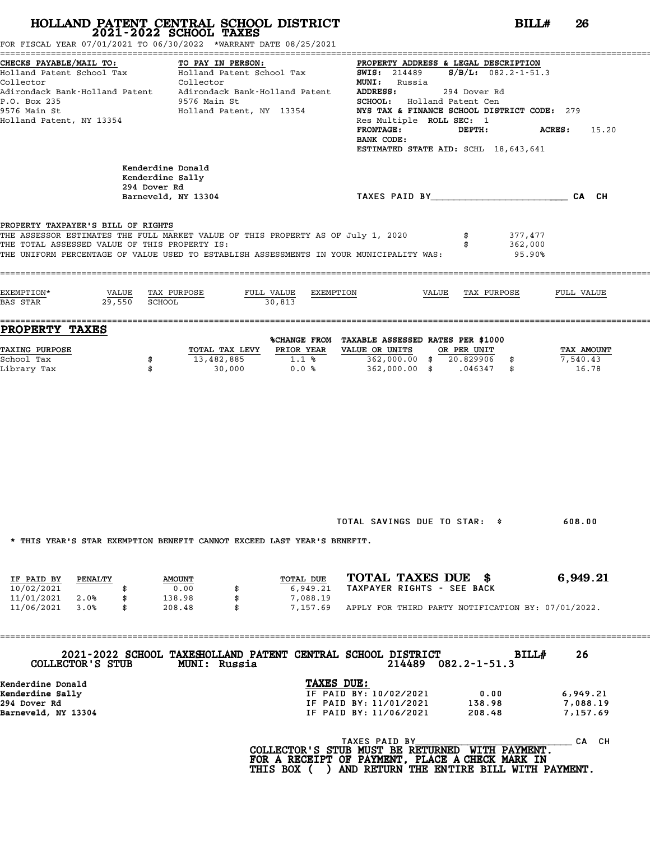FOR FISCAL YEAR 07/01/2021 TO 06/30/2022 \*WARRANT DATE 08/25/2021

| CHECKS PAYABLE/MAIL TO:<br>Holland Patent School Tax                                                                                                                                                                                                               | TO PAY IN PERSON:<br>Holland Patent School Tax                                          |                                                          | PROPERTY ADDRESS & LEGAL DESCRIPTION<br><b>SWIS:</b> 214489 <b>S/B/L:</b> 082.2-1-51.3                                                                                                                                                    |                                      |                                  |
|--------------------------------------------------------------------------------------------------------------------------------------------------------------------------------------------------------------------------------------------------------------------|-----------------------------------------------------------------------------------------|----------------------------------------------------------|-------------------------------------------------------------------------------------------------------------------------------------------------------------------------------------------------------------------------------------------|--------------------------------------|----------------------------------|
| Collector<br>Adirondack Bank-Holland Patent<br>P.O. Box 235<br>9576 Main St<br>Holland Patent, NY 13354                                                                                                                                                            | Collector<br>Adirondack Bank-Holland Patent<br>9576 Main St<br>Holland Patent, NY 13354 |                                                          | <b>MUNI:</b> Russia<br>ADDRESS:<br>294 Dover Rd<br>SCHOOL: Holland Patent Cen<br>NYS TAX & FINANCE SCHOOL DISTRICT CODE: 279<br>Res Multiple ROLL SEC: 1<br><b>FRONTAGE:</b><br>BANK CODE:<br><b>ESTIMATED STATE AID:</b> SCHL 18,643,641 | <b>ACRES:</b><br>15.20               |                                  |
|                                                                                                                                                                                                                                                                    | Kenderdine Donald<br>Kenderdine Sally<br>294 Dover Rd<br>Barneveld, NY 13304            |                                                          | TAXES PAID BY CA CH                                                                                                                                                                                                                       |                                      |                                  |
| PROPERTY TAXPAYER'S BILL OF RIGHTS<br>THE ASSESSOR ESTIMATES THE FULL MARKET VALUE OF THIS PROPERTY AS OF July 1, 2020<br>THE TOTAL ASSESSED VALUE OF THIS PROPERTY IS:<br>THE UNIFORM PERCENTAGE OF VALUE USED TO ESTABLISH ASSESSMENTS IN YOUR MUNICIPALITY WAS: |                                                                                         |                                                          |                                                                                                                                                                                                                                           | 377,477<br>362,000<br>95.90%         |                                  |
| EXEMPTION*<br>BAS STAR                                                                                                                                                                                                                                             | VALUE TAX PURPOSE<br>29,550 SCHOOL                                                      | FULL VALUE<br>EXEMPTION<br>30,813                        | VALUE                                                                                                                                                                                                                                     | TAX PURPOSE                          | FULL VALUE                       |
| PROPERTY TAXES<br><b>TAXING PURPOSE</b><br>School Tax<br>Library Tax                                                                                                                                                                                               | 13,482,885<br>\$<br>\$<br>30,000                                                        | TOTAL TAX LEVY PRIOR YEAR VALUE OR UNITS<br>1.1%<br>0.0% | %CHANGE FROM TAXABLE ASSESSED RATES PER \$1000<br>362,000.00 \$ 20.829906 \$<br>362,000.00 \$ .046347 \$                                                                                                                                  | OR PER UNIT                          | TAX AMOUNT<br>7,540.43<br>16.78  |
|                                                                                                                                                                                                                                                                    |                                                                                         |                                                          |                                                                                                                                                                                                                                           |                                      |                                  |
| * THIS YEAR'S STAR EXEMPTION BENEFIT CANNOT EXCEED LAST YEAR'S BENEFIT.                                                                                                                                                                                            |                                                                                         |                                                          | TOTAL SAVINGS DUE TO STAR: \$                                                                                                                                                                                                             |                                      | 608.00                           |
| IF PAID BY<br><b>PENALTY</b><br>10/02/2021<br>\$<br>11/01/2021<br>\$<br>2.0%<br>11/06/2021<br>3.0%<br>\$                                                                                                                                                           | <b>AMOUNT</b><br>0.00<br>138.98<br>208.48                                               | TOTAL DUE<br>6,949.21<br>7,088.19<br>7,157.69            | TOTAL TAXES DUE \$<br>TAXPAYER RIGHTS - SEE BACK<br>APPLY FOR THIRD PARTY NOTIFICATION BY: 07/01/2022.                                                                                                                                    |                                      | 6,949.21                         |
| COLLECTOR'S STUB                                                                                                                                                                                                                                                   | 2021-2022 SCHOOL TAXESHOLLAND PATENT CENTRAL SCHOOL DISTRICT<br>MUNI: Russia            |                                                          |                                                                                                                                                                                                                                           | BILL#<br>$214489$ $082.2 - 1 - 51.3$ | 26                               |
| Kenderdine Donald<br>Kenderdine Sally<br>294 Dover Rd<br>Barneveld, NY 13304                                                                                                                                                                                       |                                                                                         | TAXES DUE:                                               | IF PAID BY: 10/02/2021<br>IF PAID BY: 11/01/2021<br>IF PAID BY: 11/06/2021                                                                                                                                                                | 0.00<br>138.98<br>208.48             | 6,949.21<br>7,088.19<br>7,157.69 |
|                                                                                                                                                                                                                                                                    |                                                                                         |                                                          | TAXES PAID BY<br>COLLECTION C CTILE MILET BE DETINDATED LITTEL DAVMENT                                                                                                                                                                    |                                      | CA CH                            |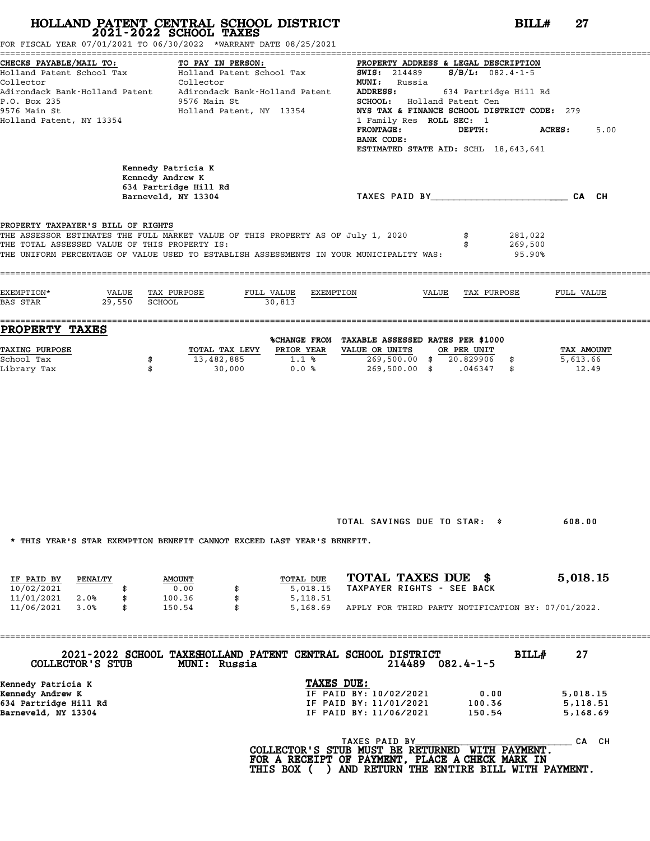|                                                                                                                               | HOLLAND PATENT CENTRAL SCHOOL DISTRICT<br>2021-2022 SCHOOL TAXES<br>FOR FISCAL YEAR 07/01/2021 TO 06/30/2022 *WARRANT DATE 08/25/2021                                        | BILLH                                                                                                                                                                                                                                                                                                                                                          | 27                              |
|-------------------------------------------------------------------------------------------------------------------------------|------------------------------------------------------------------------------------------------------------------------------------------------------------------------------|----------------------------------------------------------------------------------------------------------------------------------------------------------------------------------------------------------------------------------------------------------------------------------------------------------------------------------------------------------------|---------------------------------|
| CHECKS PAYABLE/MAIL TO:<br>Holland Patent School Tax<br>Collector<br>P.O. Box 235<br>9576 Main St<br>Holland Patent, NY 13354 | TO PAY IN PERSON:<br>Holland Patent School Tax<br>Collector<br>Adirondack Bank-Holland Patent     Adirondack Bank-Holland Patent<br>9576 Main St<br>Holland Patent, NY 13354 | PROPERTY ADDRESS & LEGAL DESCRIPTION<br><b>SWIS:</b> 214489 <b>S/B/L:</b> 082.4-1-5<br><b>MUNI:</b> Russia<br>ADDRESS:<br>634 Partridge Hill Rd<br>SCHOOL: Holland Patent Cen<br>NYS TAX & FINANCE SCHOOL DISTRICT CODE: 279<br>1 Family Res ROLL SEC: 1<br><b>FRONTAGE:</b><br>DEPTH:<br><b>ACRES :</b><br>BANK CODE:<br>ESTIMATED STATE AID: SCHL 18,643,641 | 5.00                            |
|                                                                                                                               | Kennedy Patricia K<br>Kennedy Andrew K<br>634 Partridge Hill Rd<br>Barneveld, NY 13304                                                                                       | TAXES PAID BY CAN CHE CAN CH                                                                                                                                                                                                                                                                                                                                   |                                 |
| PROPERTY TAXPAYER'S BILL OF RIGHTS<br>THE TOTAL ASSESSED VALUE OF THIS PROPERTY IS:                                           | THE ASSESSOR ESTIMATES THE FULL MARKET VALUE OF THIS PROPERTY AS OF July 1, 2020<br>THE UNIFORM PERCENTAGE OF VALUE USED TO ESTABLISH ASSESSMENTS IN YOUR MUNICIPALITY WAS:  | \$<br>281,022<br>269,500<br>95.90%                                                                                                                                                                                                                                                                                                                             |                                 |
| EXEMPTION*<br>VALUE TAX PURPOSE<br>29,550 SCHOOL<br><b>BAS STAR</b>                                                           | FULL VALUE<br>EXEMPTION<br>30,813                                                                                                                                            | VALUE TAX PURPOSE                                                                                                                                                                                                                                                                                                                                              | FULL VALUE                      |
| <b>PROPERTY TAXES</b>                                                                                                         |                                                                                                                                                                              |                                                                                                                                                                                                                                                                                                                                                                |                                 |
| <b>TAXING PURPOSE</b><br>School Tax<br>\$<br>Library Tax<br>\$                                                                | PRIOR YEAR<br>TOTAL TAX LEVY<br>13,482,885<br>1.1%<br>0.0%<br>30,000                                                                                                         | %CHANGE FROM TAXABLE ASSESSED RATES PER \$1000<br>VALUE OR UNITS<br>OR PER UNIT<br>269,500.00 \$ 20.829906 \$<br>269,500.00 \$ .046347 \$                                                                                                                                                                                                                      | TAX AMOUNT<br>5,613.66<br>12.49 |
|                                                                                                                               | * THIS YEAR'S STAR EXEMPTION BENEFIT CANNOT EXCEED LAST YEAR'S BENEFIT.                                                                                                      | TOTAL SAVINGS DUE TO STAR: \$                                                                                                                                                                                                                                                                                                                                  | 608.00                          |
| IF PAID BY<br>PENALTY                                                                                                         | TOTAL DUE<br><b>AMOUNT</b><br>5,018.15<br>0.00<br>100.36<br>5,118.51<br>\$                                                                                                   | TOTAL TAXES DUE \$<br>TAXPAYER RIGHTS - SEE BACK                                                                                                                                                                                                                                                                                                               | 5,018.15                        |
| 10/02/2021<br>11/01/2021<br>2.0%<br>\$                                                                                        |                                                                                                                                                                              | APPLY FOR THIRD PARTY NOTIFICATION BY: 07/01/2022.                                                                                                                                                                                                                                                                                                             |                                 |
| 11/06/2021<br>3.0%<br>\$                                                                                                      | 150.54<br>5,168.69                                                                                                                                                           |                                                                                                                                                                                                                                                                                                                                                                |                                 |
| COLLECTOR'S STUB                                                                                                              | 2021-2022 SCHOOL TAXESHOLLAND PATENT CENTRAL SCHOOL DISTRICT<br>MUNI: Russia                                                                                                 | BILL#<br>$214489$ 082.4-1-5                                                                                                                                                                                                                                                                                                                                    | 27                              |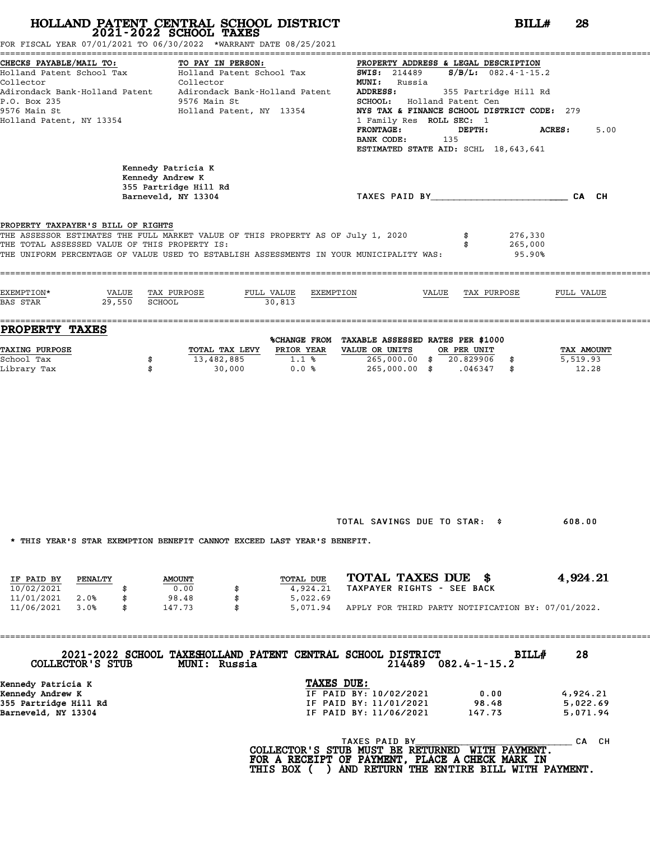| CHECKS PAYABLE/MAIL TO:<br>Holland Patent School Tax<br>Collector<br>Adirondack Bank-Holland Patent<br>P.O. Box 235<br>9576 Main St<br>Holland Patent, NY 13354                                                                                                    | TO PAY IN PERSON:<br>Holland Patent School Tax<br>Collector<br>Adirondack Bank-Holland Patent<br>9576 Main St<br>Holland Patent, NY 13354 | <b>SWIS: 214489</b><br><b>MUNI:</b> Russia<br>ADDRESS:<br><b>FRONTAGE:</b><br>BANK CODE: | PROPERTY ADDRESS & LEGAL DESCRIPTION<br>$S/B/L$ : 082.4-1-15.2<br>355 Partridge Hill Rd<br>SCHOOL: Holland Patent Cen<br>NYS TAX & FINANCE SCHOOL DISTRICT CODE: 279<br>1 Family Res ROLL SEC: 1<br>DEPTH:<br>135 | 5.00<br><b>ACRES:</b>            |
|--------------------------------------------------------------------------------------------------------------------------------------------------------------------------------------------------------------------------------------------------------------------|-------------------------------------------------------------------------------------------------------------------------------------------|------------------------------------------------------------------------------------------|-------------------------------------------------------------------------------------------------------------------------------------------------------------------------------------------------------------------|----------------------------------|
|                                                                                                                                                                                                                                                                    | Kennedy Patricia K<br>Kennedy Andrew K<br>355 Partridge Hill Rd<br>Barneveld, NY 13304                                                    |                                                                                          | ESTIMATED STATE AID: SCHL 18,643,641<br>TAXES PAID BY CAN CH                                                                                                                                                      |                                  |
| PROPERTY TAXPAYER'S BILL OF RIGHTS<br>THE ASSESSOR ESTIMATES THE FULL MARKET VALUE OF THIS PROPERTY AS OF July 1, 2020<br>THE TOTAL ASSESSED VALUE OF THIS PROPERTY IS:<br>THE UNIFORM PERCENTAGE OF VALUE USED TO ESTABLISH ASSESSMENTS IN YOUR MUNICIPALITY WAS: |                                                                                                                                           |                                                                                          |                                                                                                                                                                                                                   | 276,330<br>265,000<br>95.90%     |
| EXEMPTION*<br>VALUE<br>29,550<br>BAS STAR                                                                                                                                                                                                                          | TAX PURPOSE<br>FULL VALUE<br>SCHOOL<br>30,813                                                                                             | EXEMPTION                                                                                | VALUE<br>TAX PURPOSE                                                                                                                                                                                              | FULL VALUE                       |
| <b>PROPERTY TAXES</b>                                                                                                                                                                                                                                              |                                                                                                                                           | %CHANGE FROM TAXABLE ASSESSED RATES PER \$1000                                           |                                                                                                                                                                                                                   |                                  |
| <b>TAXING PURPOSE</b>                                                                                                                                                                                                                                              | TOTAL TAX LEVY                                                                                                                            | PRIOR YEAR<br>VALUE OR UNITS                                                             | OR PER UNIT                                                                                                                                                                                                       | TAX AMOUNT                       |
| School Tax<br>Library Tax                                                                                                                                                                                                                                          | 13,482,885<br>\$<br>30,000<br>\$                                                                                                          | $1.1$ %<br>0.0%                                                                          | 265,000.00 \$ 20.829906 \$<br>265,000.00 \$ .046347 \$                                                                                                                                                            | 5,519.93<br>12.28                |
|                                                                                                                                                                                                                                                                    |                                                                                                                                           |                                                                                          | TOTAL SAVINGS DUE TO STAR: \$                                                                                                                                                                                     | 608.00                           |
|                                                                                                                                                                                                                                                                    | * THIS YEAR'S STAR EXEMPTION BENEFIT CANNOT EXCEED LAST YEAR'S BENEFIT.                                                                   |                                                                                          |                                                                                                                                                                                                                   |                                  |
| IF PAID BY<br>PENALTY<br>10/02/2021<br>11/01/2021<br>2.0%<br>\$                                                                                                                                                                                                    | <b>AMOUNT</b><br>0.00<br>98.48<br>\$                                                                                                      | TOTAL DUE<br>4,924.21<br>5,022.69                                                        | TOTAL TAXES DUE \$<br>TAXPAYER RIGHTS - SEE BACK                                                                                                                                                                  | 4,924.21                         |
| 11/06/2021<br>3.0%<br>\$                                                                                                                                                                                                                                           | 147.73                                                                                                                                    | 5,071.94                                                                                 | APPLY FOR THIRD PARTY NOTIFICATION BY: 07/01/2022.                                                                                                                                                                |                                  |
| COLLECTOR'S STUB                                                                                                                                                                                                                                                   | 2021-2022 SCHOOL TAXESHOLLAND PATENT CENTRAL SCHOOL DISTRICT<br>MUNI: Russia                                                              |                                                                                          | $214489$ $082.4 - 1 - 15.2$                                                                                                                                                                                       | 28<br>BILL#                      |
|                                                                                                                                                                                                                                                                    |                                                                                                                                           | TAXES DUE:                                                                               |                                                                                                                                                                                                                   |                                  |
| Kennedy Patricia K<br>Kennedy Andrew K                                                                                                                                                                                                                             |                                                                                                                                           | IF PAID BY: 10/02/2021                                                                   | 0.00                                                                                                                                                                                                              |                                  |
| 355 Partridge Hill Rd<br>Barneveld, NY 13304                                                                                                                                                                                                                       |                                                                                                                                           | IF PAID BY: 11/01/2021<br>IF PAID BY: 11/06/2021                                         | 98.48<br>147.73                                                                                                                                                                                                   | 4,924.21<br>5,022.69<br>5,071.94 |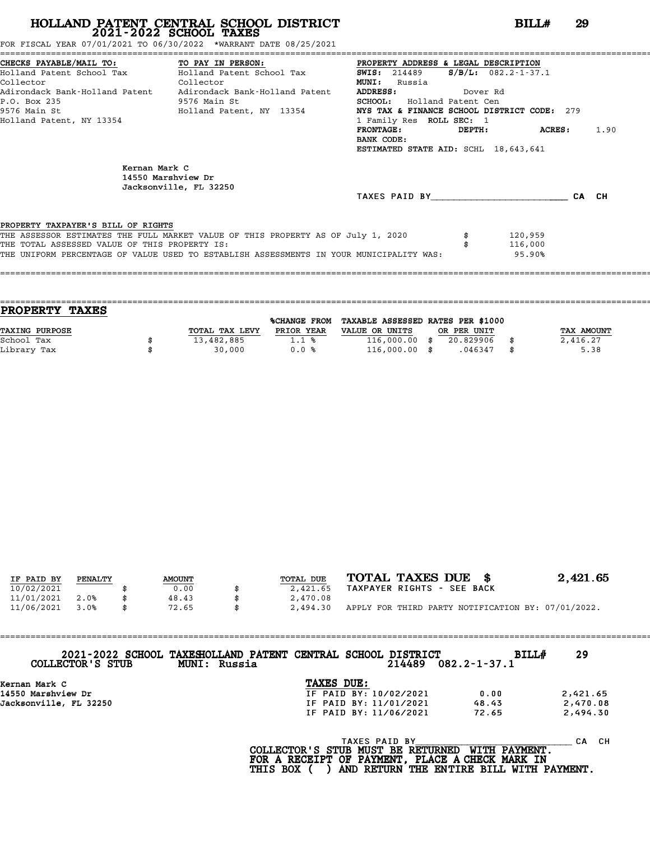FOR FISCAL YEAR 07/01/2021 TO 06/30/2022 \*WARRANT DATE 08/25/2021

|                                               | CHECKS PAYABLE/MAIL TO: TO PAY IN PERSON: PROPERTY ADDRESS & LEGAL DESCRIPTION          |                                             |                           |       |      |
|-----------------------------------------------|-----------------------------------------------------------------------------------------|---------------------------------------------|---------------------------|-------|------|
|                                               | Holland Patent School Tax Molland Patent School Tax                                     | <b>SWIS:</b> 214489                         | $S/B/L: 082.2 - 1 - 37.1$ |       |      |
| Collector<br><b>Collector</b>                 |                                                                                         | <b>MUNI:</b><br>Russia                      |                           |       |      |
|                                               | Adirondack Bank-Holland Patent     Adirondack Bank-Holland Patent                       | <b>ADDRESS:</b><br>Dover Rd                 |                           |       |      |
| P.O. Box 235                                  | 9576 Main St                                                                            | <b>SCHOOL:</b> Holland Patent Cen           |                           |       |      |
|                                               | 9576 Main St                           Holland Patent, NY 13354                         | NYS TAX & FINANCE SCHOOL DISTRICT CODE: 279 |                           |       |      |
| Holland Patent, NY 13354                      |                                                                                         | 1 Family Res ROLL SEC: 1                    |                           |       |      |
|                                               |                                                                                         | FRONTAGE: DEPTH: ACRES:                     |                           |       | 1.90 |
|                                               |                                                                                         | BANK CODE:                                  |                           |       |      |
|                                               |                                                                                         | ESTIMATED STATE AID: SCHL 18,643,641        |                           |       |      |
| Kernan Mark C                                 | 14550 Marshview Dr<br>Jacksonville, FL 32250                                            |                                             |                           |       |      |
|                                               |                                                                                         | TAXES PAID BY                               |                           | CA CH |      |
|                                               |                                                                                         |                                             |                           |       |      |
| PROPERTY TAXPAYER'S BILL OF RIGHTS            | THE ASSESSOR ESTIMATES THE FULL MARKET VALUE OF THIS PROPERTY AS OF July 1, 2020        |                                             | 120,959                   |       |      |
| THE TOTAL ASSESSED VALUE OF THIS PROPERTY IS: |                                                                                         |                                             | 116,000                   |       |      |
|                                               | THE UNIFORM PERCENTAGE OF VALUE USED TO ESTABLISH ASSESSMENTS IN YOUR MUNICIPALITY WAS: |                                             | 95.90%                    |       |      |
|                                               |                                                                                         |                                             |                           |       |      |
|                                               |                                                                                         |                                             |                           |       |      |

| <b>TAXES</b><br><b>PROPERTY</b> |                |                     |                                   |             |            |
|---------------------------------|----------------|---------------------|-----------------------------------|-------------|------------|
|                                 |                | <b>%CHANGE FROM</b> | TAXABLE ASSESSED RATES PER \$1000 |             |            |
| TAXING PURPOSE                  | TOTAL TAX LEVY | PRIOR YEAR          | VALUE OR UNITS                    | OR PER UNIT | TAX AMOUNT |
| School Tax                      | 13,482,885     | 1.1%                | $116,000.00$ \$                   | 20.829906   | 2,416.27   |
| Library Tax                     | 30,000         | 0.0%                | $116,000.00$ \$                   | .046347     | \$<br>5.38 |
|                                 |                |                     |                                   |             |            |

| IF PAID BY | PENALTY | <b>AMOUNT</b> | <b>TOTAL DUE</b> | TOTAL TAXES DUE \$                                 | 2,421.65 |
|------------|---------|---------------|------------------|----------------------------------------------------|----------|
| 10/02/2021 |         | 0.00          | 2,421.65         | TAXPAYER RIGHTS - SEE BACK                         |          |
| 11/01/2021 | 2.0%    | 48.43         | 2,470.08         |                                                    |          |
| 11/06/2021 | 3.0%    | 72.65         | 2,494.30         | APPLY FOR THIRD PARTY NOTIFICATION BY: 07/01/2022. |          |
|            |         |               |                  |                                                    |          |

==================================================================================================================================== **2021-2022 SCHOOL TAXESHOLLAND PATENT CENTRAL SCHOOL DISTRICT BILL# <sup>29</sup> COLLECTOR'S STUB MUNI: Russia <sup>214489</sup> 082.2-1-37.1** 2021-2022 SCHOOL TAXESHOLLAND PATENT CENTRAL SCHOOL DISTRICT<br>
TAXES DUE:<br>
Kernan Mark C **TAXES DUE:**<br>
14550 Marshow Dr *IF PAID BY*: 10/02/2021 0.00 2,421.65<br>
15 PAID BY: 11/01/2021 0.00 2,421.65<br>
15 PAID BY: 11/01/2021 0.

| Kernan Mark C          | TAXES DUE:                                             |                      |           |
|------------------------|--------------------------------------------------------|----------------------|-----------|
| 14550 Marshview Dr     | IF PAID BY: 10/02/2021                                 | 0.00                 | 2,421.65  |
| Jacksonville, FL 32250 | IF PAID BY: 11/01/2021                                 | 48.43                | 2,470.08  |
|                        | IF PAID BY: 11/06/2021                                 | 72.65                | 2,494.30  |
|                        | TAXES PAID BY<br>הסווחמדים סם היאזוא מזוהיא ומחייא דרי | <b>MITTH DAVMENT</b> | CH.<br>СA |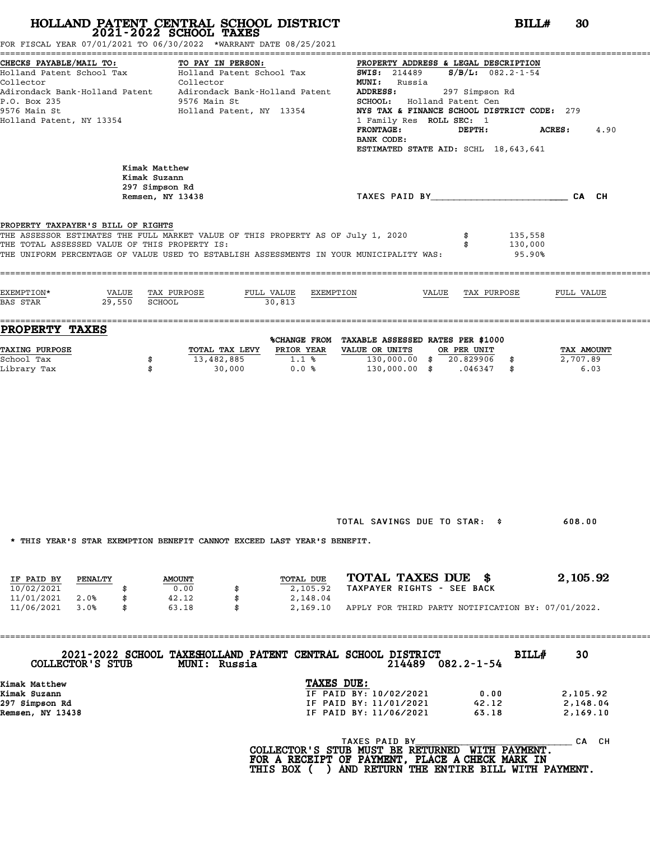|                                                                                                  |                                    | FOR FISCAL YEAR 07/01/2021 TO 06/30/2022 *WARRANT DATE 08/25/2021                                                                 | HOLLAND PATENT CENTRAL SCHOOL DISTRICT<br>2021-2022 SCHOOL TAXES |                                                                                                                                                                                                                                                                                                                                                                                                                                         |                                |
|--------------------------------------------------------------------------------------------------|------------------------------------|-----------------------------------------------------------------------------------------------------------------------------------|------------------------------------------------------------------|-----------------------------------------------------------------------------------------------------------------------------------------------------------------------------------------------------------------------------------------------------------------------------------------------------------------------------------------------------------------------------------------------------------------------------------------|--------------------------------|
| CHECKS PAYABLE/MAIL TO:<br>Collector<br>P.O. Box 235<br>9576 Main St<br>Holland Patent, NY 13354 |                                    | TO PAY IN PERSON:<br>Collector<br>9576 Main St                                                                                    | Holland Patent, NY 13354                                         | PROPERTY ADDRESS & LEGAL DESCRIPTION<br>Holland Patent School Tax (Elland Patent School Tax 5WIS: 214489 5/B/L: 082.2-1-54<br><b>MUNI:</b> Russia<br>Adirondack Bank-Holland Patent Adirondack Bank-Holland Patent ADDRESS: 397 Simpson Rd<br>SCHOOL: Holland Patent Cen<br>NYS TAX & FINANCE SCHOOL DISTRICT CODE: 279<br>1 Family Res ROLL SEC: 1<br><b>FRONTAGE:</b><br>DEPTH:<br>BANK CODE:<br>ESTIMATED STATE AID: SCHL 18,643,641 | <b>ACRES:</b><br>4.90          |
|                                                                                                  |                                    | Kimak Matthew<br>Kimak Suzann<br>297 Simpson Rd<br>Remsen, NY 13438                                                               |                                                                  | TAXES PAID BY CAN CHE CAN CH                                                                                                                                                                                                                                                                                                                                                                                                            |                                |
|                                                                                                  | PROPERTY TAXPAYER'S BILL OF RIGHTS | THE ASSESSOR ESTIMATES THE FULL MARKET VALUE OF THIS PROPERTY AS OF July 1, 2020<br>THE TOTAL ASSESSED VALUE OF THIS PROPERTY IS: |                                                                  | THE UNIFORM PERCENTAGE OF VALUE USED TO ESTABLISH ASSESSMENTS IN YOUR MUNICIPALITY WAS:                                                                                                                                                                                                                                                                                                                                                 | 135,558<br>130,000<br>95.90%   |
| EXEMPTION*                                                                                       | BAS STAR 29,550 SCHOOL             | VALUE TAX PURPOSE                                                                                                                 | FULL VALUE EXEMPTION<br>$-30,813$                                | VALUE TAX PURPOSE                                                                                                                                                                                                                                                                                                                                                                                                                       | FULL VALUE                     |
| PROPERTY TAXES                                                                                   |                                    |                                                                                                                                   |                                                                  | %CHANGE FROM TAXABLE ASSESSED RATES PER \$1000                                                                                                                                                                                                                                                                                                                                                                                          |                                |
| <b>TAXING PURPOSE</b><br>School Tax<br>Library Tax                                               |                                    | 13,482,885<br>\$<br>\$<br>30,000                                                                                                  | TOTAL TAX LEVY PRIOR YEAR<br>$1.1$ %<br>0.0%                     | VALUE OR UNITS OR PER UNIT<br>130,000.00 \$ 20.829906 \$<br>130,000.00 \$ .046347 \$                                                                                                                                                                                                                                                                                                                                                    | TAX AMOUNT<br>2,707.89<br>6.03 |
|                                                                                                  |                                    | * THIS YEAR'S STAR EXEMPTION BENEFIT CANNOT EXCEED LAST YEAR'S BENEFIT.                                                           |                                                                  | TOTAL SAVINGS DUE TO STAR: \$                                                                                                                                                                                                                                                                                                                                                                                                           | 608.00                         |
|                                                                                                  | PENALTY                            |                                                                                                                                   | TOTAL DUE                                                        | TOTAL TAXES DUE \$                                                                                                                                                                                                                                                                                                                                                                                                                      | 2,105.92                       |
| IF PAID BY<br>10/02/2021<br>11/01/2021<br>11/06/2021                                             | 2.0%<br>\$<br>3.0%<br>\$           | <b>AMOUNT</b><br>0.00<br>42.12<br>63.18                                                                                           | 2,105.92<br>2,148.04<br>2,169.10                                 | TAXPAYER RIGHTS - SEE BACK<br>APPLY FOR THIRD PARTY NOTIFICATION BY: 07/01/2022.                                                                                                                                                                                                                                                                                                                                                        |                                |

| COLLECTOR'S STUB | 2021-2022 SCHOOL TAXESHOLLAND PATENT CENTRAL SCHOOL DISTRICT<br>MUNI: Russia |            |               | 214489                 | $082.2 - 1 - 54$ | <b>BILL#</b> | 30        |
|------------------|------------------------------------------------------------------------------|------------|---------------|------------------------|------------------|--------------|-----------|
| Kimak Matthew    |                                                                              | TAXES DUE: |               |                        |                  |              |           |
| Kimak Suzann     |                                                                              |            |               | IF PAID BY: 10/02/2021 | 0.00             |              | 2,105.92  |
| 297 Simpson Rd   |                                                                              |            |               | IF PAID BY: 11/01/2021 | 42.12            |              | 2,148.04  |
| Remsen, NY 13438 |                                                                              |            |               | IF PAID BY: 11/06/2021 | 63.18            |              | 2,169.10  |
|                  |                                                                              |            | TAXES PAID BY |                        |                  |              | CH.<br>CА |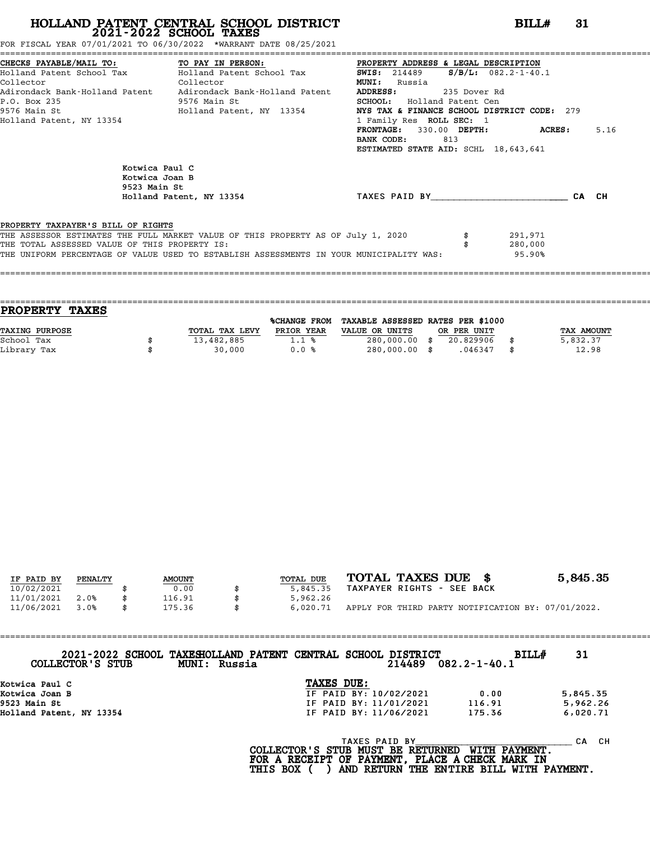FOR FISCAL YEAR 07/01/2021 TO 06/30/2022 \*WARRANT DATE 08/25/2021

|                                               | CHECKS PAYABLE/MAIL TO: TO PAY IN PERSON:                                               | PROPERTY ADDRESS & LEGAL DESCRIPTION                 |         |      |
|-----------------------------------------------|-----------------------------------------------------------------------------------------|------------------------------------------------------|---------|------|
|                                               | Holland Patent School Tax           Holland Patent School Tax                           | <b>SWIS:</b> 214489 <b>S/B/L:</b> $082.2 - 1 - 40.1$ |         |      |
| Collector                                     | Collector                                                                               | <b>MUNI:</b><br>Russia                               |         |      |
|                                               | Adirondack Bank-Holland Patent Adirondack Bank-Holland Patent                           | <b>ADDRESS:</b><br>235 Dover Rd                      |         |      |
| P.O. Box 235<br>9576 Main St                  |                                                                                         | <b>SCHOOL:</b> Holland Patent Cen                    |         |      |
|                                               | 9576 Main St                               Holland Patent, NY 13354                     | NYS TAX & FINANCE SCHOOL DISTRICT CODE: 279          |         |      |
| Holland Patent, NY 13354                      |                                                                                         | 1 Family Res ROLL SEC: 1                             |         |      |
|                                               |                                                                                         | FRONTAGE: 330.00 DEPTH: ACRES:                       |         | 5.16 |
|                                               |                                                                                         | BANK CODE:<br>813                                    |         |      |
|                                               |                                                                                         | ESTIMATED STATE AID: SCHL 18,643,641                 |         |      |
|                                               | Kotwica Paul C                                                                          |                                                      |         |      |
|                                               | Kotwica Joan B                                                                          |                                                      |         |      |
| 9523 Main St                                  |                                                                                         |                                                      |         |      |
|                                               | Holland Patent, NY 13354                                                                | TAXES PAID BY <b>CA</b> CH                           |         |      |
|                                               |                                                                                         |                                                      |         |      |
| PROPERTY TAXPAYER'S BILL OF RIGHTS            |                                                                                         |                                                      |         |      |
|                                               | THE ASSESSOR ESTIMATES THE FULL MARKET VALUE OF THIS PROPERTY AS OF July 1, 2020        |                                                      | 291,971 |      |
| THE TOTAL ASSESSED VALUE OF THIS PROPERTY IS: |                                                                                         |                                                      | 280,000 |      |
|                                               | THE UNIFORM PERCENTAGE OF VALUE USED TO ESTABLISH ASSESSMENTS IN YOUR MUNICIPALITY WAS: |                                                      | 95.90%  |      |
|                                               |                                                                                         |                                                      |         |      |

|                | <b>%CHANGE FROM</b> |                |                                |             |                                   |
|----------------|---------------------|----------------|--------------------------------|-------------|-----------------------------------|
| TOTAL TAX LEVY | PRIOR YEAR          | VALUE OR UNITS |                                |             | TAX AMOUNT                        |
| 13,482,885     | $1.1 \text{ }$      |                | 20.829906                      |             | 5,832.37                          |
| 30,000         | 0.0%                |                | .046347                        |             | 12.98                             |
|                |                     |                | 280,000.00 \$<br>280,000.00 \$ | OR PER UNIT | TAXABLE ASSESSED RATES PER \$1000 |

====================================================================================================================================

| IF PAID BY | PENALTY | <b>AMOUNT</b> | TOTAL DUE | TOTAL TAXES DUE \$                                 | 5,845.35 |
|------------|---------|---------------|-----------|----------------------------------------------------|----------|
| 10/02/2021 |         | 0.00          | 5,845.35  | TAXPAYER RIGHTS - SEE BACK                         |          |
| 11/01/2021 | 2.0%    | 116.91        | 5,962.26  |                                                    |          |
| 11/06/2021 | 3.0%    | 175.36        | 6,020.71  | APPLY FOR THIRD PARTY NOTIFICATION BY: 07/01/2022. |          |

| COLLECTOR'S STUB<br><b>MUNI: Russia</b> | 2021-2022 SCHOOL TAXESHOLLAND PATENT CENTRAL SCHOOL DISTRICT<br>214489 | BILLH<br>082.2-1-40.1 | 31       |
|-----------------------------------------|------------------------------------------------------------------------|-----------------------|----------|
| Kotwica Paul C                          | TAXES DUE:                                                             |                       |          |
| Kotwica Joan B                          | IF PAID BY: 10/02/2021                                                 | 0.00                  | 5,845.35 |
| 9523 Main St                            | IF PAID BY: 11/01/2021                                                 | 116.91                | 5,962.26 |
| Holland Patent, NY 13354                | IF PAID BY: 11/06/2021                                                 | 175.36                | 6,020.71 |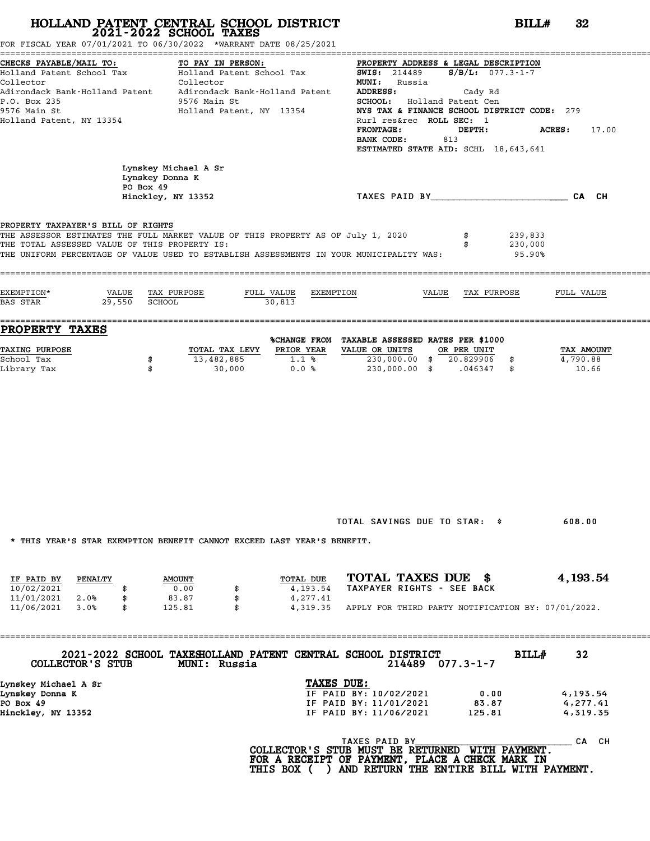CHECAS PARK 2010/2021 TO: TO PAY IN PERSON: PROPERTY DATE 08/25/2021

| CHECKS PAYABLE/MAIL TO:                       | TO PAY IN PERSON:                                                                       |                      | PROPERTY ADDRESS & LEGAL DESCRIPTION                                              |                         |
|-----------------------------------------------|-----------------------------------------------------------------------------------------|----------------------|-----------------------------------------------------------------------------------|-------------------------|
|                                               |                                                                                         |                      | Holland Patent School Tax Tolland Patent School Tax 5WIS: 214489 S/B/L: 077.3-1-7 |                         |
| Collector                                     | Collector<br>Adirondack Bank-Holland Patent     Adirondack Bank-Holland Patent          |                      | <b>MUNI:</b> Russia<br><b>ADDRESS:</b><br>Cady Rd                                 |                         |
| P.O. Box 235                                  | 9576 Main St                                                                            |                      | SCHOOL: Holland Patent Cen                                                        |                         |
| 9576 Main St                                  | Holland Patent, NY 13354                                                                |                      | NYS TAX & FINANCE SCHOOL DISTRICT CODE: 279                                       |                         |
| Holland Patent, NY 13354                      |                                                                                         |                      | Rurl res&rec ROLL SEC: 1                                                          |                         |
|                                               |                                                                                         |                      | <b>FRONTAGE:</b><br>DEPTH:<br>BANK CODE:<br>813                                   | <b>ACRES :</b><br>17.00 |
|                                               |                                                                                         |                      | ESTIMATED STATE AID: SCHL 18,643,641                                              |                         |
|                                               |                                                                                         |                      |                                                                                   |                         |
|                                               | Lynskey Michael A Sr<br>Lynskey Donna K                                                 |                      |                                                                                   |                         |
|                                               | PO Box 49                                                                               |                      |                                                                                   |                         |
|                                               | Hinckley, NY 13352                                                                      |                      | TAXES PAID BY CA CH                                                               |                         |
|                                               |                                                                                         |                      |                                                                                   |                         |
| PROPERTY TAXPAYER'S BILL OF RIGHTS            |                                                                                         |                      |                                                                                   |                         |
| THE TOTAL ASSESSED VALUE OF THIS PROPERTY IS: | THE ASSESSOR ESTIMATES THE FULL MARKET VALUE OF THIS PROPERTY AS OF July 1, 2020        |                      |                                                                                   | 239,833<br>230,000      |
|                                               | THE UNIFORM PERCENTAGE OF VALUE USED TO ESTABLISH ASSESSMENTS IN YOUR MUNICIPALITY WAS: |                      |                                                                                   | 95.90%                  |
|                                               |                                                                                         |                      |                                                                                   |                         |
|                                               |                                                                                         |                      |                                                                                   |                         |
| EXEMPTION*                                    | VALUE TAX PURPOSE                                                                       | FULL VALUE EXEMPTION | VALUE<br>TAX PURPOSE                                                              | FULL VALUE              |
| 29,550<br>BAS STAR                            | SCHOOL<br>30,813                                                                        |                      |                                                                                   |                         |
| PROPERTY TAXES                                |                                                                                         |                      |                                                                                   |                         |
|                                               |                                                                                         |                      | <b>&amp;CHANGE FROM TAXABLE ASSESSED RATES PER \$1000</b>                         |                         |
| <b>TAXING PURPOSE</b>                         | TOTAL TAX LEVY PRIOR YEAR VALUE OR UNITS                                                |                      | OR PER UNIT                                                                       | TAX AMOUNT              |
| School Tax                                    | \$<br>13,482,885 1.1 %                                                                  |                      | 230,000.00 \$ 20.829906 \$                                                        | 4,790.88                |
| Library Tax                                   | $30,000$ 0.0 %<br>\$                                                                    |                      | 230,000.00 \$ .046347 \$                                                          | 10.66                   |
|                                               |                                                                                         |                      |                                                                                   |                         |
|                                               |                                                                                         |                      |                                                                                   |                         |
|                                               |                                                                                         |                      |                                                                                   |                         |
|                                               |                                                                                         |                      |                                                                                   |                         |
|                                               |                                                                                         |                      |                                                                                   |                         |
|                                               |                                                                                         |                      |                                                                                   |                         |
|                                               |                                                                                         |                      |                                                                                   |                         |
|                                               |                                                                                         |                      |                                                                                   |                         |
|                                               |                                                                                         |                      |                                                                                   |                         |
|                                               |                                                                                         |                      |                                                                                   |                         |
|                                               |                                                                                         |                      |                                                                                   |                         |
|                                               |                                                                                         |                      | TOTAL SAVINGS DUE TO STAR: \$                                                     | 608.00                  |
|                                               |                                                                                         |                      |                                                                                   |                         |
|                                               | * THIS YEAR'S STAR EXEMPTION BENEFIT CANNOT EXCEED LAST YEAR'S BENEFIT.                 |                      |                                                                                   |                         |
|                                               |                                                                                         |                      |                                                                                   |                         |
|                                               |                                                                                         |                      |                                                                                   |                         |
| IF PAID BY<br>PENALTY<br>10/02/2021           | <b>AMOUNT</b>                                                                           | TOTAL DUE            | TOTAL TAXES DUE \$<br>TAXPAYER RIGHTS - SEE BACK                                  | 4, 193.54               |
| \$<br>11/01/2021<br>2.0%<br>\$                | 0.00<br>\$<br>83.87<br>\$                                                               | 4,193.54<br>4,277.41 |                                                                                   |                         |
| 11/06/2021<br>3.0%<br>\$                      | 125.81<br>\$                                                                            | 4,319.35             | APPLY FOR THIRD PARTY NOTIFICATION BY: 07/01/2022.                                |                         |
|                                               |                                                                                         |                      |                                                                                   |                         |
| ===========                                   |                                                                                         |                      |                                                                                   |                         |
|                                               |                                                                                         |                      |                                                                                   |                         |
| COLLECTOR'S STUB                              | 2021-2022 SCHOOL TAXESHOLLAND PATENT CENTRAL SCHOOL DISTRICT<br>MUNI: Russia            |                      | $214489$ 077.3-1-7                                                                | BILL#<br>32             |
|                                               |                                                                                         |                      |                                                                                   |                         |
| Lynskey Michael A Sr<br>Lynskey Donna K       |                                                                                         | TAXES DUE:           | IF PAID BY: 10/02/2021<br>0.00                                                    | 4,193.54                |
| PO Box 49                                     |                                                                                         |                      | IF PAID BY: 11/01/2021<br>83.87                                                   | 4,277.41                |
| Hinckley, NY 13352                            |                                                                                         |                      | IF PAID BY: 11/06/2021<br>125.81                                                  | 4,319.35                |
|                                               |                                                                                         |                      |                                                                                   |                         |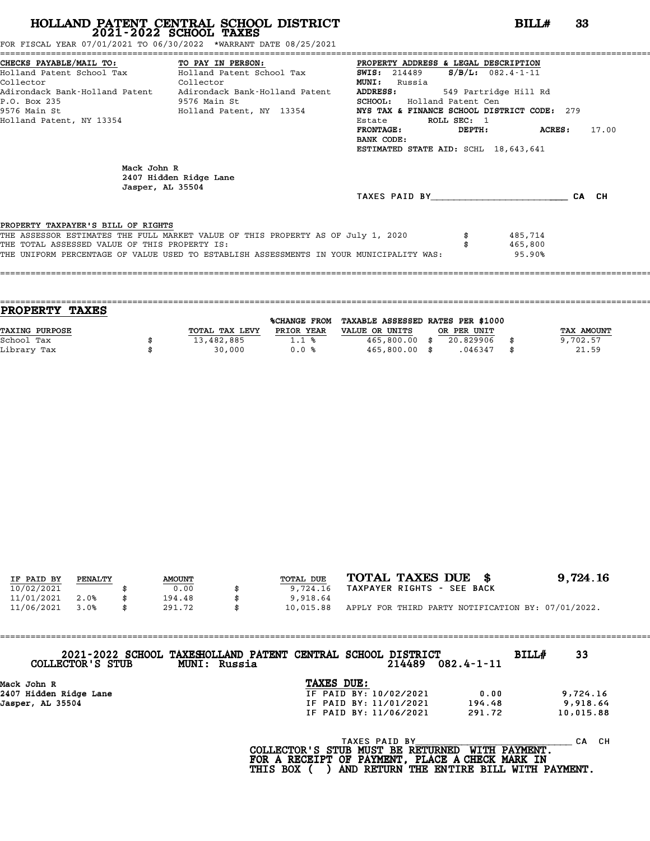FOR FISCAL YEAR 07/01/2021 TO 06/30/2022 \*WARRANT DATE 08/25/2021

|                                               | CHECKS PAYABLE/MAIL TO: TO PAY IN PERSON: PROPERTY ADDRESS & LEGAL DESCRIPTION          |                                             |             |                       |       |
|-----------------------------------------------|-----------------------------------------------------------------------------------------|---------------------------------------------|-------------|-----------------------|-------|
|                                               | Holland Patent School Tax           Holland Patent School Tax                           | <b>SWIS:</b> 214489                         |             | $S/B/L$ : 082.4-1-11  |       |
| Collector<br><b>Collector</b>                 |                                                                                         | <b>MUNI:</b><br>Russia                      |             |                       |       |
|                                               | Adirondack Bank-Holland Patent     Adirondack Bank-Holland Patent                       | <b>ADDRESS:</b>                             |             | 549 Partridge Hill Rd |       |
| P.O. Box 235                                  | 9576 Main St                                                                            | SCHOOL: Holland Patent Cen                  |             |                       |       |
| 9576 Main St                                  | Holland Patent, NY 13354                                                                | NYS TAX & FINANCE SCHOOL DISTRICT CODE: 279 |             |                       |       |
| Holland Patent, NY 13354                      |                                                                                         | Estate                                      | ROLL SEC: 1 |                       |       |
|                                               |                                                                                         | <b>FRONTAGE:</b>                            |             | DEPTH: ACRES:         | 17.00 |
|                                               |                                                                                         | BANK CODE:                                  |             |                       |       |
|                                               |                                                                                         | ESTIMATED STATE AID: SCHL 18,643,641        |             |                       |       |
|                                               |                                                                                         |                                             |             |                       |       |
| Mack John R                                   |                                                                                         |                                             |             |                       |       |
|                                               | 2407 Hidden Ridge Lane                                                                  |                                             |             |                       |       |
| Jasper, AL 35504                              |                                                                                         | TAXES PAID BY TAXES                         |             |                       | CA CH |
|                                               |                                                                                         |                                             |             |                       |       |
| PROPERTY TAXPAYER'S BILL OF RIGHTS            |                                                                                         |                                             |             |                       |       |
|                                               | THE ASSESSOR ESTIMATES THE FULL MARKET VALUE OF THIS PROPERTY AS OF July 1, 2020        |                                             |             | 485,714               |       |
| THE TOTAL ASSESSED VALUE OF THIS PROPERTY IS: |                                                                                         |                                             |             | 465,800               |       |
|                                               | THE UNIFORM PERCENTAGE OF VALUE USED TO ESTABLISH ASSESSMENTS IN YOUR MUNICIPALITY WAS: |                                             |             | 95.90%                |       |
|                                               |                                                                                         |                                             |             |                       |       |
|                                               |                                                                                         |                                             |             |                       |       |

| PROPERTY TAXES |                |              |                                   |             |            |
|----------------|----------------|--------------|-----------------------------------|-------------|------------|
|                |                | %CHANGE FROM | TAXABLE ASSESSED RATES PER \$1000 |             |            |
| TAXING PURPOSE | TOTAL TAX LEVY | PRIOR YEAR   | VALUE OR UNITS                    | OR PER UNIT | TAX AMOUNT |
| School Tax     | 13,482,885     | 1.1%         | $465,800.00$ \$                   | 20.829906   | 9,702.57   |
| Library Tax    | 30,000         | 0.0%         | $465,800.00$ \$                   | .046347     | 21.59      |
|                |                |              |                                   |             |            |

| IF PAID BY | PENALTY | <b>AMOUNT</b> |     | TOTAL DUE | TOTAL TAXES DUE \$                                 | 9,724.16 |
|------------|---------|---------------|-----|-----------|----------------------------------------------------|----------|
| 10/02/2021 |         | 0.00          |     | 9,724.16  | TAXPAYER RIGHTS - SEE BACK                         |          |
| 11/01/2021 | 2.0%    | 194.48        |     | 9,918.64  |                                                    |          |
| 11/06/2021 | 3.0%    | 291.72        | \$. | 10,015.88 | APPLY FOR THIRD PARTY NOTIFICATION BY: 07/01/2022. |          |

| 2021-2022 SCHOOL TAXESHOLLAND PATENT CENTRAL SCHOOL DISTRICT<br><b>BILL#</b><br>33<br>214489<br>$082.4 - 1 - 11$<br>COLLECTOR'S STUB<br><b>MUNI: Russia</b> |  |
|-------------------------------------------------------------------------------------------------------------------------------------------------------------|--|
| TAXES DUE:<br>Mack John R                                                                                                                                   |  |
| IF PAID BY: 10/02/2021<br>2407 Hidden Ridge Lane<br>9,724.16<br>0.00                                                                                        |  |
| Jasper, AL 35504<br>IF PAID BY: 11/01/2021<br>9,918.64<br>194.48                                                                                            |  |
| IF PAID BY: 11/06/2021<br>291.72<br>10,015.88                                                                                                               |  |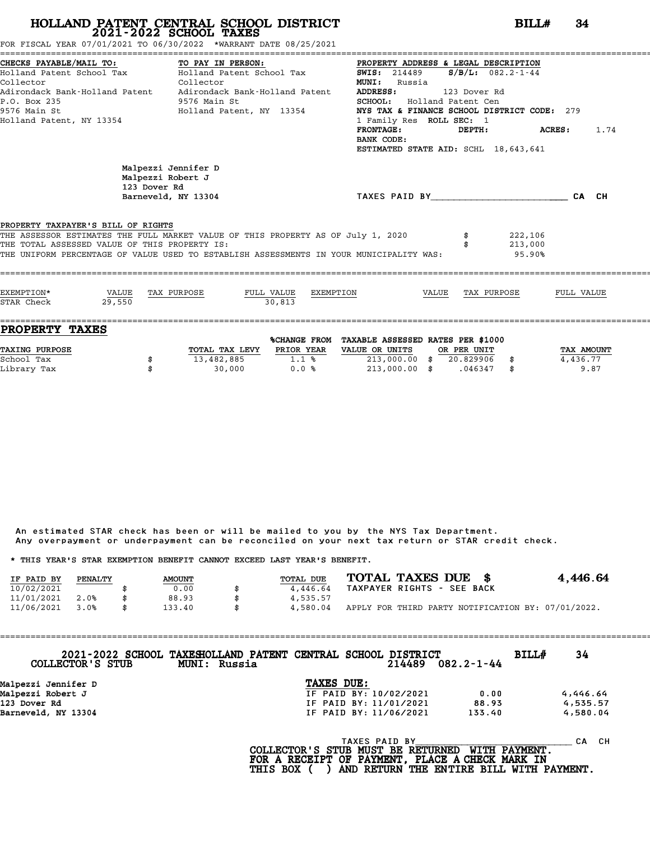FOR FISCAL YEAR 07/01/2021 TO 06/30/2022 \*WARRANT DATE 08/25/2021

| CHECKS PAYABLE/MAIL TO:<br>Collector<br>P.O. Box 235<br>9576 Main St<br>Holland Patent, NY 13354 | TO PAY IN PERSON:<br>Holland Patent School Tax           Holland Patent School Tax<br>Collector<br>Adirondack Bank-Holland Patent     Adirondack Bank-Holland Patent<br>9576 Main St<br>Holland Patent, NY 13354 | PROPERTY ADDRESS & LEGAL DESCRIPTION<br>SWIS: $214489$ S/B/L: $082.2 - 1 - 44$<br><b>MUNI:</b> Russia<br>ADDRESS:<br>SCHOOL: Holland Patent Cen<br>NYS TAX & FINANCE SCHOOL DISTRICT CODE: 279<br>1 Family Res ROLL SEC: 1<br>$\tt FRONTAGE:$<br>BANK CODE:<br>ESTIMATED STATE AID: SCHL 18,643,641 | 123 Dover Rd<br>$DEPTH:$ $ACRES:$ | 1.74       |
|--------------------------------------------------------------------------------------------------|------------------------------------------------------------------------------------------------------------------------------------------------------------------------------------------------------------------|-----------------------------------------------------------------------------------------------------------------------------------------------------------------------------------------------------------------------------------------------------------------------------------------------------|-----------------------------------|------------|
| Malpezzi Robert J<br>123 Dover Rd                                                                | Malpezzi Jennifer D<br>Barneveld, NY 13304                                                                                                                                                                       | TAXES PAID BY TAXES PAID BY                                                                                                                                                                                                                                                                         |                                   | CA CH      |
| PROPERTY TAXPAYER'S BILL OF RIGHTS<br>THE TOTAL ASSESSED VALUE OF THIS PROPERTY IS:              | THE ASSESSOR ESTIMATES THE FULL MARKET VALUE OF THIS PROPERTY AS OF July 1, 2020<br>THE UNIFORM PERCENTAGE OF VALUE USED TO ESTABLISH ASSESSMENTS IN YOUR MUNICIPALITY WAS:                                      |                                                                                                                                                                                                                                                                                                     | 222,106<br>213,000<br>95.90%      |            |
| EXEMPTION*<br>VALUE TAX PURPOSE<br>29.550<br>STAR Check                                          | 30.813                                                                                                                                                                                                           | FULL VALUE EXEMPTION VALUE TAX PURPOSE                                                                                                                                                                                                                                                              |                                   | FULL VALUE |

| TOTAL TAX LEVY | PRIOR YEAR | VALUE OR UNITS |              |           |             | TAX AMOUNT                        |
|----------------|------------|----------------|--------------|-----------|-------------|-----------------------------------|
| 13,482,885     | 1.1%       | 213,000.00     |              | 20.829906 |             | 4,436.77                          |
| 30,000         | 0.0%       | 213,000.00     |              | .046347   |             | 9.87                              |
|                |            |                | %CHANGE FROM |           | OR PER UNIT | TAXABLE ASSESSED RATES PER \$1000 |

An estimated STAR check has been or will be mailed to you by the NYS Tax Department. An estimated STAR check has been or will be mailed to you by the NYS Tax Department.<br>Any overpayment or underpayment can be reconciled on your next tax return or STAR credit check.

|            |         |               | Any overpayment or underpayment can be reconciled on your next tax return or STAR credit check. |                            |                                                    |
|------------|---------|---------------|-------------------------------------------------------------------------------------------------|----------------------------|----------------------------------------------------|
|            |         |               | * THIS YEAR'S STAR EXEMPTION BENEFIT CANNOT EXCEED LAST YEAR'S BENEFIT.                         |                            |                                                    |
| IF PAID BY | PENALTY | <b>AMOUNT</b> | <b>TOTAL DUE</b>                                                                                | TOTAL TAXES DUE \$         | 4,446.64                                           |
| 10/02/2021 |         | 0.00          | \$<br>4,446.64                                                                                  | TAXPAYER RIGHTS - SEE BACK |                                                    |
| 11/01/2021 | 2.0%    | 88.93         | \$<br>4,535.57                                                                                  |                            |                                                    |
| 11/06/2021 | 3.0%    | \$<br>133.40  | \$<br>4,580.04                                                                                  |                            | APPLY FOR THIRD PARTY NOTIFICATION BY: 07/01/2022. |

| COLLECTOR'S STUB    | 2021-2022 SCHOOL TAXESHOLLAND PATENT CENTRAL SCHOOL DISTRICT<br>MUNI: Russia |            |               | 214489                 | $082.2 - 1 - 44$ | BILLH | 34        |
|---------------------|------------------------------------------------------------------------------|------------|---------------|------------------------|------------------|-------|-----------|
| Malpezzi Jennifer D |                                                                              | TAXES DUE: |               |                        |                  |       |           |
| Malpezzi Robert J   |                                                                              |            |               | IF PAID BY: 10/02/2021 | 0.00             |       | 4,446.64  |
| 123 Dover Rd        |                                                                              |            |               | IF PAID BY: 11/01/2021 | 88.93            |       | 4,535.57  |
| Barneveld, NY 13304 |                                                                              |            |               | IF PAID BY: 11/06/2021 | 133.40           |       | 4,580.04  |
|                     |                                                                              |            | TAXES PAID BY |                        |                  |       | CH.<br>CА |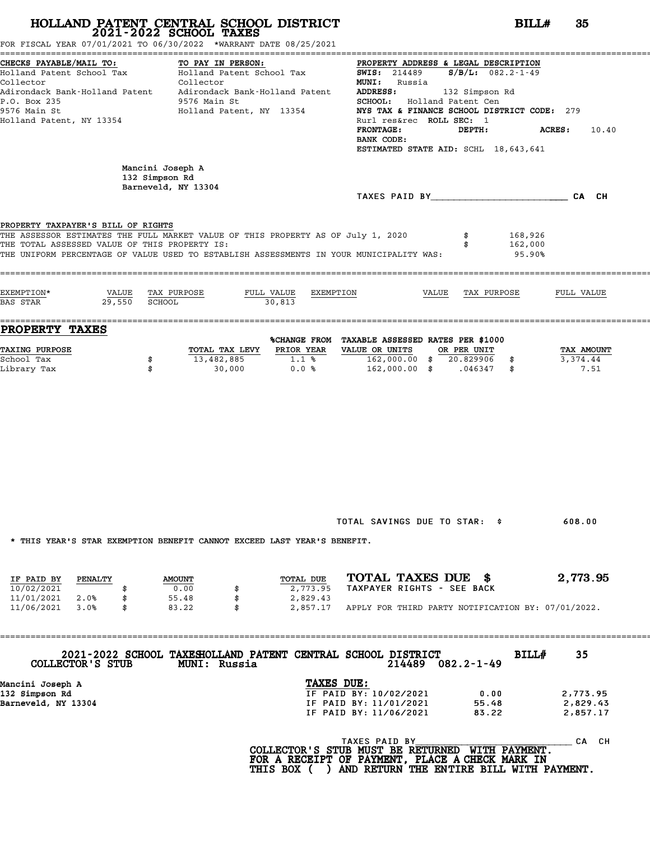FOR FISCAL YEAR 07/01/2021 TO 06/30/2022 \*WARRANT DATE 08/25/2021

| CHECKS PAYABLE/MAIL TO:                                                                 |                  | TO PAY IN PERSON:         |                                                | PROPERTY ADDRESS & LEGAL DESCRIPTION             |                                      |         |                        |
|-----------------------------------------------------------------------------------------|------------------|---------------------------|------------------------------------------------|--------------------------------------------------|--------------------------------------|---------|------------------------|
| Holland Patent School Tax                                                               |                  | Holland Patent School Tax |                                                | <b>SWIS:</b> 214489                              | $S/B/L: 082.2 - 1 - 49$              |         |                        |
| Collector                                                                               |                  | Collector                 |                                                | MUNI: Russia                                     |                                      |         |                        |
| Adirondack Bank-Holland Patent . Adirondack Bank-Holland Patent                         |                  |                           |                                                | ADDRESS:                                         | 132 Simpson Rd                       |         |                        |
| P.O. Box 235                                                                            |                  | 9576 Main St              |                                                |                                                  | SCHOOL: Holland Patent Cen           |         |                        |
| 9576 Main St                                                                            |                  | Holland Patent, NY 13354  |                                                | NYS TAX & FINANCE SCHOOL DISTRICT CODE: 279      |                                      |         |                        |
| Holland Patent, NY 13354                                                                |                  |                           |                                                | Rurl res&rec ROLL SEC: 1                         |                                      |         |                        |
|                                                                                         |                  |                           |                                                | <b>FRONTAGE:</b><br>BANK CODE:                   | DEPTH:                               |         | <b>ACRES:</b> 10.40    |
|                                                                                         |                  |                           |                                                |                                                  | ESTIMATED STATE AID: SCHL 18,643,641 |         |                        |
|                                                                                         |                  |                           |                                                |                                                  |                                      |         |                        |
|                                                                                         | Mancini Joseph A |                           |                                                |                                                  |                                      |         |                        |
|                                                                                         | 132 Simpson Rd   |                           |                                                |                                                  |                                      |         |                        |
|                                                                                         |                  | Barneveld, NY 13304       |                                                |                                                  |                                      |         | TAXES PAID BY CA CH    |
|                                                                                         |                  |                           |                                                |                                                  |                                      |         |                        |
|                                                                                         |                  |                           |                                                |                                                  |                                      |         |                        |
| PROPERTY TAXPAYER'S BILL OF RIGHTS                                                      |                  |                           |                                                |                                                  |                                      |         |                        |
| THE ASSESSOR ESTIMATES THE FULL MARKET VALUE OF THIS PROPERTY AS OF July 1, 2020        |                  |                           |                                                |                                                  |                                      | 168,926 |                        |
| THE TOTAL ASSESSED VALUE OF THIS PROPERTY IS:                                           |                  |                           |                                                |                                                  |                                      | 162,000 |                        |
| THE UNIFORM PERCENTAGE OF VALUE USED TO ESTABLISH ASSESSMENTS IN YOUR MUNICIPALITY WAS: |                  |                           |                                                |                                                  |                                      | 95.90%  |                        |
|                                                                                         |                  |                           |                                                |                                                  |                                      |         |                        |
|                                                                                         |                  |                           |                                                |                                                  |                                      |         |                        |
| EXEMPTION*                                                                              | VALUE            | TAX PURPOSE<br>FULL VALUE | EXEMPTION                                      |                                                  | VALUE TAX PURPOSE                    |         | FULL VALUE             |
| 29.550<br><b>BAS STAR</b>                                                               | SCHOOL           |                           | 30.813                                         |                                                  |                                      |         |                        |
|                                                                                         |                  |                           |                                                |                                                  |                                      |         |                        |
| <b>PROPERTY TAXES</b>                                                                   |                  |                           |                                                |                                                  |                                      |         |                        |
|                                                                                         |                  |                           | %CHANGE FROM TAXABLE ASSESSED RATES PER \$1000 |                                                  |                                      |         |                        |
| <b>TAXING PURPOSE</b><br>School Tax                                                     |                  | TOTAL TAX LEVY PRIOR YEAR |                                                | VALUE OR UNITS<br>$162,000.00$ \$ $20.829906$ \$ | OR PER UNIT                          |         | TAX AMOUNT<br>3,374.44 |
| Library Tax                                                                             | \$<br>\$         | 13,482,885<br>30,000      | $1.1\frac{1}{8}$<br>0.0%                       | 162,000.00 \$ .046347 \$                         |                                      |         | 7.51                   |
|                                                                                         |                  |                           |                                                |                                                  |                                      |         |                        |
|                                                                                         |                  |                           |                                                |                                                  |                                      |         |                        |
|                                                                                         |                  |                           |                                                |                                                  |                                      |         |                        |
|                                                                                         |                  |                           |                                                |                                                  |                                      |         |                        |
|                                                                                         |                  |                           |                                                |                                                  |                                      |         |                        |
|                                                                                         |                  |                           |                                                |                                                  |                                      |         |                        |
|                                                                                         |                  |                           |                                                |                                                  |                                      |         |                        |

TOTAL SAVINGS DUE TO STAR: \$ 608.00

\* THIS YEAR'S STAR EXEMPTION BENEFIT CANNOT EXCEED LAST YEAR'S BENEFIT.

| INIO IBAN'O OIAN BABMFIIUN DBNBFII CANNUI BACBBD BAOI IBAN'O DBNBFII. |         |               |  |           |                            |  |  |                                                    |
|-----------------------------------------------------------------------|---------|---------------|--|-----------|----------------------------|--|--|----------------------------------------------------|
|                                                                       |         |               |  |           |                            |  |  |                                                    |
| IF PAID BY                                                            | PENALTY | <b>AMOUNT</b> |  | TOTAL DUE | TOTAL TAXES DUE \$         |  |  | 2,773.95                                           |
| 10/02/2021                                                            |         | 0.00          |  | 2,773.95  | TAXPAYER RIGHTS - SEE BACK |  |  |                                                    |
| 11/01/2021                                                            | 2.0%    | 55.48         |  | 2,829.43  |                            |  |  |                                                    |
| 11/06/2021                                                            | 3.0%    | 83.22         |  | 2,857.17  |                            |  |  | APPLY FOR THIRD PARTY NOTIFICATION BY: 07/01/2022. |

==================================================================================================================================== **2021-2022 SCHOOL TAXESHOLLAND PATENT CENTRAL SCHOOL DISTRICT BILL# <sup>35</sup> COLLECTOR'S STUB MUNI: Russia <sup>214489</sup> 082.2-1-49** 1132 BILL# 35<br>214489 0.002.2-1-49

| COLLECTOR'S STUB    | <b>MUNI: Russia</b> | 2021-2022 SCHOOL TAXESHOLLAND PATENT CENTRAL SCHOOL DISTRICT<br>214489 | 082.2-1-49 | <b>BILL#</b> | 35       |  |
|---------------------|---------------------|------------------------------------------------------------------------|------------|--------------|----------|--|
| Mancini Joseph A    |                     | TAXES DUE:                                                             |            |              |          |  |
| 132 Simpson Rd      |                     | IF PAID BY: 10/02/2021                                                 | 0.00       |              | 2,773.95 |  |
| Barneveld, NY 13304 |                     | IF PAID BY: 11/01/2021                                                 | 55.48      |              | 2,829.43 |  |
|                     |                     | IF PAID BY: 11/06/2021                                                 | 83.22      |              | 2,857.17 |  |
|                     |                     |                                                                        |            |              |          |  |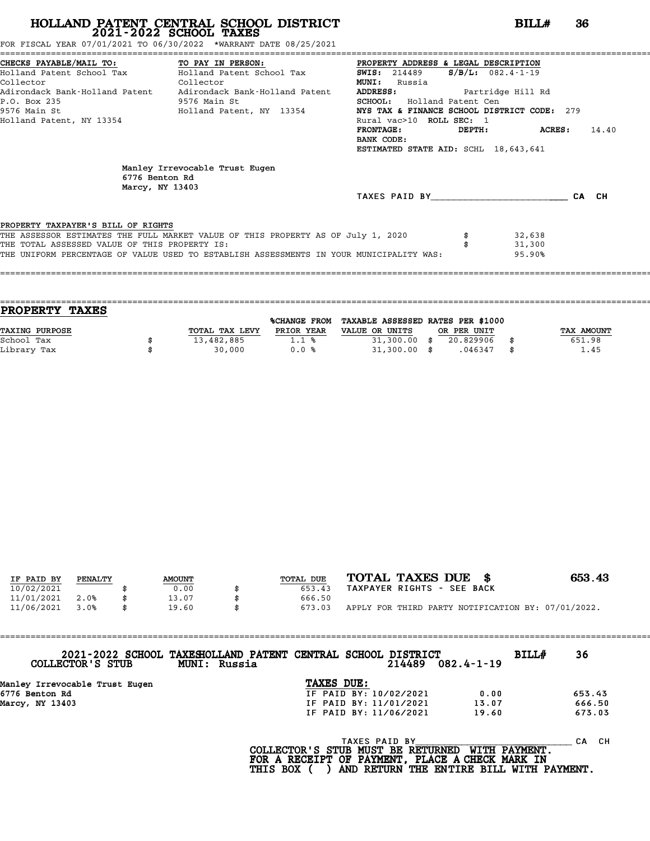FOR FISCAL YEAR 07/01/2021 TO 06/30/2022 \*WARRANT DATE 08/25/2021

|                                               | CHECKS PAYABLE/MAIL TO: TO PAY IN PERSON:                                               | PROPERTY ADDRESS & LEGAL DESCRIPTION        |                      |                |       |
|-----------------------------------------------|-----------------------------------------------------------------------------------------|---------------------------------------------|----------------------|----------------|-------|
|                                               | Holland Patent School Tax           Holland Patent School Tax                           | <b>SWIS:</b> 214489                         | $S/B/L$ : 082.4-1-19 |                |       |
| Collector                                     | Collector                                                                               | <b>MUNI:</b><br>Russia                      |                      |                |       |
|                                               | Adirondack Bank-Holland Patent Adirondack Bank-Holland Patent                           | ADDRESS: Partridge Hill Rd                  |                      |                |       |
| P.O. Box 235                                  | 9576 Main St                                                                            | SCHOOL: Holland Patent Cen                  |                      |                |       |
|                                               | 9576 Main St                               Holland Patent, NY 13354                     | NYS TAX & FINANCE SCHOOL DISTRICT CODE: 279 |                      |                |       |
| Holland Patent, NY 13354                      |                                                                                         | Rural vac>10 ROLL SEC: 1                    |                      |                |       |
|                                               |                                                                                         | <b>FRONTAGE:</b>                            | DEPTH:               | <b>ACRES :</b> | 14.40 |
|                                               |                                                                                         | BANK CODE:                                  |                      |                |       |
|                                               |                                                                                         | ESTIMATED STATE AID: SCHL 18,643,641        |                      |                |       |
| 6776 Benton Rd<br>Marcy, NY 13403             | Manley Irrevocable Trust Eugen                                                          | TAXES PAID BY                               |                      |                | CA CH |
|                                               |                                                                                         |                                             |                      |                |       |
|                                               |                                                                                         |                                             |                      |                |       |
| PROPERTY TAXPAYER'S BILL OF RIGHTS            |                                                                                         |                                             |                      |                |       |
|                                               | THE ASSESSOR ESTIMATES THE FULL MARKET VALUE OF THIS PROPERTY AS OF July 1, 2020        |                                             |                      | 32,638         |       |
| THE TOTAL ASSESSED VALUE OF THIS PROPERTY IS: |                                                                                         |                                             |                      | 31,300         |       |
|                                               | THE UNIFORM PERCENTAGE OF VALUE USED TO ESTABLISH ASSESSMENTS IN YOUR MUNICIPALITY WAS: |                                             |                      | 95.90%         |       |
|                                               |                                                                                         |                                             |                      |                |       |

====================================================================================================================================

| <b>PROPERTY TAXES</b> |                |                     |                                   |             |            |
|-----------------------|----------------|---------------------|-----------------------------------|-------------|------------|
|                       |                | <b>%CHANGE FROM</b> | TAXABLE ASSESSED RATES PER \$1000 |             |            |
| TAXING PURPOSE        | TOTAL TAX LEVY | PRIOR YEAR          | VALUE OR UNITS                    | OR PER UNIT | TAX AMOUNT |
| School Tax            | 13,482,885     | 1.1%                | $31,300.00$ \$                    | 20.829906   | 651.98     |
| Library Tax           | 30,000         | 0.0%                | $31,300.00$ \$                    | .046347     | 1.45       |
|                       |                |                     |                                   |             |            |

| IF PAID BY | PENALTY | <b>AMOUNT</b> | TOTAL DUE | TOTAL TAXES DUE \$                                 | 653.43 |
|------------|---------|---------------|-----------|----------------------------------------------------|--------|
| 10/02/2021 |         | 0.00          | 653.43    | TAXPAYER RIGHTS - SEE BACK                         |        |
| 11/01/2021 | 2.0%    | 13.07         | 666.50    |                                                    |        |
| 11/06/2021 | 3.0%    | \$<br>19.60   | 673.03    | APPLY FOR THIRD PARTY NOTIFICATION BY: 07/01/2022. |        |

| COLLECTOR'S STUB               | 2021-2022 SCHOOL TAXESHOLLAND PATENT CENTRAL SCHOOL DISTRICT<br>MUNI: Russia |                                             |               | 214489                 | $082.4 - 1 - 19$    | BILL# | 36        |
|--------------------------------|------------------------------------------------------------------------------|---------------------------------------------|---------------|------------------------|---------------------|-------|-----------|
| Manley Irrevocable Trust Eugen |                                                                              | TAXES DUE:                                  |               |                        |                     |       |           |
| 6776 Benton Rd                 |                                                                              |                                             |               | IF PAID BY: 10/02/2021 | 0.00                |       | 653.43    |
| Marcy, NY 13403                |                                                                              |                                             |               | IF PAID BY: 11/01/2021 | 13.07               |       | 666.50    |
|                                |                                                                              |                                             |               | IF PAID BY: 11/06/2021 | 19.60               |       | 673.03    |
|                                |                                                                              | $COT$ במחסותים שם היאוזות מחיים או מחיים דר | TAXES PAID BY |                        | <b>MTTU DAVMENT</b> |       | CH.<br>СA |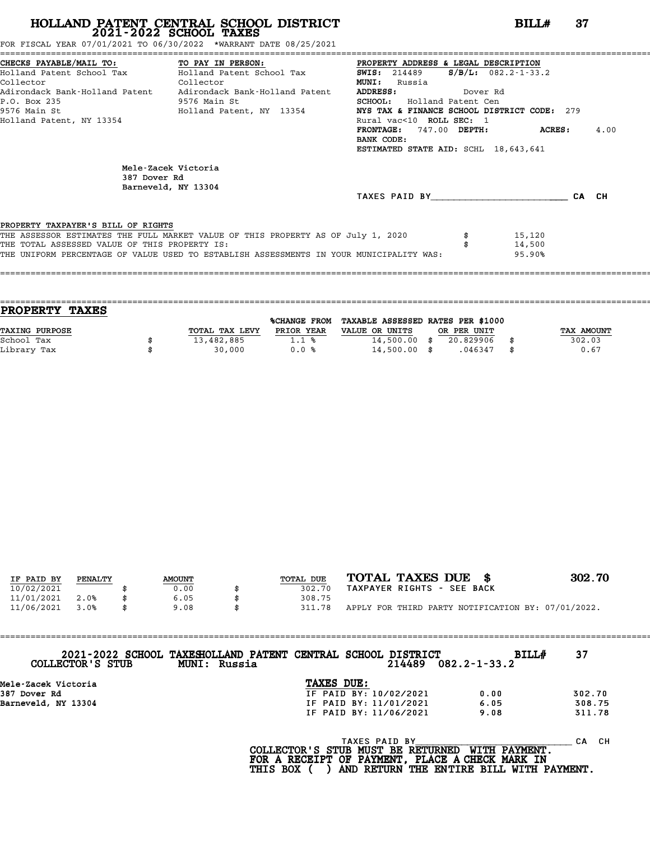FOR FISCAL YEAR 07/01/2021 TO 06/30/2022 \*WARRANT DATE 08/25/2021

|                                               | CHECKS PAYABLE/MAIL TO: TO PAY IN PERSON: PROPERTY ADDRESS & LEGAL DESCRIPTION<br>Holland Patent School Tax Bolland Patent School Tax | <b>SWIS:</b> 214489                         | $S/B/L: 082.2 - 1 - 33.2$ |       |      |
|-----------------------------------------------|---------------------------------------------------------------------------------------------------------------------------------------|---------------------------------------------|---------------------------|-------|------|
| Collector<br><b>Collector</b>                 |                                                                                                                                       | <b>MUNI:</b> Russia                         |                           |       |      |
|                                               | Adirondack Bank-Holland Patent     Adirondack Bank-Holland Patent                                                                     | <b>ADDRESS:</b><br>Dover Rd                 |                           |       |      |
| P.O. Box 235                                  | 9576 Main St                                                                                                                          | <b>SCHOOL:</b> Holland Patent Cen           |                           |       |      |
|                                               | 9576 Main St                             Holland Patent, NY 13354                                                                     | NYS TAX & FINANCE SCHOOL DISTRICT CODE: 279 |                           |       |      |
| Holland Patent, NY 13354                      |                                                                                                                                       | Rural vac<10 ROLL SEC: 1                    |                           |       |      |
|                                               |                                                                                                                                       | FRONTAGE: 747.00 DEPTH: ACRES:              |                           |       | 4.00 |
|                                               |                                                                                                                                       | BANK CODE:                                  |                           |       |      |
|                                               |                                                                                                                                       | ESTIMATED STATE AID: SCHL 18,643,641        |                           |       |      |
| 387 Dover Rd                                  | Mele-Zacek Victoria<br>Barneveld, NY 13304                                                                                            |                                             |                           |       |      |
|                                               |                                                                                                                                       | TAXES PAID BY                               |                           | CA CH |      |
|                                               |                                                                                                                                       |                                             |                           |       |      |
| PROPERTY TAXPAYER'S BILL OF RIGHTS            |                                                                                                                                       |                                             |                           |       |      |
|                                               | THE ASSESSOR ESTIMATES THE FULL MARKET VALUE OF THIS PROPERTY AS OF July 1, 2020                                                      |                                             | 15,120                    |       |      |
| THE TOTAL ASSESSED VALUE OF THIS PROPERTY IS: |                                                                                                                                       |                                             | 14,500                    |       |      |
|                                               | THE UNIFORM PERCENTAGE OF VALUE USED TO ESTABLISH ASSESSMENTS IN YOUR MUNICIPALITY WAS:                                               |                                             | 95.90%                    |       |      |
|                                               |                                                                                                                                       |                                             |                           |       |      |

| <b>TAXES</b><br><b>PROPERTY</b> |                |                     |                                   |             |            |
|---------------------------------|----------------|---------------------|-----------------------------------|-------------|------------|
|                                 |                | <b>%CHANGE FROM</b> | TAXABLE ASSESSED RATES PER \$1000 |             |            |
| <b>TAXING PURPOSE</b>           | TOTAL TAX LEVY | PRIOR YEAR          | VALUE OR UNITS                    | OR PER UNIT | TAX AMOUNT |
| School Tax                      | 13,482,885     | 1.1%                | $14,500.00$ \$                    | 20.829906   | 302.03     |
| Library Tax                     | 30,000         | 0.0%                | $14,500.00$ \$                    | .046347     | \$<br>0.67 |
|                                 |                |                     |                                   |             |            |

| IF PAID BY | PENALTY | <b>AMOUNT</b> | TOTAL DUE | TOTAL TAXES DUE \$                                 | 302.70 |
|------------|---------|---------------|-----------|----------------------------------------------------|--------|
| 10/02/2021 |         | 0.00          | 302.70    | TAXPAYER RIGHTS - SEE BACK                         |        |
| 11/01/2021 | 2.0%    | 6.05          | 308.75    |                                                    |        |
| 11/06/2021 | 3.0%    | \$<br>9.08    | 311.78    | APPLY FOR THIRD PARTY NOTIFICATION BY: 07/01/2022. |        |

| 2021-2022 SCHOOL TAXESHOLLAND PATENT CENTRAL SCHOOL DISTRICT<br>COLLECTOR'S STUB | MUNI: Russia                            | 214489                 | <b>BILL#</b><br>$082.2 - 1 - 33.2$ | 37        |
|----------------------------------------------------------------------------------|-----------------------------------------|------------------------|------------------------------------|-----------|
| Mele-Zacek Victoria                                                              | TAXES DUE:                              |                        |                                    |           |
| 387 Dover Rd                                                                     |                                         | IF PAID BY: 10/02/2021 | 0.00                               | 302.70    |
| Barneveld, NY 13304                                                              |                                         | IF PAID BY: 11/01/2021 | 6.05                               | 308.75    |
|                                                                                  |                                         | IF PAID BY: 11/06/2021 | 9.08                               | 311.78    |
|                                                                                  | $COT$ דרקסווחסם כדי היא היא מזוחים או ה | TAXES PAID BY          | <b>MTTU DAVMPNT</b>                | CH.<br>CА |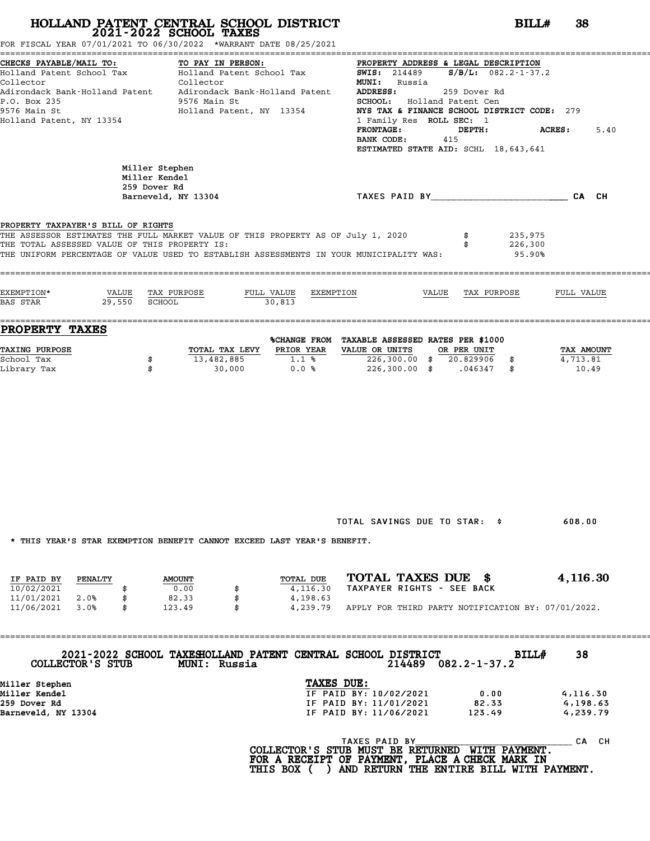FOR FISCAL YEAR 07/01/2021 TO 06/30/2022 \*WARRANT DATE 08/25/2021

| CHECKS PAYABLE/MAIL TO: TO PAY IN PERSON: PROPERTY ADDRESS & DEGALL DESCRIPTION OF THE TO PAY IN PERSON:<br>Holland Patent School Tax (Collector MUNI: Russia) MONI: Russia<br>Adirondack Bank-Holland Patent Adirondack Bank-Holland Patent ADDRESS: 259 Dover Rd |                                 |                                          |        |                                                                                                                                                                                                                                                                                          |               |         |        |      |
|--------------------------------------------------------------------------------------------------------------------------------------------------------------------------------------------------------------------------------------------------------------------|---------------------------------|------------------------------------------|--------|------------------------------------------------------------------------------------------------------------------------------------------------------------------------------------------------------------------------------------------------------------------------------------------|---------------|---------|--------|------|
|                                                                                                                                                                                                                                                                    |                                 |                                          |        |                                                                                                                                                                                                                                                                                          |               |         |        |      |
|                                                                                                                                                                                                                                                                    |                                 |                                          |        |                                                                                                                                                                                                                                                                                          |               |         |        |      |
|                                                                                                                                                                                                                                                                    |                                 |                                          |        |                                                                                                                                                                                                                                                                                          |               |         |        |      |
| P.O. Box 235<br>9576 Main St                                                                                                                                                                                                                                       |                                 | 9576 Main St<br>Holland Patent, NY 13354 |        | SCHOOL: Holland Patent Cen<br>NYS TAX & FINANCE SCHOOL DISTRICT CODE: 279                                                                                                                                                                                                                |               |         |        |      |
| Holland Patent, NY 13354                                                                                                                                                                                                                                           |                                 |                                          |        | 1 Family Res ROLL SEC: 1                                                                                                                                                                                                                                                                 |               |         |        |      |
|                                                                                                                                                                                                                                                                    |                                 |                                          |        | <b>FRONTAGE :</b>                                                                                                                                                                                                                                                                        | <b>DEPTH:</b> |         | ACRES: | 5.40 |
|                                                                                                                                                                                                                                                                    |                                 |                                          |        | BANK CODE:                                                                                                                                                                                                                                                                               | 415           |         |        |      |
|                                                                                                                                                                                                                                                                    |                                 |                                          |        | ESTIMATED STATE AID: SCHL 18,643,641                                                                                                                                                                                                                                                     |               |         |        |      |
|                                                                                                                                                                                                                                                                    |                                 |                                          |        |                                                                                                                                                                                                                                                                                          |               |         |        |      |
|                                                                                                                                                                                                                                                                    | Miller Stephen<br>Miller Kendel |                                          |        |                                                                                                                                                                                                                                                                                          |               |         |        |      |
|                                                                                                                                                                                                                                                                    | 259 Dover Rd                    |                                          |        |                                                                                                                                                                                                                                                                                          |               |         |        |      |
|                                                                                                                                                                                                                                                                    |                                 | Barneveld, NY 13304                      |        | TAXES PAID BY CALCH                                                                                                                                                                                                                                                                      |               |         |        |      |
|                                                                                                                                                                                                                                                                    |                                 |                                          |        |                                                                                                                                                                                                                                                                                          |               |         |        |      |
|                                                                                                                                                                                                                                                                    |                                 |                                          |        |                                                                                                                                                                                                                                                                                          |               |         |        |      |
| PROPERTY TAXPAYER'S BILL OF RIGHTS<br>THE ASSESSOR ESTIMATES THE FULL MARKET VALUE OF THIS PROPERTY AS OF July 1, 2020                                                                                                                                             |                                 |                                          |        |                                                                                                                                                                                                                                                                                          |               | 235,975 |        |      |
| THE TOTAL ASSESSED VALUE OF THIS PROPERTY IS:                                                                                                                                                                                                                      |                                 |                                          |        |                                                                                                                                                                                                                                                                                          |               | 226,300 |        |      |
|                                                                                                                                                                                                                                                                    |                                 |                                          |        | THE UNIFORM PERCENTAGE OF VALUE USED TO ESTABLISH ASSESSMENTS IN YOUR MUNICIPALITY WAS:                                                                                                                                                                                                  |               | 95.90%  |        |      |
|                                                                                                                                                                                                                                                                    |                                 |                                          |        |                                                                                                                                                                                                                                                                                          |               |         |        |      |
|                                                                                                                                                                                                                                                                    |                                 |                                          |        |                                                                                                                                                                                                                                                                                          |               |         |        |      |
| EXEMPTION*                                                                                                                                                                                                                                                         |                                 | VALUE TAX PURPOSE                        |        | FULL VALUE EXEMPTION  VALUE TAX PURPOSE  FULL VALUE                                                                                                                                                                                                                                      |               |         |        |      |
| BAS STAR                                                                                                                                                                                                                                                           | 29,550 SCHOOL                   |                                          | 30,813 |                                                                                                                                                                                                                                                                                          |               |         |        |      |
|                                                                                                                                                                                                                                                                    |                                 |                                          |        |                                                                                                                                                                                                                                                                                          |               |         |        |      |
|                                                                                                                                                                                                                                                                    |                                 |                                          |        |                                                                                                                                                                                                                                                                                          |               |         |        |      |
| PROPERTY TAXES                                                                                                                                                                                                                                                     |                                 |                                          |        | %CHANGE FROM TAXABLE ASSESSED RATES PER \$1000                                                                                                                                                                                                                                           |               |         |        |      |
| <b>TAXING PURPOSE</b>                                                                                                                                                                                                                                              |                                 |                                          |        | TOTAL TAX LEVY PRIOR YEAR VALUE OR UNITS OR PER UNIT                                                                                                                                                                                                                                     |               |         |        |      |
| School Tax                                                                                                                                                                                                                                                         | \$                              |                                          |        | $\begin{tabular}{l cccccc} \hline \texttt{TCRAL TAX LEVY} & \texttt{PRICR YEAR} & \texttt{VALUE OR UNITS} & \texttt{OR PER UNIT} & \texttt{OR PER UNIT} & \texttt{TAX AMOUNT} \\ \hline 13,482,885 & 1.1 % & 226,300.00 & 226,300.00 & 20.829906 & 3 & 4,713.81 \\ \hline \end{tabular}$ |               |         |        |      |
| Library Tax                                                                                                                                                                                                                                                        | \$                              | 30,000                                   | 0.0%   | 226,300.00 \$ .046347 \$                                                                                                                                                                                                                                                                 |               |         | 10.49  |      |
|                                                                                                                                                                                                                                                                    |                                 |                                          |        |                                                                                                                                                                                                                                                                                          |               |         |        |      |
|                                                                                                                                                                                                                                                                    |                                 |                                          |        |                                                                                                                                                                                                                                                                                          |               |         |        |      |
|                                                                                                                                                                                                                                                                    |                                 |                                          |        |                                                                                                                                                                                                                                                                                          |               |         |        |      |
|                                                                                                                                                                                                                                                                    |                                 |                                          |        |                                                                                                                                                                                                                                                                                          |               |         |        |      |
|                                                                                                                                                                                                                                                                    |                                 |                                          |        |                                                                                                                                                                                                                                                                                          |               |         |        |      |
|                                                                                                                                                                                                                                                                    |                                 |                                          |        |                                                                                                                                                                                                                                                                                          |               |         |        |      |
|                                                                                                                                                                                                                                                                    |                                 |                                          |        |                                                                                                                                                                                                                                                                                          |               |         |        |      |
|                                                                                                                                                                                                                                                                    |                                 |                                          |        |                                                                                                                                                                                                                                                                                          |               |         |        |      |
|                                                                                                                                                                                                                                                                    |                                 |                                          |        |                                                                                                                                                                                                                                                                                          |               |         |        |      |
|                                                                                                                                                                                                                                                                    |                                 |                                          |        |                                                                                                                                                                                                                                                                                          |               |         |        |      |
|                                                                                                                                                                                                                                                                    |                                 |                                          |        |                                                                                                                                                                                                                                                                                          |               |         |        |      |
|                                                                                                                                                                                                                                                                    |                                 |                                          |        |                                                                                                                                                                                                                                                                                          |               |         |        |      |
|                                                                                                                                                                                                                                                                    |                                 |                                          |        |                                                                                                                                                                                                                                                                                          |               |         |        |      |
|                                                                                                                                                                                                                                                                    |                                 |                                          |        |                                                                                                                                                                                                                                                                                          |               |         |        |      |
|                                                                                                                                                                                                                                                                    |                                 |                                          |        | TOTAL SAVINGS DUE TO STAR: \$                                                                                                                                                                                                                                                            |               |         | 608.00 |      |
|                                                                                                                                                                                                                                                                    |                                 |                                          |        |                                                                                                                                                                                                                                                                                          |               |         |        |      |

|            |         |               |  | INIO IBAN'O OIAN BABMFIIUN DBNBFII CANNUI BACBBD BAOI IBAN'O DBNBFII. |                                                    |
|------------|---------|---------------|--|-----------------------------------------------------------------------|----------------------------------------------------|
| IF PAID BY | PENALTY | <b>AMOUNT</b> |  | TOTAL DUE                                                             | TOTAL TAXES DUE \$<br>4,116.30                     |
| 10/02/2021 |         | 0.00          |  | 4,116.30                                                              | TAXPAYER RIGHTS - SEE BACK                         |
| 11/01/2021 | 2.0%    | 82.33         |  | 4,198.63                                                              |                                                    |
| 11/06/2021 | 3.0%    | 123.49        |  | 4,239.79                                                              | APPLY FOR THIRD PARTY NOTIFICATION BY: 07/01/2022. |

==================================================================================================================================== **2021-2022 SCHOOL TAXESHOLLAND PATENT CENTRAL SCHOOL DISTRICT BILL# <sup>38</sup> COLLECTOR'S STUB MUNI: Russia <sup>214489</sup> 082.2-1-37.2**

| COLLECTOR'S STUB    | <b>MUNI: Russia</b> | 2021-2022 SCHOOL TAXESHOLLAND PATENT CENTRAL SCHOOL DISTRICT<br>214489 | <b>BILL#</b><br>082.2-1-37.2 | 38       |
|---------------------|---------------------|------------------------------------------------------------------------|------------------------------|----------|
| Miller Stephen      |                     | TAXES DUE:                                                             |                              |          |
| Miller Kendel       |                     | IF PAID BY: 10/02/2021                                                 | 0.00                         | 4,116.30 |
| 259 Dover Rd        |                     | IF PAID BY: 11/01/2021                                                 | 82.33                        | 4,198.63 |
| Barneveld, NY 13304 |                     | IF PAID BY: 11/06/2021                                                 | 123.49                       | 4,239.79 |
|                     |                     |                                                                        |                              |          |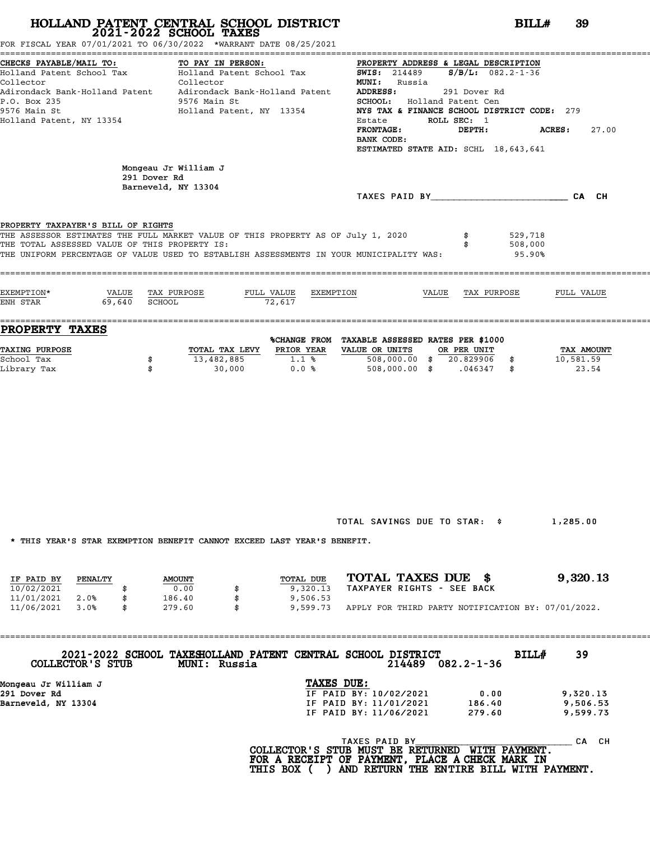|                                                                                                  | FOR FISCAL YEAR 07/01/2021 TO 06/30/2022 *WARRANT DATE 08/25/2021                                                                                                                                                                          |                                                                                                                                                                                                                                                                                                                                              |                                  |
|--------------------------------------------------------------------------------------------------|--------------------------------------------------------------------------------------------------------------------------------------------------------------------------------------------------------------------------------------------|----------------------------------------------------------------------------------------------------------------------------------------------------------------------------------------------------------------------------------------------------------------------------------------------------------------------------------------------|----------------------------------|
| CHECKS PAYABLE/MAIL TO:<br>Collector<br>P.O. Box 235<br>9576 Main St<br>Holland Patent, NY 13354 | TO PAY IN PERSON:<br>Holland Patent School Tax Bolland Patent School Tax<br>Collector<br>Adirondack Bank-Holland Patent Adirondack Bank-Holland Patent<br>9576 Main St<br>Holland Patent, NY 13354                                         | PROPERTY ADDRESS & LEGAL DESCRIPTION<br><b>SWIS:</b> 214489 <b>S/B/L:</b> 082.2-1-36<br><b>MUNI:</b> Russia<br>ADDRESS:<br>291 Dover Rd<br>SCHOOL: Holland Patent Cen<br>NYS TAX & FINANCE SCHOOL DISTRICT CODE: 279<br>ROLL SEC: 1<br>Estate<br>ACRES:<br><b>FRONTAGE :</b><br>DEPTH:<br>BANK CODE:<br>ESTIMATED STATE AID: SCHL 18,643,641 | 27.00                            |
| PROPERTY TAXPAYER'S BILL OF RIGHTS<br>THE TOTAL ASSESSED VALUE OF THIS PROPERTY IS:              | Mongeau Jr William J<br>291 Dover Rd<br>Barneveld, NY 13304<br>THE ASSESSOR ESTIMATES THE FULL MARKET VALUE OF THIS PROPERTY AS OF July 1, 2020<br>THE UNIFORM PERCENTAGE OF VALUE USED TO ESTABLISH ASSESSMENTS IN YOUR MUNICIPALITY WAS: | TAXES PAID BY CA CH<br>529,718<br>508,000<br>95.90%                                                                                                                                                                                                                                                                                          |                                  |
| EXEMPTION*<br>ENH STAR                                                                           | <u>VALUE TAX PURPOSE FULL VALUE EXEMPTION</u><br>69,640 SCHOOL 72,617                                                                                                                                                                      | VALUE TAX PURPOSE                                                                                                                                                                                                                                                                                                                            | FULL VALUE                       |
| <b>PROPERTY TAXES</b><br><b>TAXING PURPOSE</b><br>School Tax<br>Library Tax                      | \$<br>\$                                                                                                                                                                                                                                   | %CHANGE FROM TAXABLE ASSESSED RATES PER \$1000<br>TOTAL TAX LEVY PRIOR YEAR VALUE OR UNITS OR PER UNIT<br>$13,482,885$ $1.1%$ 508,000.00 \$ 20.829906 \$<br>$30,000$ 0.0 % 508,000.00 \$ .046347 \$                                                                                                                                          | TAX AMOUNT<br>10,581.59<br>23.54 |

TOTAL SAVINGS DUE TO STAR: \$ 1,285.00

\* THIS YEAR'S STAR EXEMPTION BENEFIT CANNOT EXCEED LAST YEAR'S BENEFIT.

|            |         |               |  | INIO IGAN O OIAN BABMEIIUN DBNBEII CANNUI BACBBU UAOI IBAN O DBNBEII. |                            |  |  |                                                    |
|------------|---------|---------------|--|-----------------------------------------------------------------------|----------------------------|--|--|----------------------------------------------------|
|            |         |               |  |                                                                       |                            |  |  |                                                    |
| IF PAID BY | PENALTY | <b>AMOUNT</b> |  | TOTAL DUE                                                             | TOTAL TAXES DUE \$         |  |  | 9,320.13                                           |
| 10/02/2021 |         | 0.00          |  | 9,320.13                                                              | TAXPAYER RIGHTS - SEE BACK |  |  |                                                    |
| 11/01/2021 | 2.0%    | 186.40        |  | 9,506.53                                                              |                            |  |  |                                                    |
| 11/06/2021 | 3.0%    | \$<br>279.60  |  | 9,599.73                                                              |                            |  |  | APPLY FOR THIRD PARTY NOTIFICATION BY: 07/01/2022. |

==================================================================================================================================== **2021-2022 SCHOOL TAXESHOLLAND PATENT CENTRAL SCHOOL DISTRICT BILL# <sup>39</sup> COLLECTOR'S STUB MUNI: Russia <sup>214489</sup> 082.2-1-36**

| COLLECTOR'S STUB     | <b>MUNI: Russia</b> | 2021-2022 SCHOOL TAXESHOLLAND PATENT CENTRAL SCHOOL DISTRICT<br>214489 | 082.2-1-36 | BILL# | 39       |  |
|----------------------|---------------------|------------------------------------------------------------------------|------------|-------|----------|--|
| Mongeau Jr William J |                     | TAXES DUE:                                                             |            |       |          |  |
| 291 Dover Rd         |                     | IF PAID BY: 10/02/2021                                                 | 0.00       |       | 9,320.13 |  |
| Barneveld, NY 13304  |                     | IF PAID BY: 11/01/2021                                                 | 186.40     |       | 9,506.53 |  |
|                      |                     | IF PAID BY: 11/06/2021                                                 | 279.60     |       | 9,599.73 |  |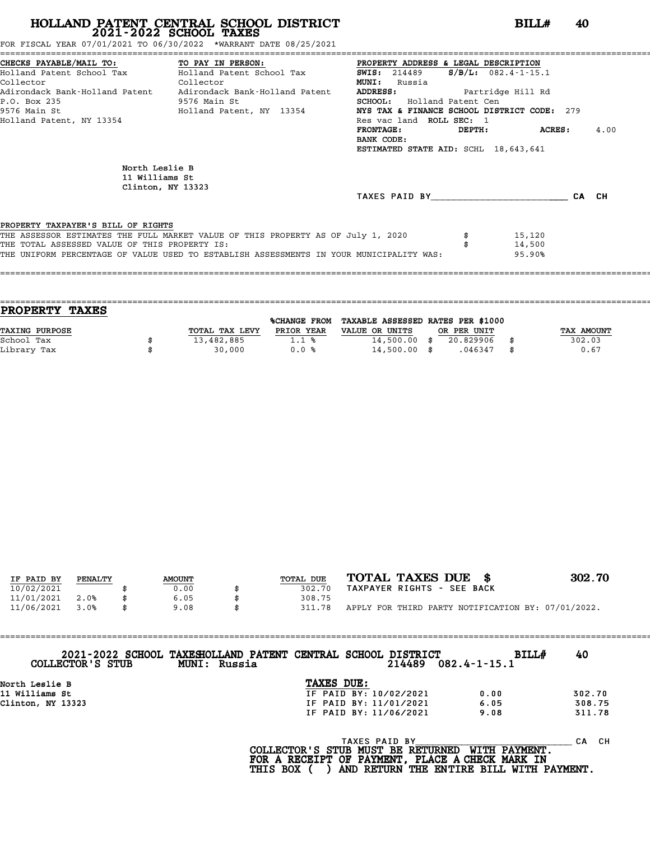FOR FISCAL YEAR 07/01/2021 TO 06/30/2022 \*WARRANT DATE 08/25/2021

|                                               | CHECKS PAYABLE/MAIL TO:             TO PAY IN PERSON:             PROPERTY ADDRESS & LEGAL DESCRIPTION |                                             |                           |      |
|-----------------------------------------------|--------------------------------------------------------------------------------------------------------|---------------------------------------------|---------------------------|------|
|                                               | Holland Patent School Tax Bolland Patent School Tax                                                    | <b>SWIS:</b> 214489                         | $S/B/L: 082.4 - 1 - 15.1$ |      |
| Collector<br><b>Collector</b>                 |                                                                                                        | <b>MUNI:</b><br>Russia                      |                           |      |
|                                               | Adirondack Bank-Holland Patent     Adirondack Bank-Holland Patent                                      | <b>ADDRESS:</b>                             | Partridge Hill Rd         |      |
| P.O. Box 235                                  | 9576 Main St                                                                                           | <b>SCHOOL:</b> Holland Patent Cen           |                           |      |
|                                               | 9576 Main St                           Holland Patent, NY 13354                                        | NYS TAX & FINANCE SCHOOL DISTRICT CODE: 279 |                           |      |
| Holland Patent, NY 13354                      |                                                                                                        | Res vac land ROLL SEC: 1                    |                           |      |
|                                               |                                                                                                        | FRONTAGE:                                   | DEPTH: ACRES:             | 4.00 |
|                                               |                                                                                                        | BANK CODE:                                  |                           |      |
|                                               |                                                                                                        | ESTIMATED STATE AID: SCHL 18,643,641        |                           |      |
| North Leslie B<br>11 Williams St              | Clinton, NY 13323                                                                                      |                                             |                           |      |
|                                               |                                                                                                        | TAXES PAID BY CA CH                         |                           |      |
|                                               |                                                                                                        |                                             |                           |      |
| PROPERTY TAXPAYER'S BILL OF RIGHTS            | THE ASSESSOR ESTIMATES THE FULL MARKET VALUE OF THIS PROPERTY AS OF July 1, 2020                       |                                             | 15,120                    |      |
| THE TOTAL ASSESSED VALUE OF THIS PROPERTY IS: |                                                                                                        |                                             | 14,500                    |      |
|                                               | THE UNIFORM PERCENTAGE OF VALUE USED TO ESTABLISH ASSESSMENTS IN YOUR MUNICIPALITY WAS:                |                                             | 95.90%                    |      |
|                                               |                                                                                                        |                                             |                           |      |
|                                               |                                                                                                        |                                             |                           |      |

| <b>PROPERTY</b><br><b>TAXES</b> |                |                     |                                   |             |            |
|---------------------------------|----------------|---------------------|-----------------------------------|-------------|------------|
|                                 |                | <b>%CHANGE FROM</b> | TAXABLE ASSESSED RATES PER \$1000 |             |            |
| TAXING PURPOSE                  | TOTAL TAX LEVY | PRIOR YEAR          | VALUE OR UNITS                    | OR PER UNIT | TAX AMOUNT |
| School Tax                      | 13,482,885     | $1.1 \text{ }$      | $14,500.00$ \$                    | 20.829906   | 302.03     |
| Library Tax                     | 30,000         | 0.0%                | $14,500.00$ \$                    | .046347     | \$<br>0.67 |
|                                 |                |                     |                                   |             |            |

| IF PAID BY | PENALTY | <b>AMOUNT</b> | TOTAL DUE | TOTAL TAXES DUE \$                                 | 302.70 |
|------------|---------|---------------|-----------|----------------------------------------------------|--------|
| 10/02/2021 |         | 0.00          | 302.70    | TAXPAYER RIGHTS - SEE BACK                         |        |
| 11/01/2021 | 2.0%    | 6.05          | 308.75    |                                                    |        |
| 11/06/2021 | 3.0%    | 9.08          | 311.78    | APPLY FOR THIRD PARTY NOTIFICATION BY: 07/01/2022. |        |
|            |         |               |           |                                                    |        |

| COLLECTOR'S STUB  | 2021-2022 SCHOOL TAXESHOLLAND PATENT CENTRAL SCHOOL DISTRICT<br>MUNI: Russia |            | 214489                                                   | <b>BILL#</b><br>$082.4 - 1 - 15.1$ | 40        |
|-------------------|------------------------------------------------------------------------------|------------|----------------------------------------------------------|------------------------------------|-----------|
| North Leslie B    |                                                                              | TAXES DUE: |                                                          |                                    |           |
| 11 Williams St    |                                                                              |            | IF PAID BY: 10/02/2021                                   | 0.00                               | 302.70    |
| Clinton, NY 13323 |                                                                              |            | IF PAID BY: 11/01/2021                                   | 6.05                               | 308.75    |
|                   |                                                                              |            | IF PAID BY: 11/06/2021                                   | 9.08                               | 311.78    |
|                   |                                                                              |            | TAXES PAID BY<br>$COT$ דרקסווחסם כדי היא היא מזוחים או ה | <b>MTTU DAVMPNT</b>                | CH.<br>CА |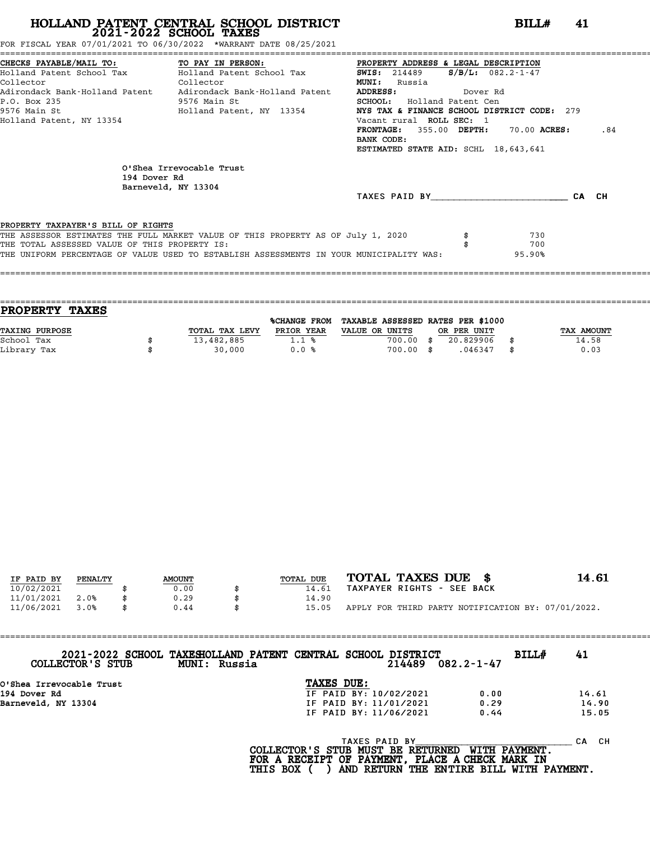FOR FISCAL YEAR 07/01/2021 TO 06/30/2022 \*WARRANT DATE 08/25/2021

| CHECKS PAYABLE/MAIL TO:                 TO PAY IN PERSON:                 PROPERTY ADDRESS & LEGAL DESCRIPTION<br>Holland Patent School Tax Molland Patent School Tax<br><b>SWIS:</b> 214489 $S/B/L$ : 082.2-1-47<br>Collector<br><b>Collector</b><br><b>MUNI:</b> Russia<br>Adirondack Bank-Holland Patent     Adirondack Bank-Holland Patent<br><b>ADDRESS:</b><br>Dover Rd<br>P.O. Box 235<br>9576 Main St<br><b>SCHOOL:</b> Holland Patent Cen<br>9576 Main St                                   Holland Patent, NY 13354<br>NYS TAX & FINANCE SCHOOL DISTRICT CODE: 279<br>Vacant rural ROLL SEC: 1<br>Holland Patent, NY 13354<br>FRONTAGE: 355.00 DEPTH: 70.00 ACRES:<br>BANK CODE:<br>ESTIMATED STATE AID: SCHL 18,643,641 |       |
|------------------------------------------------------------------------------------------------------------------------------------------------------------------------------------------------------------------------------------------------------------------------------------------------------------------------------------------------------------------------------------------------------------------------------------------------------------------------------------------------------------------------------------------------------------------------------------------------------------------------------------------------------------------------------------------------------------------------------------|-------|
|                                                                                                                                                                                                                                                                                                                                                                                                                                                                                                                                                                                                                                                                                                                                    |       |
|                                                                                                                                                                                                                                                                                                                                                                                                                                                                                                                                                                                                                                                                                                                                    |       |
|                                                                                                                                                                                                                                                                                                                                                                                                                                                                                                                                                                                                                                                                                                                                    |       |
|                                                                                                                                                                                                                                                                                                                                                                                                                                                                                                                                                                                                                                                                                                                                    |       |
|                                                                                                                                                                                                                                                                                                                                                                                                                                                                                                                                                                                                                                                                                                                                    |       |
|                                                                                                                                                                                                                                                                                                                                                                                                                                                                                                                                                                                                                                                                                                                                    |       |
|                                                                                                                                                                                                                                                                                                                                                                                                                                                                                                                                                                                                                                                                                                                                    |       |
|                                                                                                                                                                                                                                                                                                                                                                                                                                                                                                                                                                                                                                                                                                                                    | .84   |
|                                                                                                                                                                                                                                                                                                                                                                                                                                                                                                                                                                                                                                                                                                                                    |       |
|                                                                                                                                                                                                                                                                                                                                                                                                                                                                                                                                                                                                                                                                                                                                    |       |
| O'Shea Irrevocable Trust<br>194 Dover Rd<br>Barneveld, NY 13304                                                                                                                                                                                                                                                                                                                                                                                                                                                                                                                                                                                                                                                                    |       |
| TAXES PAID BY                                                                                                                                                                                                                                                                                                                                                                                                                                                                                                                                                                                                                                                                                                                      | CA CH |
|                                                                                                                                                                                                                                                                                                                                                                                                                                                                                                                                                                                                                                                                                                                                    |       |
| PROPERTY TAXPAYER'S BILL OF RIGHTS                                                                                                                                                                                                                                                                                                                                                                                                                                                                                                                                                                                                                                                                                                 |       |
| THE ASSESSOR ESTIMATES THE FULL MARKET VALUE OF THIS PROPERTY AS OF July 1, 2020<br>730                                                                                                                                                                                                                                                                                                                                                                                                                                                                                                                                                                                                                                            |       |
| 700<br>THE TOTAL ASSESSED VALUE OF THIS PROPERTY IS:                                                                                                                                                                                                                                                                                                                                                                                                                                                                                                                                                                                                                                                                               |       |
| THE UNIFORM PERCENTAGE OF VALUE USED TO ESTABLISH ASSESSMENTS IN YOUR MUNICIPALITY WAS:<br>95.90%                                                                                                                                                                                                                                                                                                                                                                                                                                                                                                                                                                                                                                  |       |
|                                                                                                                                                                                                                                                                                                                                                                                                                                                                                                                                                                                                                                                                                                                                    |       |

| <b>PROPERTY TAXES</b> |                |              |                                   |      |             |                   |
|-----------------------|----------------|--------------|-----------------------------------|------|-------------|-------------------|
|                       |                | %CHANGE FROM | TAXABLE ASSESSED RATES PER \$1000 |      |             |                   |
| <b>TAXING PURPOSE</b> | TOTAL TAX LEVY | PRIOR YEAR   | VALUE OR UNITS                    |      | OR PER UNIT | <b>TAX AMOUNT</b> |
| School Tax            | 13,482,885     | 1.1%         | 700.00                            | - 35 | 20.829906   | 14.58             |
| Library Tax           | 30,000         | 0.0%         | 700.00 \$                         |      | .046347     | 0.03              |
|                       |                |              |                                   |      |             |                   |

| IF PAID BY | PENALTY | <b>AMOUNT</b> | <b>TOTAL DUE</b> | TOTAL TAXES DUE \$                                 | 14.61 |
|------------|---------|---------------|------------------|----------------------------------------------------|-------|
| 10/02/2021 |         | 0.00          | 14.61            | TAXPAYER RIGHTS - SEE BACK                         |       |
| 11/01/2021 | 2.0%    | 0.29          | 14.90            |                                                    |       |
| 11/06/2021 | 3.0%    | 0.44          | 15.05            | APPLY FOR THIRD PARTY NOTIFICATION BY: 07/01/2022. |       |
|            |         |               |                  |                                                    |       |

| COLLECTOR'S STUB         | 2021-2022 SCHOOL TAXESHOLLAND PATENT CENTRAL SCHOOL DISTRICT<br>MUNI: Russia |            |               | 214489                 | $082.2 - 1 - 47$ | BILL# | 41        |
|--------------------------|------------------------------------------------------------------------------|------------|---------------|------------------------|------------------|-------|-----------|
| O'Shea Irrevocable Trust |                                                                              | TAXES DUE: |               |                        |                  |       |           |
| 194 Dover Rd             |                                                                              |            |               | IF PAID BY: 10/02/2021 | 0.00             |       | 14.61     |
| Barneveld, NY 13304      |                                                                              |            |               | IF PAID BY: 11/01/2021 | 0.29             |       | 14.90     |
|                          |                                                                              |            |               | IF PAID BY: 11/06/2021 | 0.44             |       | 15.05     |
|                          |                                                                              |            | TAXES PAID BY |                        |                  |       | CH.<br>CА |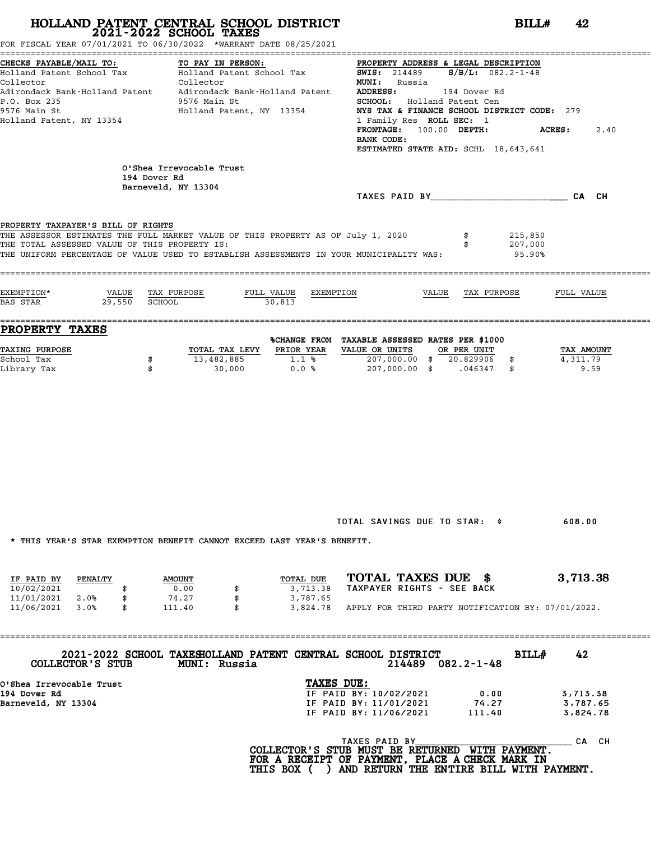FOR FISCAL YEAR 07/01/2021 TO 06/30/2022 \*WARRANT DATE 08/25/2021

| CHECKS PAYABLE/MAIL TO:                                                                                                |        |                     | TO PAY IN PERSON:                              |                                 | PROPERTY ADDRESS & LEGAL DESCRIPTION               |       |             |                                             |            |      |
|------------------------------------------------------------------------------------------------------------------------|--------|---------------------|------------------------------------------------|---------------------------------|----------------------------------------------------|-------|-------------|---------------------------------------------|------------|------|
| Holland Patent School Tax                                                                                              |        |                     | TO PAY IN PERSON.<br>Holland Patent School Tax |                                 | <b>SWIS:</b> 214489 $S/B/L$ : 082.2-1-48           |       |             |                                             |            |      |
| Collector                                                                                                              |        |                     | Collector                                      |                                 | <b>MUNI:</b> Russia                                |       |             |                                             |            |      |
| Adirondack Bank-Holland Patent Adirondack Bank-Holland Patent                                                          |        |                     |                                                |                                 | ADDRESS: 194 Dover Rd                              |       |             |                                             |            |      |
| P.O. Box 235                                                                                                           |        |                     | 9576 Main St                                   |                                 | SCHOOL: Holland Patent Cen                         |       |             |                                             |            |      |
| 9576 Main St                                                                                                           |        |                     | Holland Patent, NY 13354                       |                                 |                                                    |       |             | NYS TAX & FINANCE SCHOOL DISTRICT CODE: 279 |            |      |
| Holland Patent, NY 13354                                                                                               |        |                     |                                                |                                 | 1 Family Res ROLL SEC: 1                           |       |             |                                             |            |      |
|                                                                                                                        |        |                     |                                                |                                 | FRONTAGE: 100.00 DEPTH:                            |       |             |                                             | ACRES:     | 2.40 |
|                                                                                                                        |        |                     |                                                |                                 | BANK CODE:<br>ESTIMATED STATE AID: SCHL 18,643,641 |       |             |                                             |            |      |
|                                                                                                                        |        |                     |                                                |                                 |                                                    |       |             |                                             |            |      |
|                                                                                                                        |        |                     | O'Shea Irrevocable Trust                       |                                 |                                                    |       |             |                                             |            |      |
|                                                                                                                        |        | 194 Dover Rd        |                                                |                                 |                                                    |       |             |                                             |            |      |
|                                                                                                                        |        | Barneveld, NY 13304 |                                                |                                 |                                                    |       |             |                                             |            |      |
|                                                                                                                        |        |                     |                                                |                                 |                                                    |       |             | TAXES PAID BY CA CH                         |            |      |
|                                                                                                                        |        |                     |                                                |                                 |                                                    |       |             |                                             |            |      |
|                                                                                                                        |        |                     |                                                |                                 |                                                    |       |             |                                             |            |      |
| PROPERTY TAXPAYER'S BILL OF RIGHTS<br>THE ASSESSOR ESTIMATES THE FULL MARKET VALUE OF THIS PROPERTY AS OF July 1, 2020 |        |                     |                                                |                                 |                                                    |       |             | 215,850                                     |            |      |
| THE TOTAL ASSESSED VALUE OF THIS PROPERTY IS:                                                                          |        |                     |                                                |                                 |                                                    |       |             | 207,000                                     |            |      |
| THE UNIFORM PERCENTAGE OF VALUE USED TO ESTABLISH ASSESSMENTS IN YOUR MUNICIPALITY WAS:                                |        |                     |                                                |                                 |                                                    |       |             | 95.90%                                      |            |      |
|                                                                                                                        |        |                     |                                                |                                 |                                                    |       |             |                                             |            |      |
|                                                                                                                        |        |                     |                                                |                                 |                                                    |       |             |                                             |            |      |
|                                                                                                                        |        |                     |                                                |                                 |                                                    |       |             |                                             |            |      |
| EXEMPTION*                                                                                                             | VALUE  | TAX PURPOSE         |                                                | FULL VALUE<br>EXEMPTION         |                                                    | VALUE | TAX PURPOSE |                                             | FULL VALUE |      |
| BAS STAR                                                                                                               | 29,550 | SCHOOL              |                                                | 30.813                          |                                                    |       |             |                                             |            |      |
|                                                                                                                        |        |                     |                                                |                                 |                                                    |       |             |                                             |            |      |
| PROPERTY TAXES                                                                                                         |        |                     |                                                |                                 |                                                    |       |             |                                             |            |      |
|                                                                                                                        |        |                     |                                                |                                 | %CHANGE FROM TAXABLE ASSESSED RATES PER \$1000     |       |             |                                             |            |      |
| TAXING PURPOSE                                                                                                         |        |                     | TOTAL TAX LEVY PRIOR YEAR VALUE OR UNITS       |                                 |                                                    |       | OR PER UNIT |                                             | TAX AMOUNT |      |
| School Tax                                                                                                             |        | \$                  | 13,482,885                                     | $1.1$ %                         | 207,000.00 \$ 20.829906 \$                         |       |             |                                             | 4,311.79   |      |
| Library Tax                                                                                                            |        | \$                  | 30,000                                         | $0.0%$ 207,000.00 \$ .046347 \$ |                                                    |       |             |                                             | 9.59       |      |
|                                                                                                                        |        |                     |                                                |                                 |                                                    |       |             |                                             |            |      |
|                                                                                                                        |        |                     |                                                |                                 |                                                    |       |             |                                             |            |      |
|                                                                                                                        |        |                     |                                                |                                 |                                                    |       |             |                                             |            |      |
|                                                                                                                        |        |                     |                                                |                                 |                                                    |       |             |                                             |            |      |
|                                                                                                                        |        |                     |                                                |                                 |                                                    |       |             |                                             |            |      |
|                                                                                                                        |        |                     |                                                |                                 |                                                    |       |             |                                             |            |      |
|                                                                                                                        |        |                     |                                                |                                 |                                                    |       |             |                                             |            |      |
|                                                                                                                        |        |                     |                                                |                                 |                                                    |       |             |                                             |            |      |
|                                                                                                                        |        |                     |                                                |                                 |                                                    |       |             |                                             |            |      |
|                                                                                                                        |        |                     |                                                |                                 |                                                    |       |             |                                             |            |      |
|                                                                                                                        |        |                     |                                                |                                 |                                                    |       |             |                                             |            |      |
|                                                                                                                        |        |                     |                                                |                                 |                                                    |       |             |                                             |            |      |
|                                                                                                                        |        |                     |                                                |                                 |                                                    |       |             |                                             |            |      |
|                                                                                                                        |        |                     |                                                |                                 |                                                    |       |             |                                             |            |      |
|                                                                                                                        |        |                     |                                                |                                 | TOTAL SAVINGS DUE TO STAR: \$                      |       |             |                                             |            |      |
|                                                                                                                        |        |                     |                                                |                                 |                                                    |       |             |                                             |            |      |
|                                                                                                                        |        |                     |                                                |                                 |                                                    |       |             |                                             | 608.00     |      |

\* THIS YEAR'S STAR EXEMPTION BENEFIT CANNOT EXCEED LAST YEAR'S BENEFIT.

|            |         |               |  | INIO IBAN'O OIAN BABMFIIUN DBNBFII CANNUI BACBBD BAOI IBAN'O DBNBFII. |                            |  |  |                                                    |
|------------|---------|---------------|--|-----------------------------------------------------------------------|----------------------------|--|--|----------------------------------------------------|
|            |         |               |  |                                                                       |                            |  |  |                                                    |
| IF PAID BY | PENALTY | <b>AMOUNT</b> |  | TOTAL DUE                                                             | TOTAL TAXES DUE \$         |  |  | 3,713.38                                           |
| 10/02/2021 |         | 0.00          |  | 3,713.38                                                              | TAXPAYER RIGHTS - SEE BACK |  |  |                                                    |
| 11/01/2021 | 2.0%    | 74.27         |  | 3,787.65                                                              |                            |  |  |                                                    |
| 11/06/2021 | 3.0%    | 111.40        |  | 3,824.78                                                              |                            |  |  | APPLY FOR THIRD PARTY NOTIFICATION BY: 07/01/2022. |

==================================================================================================================================== **2021-2022 SCHOOL TAXESHOLLAND PATENT CENTRAL SCHOOL DISTRICT BILL# <sup>42</sup> COLLECTOR'S STUB MUNI: Russia <sup>214489</sup> 082.2-1-48** 2021-2022 SCHOOL TAXESHOLLAND PATENT CENTRAL SCHOOL<br>COLLECTOR'S STUB MUNI: Russia<br>O'Shea Irrevocable Trust TAXES DUE:<br>194 Dover Rd<br>TE PAID BY: 10/ 194 Dover Rd Intervocable Trust<br>
194 Dover Rd Intervocable Trust<br>
194 Dover Rd Intervocable Trust<br>
194 Dover Rd IF PAID BY: 10/02/2021 0.00 3,713.38<br>
194 Dover Rd IF PAID BY: 11/01/2021 74.27 3,787.65 0'Shea Irrevocable Trust<br>
194 Dover Rd<br>
Barneveld, NY 13304<br>
Barneveld, NY 13304<br>
IF PAID BY: 11/06/2021 111.40 3,824.78<br>
IF PAID BY: 11/06/2021 111.40 3,824.78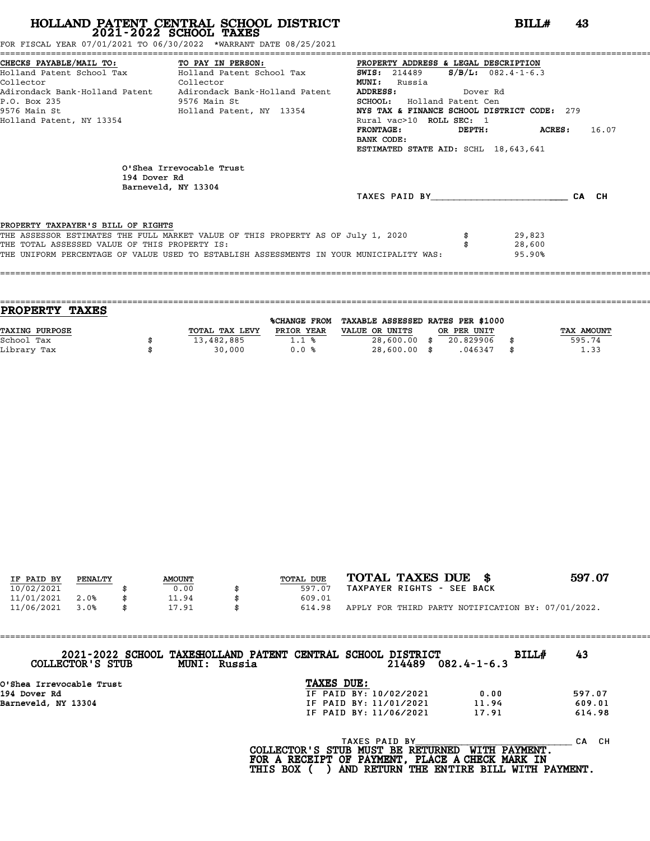FOR FISCAL YEAR 07/01/2021 TO 06/30/2022 \*WARRANT DATE 08/25/2021

|                                               | CHECKS PAYABLE/MAIL TO:               TO PAY IN PERSON:               PROPERTY ADDRESS & LEGAL DESCRIPTION |                                             |        |                          |       |  |
|-----------------------------------------------|------------------------------------------------------------------------------------------------------------|---------------------------------------------|--------|--------------------------|-------|--|
|                                               | Holland Patent School Tax           Holland Patent School Tax                                              | <b>SWIS:</b> 214489                         |        | $S/B/L: 082.4 - 1 - 6.3$ |       |  |
| Collector                                     | Collector                                                                                                  | <b>MUNI:</b> Russia                         |        |                          |       |  |
|                                               | Adirondack Bank-Holland Patent     Adirondack Bank-Holland Patent                                          | <b>ADDRESS:</b><br>Dover Rd                 |        |                          |       |  |
| P.O. Box 235                                  | 9576 Main St                                                                                               | <b>SCHOOL:</b> Holland Patent Cen           |        |                          |       |  |
|                                               | 9576 Main St                                 Holland Patent, NY 13354                                      | NYS TAX & FINANCE SCHOOL DISTRICT CODE: 279 |        |                          |       |  |
| Holland Patent, NY 13354                      |                                                                                                            | Rural vac>10 ROLL SEC: 1                    |        |                          |       |  |
|                                               |                                                                                                            | FRONTAGE:                                   | DEPTH: | <b>ACRES:</b>            | 16.07 |  |
|                                               |                                                                                                            | BANK CODE:                                  |        |                          |       |  |
|                                               |                                                                                                            | ESTIMATED STATE AID: SCHL 18,643,641        |        |                          |       |  |
| 194 Dover Rd                                  | O'Shea Irrevocable Trust<br>Barneveld, NY 13304                                                            |                                             |        |                          |       |  |
|                                               |                                                                                                            | TAXES PAID BY                               |        |                          | CA CH |  |
|                                               |                                                                                                            |                                             |        |                          |       |  |
| PROPERTY TAXPAYER'S BILL OF RIGHTS            |                                                                                                            |                                             |        |                          |       |  |
|                                               | THE ASSESSOR ESTIMATES THE FULL MARKET VALUE OF THIS PROPERTY AS OF July 1, 2020                           |                                             |        | 29,823                   |       |  |
| THE TOTAL ASSESSED VALUE OF THIS PROPERTY IS: |                                                                                                            |                                             |        | 28,600                   |       |  |
|                                               | THE UNIFORM PERCENTAGE OF VALUE USED TO ESTABLISH ASSESSMENTS IN YOUR MUNICIPALITY WAS:                    |                                             |        | 95.90%                   |       |  |
|                                               |                                                                                                            |                                             |        |                          |       |  |

| <b>PROPERTY TAXES</b> |                |                     |                                   |             |            |
|-----------------------|----------------|---------------------|-----------------------------------|-------------|------------|
|                       |                | <b>%CHANGE FROM</b> | TAXABLE ASSESSED RATES PER \$1000 |             |            |
| <b>TAXING PURPOSE</b> | TOTAL TAX LEVY | PRIOR YEAR          | VALUE OR UNITS                    | OR PER UNIT | TAX AMOUNT |
| School Tax            | 13,482,885     | 1.1%                | $28,600.00$ \$                    | 20.829906   | 595.74     |
| Library Tax           | 30,000         | 0.0%                | $28,600.00$ \$                    | .046347     | \$<br>1.33 |

====================================================================================================================================

| IF PAID BY | PENALTY | <b>AMOUNT</b> | TOTAL DUE | TOTAL TAXES DUE \$                                 | 597.07 |
|------------|---------|---------------|-----------|----------------------------------------------------|--------|
| 10/02/2021 |         | 0.00          | 597.07    | TAXPAYER RIGHTS - SEE BACK                         |        |
| 11/01/2021 | 2.0%    | 11.94         | 609.01    |                                                    |        |
| 11/06/2021 | 3.0%    | 17.91         | 614.98    | APPLY FOR THIRD PARTY NOTIFICATION BY: 07/01/2022. |        |

| 2021-2022 SCHOOL TAXESHOLLAND PATENT CENTRAL SCHOOL DISTRICT<br>COLLECTOR'S STUB | MUNI: Russia                                       |                        | 214489 | $082.4 - 1 - 6.3$   | BILL# | 43        |
|----------------------------------------------------------------------------------|----------------------------------------------------|------------------------|--------|---------------------|-------|-----------|
| O'Shea Irrevocable Trust                                                         |                                                    | TAXES DUE:             |        |                     |       |           |
| 194 Dover Rd                                                                     |                                                    | IF PAID BY: 10/02/2021 |        | 0.00                |       | 597.07    |
| Barneveld, NY 13304                                                              |                                                    | IF PAID BY: 11/01/2021 |        | 11.94               |       | 609.01    |
|                                                                                  |                                                    | IF PAID BY: 11/06/2021 |        | 17.91               |       | 614.98    |
|                                                                                  | $COT$ מסוגמווחים כי סימי היאוואי מוחים או מחיים זו | TAXES PAID BY          |        | <b>MTTU DAVMPNT</b> |       | CH.<br>СA |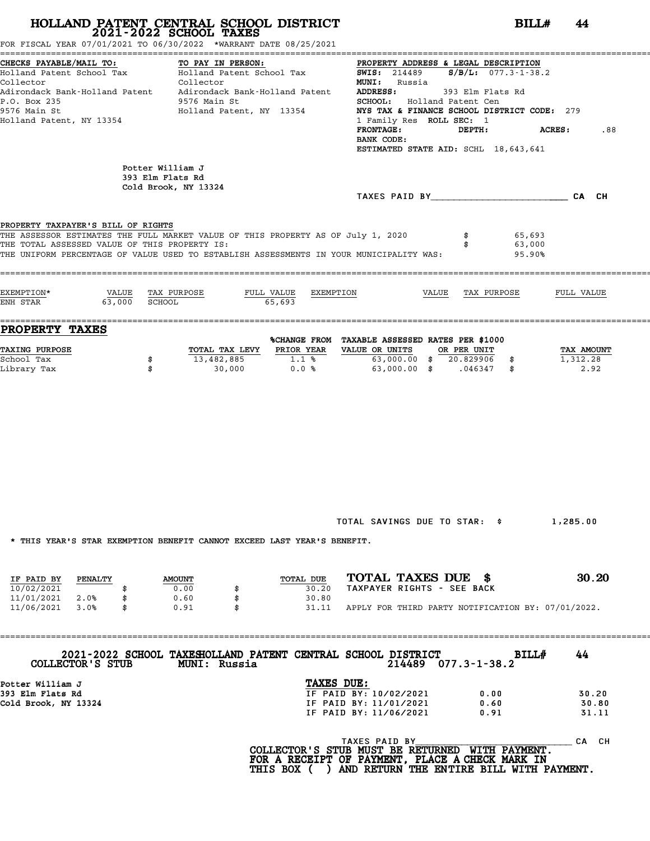FOR FISCAL YEAR 07/01/2021 TO 06/30/2022 \*WARRANT DATE 08/25/2021

| Collector<br>P.O. Box 235<br>9576 Main St<br>Holland Patent, NY 13354                   | Collector<br>Adirondack Bank-Holland Patent Adirondack Bank-Holland Patent<br>9576 Main St<br>Holland Patent, NY 13354                                                      | <b>MUNI:</b> Russia<br>ADDRESS: 393 Elm Flats Rd<br><b>SCHOOL:</b> Holland Patent Cen<br>NYS TAX & FINANCE SCHOOL DISTRICT CODE: 279<br>1 Family Res ROLL SEC: 1<br>FRONTAGE: DEPTH: ACRES:<br>BANK CODE:<br>ESTIMATED STATE AID: SCHL 18,643,641                             | .88  |
|-----------------------------------------------------------------------------------------|-----------------------------------------------------------------------------------------------------------------------------------------------------------------------------|-------------------------------------------------------------------------------------------------------------------------------------------------------------------------------------------------------------------------------------------------------------------------------|------|
|                                                                                         | Potter William J<br>393 Elm Flats Rd<br>Cold Brook, NY 13324                                                                                                                | TAXES PAID BY CA CH                                                                                                                                                                                                                                                           |      |
| PROPERTY TAXPAYER'S BILL OF RIGHTS<br>THE TOTAL ASSESSED VALUE OF THIS PROPERTY IS:     | THE ASSESSOR ESTIMATES THE FULL MARKET VALUE OF THIS PROPERTY AS OF July 1, 2020<br>THE UNIFORM PERCENTAGE OF VALUE USED TO ESTABLISH ASSESSMENTS IN YOUR MUNICIPALITY WAS: | \$ 65,693<br>63,000<br>95.90%                                                                                                                                                                                                                                                 |      |
| ENH STAR 63,000 SCHOOL                                                                  | 65.693                                                                                                                                                                      |                                                                                                                                                                                                                                                                               |      |
| <b>PROPERTY TAXES</b><br><u>TAXING PURPOSE</u><br>School Tax<br>\$<br>Library Tax<br>\$ |                                                                                                                                                                             | %CHANGE FROM TAXABLE ASSESSED RATES PER \$1000<br>TOTAL TAX LEVY PRIOR YEAR VALUE OR UNITS OR PER UNIT TAX AMOUNT<br>$13,482,885$ $1.1\text{ }$ $\text{\% }$ $63,000.00\text{ }$ $\text{\# }$ 20.829906 $\text{\# }$ $1,312.28$<br>$30,000$ $0.0%$ $63,000.00%$ $.046347$ $*$ | 2.92 |

TOTAL SAVINGS DUE TO STAR: \$ 1,285.00

\* THIS YEAR'S STAR EXEMPTION BENEFIT CANNOT EXCEED LAST YEAR'S BENEFIT.

|            |         |               | INIO IBAN'O OIAN BABMFIIUN DBNBFII CANNUI BACBBD BAOI IBAN'O DBNBFII. |                                                    |       |
|------------|---------|---------------|-----------------------------------------------------------------------|----------------------------------------------------|-------|
| IF PAID BY | PENALTY | <b>AMOUNT</b> | TOTAL DUE                                                             | TOTAL TAXES DUE \$                                 | 30.20 |
| 10/02/2021 |         | 0.00          | 30.20                                                                 | TAXPAYER RIGHTS - SEE BACK                         |       |
| 11/01/2021 | 2.0%    | 0.60          | 30.80                                                                 |                                                    |       |
| 11/06/2021 | 3.0%    | 0.91          | 31.11                                                                 | APPLY FOR THIRD PARTY NOTIFICATION BY: 07/01/2022. |       |
|            |         |               |                                                                       |                                                    |       |

==================================================================================================================================== **2021-2022 SCHOOL TAXESHOLLAND PATENT CENTRAL SCHOOL DISTRICT BILL# <sup>44</sup> COLLECTOR'S STUB MUNI: Russia <sup>214489</sup> 077.3-1-38.2**

| COLLECTOR'S STUB     | <b>MUNI: Russia</b> | 2021-2022 SCHOOL TAXESHOLLAND PATENT CENTRAL SCHOOL DISTRICT<br>214489 | <b>BITT#</b><br>077.3-1-38.2 | 44    |
|----------------------|---------------------|------------------------------------------------------------------------|------------------------------|-------|
| Potter William J     |                     | TAXES DUE:                                                             |                              |       |
| 393 Elm Flats Rd     |                     | IF PAID BY: 10/02/2021                                                 | 0.00                         | 30.20 |
| Cold Brook, NY 13324 |                     | IF PAID BY: 11/01/2021                                                 | 0.60                         | 30.80 |
|                      |                     | IF PAID BY: 11/06/2021                                                 | 0.91                         | 31.11 |
|                      |                     |                                                                        |                              |       |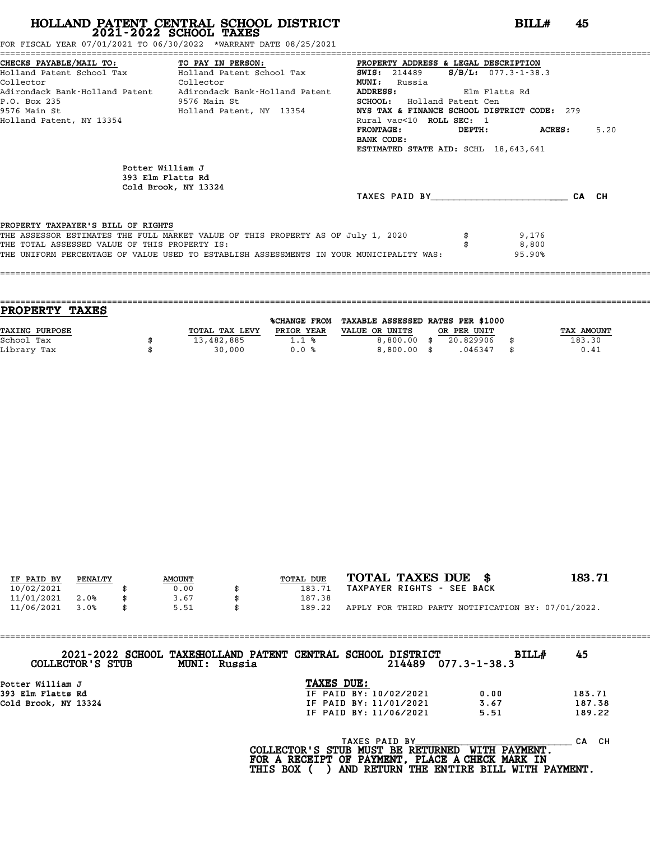FOR FISCAL YEAR 07/01/2021 TO 06/30/2022 \*WARRANT DATE 08/25/2021

|                                               | CHECKS PAYABLE/MAIL TO: TO PAY IN PERSON: PROPERTY ADDRESS & LEGAL DESCRIPTION<br>Holland Patent School Tax Holland Patent School Tax 5WIS: 214489 5/B/L: 077.3-1-38.3 |                                      |                   |       |
|-----------------------------------------------|------------------------------------------------------------------------------------------------------------------------------------------------------------------------|--------------------------------------|-------------------|-------|
|                                               |                                                                                                                                                                        |                                      |                   |       |
| Collector<br><u>Collector</u>                 |                                                                                                                                                                        | <b>MUNI:</b> Russia                  |                   |       |
|                                               | Adirondack Bank-Holland Patent Adirondack Bank-Holland Patent                                                                                                          | ADDRESS: Elm Flatts Rd               |                   |       |
| P.O. Box 235<br>9576 Main St                  |                                                                                                                                                                        | <b>SCHOOL:</b> Holland Patent Cen    |                   |       |
|                                               | 9576 Main St                 Holland Patent, NY 13354         NYS TAX & FINANCE SCHOOL DISTRICT CODE: 279                                                              |                                      |                   |       |
| Holland Patent, NY 13354                      |                                                                                                                                                                        | Rural vac<10 ROLL SEC: 1             |                   |       |
|                                               |                                                                                                                                                                        | <b>FRONTAGE:</b>                     | $DEPTH:$ $ACRES:$ | 5.20  |
|                                               |                                                                                                                                                                        | BANK CODE:                           |                   |       |
|                                               |                                                                                                                                                                        | ESTIMATED STATE AID: SCHL 18,643,641 |                   |       |
| Potter William J                              |                                                                                                                                                                        |                                      |                   |       |
|                                               | 393 Elm Flatts Rd                                                                                                                                                      |                                      |                   |       |
|                                               | Cold Brook, NY 13324                                                                                                                                                   | TAXES PAID BY TAXES                  |                   | CA CH |
| PROPERTY TAXPAYER'S BILL OF RIGHTS            |                                                                                                                                                                        |                                      |                   |       |
|                                               | THE ASSESSOR ESTIMATES THE FULL MARKET VALUE OF THIS PROPERTY AS OF July 1, 2020                                                                                       |                                      | 9,176             |       |
| THE TOTAL ASSESSED VALUE OF THIS PROPERTY IS: |                                                                                                                                                                        |                                      | 8,800             |       |
|                                               | THE UNIFORM PERCENTAGE OF VALUE USED TO ESTABLISH ASSESSMENTS IN YOUR MUNICIPALITY WAS:                                                                                |                                      | 95.90%            |       |
|                                               |                                                                                                                                                                        |                                      |                   |       |
|                                               |                                                                                                                                                                        |                                      |                   |       |

| <b>PROPERTY TAXES</b> |                |                     |                                   |             |            |
|-----------------------|----------------|---------------------|-----------------------------------|-------------|------------|
|                       |                | <b>%CHANGE FROM</b> | TAXABLE ASSESSED RATES PER \$1000 |             |            |
| <b>TAXING PURPOSE</b> | TOTAL TAX LEVY | PRIOR YEAR          | VALUE OR UNITS                    | OR PER UNIT | TAX AMOUNT |
| School Tax            | 13,482,885     | 1.1%                | $8,800.00$ \$                     | 20.829906   | 183.30     |
| Library Tax           | 30,000         | 0.0%                | $8,800.00$ \$                     | .046347     | \$<br>0.41 |
|                       |                |                     |                                   |             |            |

| IF PAID BY | PENALTY | <b>AMOUNT</b> | TOTAL DUE | TOTAL TAXES DUE \$                                 | 183.71 |
|------------|---------|---------------|-----------|----------------------------------------------------|--------|
| 10/02/2021 |         | 0.00          | 183.71    | TAXPAYER RIGHTS - SEE BACK                         |        |
| 11/01/2021 | 2.0%    | 3.67          | 187.38    |                                                    |        |
| 11/06/2021 | 3.0%    | 5.51          | 189.22    | APPLY FOR THIRD PARTY NOTIFICATION BY: 07/01/2022. |        |
|            |         |               |           |                                                    |        |

| COLLECTOR'S STUB     | 2021-2022 SCHOOL TAXESHOLLAND PATENT CENTRAL SCHOOL DISTRICT<br>MUNI: Russia |                        | BILLH<br>$214489$ 077.3-1-38.3 | 45     |
|----------------------|------------------------------------------------------------------------------|------------------------|--------------------------------|--------|
| Potter William J     |                                                                              | TAXES DUE:             |                                |        |
| 393 Elm Flatts Rd    |                                                                              | IF PAID BY: 10/02/2021 | 0.00                           | 183.71 |
| Cold Brook, NY 13324 |                                                                              | IF PAID BY: 11/01/2021 | 3.67                           | 187.38 |
|                      |                                                                              | IF PAID BY: 11/06/2021 | 5.51                           | 189.22 |
|                      |                                                                              |                        |                                |        |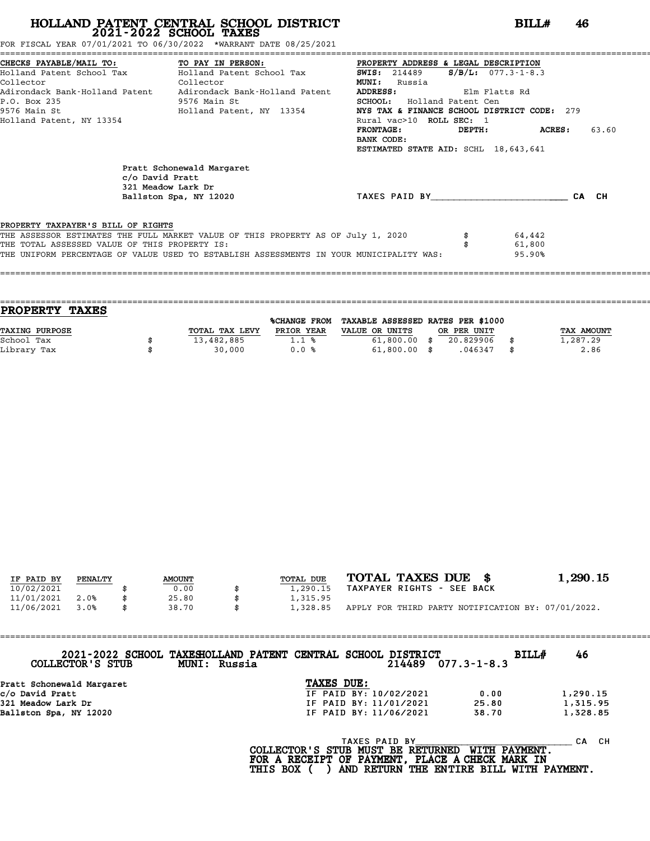FOR FISCAL YEAR 07/01/2021 TO 06/30/2022 \*WARRANT DATE 08/25/2021

|                                                                                     | CHECKS PAYABLE/MAIL TO: TO PAY IN PERSON:                                                                                                                                   | PROPERTY ADDRESS & LEGAL DESCRIPTION        |                       |                            |       |  |  |  |
|-------------------------------------------------------------------------------------|-----------------------------------------------------------------------------------------------------------------------------------------------------------------------------|---------------------------------------------|-----------------------|----------------------------|-------|--|--|--|
|                                                                                     | Holland Patent School Tax           Holland Patent School Tax                                                                                                               | <b>SWIS:</b> 214489                         | $S/B/L$ : 077.3-1-8.3 |                            |       |  |  |  |
| Collector                                                                           | Collector                                                                                                                                                                   | <b>MUNI:</b><br>Russia                      |                       |                            |       |  |  |  |
|                                                                                     | Adirondack Bank-Holland Patent Adirondack Bank-Holland Patent                                                                                                               | <b>ADDRESS:</b>                             | Elm Flatts Rd         |                            |       |  |  |  |
| P.O. Box 235                                                                        | 9576 Main St                                                                                                                                                                | <b>SCHOOL:</b> Holland Patent Cen           |                       |                            |       |  |  |  |
|                                                                                     | 9576 Main St                               Holland Patent, NY 13354                                                                                                         | NYS TAX & FINANCE SCHOOL DISTRICT CODE: 279 |                       |                            |       |  |  |  |
| Holland Patent, NY 13354                                                            |                                                                                                                                                                             | Rural vac>10 ROLL SEC: 1                    |                       |                            |       |  |  |  |
|                                                                                     |                                                                                                                                                                             | <b>FRONTAGE:</b>                            | DEPTH:                | ACRES :                    | 63.60 |  |  |  |
|                                                                                     |                                                                                                                                                                             | BANK CODE:                                  |                       |                            |       |  |  |  |
|                                                                                     |                                                                                                                                                                             | ESTIMATED STATE AID: SCHL 18,643,641        |                       |                            |       |  |  |  |
| c/o David Pratt                                                                     | Pratt Schonewald Margaret<br>321 Meadow Lark Dr<br>Ballston Spa, NY 12020                                                                                                   | TAXES PAID BY                               |                       |                            | CA CH |  |  |  |
| PROPERTY TAXPAYER'S BILL OF RIGHTS<br>THE TOTAL ASSESSED VALUE OF THIS PROPERTY IS: | THE ASSESSOR ESTIMATES THE FULL MARKET VALUE OF THIS PROPERTY AS OF July 1, 2020<br>THE UNIFORM PERCENTAGE OF VALUE USED TO ESTABLISH ASSESSMENTS IN YOUR MUNICIPALITY WAS: |                                             |                       | 64,442<br>61,800<br>95.90% |       |  |  |  |
|                                                                                     |                                                                                                                                                                             |                                             |                       |                            |       |  |  |  |

| <b>PROPERTY</b><br><b>TAXES</b> |                |                |                                   |             |            |
|---------------------------------|----------------|----------------|-----------------------------------|-------------|------------|
|                                 |                | %CHANGE FROM   | TAXABLE ASSESSED RATES PER \$1000 |             |            |
| TAXING PURPOSE                  | TOTAL TAX LEVY | PRIOR YEAR     | VALUE OR UNITS                    | OR PER UNIT | TAX AMOUNT |
| School Tax                      | 13,482,885     | $1.1 \text{ }$ | $61,800.00$ \$                    | 20.829906   | 1,287.29   |
| Library Tax                     | 30,000         | 0.0%           | $61,800.00$ \$                    | .046347     | 2.86       |

====================================================================================================================================

| IF PAID BY | PENALTY | <b>AMOUNT</b> | TOTAL DUE | TOTAL TAXES DUE \$                                 | 1,290.15 |
|------------|---------|---------------|-----------|----------------------------------------------------|----------|
| 10/02/2021 |         | 0.00          | 1,290.15  | TAXPAYER RIGHTS - SEE BACK                         |          |
| 11/01/2021 | 2.0%    | 25.80         | 1,315.95  |                                                    |          |
| 11/06/2021 | 3.0%    | \$<br>38.70   | 1,328.85  | APPLY FOR THIRD PARTY NOTIFICATION BY: 07/01/2022. |          |

| COLLECTOR'S STUB          | 2021-2022 SCHOOL TAXESHOLLAND PATENT CENTRAL SCHOOL DISTRICT<br>MUNI: Russia |                        |                        | BILLH<br>$214489$ $077.3 - 1 - 8.3$ | 46          |
|---------------------------|------------------------------------------------------------------------------|------------------------|------------------------|-------------------------------------|-------------|
| Pratt Schonewald Margaret |                                                                              | TAXES DUE:             |                        |                                     |             |
| c/o David Pratt           |                                                                              |                        | IF PAID BY: 10/02/2021 | 0.00                                | 1,290.15    |
| 321 Meadow Lark Dr        |                                                                              | IF PAID BY: 11/01/2021 |                        | 25.80                               | 1,315.95    |
| Ballston Spa, NY 12020    |                                                                              |                        | IF PAID BY: 11/06/2021 | 38.70                               | 1,328.85    |
|                           |                                                                              |                        | <b>TAXES PAID BY</b>   | WITH PAYMENT.                       | - CH<br>CA. |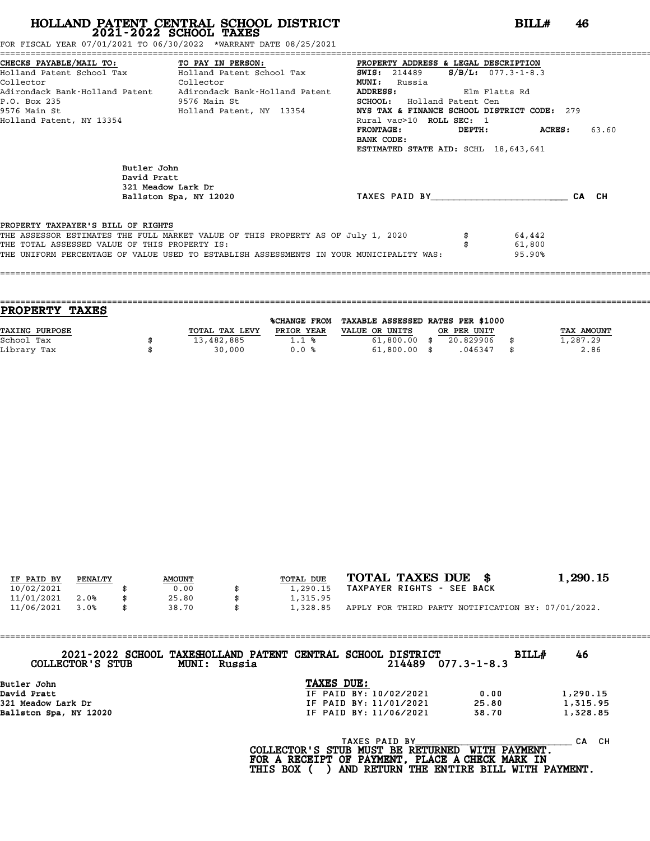FOR FISCAL YEAR 07/01/2021 TO 06/30/2022 \*WARRANT DATE 08/25/2021

|                                                                 |                                                                                         |                                      | CHECKS PAYABLE/MAIL TO:             TO PAY IN PERSON:             PROPERTY ADDRESS & LEGAL DESCRIPTION |       |  |  |  |  |
|-----------------------------------------------------------------|-----------------------------------------------------------------------------------------|--------------------------------------|--------------------------------------------------------------------------------------------------------|-------|--|--|--|--|
|                                                                 | Holland Patent School Tax Molland Patent School Tax 5WIS: 214489 5/B/L: 077.3-1-8.3     |                                      |                                                                                                        |       |  |  |  |  |
| Collector<br><b>Collector</b>                                   |                                                                                         | <b>MUNI:</b> Russia                  |                                                                                                        |       |  |  |  |  |
|                                                                 | Adirondack Bank-Holland Patent     Adirondack Bank-Holland Patent                       | ADDRESS: Elm Flatts Rd               |                                                                                                        |       |  |  |  |  |
| P.O. Box 235                                                    | 9576 Main St                                                                            | <b>SCHOOL:</b> Holland Patent Cen    |                                                                                                        |       |  |  |  |  |
| 9576 Main St                           Holland Patent, NY 13354 | NYS TAX & FINANCE SCHOOL DISTRICT CODE: 279                                             |                                      |                                                                                                        |       |  |  |  |  |
| Holland Patent, NY 13354                                        |                                                                                         | Rural vac>10 ROLL SEC: 1             |                                                                                                        |       |  |  |  |  |
|                                                                 |                                                                                         | FRONTAGE:                            | DEPTH: ACRES:                                                                                          | 63.60 |  |  |  |  |
|                                                                 |                                                                                         | BANK CODE:                           |                                                                                                        |       |  |  |  |  |
|                                                                 |                                                                                         | ESTIMATED STATE AID: SCHL 18,643,641 |                                                                                                        |       |  |  |  |  |
|                                                                 | Butler John<br>David Pratt<br>321 Meadow Lark Dr                                        |                                      |                                                                                                        |       |  |  |  |  |
|                                                                 | Ballston Spa, NY 12020                                                                  | TAXES PAID BY CA CH                  |                                                                                                        |       |  |  |  |  |
| PROPERTY TAXPAYER'S BILL OF RIGHTS                              |                                                                                         |                                      |                                                                                                        |       |  |  |  |  |
|                                                                 | THE ASSESSOR ESTIMATES THE FULL MARKET VALUE OF THIS PROPERTY AS OF July 1, 2020        |                                      | 64,442                                                                                                 |       |  |  |  |  |
| THE TOTAL ASSESSED VALUE OF THIS PROPERTY IS:                   |                                                                                         |                                      | 61,800                                                                                                 |       |  |  |  |  |
|                                                                 | THE UNIFORM PERCENTAGE OF VALUE USED TO ESTABLISH ASSESSMENTS IN YOUR MUNICIPALITY WAS: |                                      | 95.90%                                                                                                 |       |  |  |  |  |
|                                                                 |                                                                                         |                                      |                                                                                                        |       |  |  |  |  |
|                                                                 |                                                                                         |                                      |                                                                                                        |       |  |  |  |  |

| <b>TAXES</b><br><b>PROPERTY</b> |                |                     |                                   |             |            |
|---------------------------------|----------------|---------------------|-----------------------------------|-------------|------------|
|                                 |                | <b>%CHANGE FROM</b> | TAXABLE ASSESSED RATES PER \$1000 |             |            |
| TAXING PURPOSE                  | TOTAL TAX LEVY | PRIOR YEAR          | VALUE OR UNITS                    | OR PER UNIT | TAX AMOUNT |
| School Tax                      | 13,482,885     | 1.1%                | $61,800.00$ \$                    | 20.829906   | 1,287.29   |
| Library Tax                     | 30,000         | 0.0%                | $61,800.00$ \$                    | .046347     | \$<br>2.86 |
|                                 |                |                     |                                   |             |            |

| IF PAID BY | PENALTY | <b>AMOUNT</b> | TOTAL DUE | TOTAL TAXES DUE \$                                 | 1,290.15 |
|------------|---------|---------------|-----------|----------------------------------------------------|----------|
| 10/02/2021 |         | 0.00          | 1,290.15  | TAXPAYER RIGHTS - SEE BACK                         |          |
| 11/01/2021 | 2.0%    | 25.80         | 1,315.95  |                                                    |          |
| 11/06/2021 | 3.0%    | \$<br>38.70   | 1,328.85  | APPLY FOR THIRD PARTY NOTIFICATION BY: 07/01/2022. |          |

| COLLECTOR'S STUB       | 2021-2022 SCHOOL TAXESHOLLAND PATENT CENTRAL SCHOOL DISTRICT<br>MUNI: Russia |            |                        | $214489$ $077.3 - 1 - 8.3$ | <b>BILL#</b> | 46       |  |
|------------------------|------------------------------------------------------------------------------|------------|------------------------|----------------------------|--------------|----------|--|
| Butler John            |                                                                              | TAXES DUE: |                        |                            |              |          |  |
| David Pratt            |                                                                              |            | IF PAID BY: 10/02/2021 | 0.00                       |              | 1,290.15 |  |
| 321 Meadow Lark Dr     |                                                                              |            | IF PAID BY: 11/01/2021 | 25.80                      |              | 1,315.95 |  |
| Ballston Spa, NY 12020 |                                                                              |            | IF PAID BY: 11/06/2021 | 38.70                      |              | 1,328.85 |  |
|                        |                                                                              |            |                        |                            |              |          |  |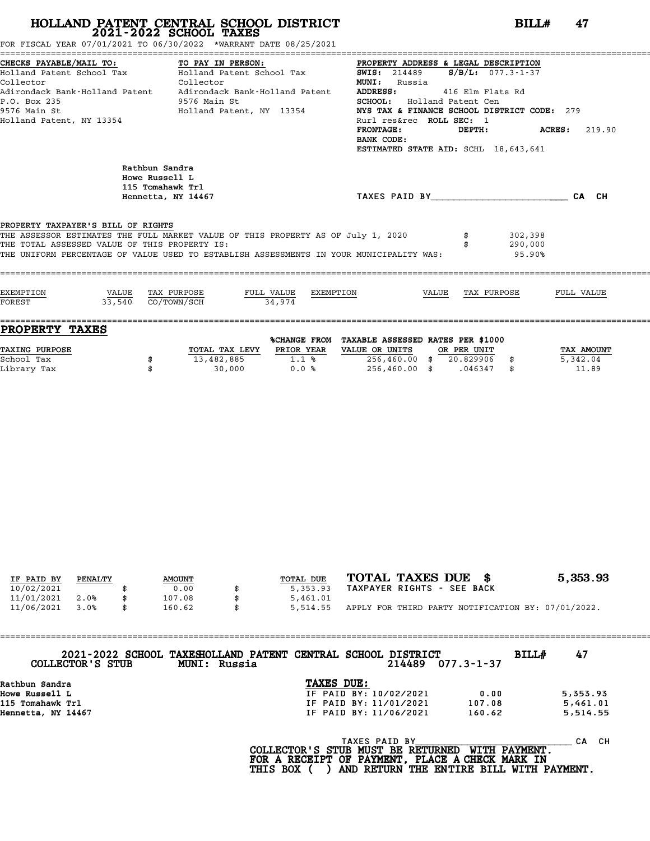FOR FISCAL YEAR 07/01/2021 TO 06/30/2022 \*WARRANT DATE 08/25/2021

| CHECKS PAYABLE/MAIL TO:<br>Collector<br>P.O. Box 235<br>9576 Main St<br>Holland Patent, NY 13354 | TO PAY IN PERSON:<br>CHECKS PAYABLE/MAIL TO:                    TO PAY IN PERSON:                         PROPERTY ADDRESS & LEGAL DESCRIPTION<br>Holland Patent School Tax             Holland Patent School Tax               SWIS:  214489     S/B/<br>Collector<br>Adirondack Bank-Holland Patent     Adirondack Bank-Holland Patent<br>9576 Main St<br>9576 Main St<br>Holland Patent, NY 13354 | PROPERTY ADDRESS & LEGAL DESCRIPTION<br><b>MUNI:</b> Russia<br><b>ADDRESS:</b><br>SCHOOL: Holland Patent Cen<br>NYS TAX & FINANCE SCHOOL DISTRICT CODE: 279<br>Rurl res&rec ROLL SEC: 1<br>FRONTAGE: DEPTH: ACRES: 219.90<br>BANK CODE:<br>ESTIMATED STATE AID: SCHL 18,643,641 | 416 Elm Flats Rd |                              |  |
|--------------------------------------------------------------------------------------------------|------------------------------------------------------------------------------------------------------------------------------------------------------------------------------------------------------------------------------------------------------------------------------------------------------------------------------------------------------------------------------------------------------|---------------------------------------------------------------------------------------------------------------------------------------------------------------------------------------------------------------------------------------------------------------------------------|------------------|------------------------------|--|
| Rathbun Sandra<br>Howe Russell L<br>115 Tomahawk Trl                                             | Hennetta, NY 14467                                                                                                                                                                                                                                                                                                                                                                                   | TAXES PAID BY CA CH                                                                                                                                                                                                                                                             |                  |                              |  |
| PROPERTY TAXPAYER'S BILL OF RIGHTS<br>THE TOTAL ASSESSED VALUE OF THIS PROPERTY IS:              | THE ASSESSOR ESTIMATES THE FULL MARKET VALUE OF THIS PROPERTY AS OF July 1, 2020 \$<br>THE UNIFORM PERCENTAGE OF VALUE USED TO ESTABLISH ASSESSMENTS IN YOUR MUNICIPALITY WAS:                                                                                                                                                                                                                       |                                                                                                                                                                                                                                                                                 |                  | 302,398<br>290,000<br>95.90% |  |
| 33,540 CO/TOWN/SCH<br>FOREST                                                                     | 34.974                                                                                                                                                                                                                                                                                                                                                                                               |                                                                                                                                                                                                                                                                                 |                  |                              |  |

|                | %CHANGE FROM |                |           |             |                                   |
|----------------|--------------|----------------|-----------|-------------|-----------------------------------|
| TOTAL TAX LEVY | PRIOR YEAR   | VALUE OR UNITS |           |             | TAX AMOUNT                        |
| 13,482,885     | $1.1$ %      | 256,460.00     | 20.829906 |             | 5,342.04                          |
| 30,000         | 0.0%         | 256,460.00     | .046347   |             | 11.89                             |
|                |              |                |           | OR PER UNIT | TAXABLE ASSESSED RATES PER \$1000 |

| IF PAID BY | PENALTY | <b>AMOUNT</b> | TOTAL DUE | TOTAL TAXES DUE \$                                 | 5,353.93 |
|------------|---------|---------------|-----------|----------------------------------------------------|----------|
| 10/02/2021 |         | 0.00          | 5,353.93  | TAXPAYER RIGHTS - SEE BACK                         |          |
| 11/01/2021 | 2.0%    | 107.08        | 5,461.01  |                                                    |          |
| 11/06/2021 | 3.0%    | 160.62        | 5,514.55  | APPLY FOR THIRD PARTY NOTIFICATION BY: 07/01/2022. |          |

| COLLECTOR'S STUB   | 2021-2022 SCHOOL TAXESHOLLAND PATENT CENTRAL SCHOOL DISTRICT<br>MUNI: Russia |            |                        | 214489 077.3-1-37 | <b>BILL#</b> | 47       |  |
|--------------------|------------------------------------------------------------------------------|------------|------------------------|-------------------|--------------|----------|--|
| Rathbun Sandra     |                                                                              | TAXES DUE: |                        |                   |              |          |  |
| Howe Russell L     |                                                                              |            | IF PAID BY: 10/02/2021 | 0.00              |              | 5,353.93 |  |
| 115 Tomahawk Trl   |                                                                              |            | IF PAID BY: 11/01/2021 | 107.08            |              | 5,461.01 |  |
| Hennetta, NY 14467 |                                                                              |            | IF PAID BY: 11/06/2021 | 160.62            |              | 5,514.55 |  |
|                    |                                                                              |            |                        |                   |              |          |  |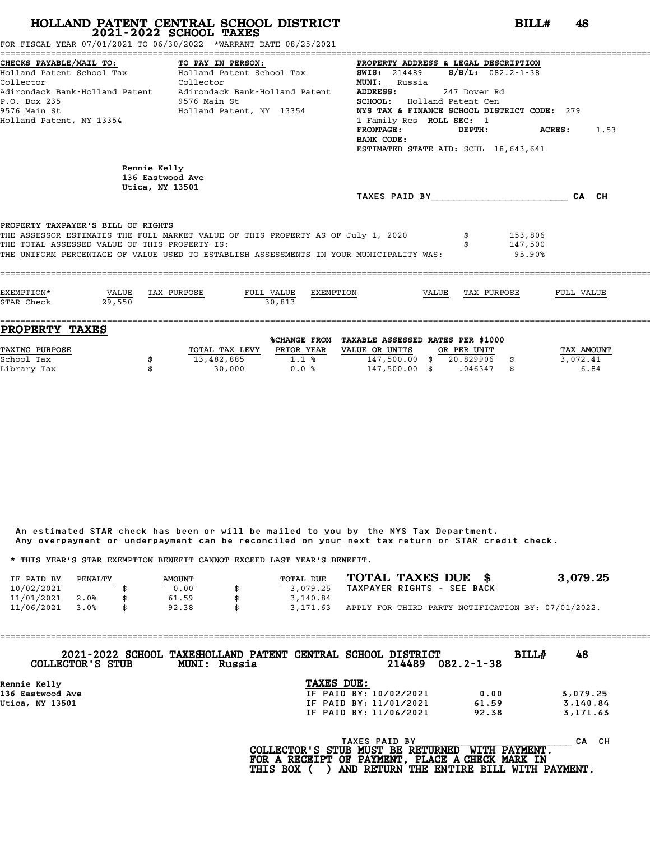FOR FISCAL YEAR 07/01/2021 TO 06/30/2022 \*WARRANT DATE 08/25/2021

| CHECKS PAYABLE/MAIL TO: TO PAY IN PERSON:<br>Collector<br>P.O. Box 235<br>9576 Main St<br>Holland Patent, NY 13354 | Collector<br>9576 Main St<br>Holland Patent, NY 13354                                                                                                                       | PROPERTY ADDRESS & LEGAL DESCRIPTION<br><b>SWIS:</b> 214489 <b>S/B/L:</b> 082.2-1-38<br><b>MUNI:</b> Russia<br>ADDRESS:<br>SCHOOL: Holland Patent Cen<br>NYS TAX & FINANCE SCHOOL DISTRICT CODE: 279<br>1 Family Res ROLL SEC: 1<br>$\texttt{FRONTAGE:}$ $\texttt{DEPTH:}$ $\texttt{ACRES:}$<br>BANK CODE:<br>ESTIMATED STATE AID: SCHL 18,643,641 | 247 Dover Rd                   | 1.53 |
|--------------------------------------------------------------------------------------------------------------------|-----------------------------------------------------------------------------------------------------------------------------------------------------------------------------|----------------------------------------------------------------------------------------------------------------------------------------------------------------------------------------------------------------------------------------------------------------------------------------------------------------------------------------------------|--------------------------------|------|
| Rennie Kelly                                                                                                       | 136 Eastwood Ave<br>Utica, NY 13501                                                                                                                                         | TAXES PAID BY CA CH                                                                                                                                                                                                                                                                                                                                |                                |      |
| PROPERTY TAXPAYER'S BILL OF RIGHTS<br>THE TOTAL ASSESSED VALUE OF THIS PROPERTY IS:                                | THE ASSESSOR ESTIMATES THE FULL MARKET VALUE OF THIS PROPERTY AS OF July 1, 2020<br>THE UNIFORM PERCENTAGE OF VALUE USED TO ESTABLISH ASSESSMENTS IN YOUR MUNICIPALITY WAS: |                                                                                                                                                                                                                                                                                                                                                    | \$153,806<br>147,500<br>95.90% |      |
|                                                                                                                    | 30.813                                                                                                                                                                      | $\underline{\texttt{FULL} \quad \texttt{VALUE}} \qquad \underline{\texttt{EXEMENTION}} \qquad \qquad \underline{\texttt{VALUE}} \qquad \underline{\texttt{TAX} \quad \texttt{PURPOSE}} \qquad \qquad \underline{\texttt{FULL} \quad \texttt{VALUE}}$                                                                                               |                                |      |

| PROPERTY TAXES        |                |              |                                   |             |            |
|-----------------------|----------------|--------------|-----------------------------------|-------------|------------|
|                       |                | %CHANGE FROM | TAXABLE ASSESSED RATES PER \$1000 |             |            |
| <b>TAXING PURPOSE</b> | TOTAL TAX LEVY | PRIOR YEAR   | VALUE OR UNITS                    | OR PER UNIT | TAX AMOUNT |
| School Tax            | 13,482,885     | 1.1%         | 147,500.00                        | 20.829906   | 3,072.41   |
| Library Tax           | 30,000         | 0.0%         | 147,500.00                        | .046347     | 6.84       |

An estimated STAR check has been or will be mailed to you by the NYS Tax Department. An estimated STAR check has been or will be mailed to you by the NYS Tax Department.<br>Any overpayment or underpayment can be reconciled on your next tax return or STAR credit check. Any overpayment or underpayment can be reconciled on your next tax return or STAR credit check.

|                                                                         |         |               |    |           |                            |  | ANY OVERPOVINCING OF MINGEROVINCING CONFUCTING THE VIOLET ON THE MOVING CONFUCTING OF STARF CHECKS. |                                                    |
|-------------------------------------------------------------------------|---------|---------------|----|-----------|----------------------------|--|-----------------------------------------------------------------------------------------------------|----------------------------------------------------|
| * THIS YEAR'S STAR EXEMPTION BENEFIT CANNOT EXCEED LAST YEAR'S BENEFIT. |         |               |    |           |                            |  |                                                                                                     |                                                    |
| IF PAID BY                                                              | PENALTY | <b>AMOUNT</b> |    | TOTAL DUE | TOTAL TAXES DUE \$         |  |                                                                                                     | 3,079.25                                           |
| 10/02/2021                                                              |         | 0.00          |    | 3.079.25  | TAXPAYER RIGHTS - SEE BACK |  |                                                                                                     |                                                    |
| 11/01/2021                                                              | 2.0%    | 61.59         |    | 3,140.84  |                            |  |                                                                                                     |                                                    |
| 11/06/2021                                                              | 3.0%    | 92.38         | \$ | 3,171.63  |                            |  |                                                                                                     | APPLY FOR THIRD PARTY NOTIFICATION BY: 07/01/2022. |

==================================================================================================================================== **2021-2022 SCHOOL TAXESHOLLAND PATENT CENTRAL SCHOOL DISTRICT BILL# <sup>48</sup> COLLECTOR'S STUB MUNI: Russia <sup>214489</sup> 082.2-1-38** 2021-2022 SCHOOL TAXESHOLLAND PATENT CENTRAL SCHOOL<br>COLLECTOR'S STUB MUNI: Russia<br>Rennie Kelly **TAXES DUE:**<br>136 Eastwood Ave **TE PAID BY:** 

| COTTECTOR 5 SIGR | MUNI: KUSSIA | Z14489                 | U82.2-1-38 |          |
|------------------|--------------|------------------------|------------|----------|
| Rennie Kelly     |              | TAXES DUE:             |            |          |
| 136 Eastwood Ave |              | IF PAID BY: 10/02/2021 | 0.00       | 3,079.25 |
| Utica, NY 13501  |              | IF PAID BY: 11/01/2021 | 61.59      | 3,140.84 |
|                  |              | IF PAID BY: 11/06/2021 | 92.38      | 3,171.63 |
|                  |              |                        |            |          |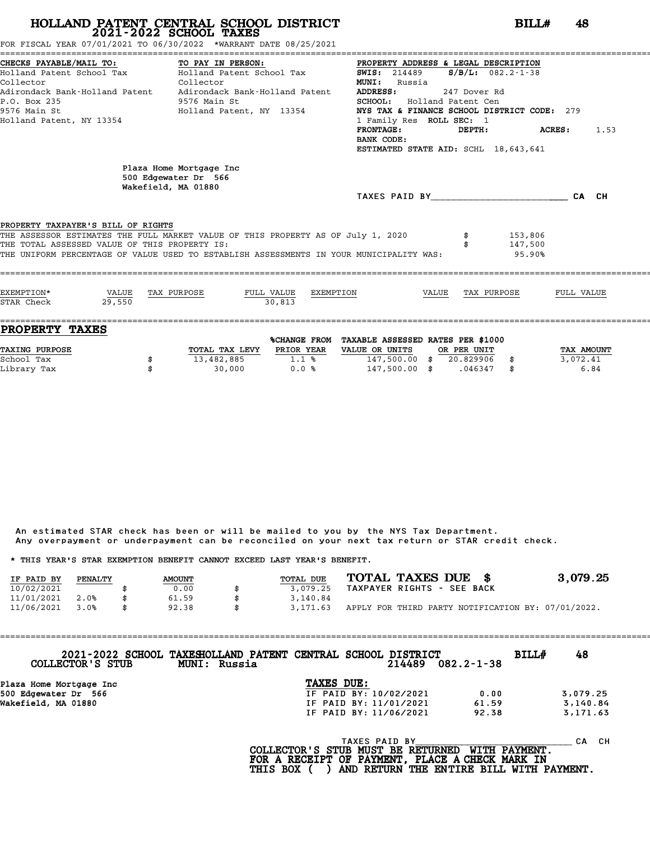FOR FISCAL YEAR 07/01/2021 TO 06/30/2022 \*WARRANT DATE 08/25/2021

| CHECKS PAYABLE/MAIL TO:<br>Collector<br>P.O. Box 235<br>9576 Main St<br>Holland Patent, NY 13354 | TO PAY IN PERSON:<br>Holland Patent School Tax           Holland Patent School Tax<br>Collector<br>Adirondack Bank-Holland Patent . Adirondack Bank-Holland Patent<br>9576 Main St<br>Holland Patent, NY 13354 | PROPERTY ADDRESS & LEGAL DESCRIPTION<br><b>SWIS:</b> 214489<br><b>MUNI:</b> Russia<br><b>ADDRESS:</b><br>SCHOOL: Holland Patent Cen<br>NYS TAX & FINANCE SCHOOL DISTRICT CODE: 279<br>1 Family Res ROLL SEC: 1 | 247 Dover Rd | $S/B/L$ : 082.2-1-38           |         |      |
|--------------------------------------------------------------------------------------------------|----------------------------------------------------------------------------------------------------------------------------------------------------------------------------------------------------------------|----------------------------------------------------------------------------------------------------------------------------------------------------------------------------------------------------------------|--------------|--------------------------------|---------|------|
|                                                                                                  |                                                                                                                                                                                                                | FRONTAGE:<br>BANK CODE:<br>ESTIMATED STATE AID: SCHL 18,643,641                                                                                                                                                |              | DEPTH:                         | ACRES : | 1.53 |
|                                                                                                  | Plaza Home Mortgage Inc<br>500 Edgewater Dr 566<br>Wakefield, MA 01880                                                                                                                                         | TAXES PAID BY CA CH                                                                                                                                                                                            |              |                                |         |      |
|                                                                                                  |                                                                                                                                                                                                                |                                                                                                                                                                                                                |              |                                |         |      |
| PROPERTY TAXPAYER'S BILL OF RIGHTS<br>THE TOTAL ASSESSED VALUE OF THIS PROPERTY IS:              | THE ASSESSOR ESTIMATES THE FULL MARKET VALUE OF THIS PROPERTY AS OF July 1, 2020<br>THE UNIFORM PERCENTAGE OF VALUE USED TO ESTABLISH ASSESSMENTS IN YOUR MUNICIPALITY WAS:                                    |                                                                                                                                                                                                                |              | \$153,806<br>147,500<br>95.90% |         |      |
|                                                                                                  |                                                                                                                                                                                                                |                                                                                                                                                                                                                |              |                                |         |      |

| <b>PROPERTY TAXES</b> |                |              |                                   |             |            |
|-----------------------|----------------|--------------|-----------------------------------|-------------|------------|
|                       |                | %CHANGE FROM | TAXABLE ASSESSED RATES PER \$1000 |             |            |
| <b>TAXING PURPOSE</b> | TOTAL TAX LEVY | PRIOR YEAR   | VALUE OR UNITS                    | OR PER UNIT | TAX AMOUNT |
| School Tax            | 13,482,885     | 1.1%         | 147,500.00                        | 20.829906   | 3,072.41   |
| Library Tax           | 30,000         | 0.0%         | 147,500.00                        | .046347     | 6.84       |

An estimated STAR check has been or will be mailed to you by the NYS Tax Department. An estimated STAR check has been or will be mailed to you by the NYS Tax Department.<br>Any overpayment or underpayment can be reconciled on your next tax return or STAR credit check. Any overpayment or underpayment can be reconciled on your next ta<br>\* THIS YEAR'S STAR EXEMPTION BENEFIT CANNOT EXCEED LAST YEAR'S BENEFIT.

|                                                                         |         |               |  |           | ANY OVERPOVINCING OF MINGEROVINCING CONFUCTING ON YOUR HEAG COA FEGUITE OF STAN CECULE CHECK. |  |                                                    |
|-------------------------------------------------------------------------|---------|---------------|--|-----------|-----------------------------------------------------------------------------------------------|--|----------------------------------------------------|
| * THIS YEAR'S STAR EXEMPTION BENEFIT CANNOT EXCEED LAST YEAR'S BENEFIT. |         |               |  |           |                                                                                               |  |                                                    |
| IF PAID BY                                                              | PENALTY | <b>AMOUNT</b> |  | TOTAL DUE | TOTAL TAXES DUE \$                                                                            |  | 3,079.25                                           |
| 10/02/2021                                                              |         | 0.00          |  | 3,079.25  | TAXPAYER RIGHTS - SEE BACK                                                                    |  |                                                    |
| 11/01/2021                                                              | 2.0%    | 61.59         |  | 3,140.84  |                                                                                               |  |                                                    |
| 11/06/2021                                                              | 3.0%    | \$<br>92.38   |  | 3,171.63  |                                                                                               |  | APPLY FOR THIRD PARTY NOTIFICATION BY: 07/01/2022. |

==================================================================================================================================== **2021-2022 SCHOOL TAXESHOLLAND PATENT CENTRAL SCHOOL DISTRICT BILL# <sup>48</sup> COLLECTOR'S STUB MUNI: Russia <sup>214489</sup> 082.2-1-38** 2021-2022 SCHOOL TAXESHOLLAND PATENT CENTRAL SCHOOL DISTRICT<br>COLLECTOR'S STUB MUNI: Russia<br>Plaza Home Mortgage Inc TAXES DUE:<br>FRAID BY: 10/02/2021 500 Edgewater Dr 566 IF PAID BY: 10/02/2021 0.00 3,079.25 Wakefield, MA 01880 IF PAID BY: 11/01/2021 61.59 3,140.84 IF PAID BY: 11/06/2021 92.38 3,171.63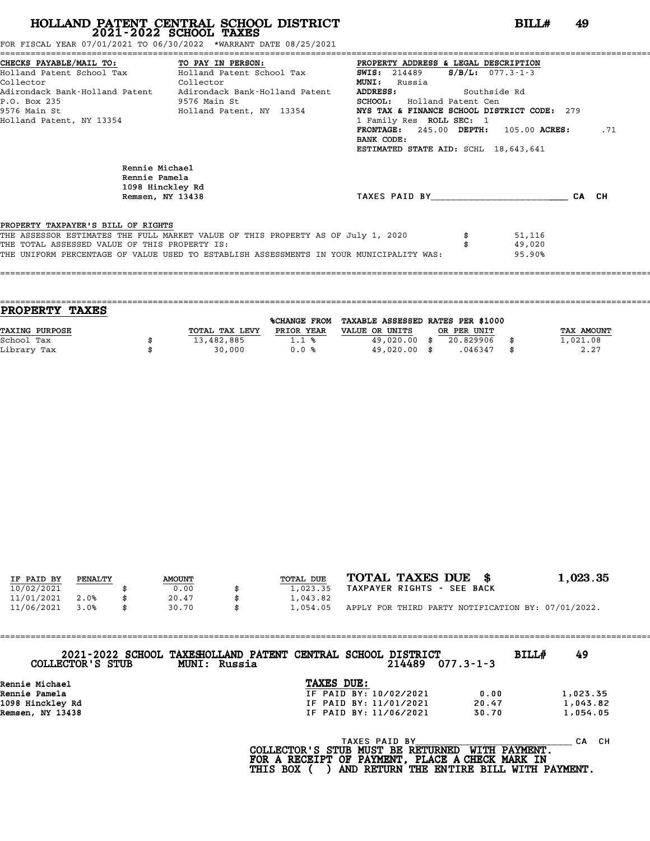FOR FISCAL YEAR 07/01/2021 TO 06/30/2022 \*WARRANT DATE 08/25/2021

|                                                     | CHECKS PAYABLE/MAIL TO: TO PAY IN PERSON:                                               | PROPERTY ADDRESS & LEGAL DESCRIPTION        |              |       |
|-----------------------------------------------------|-----------------------------------------------------------------------------------------|---------------------------------------------|--------------|-------|
| Holland Patent School Tax                           | Holland Patent School Tax                                                               | <b>SWIS:</b> 214489 <b>S/B/L:</b> 077.3-1-3 |              |       |
| Collector                                           | Collector                                                                               | <b>MUNI:</b><br>Russia                      |              |       |
|                                                     | Adirondack Bank-Holland Patent Adirondack Bank-Holland Patent                           | ADDRESS:                                    | Southside Rd |       |
| P.O. Box 235                                        | 9576 Main St                                                                            | <b>SCHOOL:</b> Holland Patent Cen           |              |       |
|                                                     | 9576 Main St                               Holland Patent, NY 13354                     | NYS TAX & FINANCE SCHOOL DISTRICT CODE: 279 |              |       |
| Holland Patent, NY 13354                            |                                                                                         | 1 Family Res ROLL SEC: 1                    |              |       |
|                                                     |                                                                                         | FRONTAGE: $245.00$ DEPTH: $105.00$ ACRES:   |              | .71   |
|                                                     |                                                                                         | BANK CODE:                                  |              |       |
|                                                     |                                                                                         | ESTIMATED STATE AID: SCHL 18,643,641        |              |       |
| Rennie Michael<br>Rennie Pamela<br>1098 Hinckley Rd |                                                                                         |                                             |              |       |
| Remsen, NY 13438                                    |                                                                                         | TAXES PAID BY                               |              | CA CH |
|                                                     |                                                                                         |                                             |              |       |
| PROPERTY TAXPAYER'S BILL OF RIGHTS                  |                                                                                         |                                             |              |       |
|                                                     | THE ASSESSOR ESTIMATES THE FULL MARKET VALUE OF THIS PROPERTY AS OF July 1, 2020        |                                             | 51,116       |       |
| THE TOTAL ASSESSED VALUE OF THIS PROPERTY IS:       |                                                                                         |                                             | 49,020       |       |
|                                                     | THE UNIFORM PERCENTAGE OF VALUE USED TO ESTABLISH ASSESSMENTS IN YOUR MUNICIPALITY WAS: |                                             | 95.90%       |       |
|                                                     |                                                                                         |                                             |              |       |

|                | <b>%CHANGE FROM</b> |                |                              |             |                                   |
|----------------|---------------------|----------------|------------------------------|-------------|-----------------------------------|
| TOTAL TAX LEVY | PRIOR YEAR          | VALUE OR UNITS |                              |             | <b>TAX AMOUNT</b>                 |
| 13,482,885     | 1.1%                |                | 20.829906                    |             | 1,021.08                          |
| 30,000         | 0.0%                |                | .046347                      | -8          | 2.27                              |
|                |                     |                | 49,020.00 \$<br>49,020.00 \$ | OR PER UNIT | TAXABLE ASSESSED RATES PER \$1000 |

====================================================================================================================================

| IF PAID BY | PENALTY | <b>AMOUNT</b> | TOTAL DUE | TOTAL TAXES DUE \$                                 | 1,023.35 |
|------------|---------|---------------|-----------|----------------------------------------------------|----------|
| 10/02/2021 |         | 0.00          | 1,023.35  | TAXPAYER RIGHTS - SEE BACK                         |          |
| 11/01/2021 | 2.0%    | 20.47         | 1,043.82  |                                                    |          |
| 11/06/2021 | 3.0%    | \$<br>30.70   | 1,054.05  | APPLY FOR THIRD PARTY NOTIFICATION BY: 07/01/2022. |          |

| COLLECTOR'S STUB | 2021-2022 SCHOOL TAXESHOLLAND PATENT CENTRAL SCHOOL DISTRICT<br>MUNI: Russia |                                                    |               | 214489                 | $077.3 - 1 - 3$     | BILLH | 49        |
|------------------|------------------------------------------------------------------------------|----------------------------------------------------|---------------|------------------------|---------------------|-------|-----------|
| Rennie Michael   |                                                                              | TAXES DUE:                                         |               |                        |                     |       |           |
| Rennie Pamela    |                                                                              |                                                    |               | IF PAID BY: 10/02/2021 | 0.00                |       | 1,023.35  |
| 1098 Hinckley Rd |                                                                              |                                                    |               | IF PAID BY: 11/01/2021 | 20.47               |       | 1,043.82  |
| Remsen, NY 13438 |                                                                              |                                                    |               | IF PAID BY: 11/06/2021 | 30.70               |       | 1,054.05  |
|                  |                                                                              | $COT$ מסוגמווחים כי סימי היאוואי מוחים או מחיים זו | TAXES PAID BY |                        | <b>MTTU DAVMPNT</b> |       | CH.<br>CА |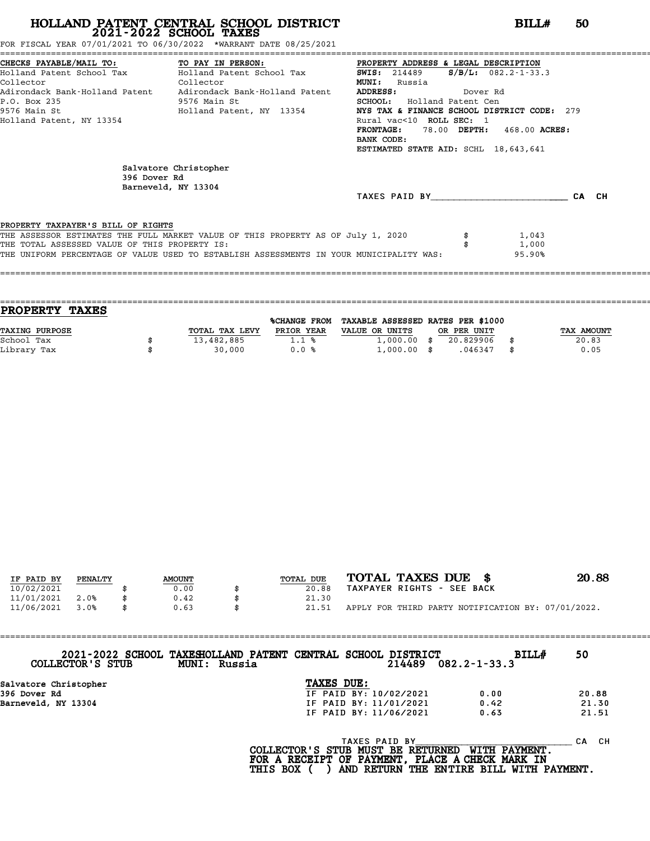FOR FISCAL YEAR 07/01/2021 TO 06/30/2022 \*WARRANT DATE 08/25/2021

|                                               | CHECKS PAYABLE/MAIL TO: TO PAY IN PERSON:                                               | PROPERTY ADDRESS & LEGAL DESCRIPTION           |        |
|-----------------------------------------------|-----------------------------------------------------------------------------------------|------------------------------------------------|--------|
|                                               | Holland Patent School Tax Holland Patent School Tax                                     | $S/B/L$ : 082.2-1-33.3<br><b>SWIS:</b> 214489  |        |
| Collector                                     | Collector                                                                               | <b>MUNI:</b><br>Russia                         |        |
|                                               | Adirondack Bank-Holland Patent Adirondack Bank-Holland Patent                           | <b>ADDRESS:</b><br>Dover Rd                    |        |
| P.O. Box 235                                  | 9576 Main St                                                                            | <b>SCHOOL:</b> Holland Patent Cen              |        |
|                                               | 9576 Main St                               Holland Patent, NY 13354                     | NYS TAX & FINANCE SCHOOL DISTRICT CODE: 279    |        |
| Holland Patent, NY 13354                      |                                                                                         | Rural vac<10 ROLL SEC: 1                       |        |
|                                               |                                                                                         | <b>FRONTAGE:</b><br>78.00 DEPTH: 468.00 ACRES: |        |
|                                               |                                                                                         | BANK CODE:                                     |        |
|                                               |                                                                                         | ESTIMATED STATE AID: SCHL 18,643,641           |        |
|                                               | Salvatore Christopher                                                                   |                                                |        |
| 396 Dover Rd                                  |                                                                                         |                                                |        |
|                                               | Barneveld, NY 13304                                                                     | TAXES PAID BY                                  | CA CH  |
| PROPERTY TAXPAYER'S BILL OF RIGHTS            |                                                                                         |                                                |        |
|                                               | THE ASSESSOR ESTIMATES THE FULL MARKET VALUE OF THIS PROPERTY AS OF July 1, 2020        |                                                | 1,043  |
| THE TOTAL ASSESSED VALUE OF THIS PROPERTY IS: |                                                                                         |                                                | 1,000  |
|                                               | THE UNIFORM PERCENTAGE OF VALUE USED TO ESTABLISH ASSESSMENTS IN YOUR MUNICIPALITY WAS: |                                                | 95.90% |
|                                               |                                                                                         |                                                |        |

| PROPERTY TAXES        |                |              |                                   |             |                   |
|-----------------------|----------------|--------------|-----------------------------------|-------------|-------------------|
|                       |                | %CHANGE FROM | TAXABLE ASSESSED RATES PER \$1000 |             |                   |
| <b>TAXING PURPOSE</b> | TOTAL TAX LEVY | PRIOR YEAR   | VALUE OR UNITS                    | OR PER UNIT | <b>TAX AMOUNT</b> |
| School Tax            | 13,482,885     | 1.1%         | $1,000.00$ \$                     | 20.829906   | 20.83             |
| Library Tax           | 30,000         | 0.0%         | $1,000.00$ \$                     | .046347     | 0.05              |
|                       |                |              |                                   |             |                   |

====================================================================================================================================

| IF PAID BY | PENALTY | <b>AMOUNT</b> | TOTAL DUE | TOTAL TAXES DUE \$                                 | 20.88 |
|------------|---------|---------------|-----------|----------------------------------------------------|-------|
| 10/02/2021 |         | 0.00          | 20.88     | TAXPAYER RIGHTS - SEE BACK                         |       |
| 11/01/2021 | 2.0%    | 0.42          | 21.30     |                                                    |       |
| 11/06/2021 | 3.0%    | 0.63          | 21.51     | APPLY FOR THIRD PARTY NOTIFICATION BY: 07/01/2022. |       |

| 2021-2022 SCHOOL TAXESHOLLAND PATENT CENTRAL SCHOOL DISTRICT<br>COLLECTOR'S STUB | MUNI: Russia |                        | 214489 | <b>BILL#</b><br>$082.2 - 1 - 33.3$ | 50        |
|----------------------------------------------------------------------------------|--------------|------------------------|--------|------------------------------------|-----------|
| Salvatore Christopher                                                            |              | TAXES DUE:             |        |                                    |           |
| 396 Dover Rd                                                                     |              | IF PAID BY: 10/02/2021 |        | 0.00                               | 20.88     |
| Barneveld, NY 13304                                                              |              | IF PAID BY: 11/01/2021 |        | 0.42                               | 21.30     |
|                                                                                  |              | IF PAID BY: 11/06/2021 |        | 0.63                               | 21.51     |
|                                                                                  |              | TAXES PAID BY          |        |                                    | CH.<br>CА |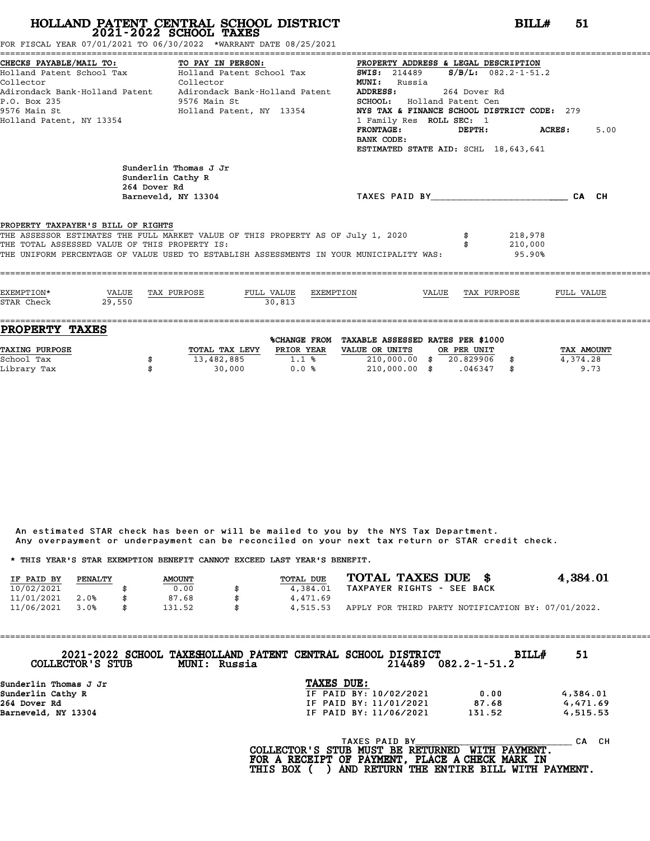FOR FISCAL YEAR 07/01/2021 TO 06/30/2022 \*WARRANT DATE 08/25/2021

| CHECKS PAYABLE/MAIL TO:<br>Holland Patent School Tax           Holland Patent School Tax<br>Collector<br>P.O. Box 235<br>9576 Main St<br>Holland Patent, NY 13354                                                                                                  | TO PAY IN PERSON:<br>Collector<br>9576 Main St<br>Holland Patent, NY 13354 | PROPERTY ADDRESS & LEGAL DESCRIPTION<br>SWIS: 214489 S/B/L: 082.2-1-51.2<br><b>MUNI:</b> Russia<br><b>ADDRESS:</b><br>SCHOOL: Holland Patent Cen<br>NYS TAX & FINANCE SCHOOL DISTRICT CODE: 279<br>1 Family Res ROLL SEC: 1<br>$\texttt{FRONTAGE:}$ $\texttt{DEPTH:}$ $\texttt{ACRES:}$<br>BANK CODE:<br>ESTIMATED STATE AID: SCHL 18,643,641 | 264 Dover Rd |                              | 5.00 |
|--------------------------------------------------------------------------------------------------------------------------------------------------------------------------------------------------------------------------------------------------------------------|----------------------------------------------------------------------------|-----------------------------------------------------------------------------------------------------------------------------------------------------------------------------------------------------------------------------------------------------------------------------------------------------------------------------------------------|--------------|------------------------------|------|
| Sunderlin Cathy R<br>264 Dover Rd                                                                                                                                                                                                                                  | Sunderlin Thomas J Jr<br>Barneveld, NY 13304                               | TAXES PAID BY CA CH                                                                                                                                                                                                                                                                                                                           |              |                              |      |
| PROPERTY TAXPAYER'S BILL OF RIGHTS<br>THE ASSESSOR ESTIMATES THE FULL MARKET VALUE OF THIS PROPERTY AS OF July 1, 2020<br>THE TOTAL ASSESSED VALUE OF THIS PROPERTY IS:<br>THE UNIFORM PERCENTAGE OF VALUE USED TO ESTABLISH ASSESSMENTS IN YOUR MUNICIPALITY WAS: |                                                                            |                                                                                                                                                                                                                                                                                                                                               |              | 218,978<br>210,000<br>95.90% |      |
| EXEMPTION*<br>VALUE TAX PURPOSE<br>29.550<br>STAR Check                                                                                                                                                                                                            | 30.813                                                                     | $\underline{\texttt{FULL} \quad \texttt{VALUE}} \qquad \underline{\texttt{EXEMENTION}} \qquad \qquad \underline{\texttt{VALUE}} \qquad \underline{\texttt{TAX} \quad \texttt{PURPOSE}} \qquad \qquad \underline{\texttt{FULL}} \ \ \texttt{VALUE}$                                                                                            |              |                              |      |

| PROPERTY TAXES        |                |              |                                   |             |            |
|-----------------------|----------------|--------------|-----------------------------------|-------------|------------|
|                       |                | %CHANGE FROM | TAXABLE ASSESSED RATES PER \$1000 |             |            |
| <b>TAXING PURPOSE</b> | TOTAL TAX LEVY | PRIOR YEAR   | VALUE OR UNITS                    | OR PER UNIT | TAX AMOUNT |
| School Tax            | 13,482,885     | 1.1%         | 210,000.00                        | 20.829906   | 4,374.28   |
| Library Tax           | 30,000         | 0.0%         | 210,000.00                        | .046347     | 9.73       |

An estimated STAR check has been or will be mailed to you by the NYS Tax Department. An estimated STAR check has been or will be mailed to you by the NYS Tax Department.<br>Any overpayment or underpayment can be reconciled on your next tax return or STAR credit check. Any overpayment or underpayment can be reconciled on your next ta<br>\* THIS YEAR'S STAR EXEMPTION BENEFIT CANNOT EXCEED LAST YEAR'S BENEFIT.

|                                                                         |         |               |    |                  |                            |  | ANY OVERPOVINCING OF MINGEROVINCING CONFUCTING THE VIOLET ON THE MOVING CONFUCTING OF STARF CHECKS. |                                                    |
|-------------------------------------------------------------------------|---------|---------------|----|------------------|----------------------------|--|-----------------------------------------------------------------------------------------------------|----------------------------------------------------|
| * THIS YEAR'S STAR EXEMPTION BENEFIT CANNOT EXCEED LAST YEAR'S BENEFIT. |         |               |    |                  |                            |  |                                                                                                     |                                                    |
| IF PAID BY                                                              | PENALTY | <b>AMOUNT</b> |    | <b>TOTAL DUE</b> | TOTAL TAXES DUE \$         |  |                                                                                                     | 4,384.01                                           |
| 10/02/2021                                                              |         | 0.00          |    | 4,384.01         | TAXPAYER RIGHTS - SEE BACK |  |                                                                                                     |                                                    |
| 11/01/2021                                                              | 2.0%    | 87.68         |    | 4,471.69         |                            |  |                                                                                                     |                                                    |
| 11/06/2021                                                              | 3.0%    | \$<br>131.52  | \$ | 4.515.53         |                            |  |                                                                                                     | APPLY FOR THIRD PARTY NOTIFICATION BY: 07/01/2022. |

==================================================================================================================================== **2021-2022 SCHOOL TAXESHOLLAND PATENT CENTRAL SCHOOL DISTRICT BILL# <sup>51</sup> COLLECTOR'S STUB MUNI: Russia <sup>214489</sup> 082.2-1-51.2** 2021-2022 SCHOOL TAXESHOLLAND PATENT CENTRAL SCHOOL<br>
COLLECTOR'S STUB MUNI: Russia<br>
Sunderlin Thomas J Jr **TAXES DUE:**<br>
Sunderlin Cathy R<br>
TE PAID BY: 10/ Sunderlin Cathy R IF PAID BY: 10/02/2021 0.00 4,384.01 264 Dover Rd IF PAID BY: 11/01/2021 87.68 4,471.69 Sunderlin Thomas J Jr<br>
Sunderlin Cathy R<br>
264 Dover Rd<br>
Barneveld, NY 13304 131.52 4,515.53<br>
Barneveld, NY 13304 131.52 4,515.53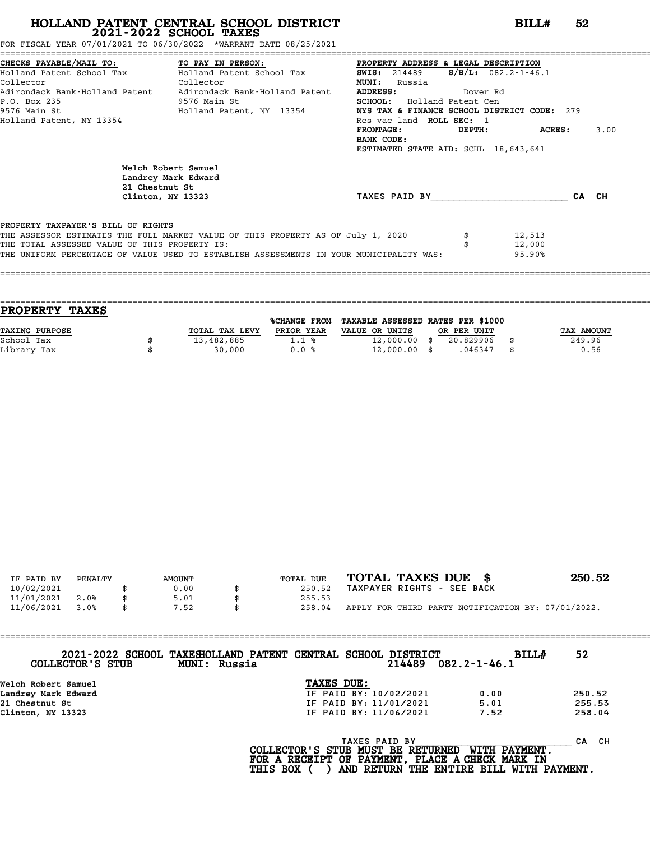FOR FISCAL YEAR 07/01/2021 TO 06/30/2022 \*WARRANT DATE 08/25/2021

|                                               | CHECKS PAYABLE/MAIL TO: TO PAY IN PERSON: PROPERTY ADDRESS & LEGAL DESCRIPTION          |                                             |                           |       |
|-----------------------------------------------|-----------------------------------------------------------------------------------------|---------------------------------------------|---------------------------|-------|
|                                               | Holland Patent School Tax Molland Patent School Tax                                     | <b>SWIS:</b> 214489                         | $S/B/L: 082.2 - 1 - 46.1$ |       |
| Collector                                     | Collector                                                                               | <b>MUNI:</b><br>Russia                      |                           |       |
|                                               | Adirondack Bank-Holland Patent Adirondack Bank-Holland Patent                           | ADDRESS:<br>Dover Rd                        |                           |       |
| P.O. Box 235                                  | 9576 Main St                                                                            | SCHOOL: Holland Patent Cen                  |                           |       |
|                                               | 9576 Main St                                   Holland Patent, NY 13354                 | NYS TAX & FINANCE SCHOOL DISTRICT CODE: 279 |                           |       |
| Holland Patent, NY 13354                      |                                                                                         | Res vac land ROLL SEC: 1                    |                           |       |
|                                               |                                                                                         | FRONTAGE:<br>DEPTH:                         | <b>ACRES:</b>             | 3.00  |
|                                               |                                                                                         | BANK CODE:                                  |                           |       |
|                                               |                                                                                         | ESTIMATED STATE AID: SCHL 18,643,641        |                           |       |
|                                               | Welch Robert Samuel<br>Landrey Mark Edward<br>21 Chestnut St<br>Clinton, NY 13323       | TAXES PAID BY NORTH STATES                  |                           | CA CH |
| PROPERTY TAXPAYER'S BILL OF RIGHTS            |                                                                                         |                                             |                           |       |
| THE TOTAL ASSESSED VALUE OF THIS PROPERTY IS: | THE ASSESSOR ESTIMATES THE FULL MARKET VALUE OF THIS PROPERTY AS OF July 1, 2020        |                                             | 12,513<br>12,000          |       |
|                                               | THE UNIFORM PERCENTAGE OF VALUE USED TO ESTABLISH ASSESSMENTS IN YOUR MUNICIPALITY WAS: |                                             | 95.90%                    |       |
|                                               |                                                                                         |                                             |                           |       |
|                                               |                                                                                         |                                             |                           |       |

| PROPERTY TAXES        |                |                     |                                   |             |            |
|-----------------------|----------------|---------------------|-----------------------------------|-------------|------------|
|                       |                | <b>%CHANGE FROM</b> | TAXABLE ASSESSED RATES PER \$1000 |             |            |
| <b>TAXING PURPOSE</b> | TOTAL TAX LEVY | PRIOR YEAR          | VALUE OR UNITS                    | OR PER UNIT | TAX AMOUNT |
| School Tax            | 13,482,885     | 1.1%                | $12,000.00$ \$                    | 20.829906   | 249.96     |
| Library Tax           | 30,000         | 0.0%                | $12,000.00$ \$                    | .046347     | \$<br>0.56 |

====================================================================================================================================

| IF PAID BY | PENALTY | <b>AMOUNT</b> | TOTAL DUE | TOTAL TAXES DUE \$                                 | 250.52 |
|------------|---------|---------------|-----------|----------------------------------------------------|--------|
| 10/02/2021 |         | 0.00          | 250.52    | TAXPAYER RIGHTS - SEE BACK                         |        |
| 11/01/2021 | 2.0%    | 5.01          | 255.53    |                                                    |        |
| 11/06/2021 | 3.0%    | 7.52          | 258.04    | APPLY FOR THIRD PARTY NOTIFICATION BY: 07/01/2022. |        |

| COLLECTOR'S STUB    | 2021-2022 SCHOOL TAXESHOLLAND PATENT CENTRAL SCHOOL DISTRICT<br>MUNI: Russia |                                            | 214489        | <b>BILL#</b><br>$082.2 - 1 - 46.1$ | 52        |
|---------------------|------------------------------------------------------------------------------|--------------------------------------------|---------------|------------------------------------|-----------|
| Welch Robert Samuel |                                                                              | TAXES DUE:                                 |               |                                    |           |
| Landrey Mark Edward |                                                                              | IF PAID BY: 10/02/2021                     |               | 0.00                               | 250.52    |
| 21 Chestnut St      |                                                                              | IF PAID BY: 11/01/2021                     |               | 5.01                               | 255.53    |
| Clinton, NY 13323   |                                                                              | IF PAID BY: 11/06/2021                     |               | 7.52                               | 258.04    |
|                     |                                                                              | הסוגמווחים כי ספי המוזמים ומחים החימים החי | TAXES PAID BY | <b>MTTHI DAVMENT</b>               | CH.<br>CА |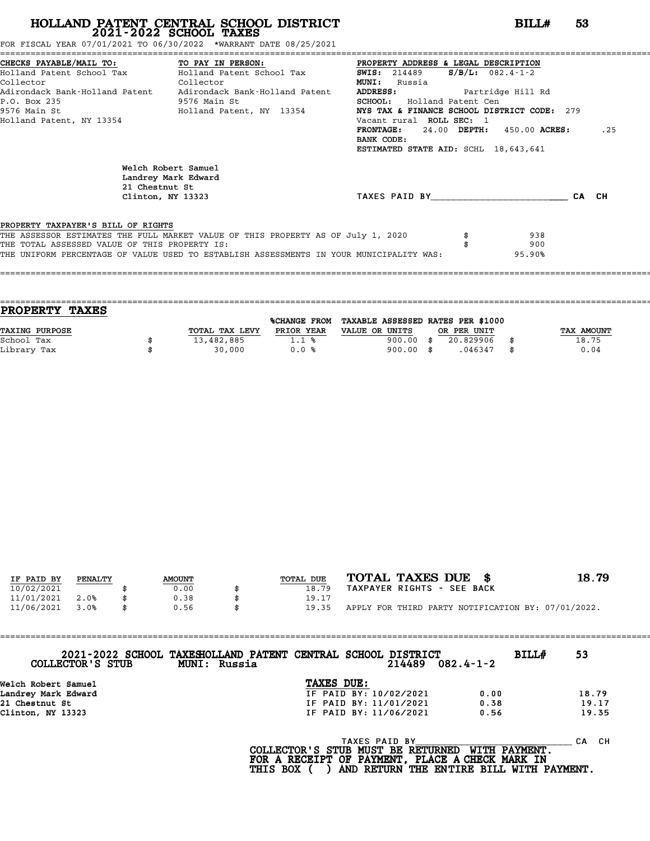FOR FISCAL YEAR 07/01/2021 TO 06/30/2022 \*WARRANT DATE 08/25/2021

|                                               | CHECKS PAYABLE/MAIL TO: TO PAY IN PERSON: PROPERTY ADDRESS & LEGAL DESCRIPTION          |                                             |                            |     |
|-----------------------------------------------|-----------------------------------------------------------------------------------------|---------------------------------------------|----------------------------|-----|
|                                               |                                                                                         | $S/B/L$ : 082.4-1-2<br>SWIS: 214489         |                            |     |
| Collector                                     | Collector                                                                               | <b>MUNI:</b><br>Russia                      |                            |     |
|                                               | Adirondack Bank-Holland Patent Adirondack Bank-Holland Patent                           | ADDRESS: Partridge Hill Rd                  |                            |     |
| P.O. Box 235                                  | 9576 Main St                                                                            | SCHOOL: Holland Patent Cen                  |                            |     |
|                                               | 9576 Main St                                 Holland Patent, NY 13354                   | NYS TAX & FINANCE SCHOOL DISTRICT CODE: 279 |                            |     |
| Holland Patent, NY 13354                      |                                                                                         | Vacant rural ROLL SEC: 1                    |                            |     |
|                                               |                                                                                         | <b>FRONTAGE :</b>                           | 24.00 DEPTH: 450.00 ACRES: | .25 |
|                                               |                                                                                         | BANK CODE:                                  |                            |     |
|                                               |                                                                                         | ESTIMATED STATE AID: SCHL 18,643,641        |                            |     |
|                                               | Welch Robert Samuel<br>Landrey Mark Edward<br>21 Chestnut St<br>Clinton, NY 13323       | TAXES PAID BY CA CH                         |                            |     |
| PROPERTY TAXPAYER'S BILL OF RIGHTS            |                                                                                         |                                             |                            |     |
|                                               | THE ASSESSOR ESTIMATES THE FULL MARKET VALUE OF THIS PROPERTY AS OF July 1, 2020        |                                             | 938                        |     |
| THE TOTAL ASSESSED VALUE OF THIS PROPERTY IS: |                                                                                         |                                             | 900                        |     |
|                                               | THE UNIFORM PERCENTAGE OF VALUE USED TO ESTABLISH ASSESSMENTS IN YOUR MUNICIPALITY WAS: |                                             | 95.90%                     |     |
|                                               |                                                                                         |                                             |                            |     |

|                | <b>%CHANGE FROM</b> |                |             |             |                                   |
|----------------|---------------------|----------------|-------------|-------------|-----------------------------------|
| TOTAL TAX LEVY | PRIOR YEAR          | VALUE OR UNITS |             |             | TAX AMOUNT                        |
| 13,482,885     | 1.1%                | 900.00         | 20.829906   |             | 18.75                             |
| 30,000         | 0.0%                |                | .046347     | \$          | 0.04                              |
|                |                     |                | $900.00$ \$ | OR PER UNIT | TAXABLE ASSESSED RATES PER \$1000 |

====================================================================================================================================

| IF PAID BY | PENALTY | <b>AMOUNT</b> | TOTAL DUE | TOTAL TAXES DUE \$                                 | 18.79 |
|------------|---------|---------------|-----------|----------------------------------------------------|-------|
| 10/02/2021 |         | 0.00          | 18.79     | TAXPAYER RIGHTS - SEE BACK                         |       |
| 11/01/2021 | 2.0%    | 0.38          | 19.17     |                                                    |       |
| 11/06/2021 | 3.0%    | \$<br>0.56    | 19.35     | APPLY FOR THIRD PARTY NOTIFICATION BY: 07/01/2022. |       |

| COLLECTOR'S STUB    | 2021-2022 SCHOOL TAXESHOLLAND PATENT CENTRAL SCHOOL DISTRICT<br>MUNI: Russia |                        | 214489 | $082.4 - 1 - 2$ | BILL# | 53        |
|---------------------|------------------------------------------------------------------------------|------------------------|--------|-----------------|-------|-----------|
| Welch Robert Samuel |                                                                              | TAXES DUE:             |        |                 |       |           |
| Landrey Mark Edward |                                                                              | IF PAID BY: 10/02/2021 |        | 0.00            |       | 18.79     |
| 21 Chestnut St      |                                                                              | IF PAID BY: 11/01/2021 |        | 0.38            |       | 19.17     |
| Clinton, NY 13323   |                                                                              | IF PAID BY: 11/06/2021 |        | 0.56            |       | 19.35     |
|                     |                                                                              | TAXES PAID BY          |        |                 |       | CH.<br>CА |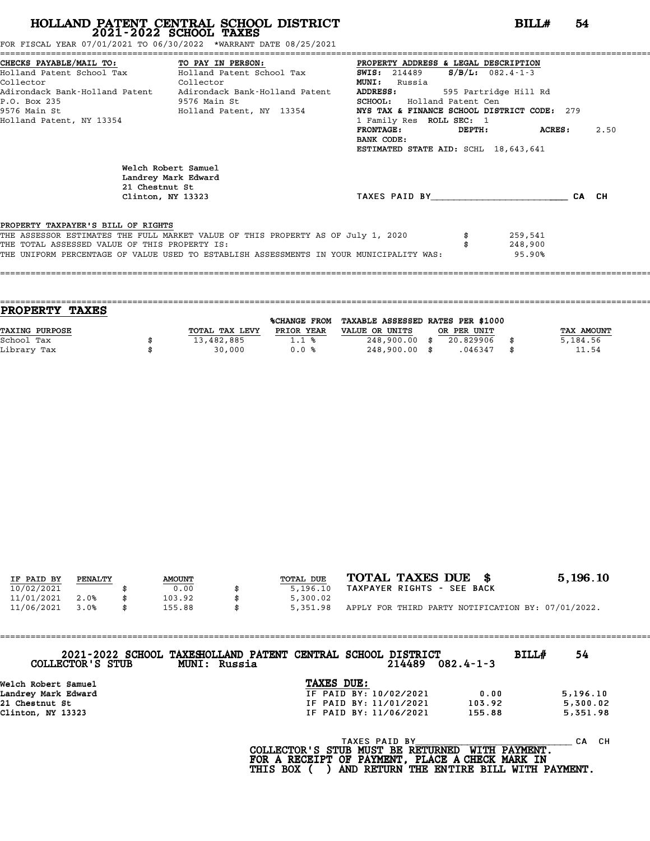FOR FISCAL YEAR 07/01/2021 TO 06/30/2022 \*WARRANT DATE 08/25/2021

|                                               | CHECKS PAYABLE/MAIL TO: TO PAY IN PERSON:                                               | PROPERTY ADDRESS & LEGAL DESCRIPTION        |                       |      |  |  |  |  |
|-----------------------------------------------|-----------------------------------------------------------------------------------------|---------------------------------------------|-----------------------|------|--|--|--|--|
|                                               | Holland Patent School Tax           Holland Patent School Tax                           | <b>SWIS:</b> 214489                         | $S/B/L$ : 082.4-1-3   |      |  |  |  |  |
| Collector                                     | Collector                                                                               | <b>MUNI:</b><br>Russia                      |                       |      |  |  |  |  |
|                                               | Adirondack Bank-Holland Patent Adirondack Bank-Holland Patent                           | <b>ADDRESS:</b>                             | 595 Partridge Hill Rd |      |  |  |  |  |
| P.O. Box 235                                  | 9576 Main St                                                                            | SCHOOL: Holland Patent Cen                  |                       |      |  |  |  |  |
|                                               | 9576 Main St                               Holland Patent, NY 13354                     | NYS TAX & FINANCE SCHOOL DISTRICT CODE: 279 |                       |      |  |  |  |  |
| Holland Patent, NY 13354                      |                                                                                         | 1 Family Res ROLL SEC: 1                    |                       |      |  |  |  |  |
|                                               |                                                                                         | <b>FRONTAGE :</b><br>DEPTH:                 | ACRES:                | 2.50 |  |  |  |  |
|                                               |                                                                                         | BANK CODE:                                  |                       |      |  |  |  |  |
|                                               |                                                                                         | ESTIMATED STATE AID: SCHL 18,643,641        |                       |      |  |  |  |  |
|                                               | Welch Robert Samuel<br>Landrey Mark Edward<br>21 Chestnut St<br>Clinton, NY 13323       | TAXES PAID BY                               | CA CH                 |      |  |  |  |  |
| PROPERTY TAXPAYER'S BILL OF RIGHTS            |                                                                                         |                                             |                       |      |  |  |  |  |
|                                               | THE ASSESSOR ESTIMATES THE FULL MARKET VALUE OF THIS PROPERTY AS OF July 1, 2020        |                                             | 259,541               |      |  |  |  |  |
| THE TOTAL ASSESSED VALUE OF THIS PROPERTY IS: |                                                                                         |                                             | 248,900               |      |  |  |  |  |
|                                               | THE UNIFORM PERCENTAGE OF VALUE USED TO ESTABLISH ASSESSMENTS IN YOUR MUNICIPALITY WAS: |                                             | 95.90%                |      |  |  |  |  |
|                                               |                                                                                         |                                             |                       |      |  |  |  |  |

| PROPERTY TAXES        |                  |                     |                                   |             |                   |
|-----------------------|------------------|---------------------|-----------------------------------|-------------|-------------------|
|                       |                  | <b>%CHANGE FROM</b> | TAXABLE ASSESSED RATES PER \$1000 |             |                   |
| <b>TAXING PURPOSE</b> | TOTAL TAX LEVY   | PRIOR YEAR          | VALUE OR UNITS                    | OR PER UNIT | <b>TAX AMOUNT</b> |
| School Tax            | \$<br>13,482,885 | 1.1%                | $248,900.00$ \$                   | 20.829906   | 5,184.56          |
| Library Tax           | 30,000           | 0.0%                | 248,900.00 \$                     | .046347     | \$<br>11.54       |
|                       |                  |                     |                                   |             |                   |

====================================================================================================================================

| IF PAID BY | PENALTY | <b>AMOUNT</b> | TOTAL DUE      | TOTAL TAXES DUE \$                                 | 5,196.10 |
|------------|---------|---------------|----------------|----------------------------------------------------|----------|
| 10/02/2021 |         | 0.00          | 5,196.10       | TAXPAYER RIGHTS - SEE BACK                         |          |
| 11/01/2021 | 2.0%    | 103.92        | \$<br>5,300.02 |                                                    |          |
| 11/06/2021 | 3.0%    | 155.88        | 5,351.98       | APPLY FOR THIRD PARTY NOTIFICATION BY: 07/01/2022. |          |
|            |         |               |                |                                                    |          |

| COLLECTOR'S STUB    | 2021-2022 SCHOOL TAXESHOLLAND PATENT CENTRAL SCHOOL DISTRICT<br>MUNI: Russia |            |               | 214489                 | $082.4 - 1 - 3$ | BILL# | 54        |
|---------------------|------------------------------------------------------------------------------|------------|---------------|------------------------|-----------------|-------|-----------|
| Welch Robert Samuel |                                                                              | TAXES DUE: |               |                        |                 |       |           |
| Landrey Mark Edward |                                                                              |            |               | IF PAID BY: 10/02/2021 | 0.00            |       | 5,196.10  |
| 21 Chestnut St      |                                                                              |            |               | IF PAID BY: 11/01/2021 | 103.92          |       | 5,300.02  |
| Clinton, NY 13323   |                                                                              |            |               | IF PAID BY: 11/06/2021 | 155.88          |       | 5,351.98  |
|                     |                                                                              |            | TAXES PAID BY |                        |                 |       | CH.<br>CА |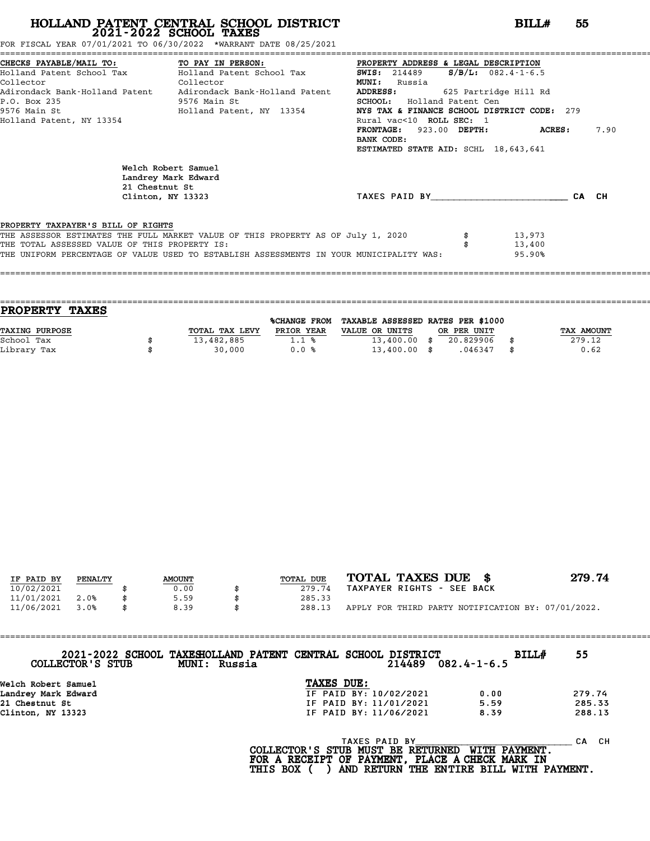======================================================================================================================================== FOR FISCAL YEAR 07/01/2021 TO 06/30/2022 \*WARRANT DATE 08/25/2021

|                                               |                                                                                         | CHECKS PAYABLE/MAIL TO: TO PAY IN PERSON: PROPERTY ADDRESS & LEGAL DESCRIPTION               |                |      |
|-----------------------------------------------|-----------------------------------------------------------------------------------------|----------------------------------------------------------------------------------------------|----------------|------|
|                                               | Holland Patent School Tax Molland Patent School Tax                                     | <b>SWIS:</b> 214489 <b>S/B/L:</b> $082.4 - 1 - 6.5$                                          |                |      |
| <b>Collector</b><br>Collector                 |                                                                                         | <b>MUNI:</b> Russia                                                                          |                |      |
|                                               |                                                                                         | Adirondack Bank-Holland Patent Adirondack Bank-Holland Patent ADDRESS: 625 Partridge Hill Rd |                |      |
| 9576 Main St<br>P.O. Box 235                  |                                                                                         | <b>SCHOOL:</b> Holland Patent Cen                                                            |                |      |
|                                               |                                                                                         | NYS TAX & FINANCE SCHOOL DISTRICT CODE: 279                                                  |                |      |
| Holland Patent, NY 13354                      |                                                                                         | Rural vac<10 ROLL SEC: 1                                                                     |                |      |
|                                               |                                                                                         | FRONTAGE: 923.00 DEPTH:<br>BANK CODE:                                                        | <b>ACRES :</b> | 7.90 |
|                                               |                                                                                         | ESTIMATED STATE AID: SCHL 18,643,641                                                         |                |      |
| 21 Chestnut St                                | Welch Robert Samuel<br>Landrey Mark Edward                                              | TAXES PAID BY CA                                                                             |                |      |
|                                               | Clinton, NY 13323                                                                       |                                                                                              |                | СН   |
| PROPERTY TAXPAYER'S BILL OF RIGHTS            |                                                                                         |                                                                                              |                |      |
|                                               | THE ASSESSOR ESTIMATES THE FULL MARKET VALUE OF THIS PROPERTY AS OF July 1, 2020        |                                                                                              | 13,973         |      |
| THE TOTAL ASSESSED VALUE OF THIS PROPERTY IS: |                                                                                         |                                                                                              | 13,400         |      |
|                                               | THE UNIFORM PERCENTAGE OF VALUE USED TO ESTABLISH ASSESSMENTS IN YOUR MUNICIPALITY WAS: |                                                                                              | 95.90%         |      |
|                                               |                                                                                         |                                                                                              |                |      |

| PROPERTY TAXES        |                |                     |                                   |  |             |    |                   |  |  |
|-----------------------|----------------|---------------------|-----------------------------------|--|-------------|----|-------------------|--|--|
|                       |                | <b>%CHANGE FROM</b> | TAXABLE ASSESSED RATES PER \$1000 |  |             |    |                   |  |  |
| <b>TAXING PURPOSE</b> | TOTAL TAX LEVY | PRIOR YEAR          | VALUE OR UNITS                    |  | OR PER UNIT |    | <b>TAX AMOUNT</b> |  |  |
| School Tax            | 13,482,885     | 1.1%                | $13,400.00$ \$                    |  | 20.829906   |    | 279.12            |  |  |
| Library Tax           | 30,000         | 0.0%                | $13,400.00$ \$                    |  | .046347     | \$ | 0.62              |  |  |

====================================================================================================================================

| IF PAID BY | PENALTY | <b>AMOUNT</b> | <b>TOTAL DUE</b> | TOTAL TAXES DUE \$                                 | 279.74 |
|------------|---------|---------------|------------------|----------------------------------------------------|--------|
| 10/02/2021 |         | 0.00          | 279.74           | TAXPAYER RIGHTS - SEE BACK                         |        |
| 11/01/2021 | 2.0%    | 5.59          | 285.33           |                                                    |        |
| 11/06/2021 | 3.0%    | 8.39          | 288.13           | APPLY FOR THIRD PARTY NOTIFICATION BY: 07/01/2022. |        |

| COLLECTOR'S STUB    | 2021-2022 SCHOOL TAXESHOLLAND PATENT CENTRAL SCHOOL DISTRICT<br>MUNI: Russia |                                          | 214489                 | $082.4 - 1 - 6.5$    | <b>BILL#</b> | 55        |
|---------------------|------------------------------------------------------------------------------|------------------------------------------|------------------------|----------------------|--------------|-----------|
| Welch Robert Samuel |                                                                              | TAXES DUE:                               |                        |                      |              |           |
| Landrey Mark Edward |                                                                              |                                          | IF PAID BY: 10/02/2021 | 0.00                 |              | 279.74    |
| 21 Chestnut St      |                                                                              | IF PAID BY: 11/01/2021                   |                        | 5.59                 |              | 285.33    |
| Clinton, NY 13323   |                                                                              |                                          | IF PAID BY: 11/06/2021 | 8.39                 |              | 288.13    |
|                     |                                                                              | הסופות הסיס הס היא הסומה של הספרה המים ה | TAXES PAID BY          | <b>MTTHI DAVMENT</b> |              | CH.<br>CА |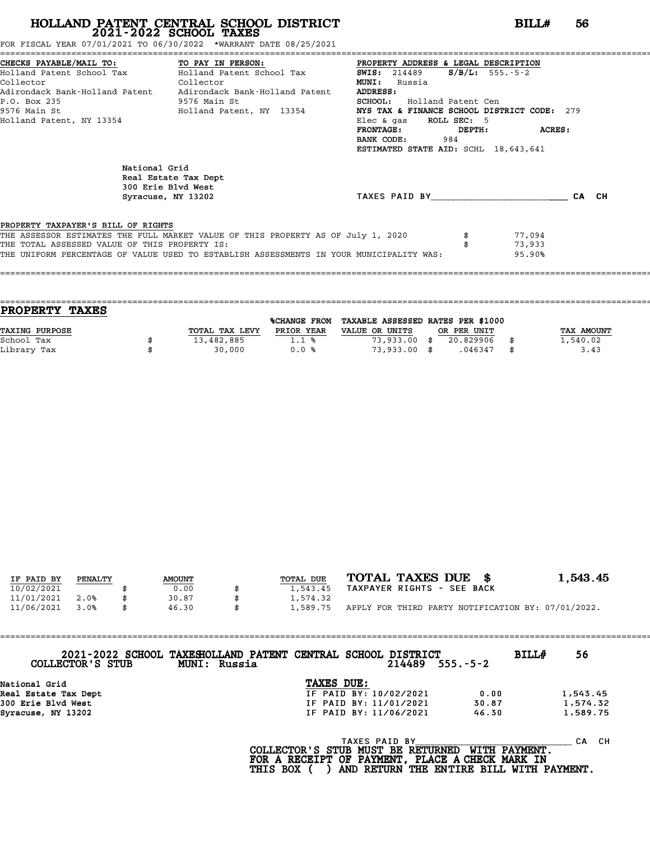FOR FISCAL YEAR 07/01/2021 TO 06/30/2022 \*WARRANT DATE 08/25/2021

|                                               | CHECKS PAYABLE/MAIL TO:             TO PAY IN PERSON:             PROPERTY ADDRESS & LEGAL DESCRIPTION |                                             |               |  |
|-----------------------------------------------|--------------------------------------------------------------------------------------------------------|---------------------------------------------|---------------|--|
|                                               | Holland Patent School Tax Bolland Patent School Tax                                                    | <b>SWIS:</b> 214489 <b>S/B/L:</b> 555.-5-2  |               |  |
| Collector<br><b>Collector</b>                 |                                                                                                        | <b>MUNI:</b><br>Russia                      |               |  |
|                                               | Adirondack Bank-Holland Patent     Adirondack Bank-Holland Patent                                      | ADDRESS:                                    |               |  |
| P.O. Box 235                                  | 9576 Main St                                                                                           | <b>SCHOOL:</b> Holland Patent Cen           |               |  |
|                                               | 9576 Main St                           Holland Patent, NY 13354                                        | NYS TAX & FINANCE SCHOOL DISTRICT CODE: 279 |               |  |
| Holland Patent, NY 13354                      |                                                                                                        | Elec $\&$ qas ROLL SEC: 5                   |               |  |
|                                               |                                                                                                        | $\tt FROMTAGE:$                             | DEPTH: ACRES: |  |
|                                               |                                                                                                        | <b>BANK CODE:</b> 984                       |               |  |
|                                               |                                                                                                        | ESTIMATED STATE AID: SCHL 18,643,641        |               |  |
| National Grid                                 |                                                                                                        |                                             |               |  |
|                                               | Real Estate Tax Dept                                                                                   |                                             |               |  |
|                                               | 300 Erie Blvd West                                                                                     |                                             |               |  |
|                                               | Syracuse, NY 13202                                                                                     | TAXES PAID BY CA CH                         |               |  |
| PROPERTY TAXPAYER'S BILL OF RIGHTS            |                                                                                                        |                                             |               |  |
|                                               | THE ASSESSOR ESTIMATES THE FULL MARKET VALUE OF THIS PROPERTY AS OF July 1, 2020                       |                                             | 77,094        |  |
| THE TOTAL ASSESSED VALUE OF THIS PROPERTY IS: |                                                                                                        |                                             | 73,933        |  |
|                                               | THE UNIFORM PERCENTAGE OF VALUE USED TO ESTABLISH ASSESSMENTS IN YOUR MUNICIPALITY WAS:                |                                             | 95.90%        |  |
|                                               |                                                                                                        |                                             |               |  |
|                                               |                                                                                                        |                                             |               |  |

|                | <b>%CHANGE FROM</b> |                |                                  |             |                                   |
|----------------|---------------------|----------------|----------------------------------|-------------|-----------------------------------|
| TOTAL TAX LEVY | PRIOR YEAR          | VALUE OR UNITS |                                  |             | TAX AMOUNT                        |
| 13,482,885     | 1.1%                |                | 20.829906                        |             | 1,540.02                          |
| 30,000         | 0.0%                |                | .046347                          | \$          | 3.43                              |
|                |                     |                | $73,933.00$ \$<br>$73,933.00$ \$ | OR PER UNIT | TAXABLE ASSESSED RATES PER \$1000 |

| IF PAID BY | PENALTY | <b>AMOUNT</b> | <b>TOTAL DUE</b> | TOTAL TAXES DUE \$                                 | 1,543.45 |
|------------|---------|---------------|------------------|----------------------------------------------------|----------|
| 10/02/2021 |         | 0.00          | 1,543.45         | TAXPAYER RIGHTS - SEE BACK                         |          |
| 11/01/2021 | 2.0%    | 30.87         | 1,574.32         |                                                    |          |
| 11/06/2021 | 3.0%    | \$<br>46.30   | 1,589.75         | APPLY FOR THIRD PARTY NOTIFICATION BY: 07/01/2022. |          |
|            |         |               |                  |                                                    |          |

| COLLECTOR'S STUB<br>MUNI: Russia | 2021-2022 SCHOOL TAXESHOLLAND PATENT CENTRAL SCHOOL DISTRICT<br>$214489$ 555.-5-2 | <b>BILL#</b> | 56       |
|----------------------------------|-----------------------------------------------------------------------------------|--------------|----------|
| National Grid                    | TAXES DUE:                                                                        |              |          |
| Real Estate Tax Dept             | IF PAID BY: 10/02/2021                                                            | 0.00         | 1,543.45 |
| 300 Erie Blvd West               | IF PAID BY: 11/01/2021                                                            | 30.87        | 1,574.32 |
| Syracuse, NY 13202               | IF PAID BY: 11/06/2021                                                            | 46.30        | 1,589.75 |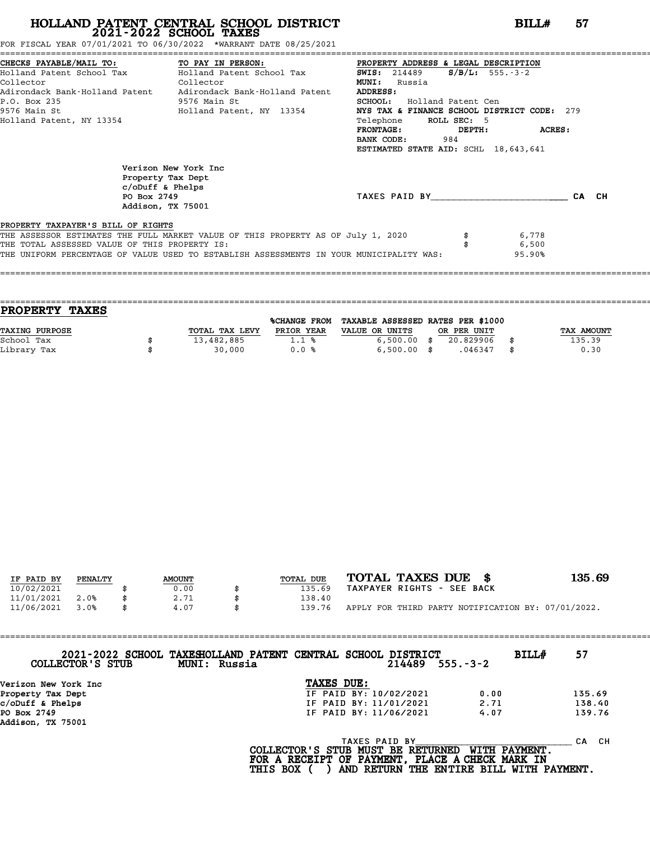|                                               | FOR FISCAL YEAR 07/01/2021 TO 06/30/2022 *WARRANT DATE 08/25/2021                       |                                             |               |
|-----------------------------------------------|-----------------------------------------------------------------------------------------|---------------------------------------------|---------------|
|                                               | CHECKS PAYABLE/MAIL TO: TO PAY IN PERSON:                                               | PROPERTY ADDRESS & LEGAL DESCRIPTION        |               |
|                                               | Holland Patent School Tax           Holland Patent School Tax                           | $S/B/L$ : 555.-3-2<br><b>SWIS:</b> 214489   |               |
| Collector                                     | Collector                                                                               | <b>MUNI:</b><br>Russia                      |               |
|                                               | Adirondack Bank-Holland Patent Adirondack Bank-Holland Patent                           | ADDRESS:                                    |               |
| P.O. Box 235                                  | 9576 Main St                                                                            | <b>SCHOOL:</b> Holland Patent Cen           |               |
|                                               | 9576 Main St                             Holland Patent, NY 13354                       | NYS TAX & FINANCE SCHOOL DISTRICT CODE: 279 |               |
| Holland Patent, NY 13354                      |                                                                                         | Telephone ROLL SEC: 5                       |               |
|                                               |                                                                                         | FRONTAGE:<br>DEPTH:                         | <b>ACRES:</b> |
|                                               |                                                                                         | 984<br>BANK CODE:                           |               |
|                                               |                                                                                         | ESTIMATED STATE AID: SCHL 18,643,641        |               |
|                                               | Verizon New York Inc                                                                    |                                             |               |
|                                               | Property Tax Dept                                                                       |                                             |               |
|                                               | $c$ /oDuff & Phelps                                                                     |                                             |               |
| PO Box 2749                                   |                                                                                         | TAXES PAID BY                               | CA CH         |
|                                               | Addison, TX 75001                                                                       |                                             |               |
| PROPERTY TAXPAYER'S BILL OF RIGHTS            |                                                                                         |                                             |               |
|                                               | THE ASSESSOR ESTIMATES THE FULL MARKET VALUE OF THIS PROPERTY AS OF July 1, 2020        |                                             | 6,778         |
| THE TOTAL ASSESSED VALUE OF THIS PROPERTY IS: |                                                                                         |                                             | 6,500         |
|                                               | THE UNIFORM PERCENTAGE OF VALUE USED TO ESTABLISH ASSESSMENTS IN YOUR MUNICIPALITY WAS: |                                             | 95.90%        |
|                                               |                                                                                         |                                             |               |

| <b>TAXES</b><br><b>PROPERTY</b> |  |                |                     |                                   |  |             |      |                   |
|---------------------------------|--|----------------|---------------------|-----------------------------------|--|-------------|------|-------------------|
|                                 |  |                | <b>%CHANGE FROM</b> | TAXABLE ASSESSED RATES PER \$1000 |  |             |      |                   |
| <b>TAXING PURPOSE</b>           |  | TOTAL TAX LEVY | PRIOR YEAR          | VALUE OR UNITS                    |  | OR PER UNIT |      | <b>TAX AMOUNT</b> |
| School Tax                      |  | 13,482,885     | 1.1%                | $6,500.00$ \$                     |  | 20.829906   |      | 135.39            |
| Library Tax                     |  | 30,000         | 0.0%                | $6,500.00$ \$                     |  | .046347     | - \$ | 0.30              |
|                                 |  |                |                     |                                   |  |             |      |                   |

====================================================================================================================================

| IF PAID BY | PENALTY | <b>AMOUNT</b> | TOTAL DUE | TOTAL TAXES DUE \$                                 | 135.69 |
|------------|---------|---------------|-----------|----------------------------------------------------|--------|
| 10/02/2021 |         | 0.00          | 135.69    | TAXPAYER RIGHTS - SEE BACK                         |        |
| 11/01/2021 | 2.0%    | 2.71          | 138.40    |                                                    |        |
| 11/06/2021 | 3.0%    | \$<br>4.07    | 139.76    | APPLY FOR THIRD PARTY NOTIFICATION BY: 07/01/2022. |        |

| COLLECTOR'S STUB                 | 2021-2022 SCHOOL TAXESHOLLAND PATENT CENTRAL SCHOOL DISTRICT<br>MUNI: Russia                          | $214489$ $555.-3-2$ | 57<br>BILL#                   |
|----------------------------------|-------------------------------------------------------------------------------------------------------|---------------------|-------------------------------|
| Verizon New York Inc             | TAXES DUE:                                                                                            |                     |                               |
| Property Tax Dept                | IF PAID BY: 10/02/2021                                                                                | 0.00                | 135.69                        |
| c/oDuff & Phelps                 | IF PAID BY: 11/01/2021                                                                                | 2.71                | 138.40                        |
| PO Box 2749<br>Addison, TX 75001 | IF PAID BY: 11/06/2021                                                                                | 4.07                | 139.76                        |
|                                  | TAXES PAID BY<br>COLLECTOR'S STUB MUST BE RETURNED<br>FOR A RECEIPT OF PAYMENT, PLACE A CHECK MARK IN |                     | CA CH<br><b>WITH PAYMENT.</b> |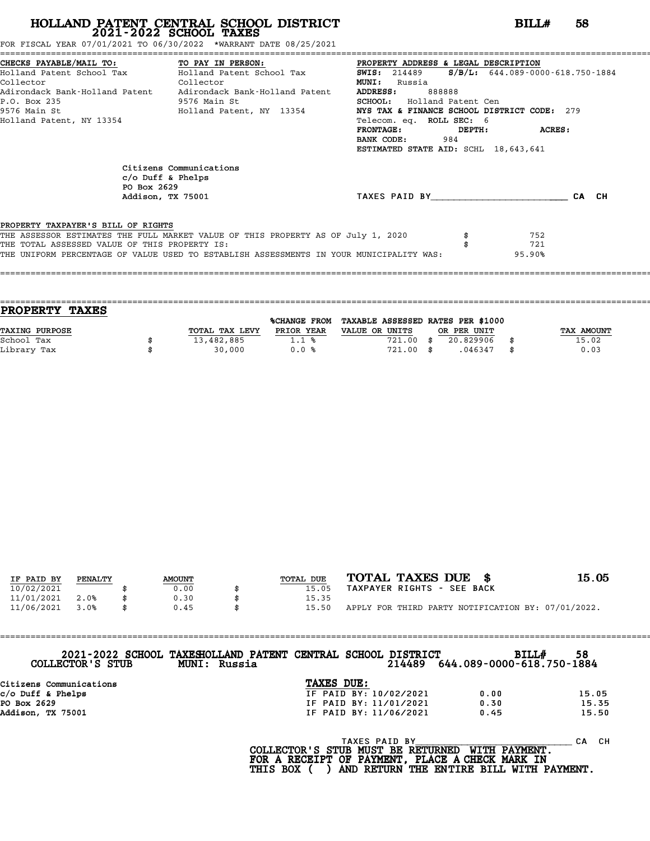|  |  |  |  |  |  |  | OR FISCAL YEAR 07/01/2021 TO 06/30/2022" |  |  | *WARRANT DATE 08/25/2021 |  |
|--|--|--|--|--|--|--|------------------------------------------|--|--|--------------------------|--|
|--|--|--|--|--|--|--|------------------------------------------|--|--|--------------------------|--|

| FOR FISCAL YEAR 07/01/2021 TO 06/30/2022 *WARRANT DATE 08/25/2021                                                                                                                                                                                                                                                                                                                                  |                         |                                                                                                                                                                                                                                                          |                      |
|----------------------------------------------------------------------------------------------------------------------------------------------------------------------------------------------------------------------------------------------------------------------------------------------------------------------------------------------------------------------------------------------------|-------------------------|----------------------------------------------------------------------------------------------------------------------------------------------------------------------------------------------------------------------------------------------------------|----------------------|
| CHECKS PAYABLE/MAIL TO: TO PAY IN PERSON: PROPERTY ADDRESS & LEGAL DESCRIPTION<br>Holland Patent School Tax Bolland Patent School Tax 5WIS: 214489 5/B/L: 644.089-0000-618.750-1884<br>Collector<br><b>Collector</b><br>Adirondack Bank-Holland Patent Adirondack Bank-Holland Patent<br>P.O. Box 235<br>9576 Main St                         Holland Patent, NY 13354<br>Holland Patent, NY 13354 | 9576 Main St            | <b>MUNI:</b><br>Russia<br><b>ADDRESS:</b><br>888888<br><b>SCHOOL:</b> Holland Patent Cen<br>NYS TAX & FINANCE SCHOOL DISTRICT CODE: 279<br>Telecom. eq. ROLL SEC: 6<br>FRONTAGE: DEPTH: ACRES:<br>BANK CODE: 984<br>ESTIMATED STATE AID: SCHL 18,643,641 |                      |
| $c/O$ Duff & Phelps<br>PO Box 2629<br>Addison, TX 75001                                                                                                                                                                                                                                                                                                                                            | Citizens Communications | TAXES PAID BY CA CH                                                                                                                                                                                                                                      |                      |
| PROPERTY TAXPAYER'S BILL OF RIGHTS<br>THE ASSESSOR ESTIMATES THE FULL MARKET VALUE OF THIS PROPERTY AS OF July 1, 2020<br>THE TOTAL ASSESSED VALUE OF THIS PROPERTY IS:<br>THE UNIFORM PERCENTAGE OF VALUE USED TO ESTABLISH ASSESSMENTS IN YOUR MUNICIPALITY WAS:                                                                                                                                 |                         |                                                                                                                                                                                                                                                          | 752<br>721<br>95.90% |

| <b>PROPERTY TAXES</b> |                |                     |                                   |             |            |
|-----------------------|----------------|---------------------|-----------------------------------|-------------|------------|
|                       |                | <b>%CHANGE FROM</b> | TAXABLE ASSESSED RATES PER \$1000 |             |            |
| TAXING PURPOSE        | TOTAL TAX LEVY | PRIOR YEAR          | VALUE OR UNITS                    | OR PER UNIT | TAX AMOUNT |
| School Tax            | 13,482,885     | 1.1%                | 721.00                            | 20.829906   | 15.02      |
| Library Tax           | 30,000         | 0.0%                | 721.00 \$                         | .046347     | 0.03       |
|                       |                |                     |                                   |             |            |

| IF PAID BY | PENALTY | <b>AMOUNT</b> | TOTAL DUE | TOTAL TAXES DUE \$                                 | 15.05 |
|------------|---------|---------------|-----------|----------------------------------------------------|-------|
| 10/02/2021 |         | 0.00          | 15.05     | TAXPAYER RIGHTS - SEE BACK                         |       |
| 11/01/2021 | 2.0%    | 0.30          | 15.35     |                                                    |       |
| 11/06/2021 | 3.0%    | \$<br>0.45    | 15.50     | APPLY FOR THIRD PARTY NOTIFICATION BY: 07/01/2022. |       |
|            |         |               |           |                                                    |       |

| COLLECTOR'S STUB        | 2021-2022 SCHOOL TAXESHOLLAND PATENT CENTRAL SCHOOL DISTRICT<br>MUNI: Russia |            | 214489                 | 644.089-0000-618.750-1884 | <b>BILL#</b> | 58    |
|-------------------------|------------------------------------------------------------------------------|------------|------------------------|---------------------------|--------------|-------|
| Citizens Communications |                                                                              | TAXES DUE: |                        |                           |              |       |
| $c/O$ Duff & Phelps     |                                                                              |            | IF PAID BY: 10/02/2021 | 0.00                      |              | 15.05 |
| PO Box 2629             |                                                                              |            | IF PAID BY: 11/01/2021 | 0.30                      |              | 15.35 |
| Addison, TX 75001       |                                                                              |            | IF PAID BY: 11/06/2021 | 0.45                      |              | 15.50 |

| c/o Duff & Phelps |  |  |
|-------------------|--|--|
| PO Box 2629       |  |  |
| Addison, TX 75001 |  |  |

| IF PAID BY: 11/06/2021<br>0.45                                                                                                                                              | 15.50 |  |
|-----------------------------------------------------------------------------------------------------------------------------------------------------------------------------|-------|--|
| TAXES PAID BY<br>COLLECTOR'S STUB MUST BE RETURNED WITH PAYMENT.<br>FOR A RECEIPT OF PAYMENT, PLACE A CHECK MARK IN<br>THIS BOX () AND RETURN THE ENTIRE BILL WITH PAYMENT. | CA CH |  |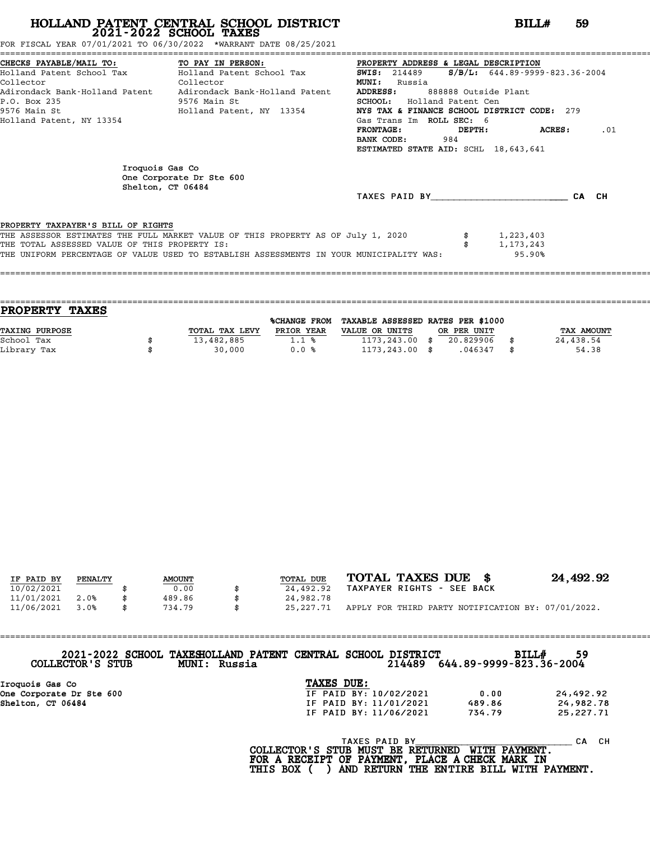FOR FISCAL YEAR 07/01/2021 TO 06/30/2022 \*WARRANT DATE 08/25/2021

|                                               | CHECKS PAYABLE/MAIL TO: TO PAY IN PERSON:                                               | PROPERTY ADDRESS & LEGAL DESCRIPTION                          |
|-----------------------------------------------|-----------------------------------------------------------------------------------------|---------------------------------------------------------------|
|                                               | Holland Patent School Tax           Holland Patent School Tax                           | $S/B/L: 644.89 - 9999 - 823.36 - 2004$<br><b>SWIS:</b> 214489 |
| Collector                                     | Collector                                                                               | <b>MUNI:</b><br>Russia                                        |
| Adirondack Bank-Holland Patent                | Adirondack Bank-Holland Patent                                                          | ADDRESS:<br>888888 Outside Plant                              |
| P.O. Box 235                                  | 9576 Main St                                                                            | <b>SCHOOL:</b> Holland Patent Cen                             |
| 9576 Main St                                  | Holland Patent, NY 13354                                                                | NYS TAX & FINANCE SCHOOL DISTRICT CODE: 279                   |
| Holland Patent, NY 13354                      |                                                                                         | Gas Trans Im ROLL SEC: 6                                      |
|                                               |                                                                                         | <b>FRONTAGE:</b><br>DEPTH:<br>ACRES:<br>.01                   |
|                                               |                                                                                         | 984<br>BANK CODE:                                             |
|                                               |                                                                                         | ESTIMATED STATE AID: SCHL 18,643,641                          |
| Iroquois Gas Co                               | One Corporate Dr Ste 600<br>Shelton, CT 06484                                           |                                                               |
|                                               |                                                                                         | TAXES PAID BY<br>CA CH                                        |
| PROPERTY TAXPAYER'S BILL OF RIGHTS            |                                                                                         |                                                               |
|                                               | THE ASSESSOR ESTIMATES THE FULL MARKET VALUE OF THIS PROPERTY AS OF July 1, 2020        |                                                               |
| THE TOTAL ASSESSED VALUE OF THIS PROPERTY IS: |                                                                                         | $\frac{1}{2}$<br>1,223,403                                    |
|                                               |                                                                                         | 1,173,243                                                     |
|                                               | THE UNIFORM PERCENTAGE OF VALUE USED TO ESTABLISH ASSESSMENTS IN YOUR MUNICIPALITY WAS: | 95.90%                                                        |
|                                               |                                                                                         |                                                               |

| <b>PROPERTY</b><br><b>TAXES</b> |                |              |                                   |             |            |
|---------------------------------|----------------|--------------|-----------------------------------|-------------|------------|
|                                 |                | %CHANGE FROM | TAXABLE ASSESSED RATES PER \$1000 |             |            |
| TAXING PURPOSE                  | TOTAL TAX LEVY | PRIOR YEAR   | VALUE OR UNITS                    | OR PER UNIT | TAX AMOUNT |
| School Tax                      | 13,482,885     | 1.1%         | $1173, 243, 00$ \$                | 20.829906   | 24,438.54  |
| Library Tax                     | 30,000         | 0.0%         | $1173, 243, 00$ \$                | .046347     | 54.38      |
|                                 |                |              |                                   |             |            |

| IF PAID BY | PENALTY | <b>AMOUNT</b> | TOTAL DUE       | TOTAL TAXES DUE \$                                 | 24,492.92 |
|------------|---------|---------------|-----------------|----------------------------------------------------|-----------|
| 10/02/2021 |         | 0.00          | 24,492.92       | TAXPAYER RIGHTS - SEE BACK                         |           |
| 11/01/2021 | 2.0%    | 489.86        | 24,982.78       |                                                    |           |
| 11/06/2021 | 3.0%    | \$<br>734.79  | \$<br>25,227.71 | APPLY FOR THIRD PARTY NOTIFICATION BY: 07/01/2022. |           |

==================================================================================================================================== **2021-2022 SCHOOL TAXESHOLLAND PATENT CENTRAL SCHOOL DISTRICT BILL# <sup>59</sup>**

| COLLECTOR'S STUB                            | 2021-2022 SCHOOL TAXESHOLLAND PATENT CENTRAL SCHOOL DISTRICT<br>MUNI: Russia |                                      | 214489 | BILL#<br>644.89-9999-823.36-2004 | 59        |  |
|---------------------------------------------|------------------------------------------------------------------------------|--------------------------------------|--------|----------------------------------|-----------|--|
| Iroquois Gas Co<br>One Corporate Dr Ste 600 |                                                                              | TAXES DUE:<br>IF PAID BY: 10/02/2021 |        | 0.00                             | 24,492.92 |  |

| COPPECION 5 SIGR         | MUNI: KUSSIA | <b>214489</b>          | 044.89-9999-823.30-2004 |           |
|--------------------------|--------------|------------------------|-------------------------|-----------|
| Iroquois Gas Co          |              | TAXES DUE:             |                         |           |
| One Corporate Dr Ste 600 |              | IF PAID BY: 10/02/2021 | 0.00                    | 24,492.92 |
| Shelton, CT 06484        |              | IF PAID BY: 11/01/2021 | 489.86                  | 24,982.78 |
|                          |              | IF PAID BY: 11/06/2021 | 734.79                  | 25,227.71 |
|                          |              |                        |                         |           |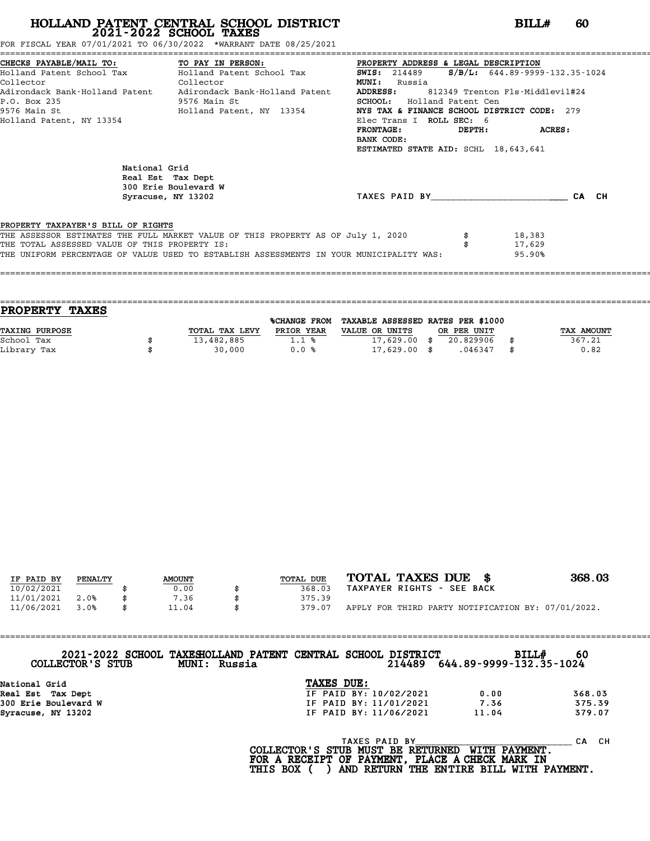| FOR FISCAL<br>, YEAR 07/01/2021 TO 06/30/2022 | *WARRANT DATE 08/25/2021 * |
|-----------------------------------------------|----------------------------|
|                                               |                            |

| FOR FISCAL YEAR 07/01/2021 TO 06/30/2022 *WARRANT DATE 08/25/2021                                                                                                                                                                                                                                                                                                                            |                                                                                                                                                                                                                        |                            |
|----------------------------------------------------------------------------------------------------------------------------------------------------------------------------------------------------------------------------------------------------------------------------------------------------------------------------------------------------------------------------------------------|------------------------------------------------------------------------------------------------------------------------------------------------------------------------------------------------------------------------|----------------------------|
| CHECKS PAYABLE/MAIL TO: TO PAY IN PERSON: PROPERTY ADDRESS & LEGAL DESCRIPTION<br>Holland Patent School Tax (Holland Patent School Tax (SWIS: 214489 (S/B/L: 644.89-9999-132.35-1024)<br><b>Collector</b><br>Collector<br>Adirondack Bank-Holland Patent Adirondack Bank-Holland Patent ADDRESS: 812349 Trenton Fls-Middlevil#24<br>P.O. Box 235<br>9576 Main St<br>Holland Patent, NY 13354 | <b>MUNI:</b> Russia<br><b>SCHOOL:</b> Holland Patent Cen<br>NYS TAX & FINANCE SCHOOL DISTRICT CODE: 279<br>Elec Trans I ROLL SEC: 6<br>$\tt FRONTAGE:$<br>DEPTH:<br>BANK CODE:<br>ESTIMATED STATE AID: SCHL 18,643,641 | ACRES:                     |
| National Grid<br>Real Est Tax Dept<br>300 Erie Boulevard W<br>Syracuse, NY 13202                                                                                                                                                                                                                                                                                                             | TAXES PAID BY CA CH                                                                                                                                                                                                    |                            |
| PROPERTY TAXPAYER'S BILL OF RIGHTS<br>THE ASSESSOR ESTIMATES THE FULL MARKET VALUE OF THIS PROPERTY AS OF July 1, 2020<br>THE TOTAL ASSESSED VALUE OF THIS PROPERTY IS:<br>THE UNIFORM PERCENTAGE OF VALUE USED TO ESTABLISH ASSESSMENTS IN YOUR MUNICIPALITY WAS:                                                                                                                           |                                                                                                                                                                                                                        | 18,383<br>17,629<br>95.90% |

| PROPERTY TAXES |                |                     |                                   |             |            |
|----------------|----------------|---------------------|-----------------------------------|-------------|------------|
|                |                | <b>%CHANGE FROM</b> | TAXABLE ASSESSED RATES PER \$1000 |             |            |
| TAXING PURPOSE | TOTAL TAX LEVY | PRIOR YEAR          | VALUE OR UNITS                    | OR PER UNIT | TAX AMOUNT |
| School Tax     | 13,482,885     | 1.1%                | 17,629.00                         | 20.829906   | 367.21     |
| Library Tax    | 30,000         | 0.0%                | $17,629.00$ \$                    | .046347     | \$<br>0.82 |
|                |                |                     |                                   |             |            |

====================================================================================================================================

| IF PAID BY | PENALTY | <b>AMOUNT</b> | TOTAL DUE | TOTAL TAXES DUE \$                                 | 368.03 |
|------------|---------|---------------|-----------|----------------------------------------------------|--------|
| 10/02/2021 |         | 0.00          | 368.03    | TAXPAYER RIGHTS - SEE BACK                         |        |
| 11/01/2021 | 2.0%    | 7.36          | 375.39    |                                                    |        |
| 11/06/2021 | 3.0%    | \$<br>11.04   | 379.07    | APPLY FOR THIRD PARTY NOTIFICATION BY: 07/01/2022. |        |

| COLLECTOR'S STUB       | 2021-2022 SCHOOL TAXESHOLLAND PATENT CENTRAL SCHOOL DISTRICT<br><b>MUNI: Russia</b> |                        | 214489 | 644.89-9999-132.35-1024 | BILL#<br>60   |  |
|------------------------|-------------------------------------------------------------------------------------|------------------------|--------|-------------------------|---------------|--|
| National Grid          |                                                                                     | TAXES DUE:             |        |                         |               |  |
| Real Est Tax Dept      |                                                                                     | IF PAID BY: 10/02/2021 |        | 0.00                    | 368.03        |  |
| $200$ Prio Poulovard W |                                                                                     | TE DATN RV, 11/01/2021 |        | 7.36                    | <b>375.30</b> |  |

| National Grid        | TAXES DUE:                                                              |                       |           |
|----------------------|-------------------------------------------------------------------------|-----------------------|-----------|
| Real Est Tax Dept    | IF PAID BY: 10/02/2021                                                  | 0.00                  | 368.03    |
| 300 Erie Boulevard W | IF PAID BY: 11/01/2021                                                  | 7.36                  | 375.39    |
| Syracuse, NY 13202   | IF PAID BY: 11/06/2021                                                  | 11.04                 | 379.07    |
|                      | <b>TAXES PAID BY</b><br>$COT$ הסוגמוויזיסם קמים ומידות מוויחים ומחירה ה | <b>MITTLE DAVMENT</b> | CH.<br>CA |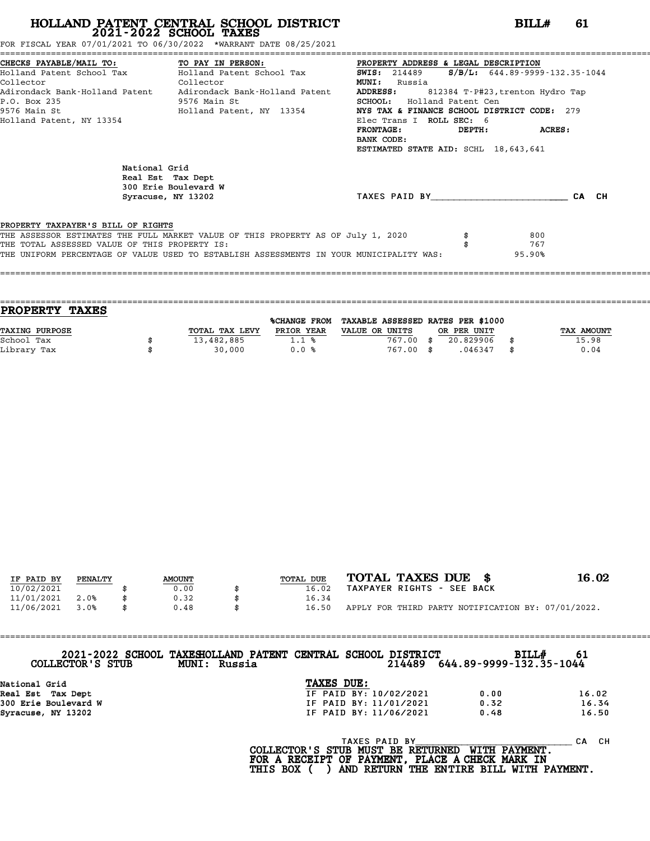FOR FISCAL YEAR 07/01/2021 TO 06/30/2022 \*WARRANT DATE 08/25/2021

|                                               | CHECKS PAYABLE/MAIL TO: TO PAY IN PERSON: PROPERTY ADDRESS & LEGAL DESCRIPTION<br>Holland Patent School Tax Holland Patent School Tax 50015: 214489 5/B/L: 644.89-9999 | <b>SWIS:</b> 214489 <b>S/B/L:</b> 644.89-9999-132.35-1044 |        |
|-----------------------------------------------|------------------------------------------------------------------------------------------------------------------------------------------------------------------------|-----------------------------------------------------------|--------|
| <b>Collector</b><br>Collector                 |                                                                                                                                                                        | <b>MUNI:</b> Russia                                       |        |
|                                               | Adirondack Bank-Holland Patent Adirondack Bank-Holland Patent ADDRESS: 812384 T-P#23, trenton Hydro Tap                                                                |                                                           |        |
| P.O. Box 235<br>9576 Main St                  |                                                                                                                                                                        | <b>SCHOOL:</b> Holland Patent Cen                         |        |
|                                               | 9576 Main St                                   Holland Patent, NY 13354                                                                                                | NYS TAX & FINANCE SCHOOL DISTRICT CODE: 279               |        |
| Holland Patent, NY 13354                      |                                                                                                                                                                        | Elec Trans I ROLL SEC: 6                                  |        |
|                                               |                                                                                                                                                                        | DEPTH: ACRES:<br><b>FRONTAGE:</b>                         |        |
|                                               |                                                                                                                                                                        | BANK CODE:                                                |        |
|                                               |                                                                                                                                                                        | ESTIMATED STATE AID: SCHL 18,643,641                      |        |
| National Grid                                 | Real Est Tax Dept<br>300 Erie Boulevard W<br>Syracuse, NY 13202                                                                                                        | TAXES PAID BY CA CH                                       |        |
|                                               |                                                                                                                                                                        |                                                           |        |
|                                               |                                                                                                                                                                        |                                                           |        |
| PROPERTY TAXPAYER'S BILL OF RIGHTS            |                                                                                                                                                                        |                                                           |        |
|                                               | THE ASSESSOR ESTIMATES THE FULL MARKET VALUE OF THIS PROPERTY AS OF July 1, 2020                                                                                       |                                                           | 800    |
| THE TOTAL ASSESSED VALUE OF THIS PROPERTY IS: |                                                                                                                                                                        |                                                           | 767    |
|                                               | THE UNIFORM PERCENTAGE OF VALUE USED TO ESTABLISH ASSESSMENTS IN YOUR MUNICIPALITY WAS:                                                                                |                                                           | 95.90% |
|                                               |                                                                                                                                                                        |                                                           |        |

| TOTAL TAX LEVY | PRIOR YEAR | VALUE OR UNITS      |           |             | TAX AMOUNT                        |
|----------------|------------|---------------------|-----------|-------------|-----------------------------------|
| 13,482,885     | 1.1%       | 767.00              | 20.829906 |             | 15.98                             |
| 30,000         | 0.0%       |                     | .046347   | \$          | 0.04                              |
|                |            | <b>%CHANGE FROM</b> | 767.00 \$ | OR PER UNIT | TAXABLE ASSESSED RATES PER \$1000 |

====================================================================================================================================

| IF PAID BY | PENALTY | <b>AMOUNT</b> | TOTAL DUE | TOTAL TAXES DUE \$                                 | 16.02 |
|------------|---------|---------------|-----------|----------------------------------------------------|-------|
| 10/02/2021 |         | 0.00          | 16.02     | TAXPAYER RIGHTS - SEE BACK                         |       |
| 11/01/2021 | 2.0%    | 0.32          | 16.34     |                                                    |       |
| 11/06/2021 | 3.0%    | 0.48          | 16.50     | APPLY FOR THIRD PARTY NOTIFICATION BY: 07/01/2022. |       |
|            |         |               |           |                                                    |       |

| COLLECTOR'S STUB     | 2021-2022 SCHOOL TAXESHOLLAND PATENT CENTRAL SCHOOL DISTRICT<br>MUNI: Russia |            | 214489                 | 644.89-9999-132.35-1044 | BILL#<br>-61 |  |
|----------------------|------------------------------------------------------------------------------|------------|------------------------|-------------------------|--------------|--|
|                      |                                                                              |            |                        |                         |              |  |
| National Grid        |                                                                              | TAXES DUE: |                        |                         |              |  |
| Real Est Tax Dept    |                                                                              |            | IF PAID BY: 10/02/2021 | 0.00                    | 16.02        |  |
| 300 Erie Boulevard W |                                                                              |            | IF PAID BY: 11/01/2021 | 0.32                    | 16.34        |  |
| Syracuse, NY 13202   |                                                                              |            | IF PAID BY: 11/06/2021 | 0.48                    | 16.50        |  |
|                      |                                                                              |            |                        |                         |              |  |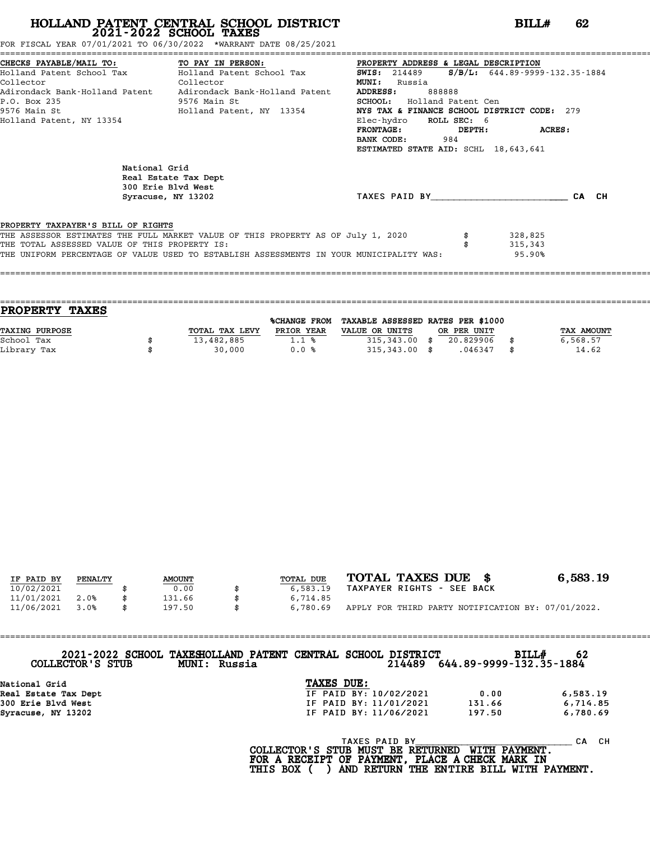| 07/01/2021<br>` <sup><!--30/2022</sup--><br/>TO<br/>06/<br/>FOR FISCAL<br/>YEAR</sup> | 1 08/25/2021<br>DATE<br>*WARRANT |
|---------------------------------------------------------------------------------------|----------------------------------|
|                                                                                       |                                  |

| FOR FISCAL YEAR 07/01/2021 TO 06/30/2022 *WARRANT DATE 08/25/2021                   |                                                                                                                                                                                                                                                                                                                                                         |                                                                                                                                                                                                                                               |                                   |       |
|-------------------------------------------------------------------------------------|---------------------------------------------------------------------------------------------------------------------------------------------------------------------------------------------------------------------------------------------------------------------------------------------------------------------------------------------------------|-----------------------------------------------------------------------------------------------------------------------------------------------------------------------------------------------------------------------------------------------|-----------------------------------|-------|
| Collector<br>P.O. Box 235<br>9576 Main St<br>Holland Patent, NY 13354               | CHECKS PAYABLE/MAIL TO: TO PAY IN PERSON: PROPERTY ADDRESS & LEGAL DESCRIPTION<br>Holland Patent School Tax           Holland Patent School Tax             SWIS: 214489<br>Collector<br>Adirondack Bank-Holland Patent Adirondack Bank-Holland Patent ADDRESS:<br>9576 Main St<br>Holland Patent, NY 13354 NYS TAX & FINANCE SCHOOL DISTRICT CODE: 279 | ;================================<br><b>MUNI:</b> Russia<br>888888<br><b>SCHOOL:</b> Holland Patent Cen<br>Elec-hydro ROLL SEC: 6<br>$\verb FRONTAGE : \verb DEPTH : \verb ACRES :$<br>BANK CODE: 984<br>ESTIMATED STATE AID: SCHL 18,643,641 | $S/B/L$ : 644.89-9999-132.35-1884 |       |
| National Grid<br>300 Erie Blvd West<br>Syracuse, NY 13202                           | Real Estate Tax Dept                                                                                                                                                                                                                                                                                                                                    | TAXES PAID BY TAXES                                                                                                                                                                                                                           |                                   | CA CH |
| PROPERTY TAXPAYER'S BILL OF RIGHTS<br>THE TOTAL ASSESSED VALUE OF THIS PROPERTY IS: | THE ASSESSOR ESTIMATES THE FULL MARKET VALUE OF THIS PROPERTY AS OF July 1, 2020<br>THE UNIFORM PERCENTAGE OF VALUE USED TO ESTABLISH ASSESSMENTS IN YOUR MUNICIPALITY WAS:                                                                                                                                                                             |                                                                                                                                                                                                                                               | 328,825<br>315,343<br>95.90%      |       |

|                | <b>%CHANGE FROM</b> |                |                                    |             |                                   |
|----------------|---------------------|----------------|------------------------------------|-------------|-----------------------------------|
| TOTAL TAX LEVY | PRIOR YEAR          | VALUE OR UNITS |                                    |             | TAX AMOUNT                        |
| 13,482,885     | 1.1%                |                | 20.829906                          |             | 6,568.57                          |
| 30,000         | 0.0%                |                | .046347                            | \$          | 14.62                             |
|                |                     |                | $315,343.00$ \$<br>$315,343.00$ \$ | OR PER UNIT | TAXABLE ASSESSED RATES PER \$1000 |

| IF PAID BY | PENALTY | <b>AMOUNT</b> | TOTAL DUE | TOTAL TAXES DUE \$                                 | 6,583.19 |
|------------|---------|---------------|-----------|----------------------------------------------------|----------|
| 10/02/2021 |         | 0.00          | 6,583.19  | TAXPAYER RIGHTS - SEE BACK                         |          |
| 11/01/2021 | 2.0%    | 131.66        | 6,714.85  |                                                    |          |
| 11/06/2021 | 3.0%    | \$<br>197.50  | 6,780.69  | APPLY FOR THIRD PARTY NOTIFICATION BY: 07/01/2022. |          |

| <b>SCHOOL</b><br>2021-2022 | TAXESHOLLAND PATENT CENTRAL SCHOOL DISTRICT | <b>BILL#</b>            | -62 |
|----------------------------|---------------------------------------------|-------------------------|-----|
| STUB                       | <b>MUNI:</b>                                | 214489                  |     |
| COLLECTOR'S                | Russia                                      | 644.89-9999-132.35-1884 |     |

| COLLECTOR'S STUB     | <b>MUNI: Russia</b> | 2021-2022 SCHOOL TAXESHOLLAND PATENT CENTRAL SCHOOL DISTRICT<br>214489 | 644.89-9999-132.35-1884 | BILL#<br>62 |
|----------------------|---------------------|------------------------------------------------------------------------|-------------------------|-------------|
| National Grid        |                     | TAXES DUE:                                                             |                         |             |
| Real Estate Tax Dept |                     | IF PAID BY: 10/02/2021                                                 | 0.00                    | 6,583.19    |
| 300 Erie Blvd West   |                     | IF PAID BY: 11/01/2021                                                 | 131.66                  | 6,714.85    |
| Syracuse, NY 13202   |                     | IF PAID BY: 11/06/2021                                                 | 197.50                  | 6,780.69    |
|                      |                     |                                                                        |                         |             |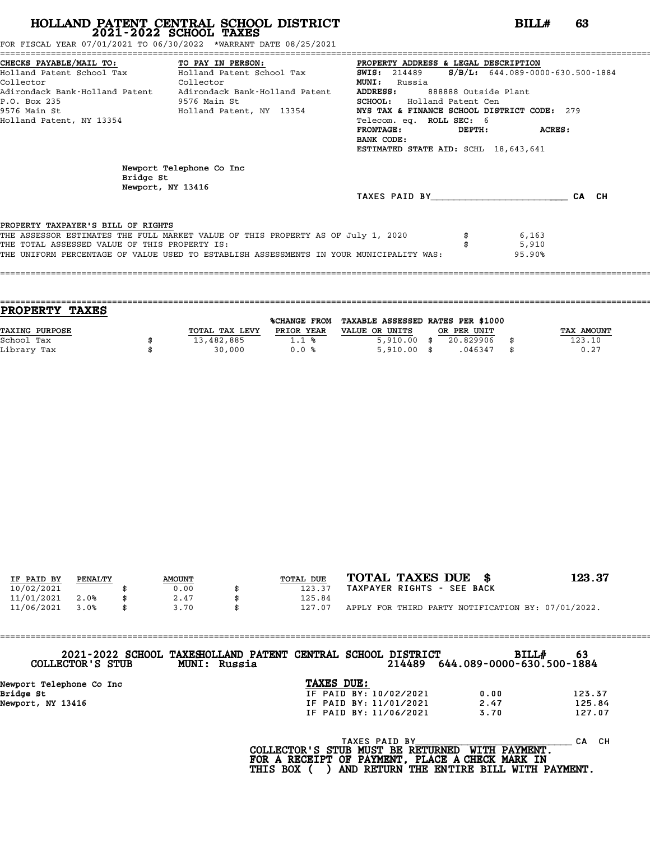|  |  |  |  |  |  |  |  |  |  | FOR FISCAL YEAR 07/01/2021 TO 06/30/2022                      *WARRANT DATE 08/25/2021 |  |  |  |  |  |
|--|--|--|--|--|--|--|--|--|--|----------------------------------------------------------------------------------------|--|--|--|--|--|
|--|--|--|--|--|--|--|--|--|--|----------------------------------------------------------------------------------------|--|--|--|--|--|

|                                               | FOR FISCAL YEAR 07/01/2021 TO 06/30/2022 *WARRANT DATE 08/25/2021                       |                                                                                       |  |
|-----------------------------------------------|-----------------------------------------------------------------------------------------|---------------------------------------------------------------------------------------|--|
|                                               |                                                                                         | CHECKS PAYABLE/MAIL TO: TO PAY IN PERSON: PROPERTY ADDRESS & LEGAL DESCRIPTION        |  |
| Collector<br><b>Collector</b>                 | Holland Patent School Tax           Holland Patent School Tax                           | <b>SWIS:</b> 214489 <b>S/B/L:</b> 644.089-0000-630.500-1884<br><b>MUNI:</b><br>Russia |  |
|                                               | Adirondack Bank-Holland Patent     Adirondack Bank-Holland Patent                       | <b>ADDRESS:</b><br>888888 Outside Plant                                               |  |
| P.O. Box 235                                  | 9576 Main St                                                                            | <b>SCHOOL:</b> Holland Patent Cen                                                     |  |
| 9576 Main St                                  | Holland Patent, NY 13354                                                                | NYS TAX & FINANCE SCHOOL DISTRICT CODE: 279                                           |  |
| Holland Patent, NY 13354                      |                                                                                         | Telecom. eq. ROLL SEC: 6                                                              |  |
|                                               |                                                                                         | $\verb FRONTAGE : \verb DEPTH : \verb ACRES :$                                        |  |
|                                               |                                                                                         | BANK CODE:                                                                            |  |
|                                               |                                                                                         | ESTIMATED STATE AID: SCHL 18,643,641                                                  |  |
| Bridge St<br>Newport, NY 13416                | Newport Telephone Co Inc                                                                |                                                                                       |  |
|                                               |                                                                                         | TAXES PAID BY CA CH                                                                   |  |
|                                               |                                                                                         |                                                                                       |  |
| PROPERTY TAXPAYER'S BILL OF RIGHTS            |                                                                                         |                                                                                       |  |
|                                               | THE ASSESSOR ESTIMATES THE FULL MARKET VALUE OF THIS PROPERTY AS OF July 1, 2020        | 6,163                                                                                 |  |
| THE TOTAL ASSESSED VALUE OF THIS PROPERTY IS: |                                                                                         | 5,910                                                                                 |  |
|                                               | THE UNIFORM PERCENTAGE OF VALUE USED TO ESTABLISH ASSESSMENTS IN YOUR MUNICIPALITY WAS: | 95.90%                                                                                |  |
|                                               |                                                                                         |                                                                                       |  |

| <b>PROPERTY</b>       | <b>TAXES</b> |                |              |                                   |               |            |
|-----------------------|--------------|----------------|--------------|-----------------------------------|---------------|------------|
|                       |              |                | %CHANGE FROM | TAXABLE ASSESSED RATES PER \$1000 |               |            |
| <b>TAXING PURPOSE</b> |              | TOTAL TAX LEVY | PRIOR YEAR   | VALUE OR UNITS                    | OR PER UNIT   | TAX AMOUNT |
| School Tax            |              | 13,482,885     | 1.1%         | 5,910.00                          | 20.829906     | 123.10     |
| Library Tax           |              | 30,000         | 0.0%         | 5,910.00                          | \$<br>.046347 | 0.27       |
|                       |              |                |              |                                   |               |            |

| IF PAID BY | PENALTY | <b>AMOUNT</b> | TOTAL DUE | TOTAL TAXES DUE \$                                 | 123.37 |
|------------|---------|---------------|-----------|----------------------------------------------------|--------|
| 10/02/2021 |         | 0.00          | 123.37    | TAXPAYER RIGHTS - SEE BACK                         |        |
| 11/01/2021 | 2.0%    | 2.47          | 125.84    |                                                    |        |
| 11/06/2021 | 3.0%    | 3.70          | 127.07    | APPLY FOR THIRD PARTY NOTIFICATION BY: 07/01/2022. |        |

| COLLECTOR'S STUB         | 2021-2022 SCHOOL TAXESHOLLAND PATENT CENTRAL SCHOOL DISTRICT<br>MUNI: Russia |            |                        | 214489 | 644.089-0000-630.500-1884 | <b>BILL#</b> | 63     |
|--------------------------|------------------------------------------------------------------------------|------------|------------------------|--------|---------------------------|--------------|--------|
| Newport Telephone Co Inc |                                                                              | TAXES DUE: |                        |        |                           |              |        |
| Bridge St                |                                                                              |            | IF PAID BY: 10/02/2021 |        | 0.00                      |              | 123.37 |
| Newport, NY 13416        |                                                                              |            | IF PAID BY: 11/01/2021 |        | 2.47                      |              | 125.84 |
|                          |                                                                              |            | IF PAID BY: 11/06/2021 |        | 3.70                      |              | 127.07 |
|                          |                                                                              |            |                        |        |                           |              |        |